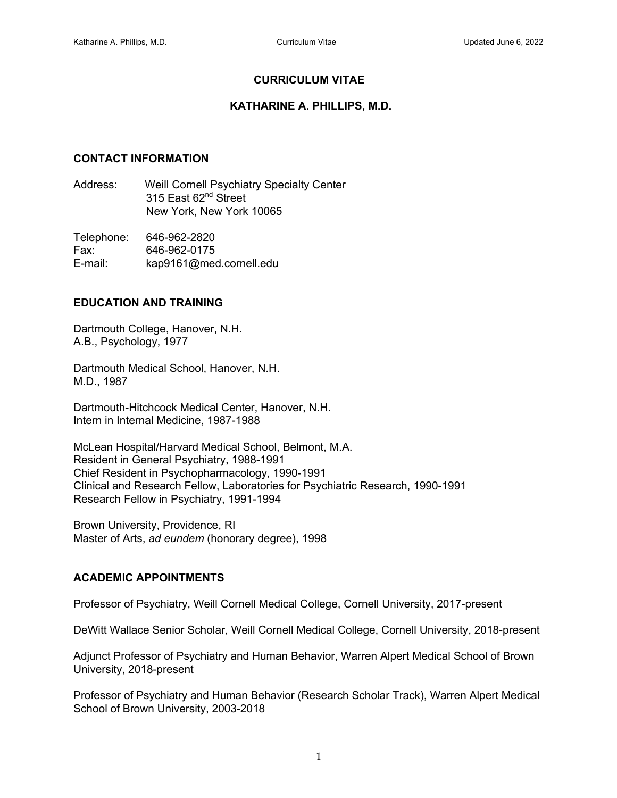# **CURRICULUM VITAE**

### **KATHARINE A. PHILLIPS, M.D.**

### **CONTACT INFORMATION**

Address: Weill Cornell Psychiatry Specialty Center 315 East 62<sup>nd</sup> Street New York, New York 10065

Telephone: 646-962-2820 Fax: 646-962-0175 E-mail: kap9161@med.cornell.edu

### **EDUCATION AND TRAINING**

Dartmouth College, Hanover, N.H. A.B., Psychology, 1977

Dartmouth Medical School, Hanover, N.H. M.D., 1987

Dartmouth-Hitchcock Medical Center, Hanover, N.H. Intern in Internal Medicine, 1987-1988

McLean Hospital/Harvard Medical School, Belmont, M.A. Resident in General Psychiatry, 1988-1991 Chief Resident in Psychopharmacology, 1990-1991 Clinical and Research Fellow, Laboratories for Psychiatric Research, 1990-1991 Research Fellow in Psychiatry, 1991-1994

Brown University, Providence, RI Master of Arts, *ad eundem* (honorary degree), 1998

# **ACADEMIC APPOINTMENTS**

Professor of Psychiatry, Weill Cornell Medical College, Cornell University, 2017-present

DeWitt Wallace Senior Scholar, Weill Cornell Medical College, Cornell University, 2018-present

Adjunct Professor of Psychiatry and Human Behavior, Warren Alpert Medical School of Brown University, 2018-present

Professor of Psychiatry and Human Behavior (Research Scholar Track), Warren Alpert Medical School of Brown University, 2003-2018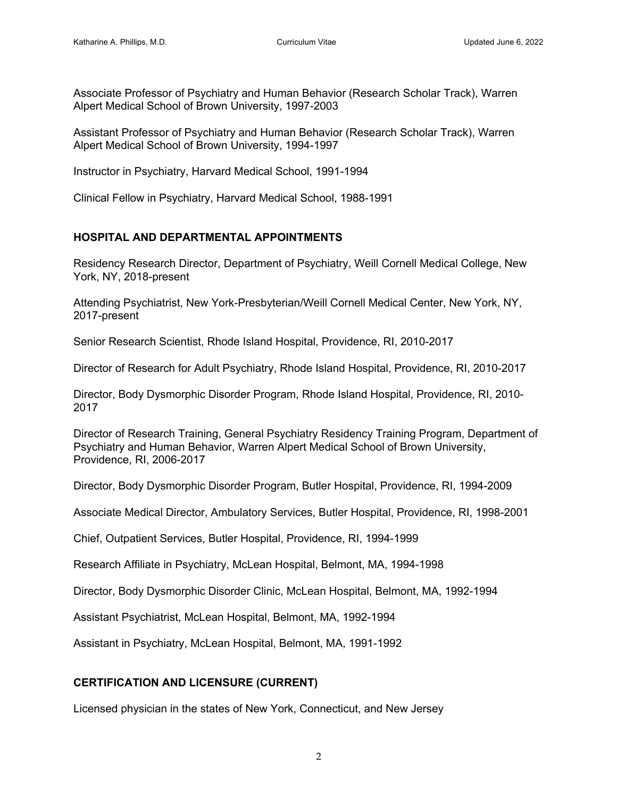Associate Professor of Psychiatry and Human Behavior (Research Scholar Track), Warren Alpert Medical School of Brown University, 1997-2003

Assistant Professor of Psychiatry and Human Behavior (Research Scholar Track), Warren Alpert Medical School of Brown University, 1994-1997

Instructor in Psychiatry, Harvard Medical School, 1991-1994

Clinical Fellow in Psychiatry, Harvard Medical School, 1988-1991

# **HOSPITAL AND DEPARTMENTAL APPOINTMENTS**

Residency Research Director, Department of Psychiatry, Weill Cornell Medical College, New York, NY, 2018-present

Attending Psychiatrist, New York-Presbyterian/Weill Cornell Medical Center, New York, NY, 2017-present

Senior Research Scientist, Rhode Island Hospital, Providence, RI, 2010-2017

Director of Research for Adult Psychiatry, Rhode Island Hospital, Providence, RI, 2010-2017

Director, Body Dysmorphic Disorder Program, Rhode Island Hospital, Providence, RI, 2010- 2017

Director of Research Training, General Psychiatry Residency Training Program, Department of Psychiatry and Human Behavior, Warren Alpert Medical School of Brown University, Providence, RI, 2006-2017

Director, Body Dysmorphic Disorder Program, Butler Hospital, Providence, RI, 1994-2009

Associate Medical Director, Ambulatory Services, Butler Hospital, Providence, RI, 1998-2001

Chief, Outpatient Services, Butler Hospital, Providence, RI, 1994-1999

Research Affiliate in Psychiatry, McLean Hospital, Belmont, MA, 1994-1998

Director, Body Dysmorphic Disorder Clinic, McLean Hospital, Belmont, MA, 1992-1994

Assistant Psychiatrist, McLean Hospital, Belmont, MA, 1992-1994

Assistant in Psychiatry, McLean Hospital, Belmont, MA, 1991-1992

# **CERTIFICATION AND LICENSURE (CURRENT)**

Licensed physician in the states of New York, Connecticut, and New Jersey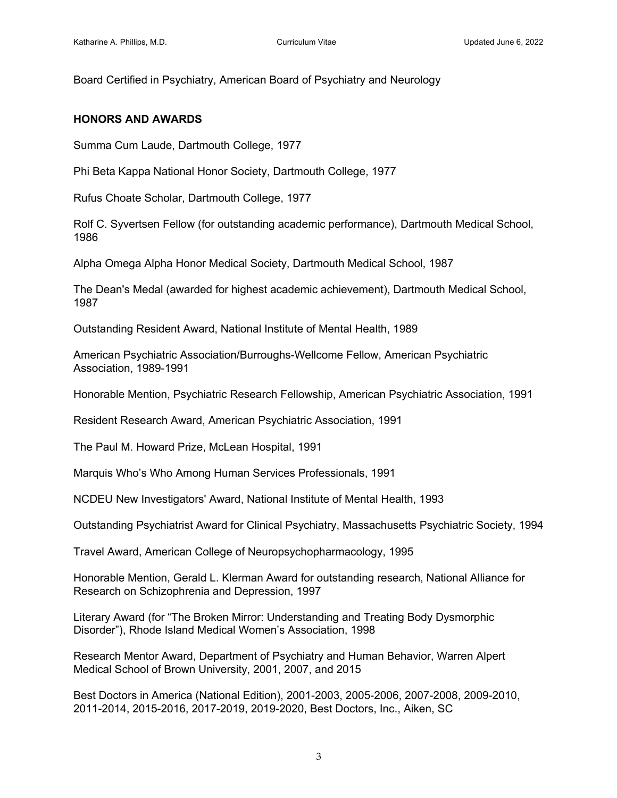Board Certified in Psychiatry, American Board of Psychiatry and Neurology

#### **HONORS AND AWARDS**

Summa Cum Laude, Dartmouth College, 1977

Phi Beta Kappa National Honor Society, Dartmouth College, 1977

Rufus Choate Scholar, Dartmouth College, 1977

Rolf C. Syvertsen Fellow (for outstanding academic performance), Dartmouth Medical School, 1986

Alpha Omega Alpha Honor Medical Society, Dartmouth Medical School, 1987

The Dean's Medal (awarded for highest academic achievement), Dartmouth Medical School, 1987

Outstanding Resident Award, National Institute of Mental Health, 1989

American Psychiatric Association/Burroughs-Wellcome Fellow, American Psychiatric Association, 1989-1991

Honorable Mention, Psychiatric Research Fellowship, American Psychiatric Association, 1991

Resident Research Award, American Psychiatric Association, 1991

The Paul M. Howard Prize, McLean Hospital, 1991

Marquis Who's Who Among Human Services Professionals, 1991

NCDEU New Investigators' Award, National Institute of Mental Health, 1993

Outstanding Psychiatrist Award for Clinical Psychiatry, Massachusetts Psychiatric Society, 1994

Travel Award, American College of Neuropsychopharmacology, 1995

Honorable Mention, Gerald L. Klerman Award for outstanding research, National Alliance for Research on Schizophrenia and Depression, 1997

Literary Award (for "The Broken Mirror: Understanding and Treating Body Dysmorphic Disorder"), Rhode Island Medical Women's Association, 1998

Research Mentor Award, Department of Psychiatry and Human Behavior, Warren Alpert Medical School of Brown University, 2001, 2007, and 2015

Best Doctors in America (National Edition), 2001-2003, 2005-2006, 2007-2008, 2009-2010, 2011-2014, 2015-2016, 2017-2019, 2019-2020, Best Doctors, Inc., Aiken, SC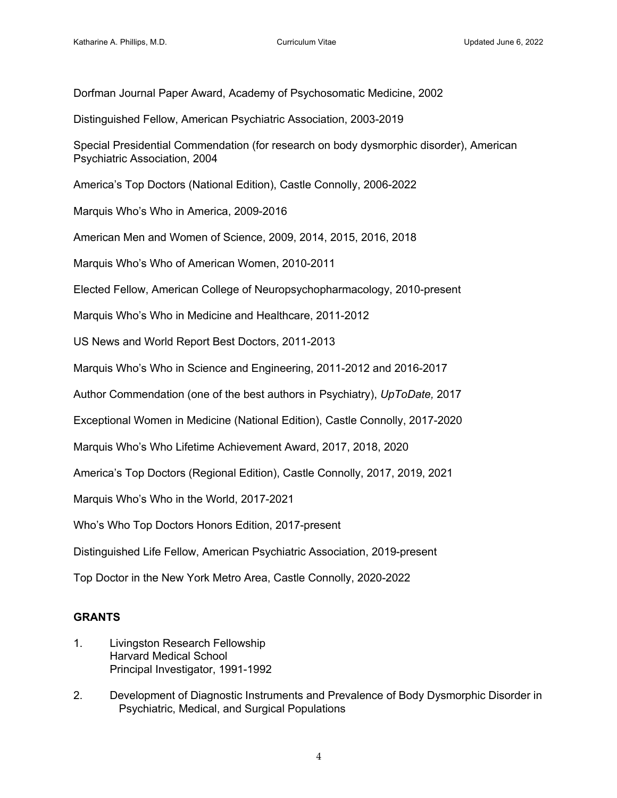Dorfman Journal Paper Award, Academy of Psychosomatic Medicine, 2002

Distinguished Fellow, American Psychiatric Association, 2003-2019

Special Presidential Commendation (for research on body dysmorphic disorder), American Psychiatric Association, 2004

America's Top Doctors (National Edition), Castle Connolly, 2006-2022

Marquis Who's Who in America, 2009-2016

American Men and Women of Science, 2009, 2014, 2015, 2016, 2018

Marquis Who's Who of American Women, 2010-2011

Elected Fellow, American College of Neuropsychopharmacology, 2010-present

Marquis Who's Who in Medicine and Healthcare, 2011-2012

US News and World Report Best Doctors, 2011-2013

Marquis Who's Who in Science and Engineering, 2011-2012 and 2016-2017

Author Commendation (one of the best authors in Psychiatry), *UpToDate,* 2017

Exceptional Women in Medicine (National Edition), Castle Connolly, 2017-2020

Marquis Who's Who Lifetime Achievement Award, 2017, 2018, 2020

America's Top Doctors (Regional Edition), Castle Connolly, 2017, 2019, 2021

Marquis Who's Who in the World, 2017-2021

Who's Who Top Doctors Honors Edition, 2017-present

Distinguished Life Fellow, American Psychiatric Association, 2019-present

Top Doctor in the New York Metro Area, Castle Connolly, 2020-2022

# **GRANTS**

- 1. Livingston Research Fellowship Harvard Medical School Principal Investigator, 1991-1992
- 2. Development of Diagnostic Instruments and Prevalence of Body Dysmorphic Disorder in Psychiatric, Medical, and Surgical Populations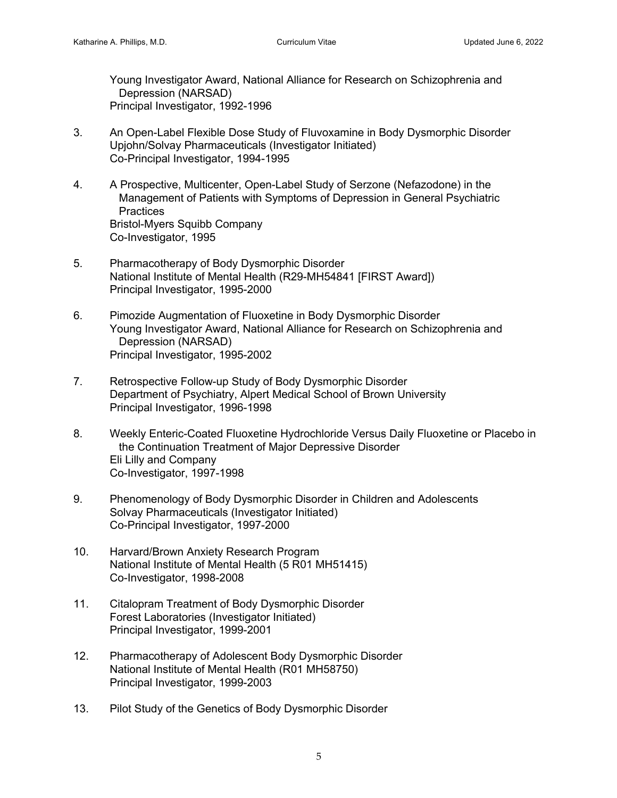Young Investigator Award, National Alliance for Research on Schizophrenia and Depression (NARSAD) Principal Investigator, 1992-1996

- 3. An Open-Label Flexible Dose Study of Fluvoxamine in Body Dysmorphic Disorder Upjohn/Solvay Pharmaceuticals (Investigator Initiated) Co-Principal Investigator, 1994-1995
- 4. A Prospective, Multicenter, Open-Label Study of Serzone (Nefazodone) in the Management of Patients with Symptoms of Depression in General Psychiatric **Practices** Bristol-Myers Squibb Company Co-Investigator, 1995
- 5. Pharmacotherapy of Body Dysmorphic Disorder National Institute of Mental Health (R29-MH54841 [FIRST Award]) Principal Investigator, 1995-2000
- 6. Pimozide Augmentation of Fluoxetine in Body Dysmorphic Disorder Young Investigator Award, National Alliance for Research on Schizophrenia and Depression (NARSAD) Principal Investigator, 1995-2002
- 7. Retrospective Follow-up Study of Body Dysmorphic Disorder Department of Psychiatry, Alpert Medical School of Brown University Principal Investigator, 1996-1998
- 8. Weekly Enteric-Coated Fluoxetine Hydrochloride Versus Daily Fluoxetine or Placebo in the Continuation Treatment of Major Depressive Disorder Eli Lilly and Company Co-Investigator, 1997-1998
- 9. Phenomenology of Body Dysmorphic Disorder in Children and Adolescents Solvay Pharmaceuticals (Investigator Initiated) Co-Principal Investigator, 1997-2000
- 10. Harvard/Brown Anxiety Research Program National Institute of Mental Health (5 R01 MH51415) Co-Investigator, 1998-2008
- 11. Citalopram Treatment of Body Dysmorphic Disorder Forest Laboratories (Investigator Initiated) Principal Investigator, 1999-2001
- 12. Pharmacotherapy of Adolescent Body Dysmorphic Disorder National Institute of Mental Health (R01 MH58750) Principal Investigator, 1999-2003
- 13. Pilot Study of the Genetics of Body Dysmorphic Disorder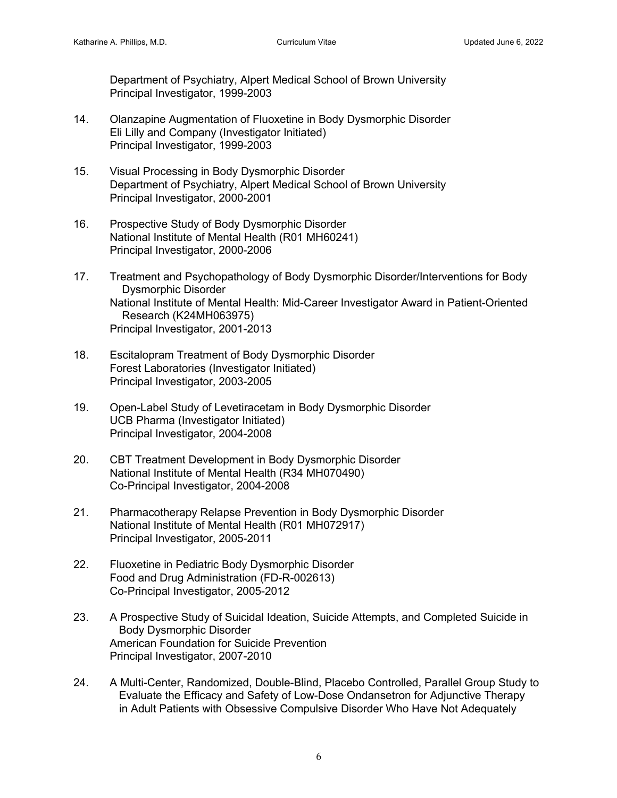Department of Psychiatry, Alpert Medical School of Brown University Principal Investigator, 1999-2003

- 14. Olanzapine Augmentation of Fluoxetine in Body Dysmorphic Disorder Eli Lilly and Company (Investigator Initiated) Principal Investigator, 1999-2003
- 15. Visual Processing in Body Dysmorphic Disorder Department of Psychiatry, Alpert Medical School of Brown University Principal Investigator, 2000-2001
- 16. Prospective Study of Body Dysmorphic Disorder National Institute of Mental Health (R01 MH60241) Principal Investigator, 2000-2006
- 17. Treatment and Psychopathology of Body Dysmorphic Disorder/Interventions for Body Dysmorphic Disorder National Institute of Mental Health: Mid-Career Investigator Award in Patient-Oriented Research (K24MH063975) Principal Investigator, 2001-2013
- 18. Escitalopram Treatment of Body Dysmorphic Disorder Forest Laboratories (Investigator Initiated) Principal Investigator, 2003-2005
- 19. Open-Label Study of Levetiracetam in Body Dysmorphic Disorder UCB Pharma (Investigator Initiated) Principal Investigator, 2004-2008
- 20. CBT Treatment Development in Body Dysmorphic Disorder National Institute of Mental Health (R34 MH070490) Co-Principal Investigator, 2004-2008
- 21. Pharmacotherapy Relapse Prevention in Body Dysmorphic Disorder National Institute of Mental Health (R01 MH072917) Principal Investigator, 2005-2011
- 22. Fluoxetine in Pediatric Body Dysmorphic Disorder Food and Drug Administration (FD-R-002613) Co-Principal Investigator, 2005-2012
- 23. A Prospective Study of Suicidal Ideation, Suicide Attempts, and Completed Suicide in Body Dysmorphic Disorder American Foundation for Suicide Prevention Principal Investigator, 2007-2010
- 24. A Multi-Center, Randomized, Double-Blind, Placebo Controlled, Parallel Group Study to Evaluate the Efficacy and Safety of Low-Dose Ondansetron for Adjunctive Therapy in Adult Patients with Obsessive Compulsive Disorder Who Have Not Adequately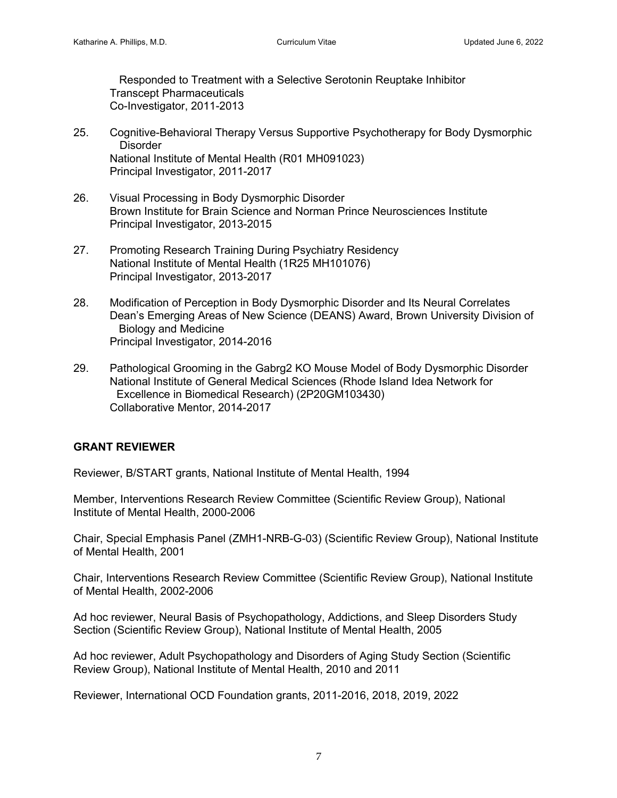Responded to Treatment with a Selective Serotonin Reuptake Inhibitor Transcept Pharmaceuticals Co-Investigator, 2011-2013

- 25. Cognitive-Behavioral Therapy Versus Supportive Psychotherapy for Body Dysmorphic **Disorder** National Institute of Mental Health (R01 MH091023) Principal Investigator, 2011-2017
- 26. Visual Processing in Body Dysmorphic Disorder Brown Institute for Brain Science and Norman Prince Neurosciences Institute Principal Investigator, 2013-2015
- 27. Promoting Research Training During Psychiatry Residency National Institute of Mental Health (1R25 MH101076) Principal Investigator, 2013-2017
- 28. Modification of Perception in Body Dysmorphic Disorder and Its Neural Correlates Dean's Emerging Areas of New Science (DEANS) Award, Brown University Division of Biology and Medicine Principal Investigator, 2014-2016
- 29. Pathological Grooming in the Gabrg2 KO Mouse Model of Body Dysmorphic Disorder National Institute of General Medical Sciences (Rhode Island Idea Network for Excellence in Biomedical Research) (2P20GM103430) Collaborative Mentor, 2014-2017

# **GRANT REVIEWER**

Reviewer, B/START grants, National Institute of Mental Health, 1994

Member, Interventions Research Review Committee (Scientific Review Group), National Institute of Mental Health, 2000-2006

Chair, Special Emphasis Panel (ZMH1-NRB-G-03) (Scientific Review Group), National Institute of Mental Health, 2001

Chair, Interventions Research Review Committee (Scientific Review Group), National Institute of Mental Health, 2002-2006

Ad hoc reviewer, Neural Basis of Psychopathology, Addictions, and Sleep Disorders Study Section (Scientific Review Group), National Institute of Mental Health, 2005

Ad hoc reviewer, Adult Psychopathology and Disorders of Aging Study Section (Scientific Review Group), National Institute of Mental Health, 2010 and 2011

Reviewer, International OCD Foundation grants, 2011-2016, 2018, 2019, 2022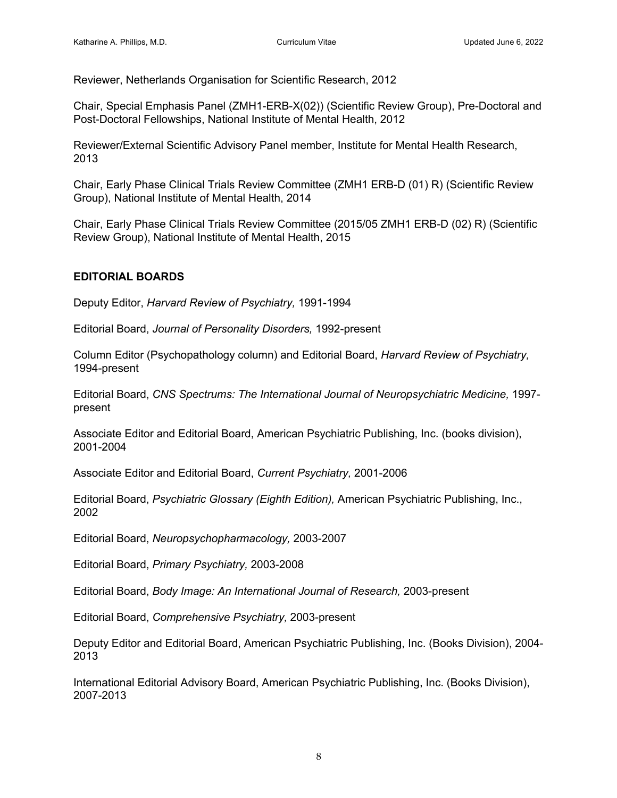Reviewer, Netherlands Organisation for Scientific Research, 2012

Chair, Special Emphasis Panel (ZMH1-ERB-X(02)) (Scientific Review Group), Pre-Doctoral and Post-Doctoral Fellowships, National Institute of Mental Health, 2012

Reviewer/External Scientific Advisory Panel member, Institute for Mental Health Research, 2013

Chair, Early Phase Clinical Trials Review Committee (ZMH1 ERB-D (01) R) (Scientific Review Group), National Institute of Mental Health, 2014

Chair, Early Phase Clinical Trials Review Committee (2015/05 ZMH1 ERB-D (02) R) (Scientific Review Group), National Institute of Mental Health, 2015

# **EDITORIAL BOARDS**

Deputy Editor, *Harvard Review of Psychiatry,* 1991-1994

Editorial Board, *Journal of Personality Disorders,* 1992-present

Column Editor (Psychopathology column) and Editorial Board, *Harvard Review of Psychiatry,* 1994-present

Editorial Board, *CNS Spectrums: The International Journal of Neuropsychiatric Medicine,* 1997 present

Associate Editor and Editorial Board, American Psychiatric Publishing, Inc. (books division), 2001-2004

Associate Editor and Editorial Board, *Current Psychiatry,* 2001-2006

Editorial Board, *Psychiatric Glossary (Eighth Edition),* American Psychiatric Publishing, Inc., 2002

Editorial Board, *Neuropsychopharmacology,* 2003-2007

Editorial Board, *Primary Psychiatry,* 2003-2008

Editorial Board, *Body Image: An International Journal of Research,* 2003-present

Editorial Board, *Comprehensive Psychiatry,* 2003-present

Deputy Editor and Editorial Board, American Psychiatric Publishing, Inc. (Books Division), 2004- 2013

International Editorial Advisory Board, American Psychiatric Publishing, Inc. (Books Division), 2007-2013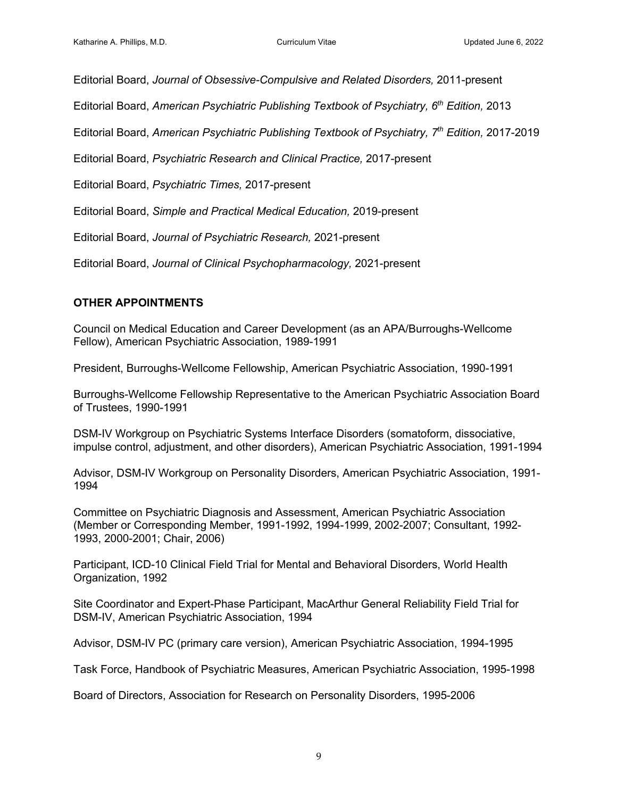Editorial Board, *Journal of Obsessive-Compulsive and Related Disorders,* 2011-present

Editorial Board, *American Psychiatric Publishing Textbook of Psychiatry, 6th Edition,* 2013

Editorial Board, *American Psychiatric Publishing Textbook of Psychiatry, 7th Edition,* 2017-2019

Editorial Board, *Psychiatric Research and Clinical Practice,* 2017-present

Editorial Board, *Psychiatric Times,* 2017-present

Editorial Board, *Simple and Practical Medical Education,* 2019-present

Editorial Board, *Journal of Psychiatric Research,* 2021-present

Editorial Board, *Journal of Clinical Psychopharmacology,* 2021-present

# **OTHER APPOINTMENTS**

Council on Medical Education and Career Development (as an APA/Burroughs-Wellcome Fellow), American Psychiatric Association, 1989-1991

President, Burroughs-Wellcome Fellowship, American Psychiatric Association, 1990-1991

Burroughs-Wellcome Fellowship Representative to the American Psychiatric Association Board of Trustees, 1990-1991

DSM-IV Workgroup on Psychiatric Systems Interface Disorders (somatoform, dissociative, impulse control, adjustment, and other disorders), American Psychiatric Association, 1991-1994

Advisor, DSM-IV Workgroup on Personality Disorders, American Psychiatric Association, 1991- 1994

Committee on Psychiatric Diagnosis and Assessment, American Psychiatric Association (Member or Corresponding Member, 1991-1992, 1994-1999, 2002-2007; Consultant, 1992- 1993, 2000-2001; Chair, 2006)

Participant, ICD-10 Clinical Field Trial for Mental and Behavioral Disorders, World Health Organization, 1992

Site Coordinator and Expert-Phase Participant, MacArthur General Reliability Field Trial for DSM-IV, American Psychiatric Association, 1994

Advisor, DSM-IV PC (primary care version), American Psychiatric Association, 1994-1995

Task Force, Handbook of Psychiatric Measures, American Psychiatric Association, 1995-1998

Board of Directors, Association for Research on Personality Disorders, 1995-2006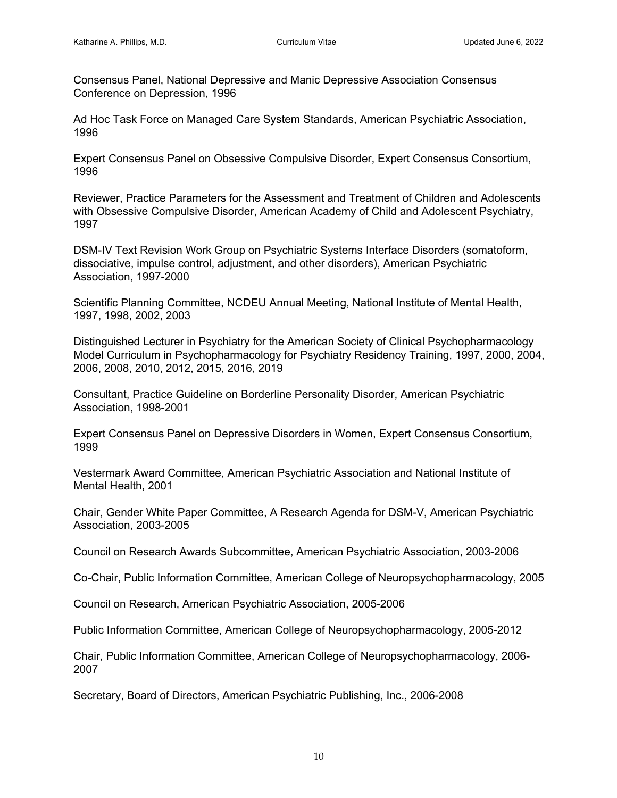Consensus Panel, National Depressive and Manic Depressive Association Consensus Conference on Depression, 1996

Ad Hoc Task Force on Managed Care System Standards, American Psychiatric Association, 1996

Expert Consensus Panel on Obsessive Compulsive Disorder, Expert Consensus Consortium, 1996

Reviewer, Practice Parameters for the Assessment and Treatment of Children and Adolescents with Obsessive Compulsive Disorder, American Academy of Child and Adolescent Psychiatry, 1997

DSM-IV Text Revision Work Group on Psychiatric Systems Interface Disorders (somatoform, dissociative, impulse control, adjustment, and other disorders), American Psychiatric Association, 1997-2000

Scientific Planning Committee, NCDEU Annual Meeting, National Institute of Mental Health, 1997, 1998, 2002, 2003

Distinguished Lecturer in Psychiatry for the American Society of Clinical Psychopharmacology Model Curriculum in Psychopharmacology for Psychiatry Residency Training, 1997, 2000, 2004, 2006, 2008, 2010, 2012, 2015, 2016, 2019

Consultant, Practice Guideline on Borderline Personality Disorder, American Psychiatric Association, 1998-2001

Expert Consensus Panel on Depressive Disorders in Women, Expert Consensus Consortium, 1999

Vestermark Award Committee, American Psychiatric Association and National Institute of Mental Health, 2001

Chair, Gender White Paper Committee, A Research Agenda for DSM-V, American Psychiatric Association, 2003-2005

Council on Research Awards Subcommittee, American Psychiatric Association, 2003-2006

Co-Chair, Public Information Committee, American College of Neuropsychopharmacology, 2005

Council on Research, American Psychiatric Association, 2005-2006

Public Information Committee, American College of Neuropsychopharmacology, 2005-2012

Chair, Public Information Committee, American College of Neuropsychopharmacology, 2006- 2007

Secretary, Board of Directors, American Psychiatric Publishing, Inc., 2006-2008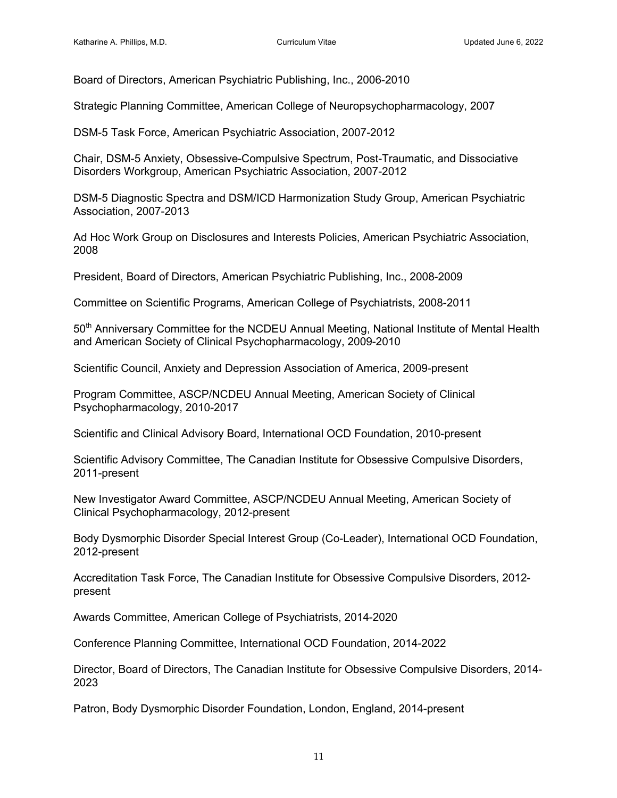Board of Directors, American Psychiatric Publishing, Inc., 2006-2010

Strategic Planning Committee, American College of Neuropsychopharmacology, 2007

DSM-5 Task Force, American Psychiatric Association, 2007-2012

Chair, DSM-5 Anxiety, Obsessive-Compulsive Spectrum, Post-Traumatic, and Dissociative Disorders Workgroup, American Psychiatric Association, 2007-2012

DSM-5 Diagnostic Spectra and DSM/ICD Harmonization Study Group, American Psychiatric Association, 2007-2013

Ad Hoc Work Group on Disclosures and Interests Policies, American Psychiatric Association, 2008

President, Board of Directors, American Psychiatric Publishing, Inc., 2008-2009

Committee on Scientific Programs, American College of Psychiatrists, 2008-2011

50<sup>th</sup> Anniversary Committee for the NCDEU Annual Meeting, National Institute of Mental Health and American Society of Clinical Psychopharmacology, 2009-2010

Scientific Council, Anxiety and Depression Association of America, 2009-present

Program Committee, ASCP/NCDEU Annual Meeting, American Society of Clinical Psychopharmacology, 2010-2017

Scientific and Clinical Advisory Board, International OCD Foundation, 2010-present

Scientific Advisory Committee, The Canadian Institute for Obsessive Compulsive Disorders, 2011-present

New Investigator Award Committee, ASCP/NCDEU Annual Meeting, American Society of Clinical Psychopharmacology, 2012-present

Body Dysmorphic Disorder Special Interest Group (Co-Leader), International OCD Foundation, 2012-present

Accreditation Task Force, The Canadian Institute for Obsessive Compulsive Disorders, 2012 present

Awards Committee, American College of Psychiatrists, 2014-2020

Conference Planning Committee, International OCD Foundation, 2014-2022

Director, Board of Directors, The Canadian Institute for Obsessive Compulsive Disorders, 2014- 2023

Patron, Body Dysmorphic Disorder Foundation, London, England, 2014-present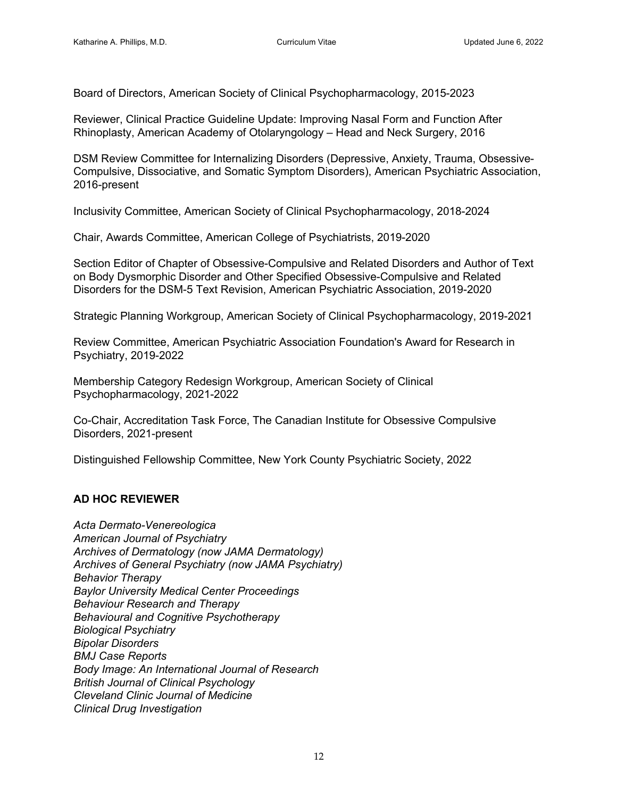Board of Directors, American Society of Clinical Psychopharmacology, 2015-2023

Reviewer, Clinical Practice Guideline Update: Improving Nasal Form and Function After Rhinoplasty, American Academy of Otolaryngology – Head and Neck Surgery, 2016

DSM Review Committee for Internalizing Disorders (Depressive, Anxiety, Trauma, Obsessive-Compulsive, Dissociative, and Somatic Symptom Disorders), American Psychiatric Association, 2016-present

Inclusivity Committee, American Society of Clinical Psychopharmacology, 2018-2024

Chair, Awards Committee, American College of Psychiatrists, 2019-2020

Section Editor of Chapter of Obsessive-Compulsive and Related Disorders and Author of Text on Body Dysmorphic Disorder and Other Specified Obsessive-Compulsive and Related Disorders for the DSM-5 Text Revision, American Psychiatric Association, 2019-2020

Strategic Planning Workgroup, American Society of Clinical Psychopharmacology, 2019-2021

Review Committee, American Psychiatric Association Foundation's Award for Research in Psychiatry, 2019-2022

Membership Category Redesign Workgroup, American Society of Clinical Psychopharmacology, 2021-2022

Co-Chair, Accreditation Task Force, The Canadian Institute for Obsessive Compulsive Disorders, 2021-present

Distinguished Fellowship Committee, New York County Psychiatric Society, 2022

#### **AD HOC REVIEWER**

*Acta Dermato-Venereologica American Journal of Psychiatry Archives of Dermatology (now JAMA Dermatology) Archives of General Psychiatry (now JAMA Psychiatry) Behavior Therapy Baylor University Medical Center Proceedings Behaviour Research and Therapy Behavioural and Cognitive Psychotherapy Biological Psychiatry Bipolar Disorders BMJ Case Reports Body Image: An International Journal of Research British Journal of Clinical Psychology Cleveland Clinic Journal of Medicine Clinical Drug Investigation*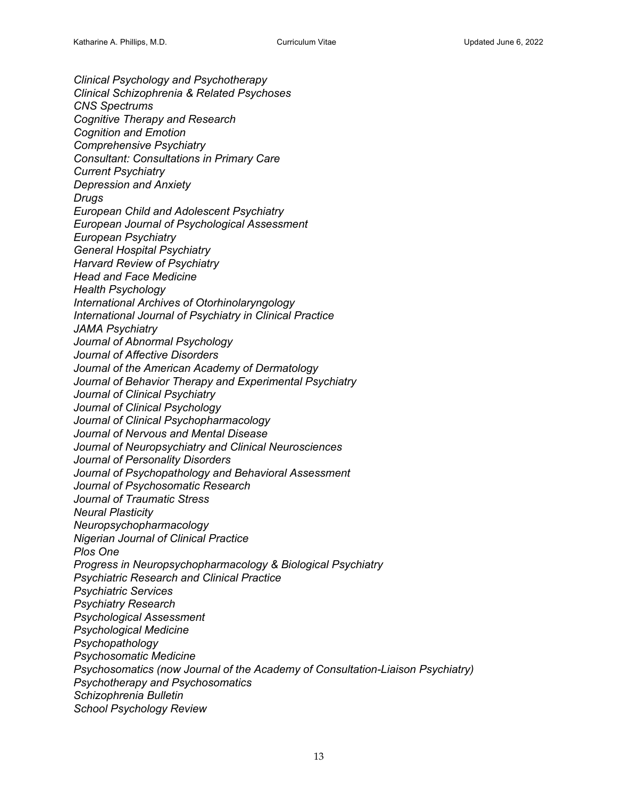*Clinical Psychology and Psychotherapy Clinical Schizophrenia & Related Psychoses CNS Spectrums Cognitive Therapy and Research Cognition and Emotion Comprehensive Psychiatry Consultant: Consultations in Primary Care Current Psychiatry Depression and Anxiety Drugs European Child and Adolescent Psychiatry European Journal of Psychological Assessment European Psychiatry General Hospital Psychiatry Harvard Review of Psychiatry Head and Face Medicine Health Psychology International Archives of Otorhinolaryngology International Journal of Psychiatry in Clinical Practice JAMA Psychiatry Journal of Abnormal Psychology Journal of Affective Disorders Journal of the American Academy of Dermatology Journal of Behavior Therapy and Experimental Psychiatry Journal of Clinical Psychiatry Journal of Clinical Psychology Journal of Clinical Psychopharmacology Journal of Nervous and Mental Disease Journal of Neuropsychiatry and Clinical Neurosciences Journal of Personality Disorders Journal of Psychopathology and Behavioral Assessment Journal of Psychosomatic Research Journal of Traumatic Stress Neural Plasticity Neuropsychopharmacology Nigerian Journal of Clinical Practice Plos One Progress in Neuropsychopharmacology & Biological Psychiatry Psychiatric Research and Clinical Practice Psychiatric Services Psychiatry Research Psychological Assessment Psychological Medicine Psychopathology Psychosomatic Medicine Psychosomatics (now Journal of the Academy of Consultation-Liaison Psychiatry) Psychotherapy and Psychosomatics Schizophrenia Bulletin School Psychology Review*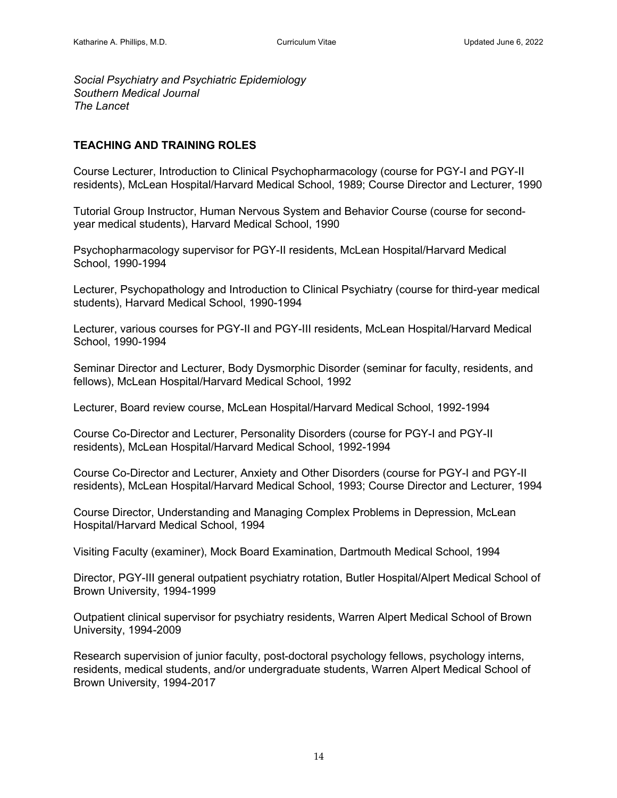*Social Psychiatry and Psychiatric Epidemiology Southern Medical Journal The Lancet*

### **TEACHING AND TRAINING ROLES**

Course Lecturer, Introduction to Clinical Psychopharmacology (course for PGY-I and PGY-II residents), McLean Hospital/Harvard Medical School, 1989; Course Director and Lecturer, 1990

Tutorial Group Instructor, Human Nervous System and Behavior Course (course for secondyear medical students), Harvard Medical School, 1990

Psychopharmacology supervisor for PGY-II residents, McLean Hospital/Harvard Medical School, 1990-1994

Lecturer, Psychopathology and Introduction to Clinical Psychiatry (course for third-year medical students), Harvard Medical School, 1990-1994

Lecturer, various courses for PGY-II and PGY-III residents, McLean Hospital/Harvard Medical School, 1990-1994

Seminar Director and Lecturer, Body Dysmorphic Disorder (seminar for faculty, residents, and fellows), McLean Hospital/Harvard Medical School, 1992

Lecturer, Board review course, McLean Hospital/Harvard Medical School, 1992-1994

Course Co-Director and Lecturer, Personality Disorders (course for PGY-I and PGY-II residents), McLean Hospital/Harvard Medical School, 1992-1994

Course Co-Director and Lecturer, Anxiety and Other Disorders (course for PGY-I and PGY-II residents), McLean Hospital/Harvard Medical School, 1993; Course Director and Lecturer, 1994

Course Director, Understanding and Managing Complex Problems in Depression, McLean Hospital/Harvard Medical School, 1994

Visiting Faculty (examiner), Mock Board Examination, Dartmouth Medical School, 1994

Director, PGY-III general outpatient psychiatry rotation, Butler Hospital/Alpert Medical School of Brown University, 1994-1999

Outpatient clinical supervisor for psychiatry residents, Warren Alpert Medical School of Brown University, 1994-2009

Research supervision of junior faculty, post-doctoral psychology fellows, psychology interns, residents, medical students, and/or undergraduate students, Warren Alpert Medical School of Brown University, 1994-2017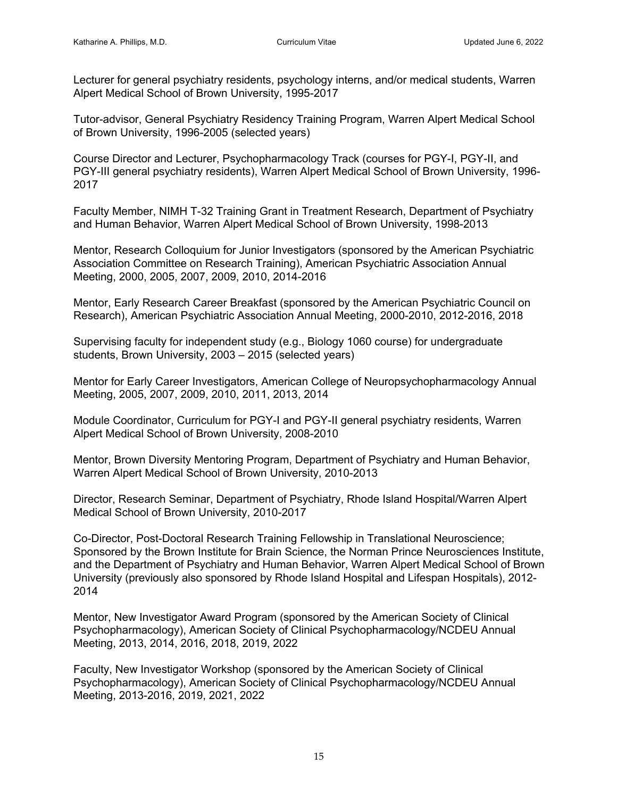Lecturer for general psychiatry residents, psychology interns, and/or medical students, Warren Alpert Medical School of Brown University, 1995-2017

Tutor-advisor, General Psychiatry Residency Training Program, Warren Alpert Medical School of Brown University, 1996-2005 (selected years)

Course Director and Lecturer, Psychopharmacology Track (courses for PGY-I, PGY-II, and PGY-III general psychiatry residents), Warren Alpert Medical School of Brown University, 1996- 2017

Faculty Member, NIMH T-32 Training Grant in Treatment Research, Department of Psychiatry and Human Behavior, Warren Alpert Medical School of Brown University, 1998-2013

Mentor, Research Colloquium for Junior Investigators (sponsored by the American Psychiatric Association Committee on Research Training), American Psychiatric Association Annual Meeting, 2000, 2005, 2007, 2009, 2010, 2014-2016

Mentor, Early Research Career Breakfast (sponsored by the American Psychiatric Council on Research), American Psychiatric Association Annual Meeting, 2000-2010, 2012-2016, 2018

Supervising faculty for independent study (e.g., Biology 1060 course) for undergraduate students, Brown University, 2003 – 2015 (selected years)

Mentor for Early Career Investigators, American College of Neuropsychopharmacology Annual Meeting, 2005, 2007, 2009, 2010, 2011, 2013, 2014

Module Coordinator, Curriculum for PGY-I and PGY-II general psychiatry residents, Warren Alpert Medical School of Brown University, 2008-2010

Mentor, Brown Diversity Mentoring Program, Department of Psychiatry and Human Behavior, Warren Alpert Medical School of Brown University, 2010-2013

Director, Research Seminar, Department of Psychiatry, Rhode Island Hospital/Warren Alpert Medical School of Brown University, 2010-2017

Co-Director, Post-Doctoral Research Training Fellowship in Translational Neuroscience; Sponsored by the Brown Institute for Brain Science, the Norman Prince Neurosciences Institute, and the Department of Psychiatry and Human Behavior, Warren Alpert Medical School of Brown University (previously also sponsored by Rhode Island Hospital and Lifespan Hospitals), 2012- 2014

Mentor, New Investigator Award Program (sponsored by the American Society of Clinical Psychopharmacology), American Society of Clinical Psychopharmacology/NCDEU Annual Meeting, 2013, 2014, 2016, 2018, 2019, 2022

Faculty, New Investigator Workshop (sponsored by the American Society of Clinical Psychopharmacology), American Society of Clinical Psychopharmacology/NCDEU Annual Meeting, 2013-2016, 2019, 2021, 2022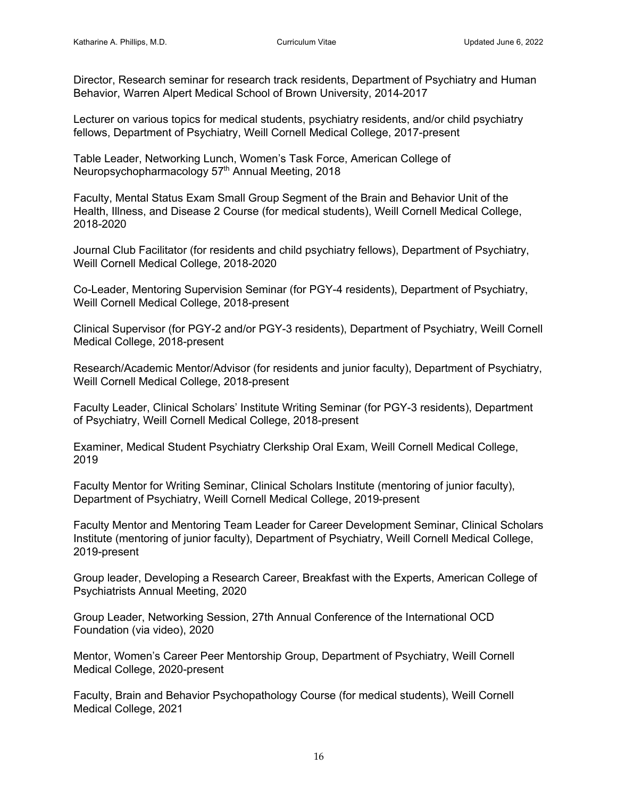Director, Research seminar for research track residents, Department of Psychiatry and Human Behavior, Warren Alpert Medical School of Brown University, 2014-2017

Lecturer on various topics for medical students, psychiatry residents, and/or child psychiatry fellows, Department of Psychiatry, Weill Cornell Medical College, 2017-present

Table Leader, Networking Lunch, Women's Task Force, American College of Neuropsychopharmacology 57<sup>th</sup> Annual Meeting, 2018

Faculty, Mental Status Exam Small Group Segment of the Brain and Behavior Unit of the Health, Illness, and Disease 2 Course (for medical students), Weill Cornell Medical College, 2018-2020

Journal Club Facilitator (for residents and child psychiatry fellows), Department of Psychiatry, Weill Cornell Medical College, 2018-2020

Co-Leader, Mentoring Supervision Seminar (for PGY-4 residents), Department of Psychiatry, Weill Cornell Medical College, 2018-present

Clinical Supervisor (for PGY-2 and/or PGY-3 residents), Department of Psychiatry, Weill Cornell Medical College, 2018-present

Research/Academic Mentor/Advisor (for residents and junior faculty), Department of Psychiatry, Weill Cornell Medical College, 2018-present

Faculty Leader, Clinical Scholars' Institute Writing Seminar (for PGY-3 residents), Department of Psychiatry, Weill Cornell Medical College, 2018-present

Examiner, Medical Student Psychiatry Clerkship Oral Exam, Weill Cornell Medical College, 2019

Faculty Mentor for Writing Seminar, Clinical Scholars Institute (mentoring of junior faculty), Department of Psychiatry, Weill Cornell Medical College, 2019-present

Faculty Mentor and Mentoring Team Leader for Career Development Seminar, Clinical Scholars Institute (mentoring of junior faculty), Department of Psychiatry, Weill Cornell Medical College, 2019-present

Group leader, Developing a Research Career, Breakfast with the Experts, American College of Psychiatrists Annual Meeting, 2020

Group Leader, Networking Session, 27th Annual Conference of the International OCD Foundation (via video), 2020

Mentor, Women's Career Peer Mentorship Group, Department of Psychiatry, Weill Cornell Medical College, 2020-present

Faculty, Brain and Behavior Psychopathology Course (for medical students), Weill Cornell Medical College, 2021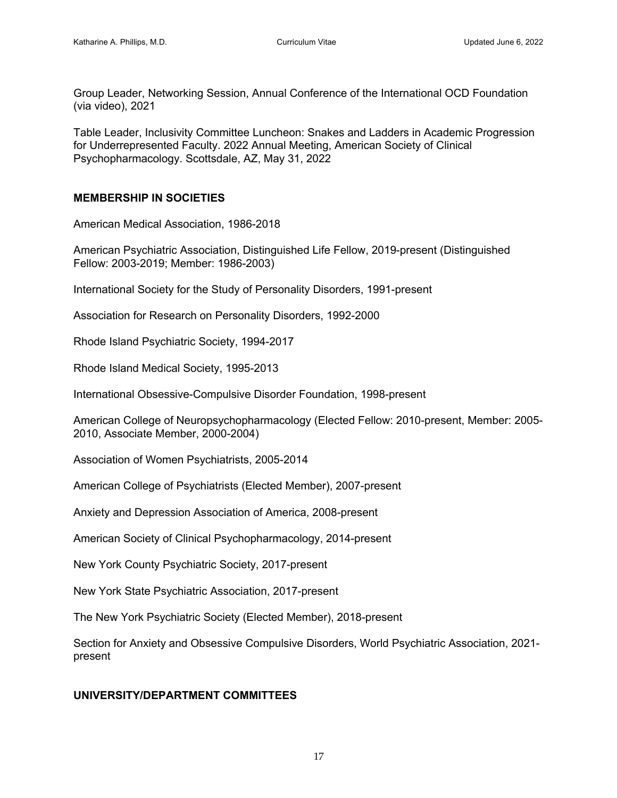Group Leader, Networking Session, Annual Conference of the International OCD Foundation (via video), 2021

Table Leader, Inclusivity Committee Luncheon: Snakes and Ladders in Academic Progression for Underrepresented Faculty. 2022 Annual Meeting, American Society of Clinical Psychopharmacology. Scottsdale, AZ, May 31, 2022

### **MEMBERSHIP IN SOCIETIES**

American Medical Association, 1986-2018

American Psychiatric Association, Distinguished Life Fellow, 2019-present (Distinguished Fellow: 2003-2019; Member: 1986-2003)

International Society for the Study of Personality Disorders, 1991-present

Association for Research on Personality Disorders, 1992-2000

Rhode Island Psychiatric Society, 1994-2017

Rhode Island Medical Society, 1995-2013

International Obsessive-Compulsive Disorder Foundation, 1998-present

American College of Neuropsychopharmacology (Elected Fellow: 2010-present, Member: 2005- 2010, Associate Member, 2000-2004)

Association of Women Psychiatrists, 2005-2014

American College of Psychiatrists (Elected Member), 2007-present

Anxiety and Depression Association of America, 2008-present

American Society of Clinical Psychopharmacology, 2014-present

New York County Psychiatric Society, 2017-present

New York State Psychiatric Association, 2017-present

The New York Psychiatric Society (Elected Member), 2018-present

Section for Anxiety and Obsessive Compulsive Disorders, World Psychiatric Association, 2021 present

#### **UNIVERSITY/DEPARTMENT COMMITTEES**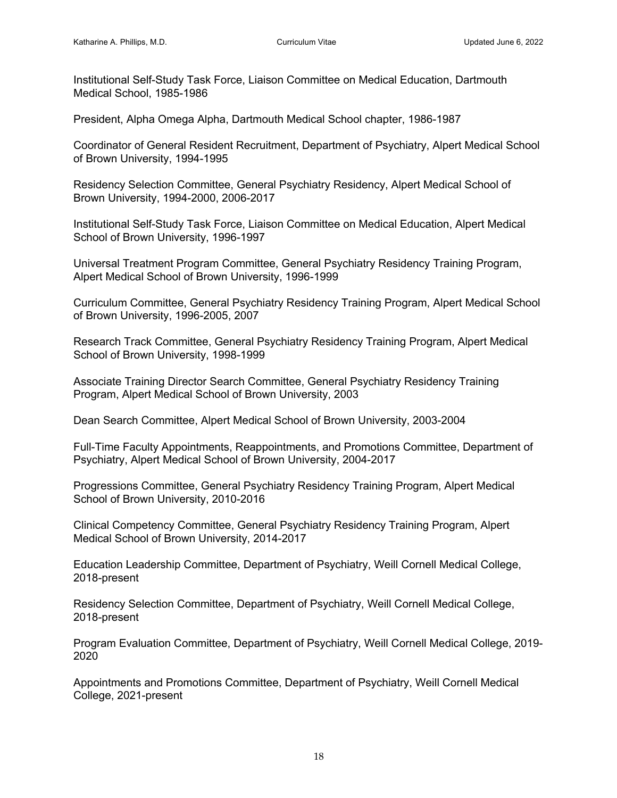Institutional Self-Study Task Force, Liaison Committee on Medical Education, Dartmouth Medical School, 1985-1986

President, Alpha Omega Alpha, Dartmouth Medical School chapter, 1986-1987

Coordinator of General Resident Recruitment, Department of Psychiatry, Alpert Medical School of Brown University, 1994-1995

Residency Selection Committee, General Psychiatry Residency, Alpert Medical School of Brown University, 1994-2000, 2006-2017

Institutional Self-Study Task Force, Liaison Committee on Medical Education, Alpert Medical School of Brown University, 1996-1997

Universal Treatment Program Committee, General Psychiatry Residency Training Program, Alpert Medical School of Brown University, 1996-1999

Curriculum Committee, General Psychiatry Residency Training Program, Alpert Medical School of Brown University, 1996-2005, 2007

Research Track Committee, General Psychiatry Residency Training Program, Alpert Medical School of Brown University, 1998-1999

Associate Training Director Search Committee, General Psychiatry Residency Training Program, Alpert Medical School of Brown University, 2003

Dean Search Committee, Alpert Medical School of Brown University, 2003-2004

Full-Time Faculty Appointments, Reappointments, and Promotions Committee, Department of Psychiatry, Alpert Medical School of Brown University, 2004-2017

Progressions Committee, General Psychiatry Residency Training Program, Alpert Medical School of Brown University, 2010-2016

Clinical Competency Committee, General Psychiatry Residency Training Program, Alpert Medical School of Brown University, 2014-2017

Education Leadership Committee, Department of Psychiatry, Weill Cornell Medical College, 2018-present

Residency Selection Committee, Department of Psychiatry, Weill Cornell Medical College, 2018-present

Program Evaluation Committee, Department of Psychiatry, Weill Cornell Medical College, 2019- 2020

Appointments and Promotions Committee, Department of Psychiatry, Weill Cornell Medical College, 2021-present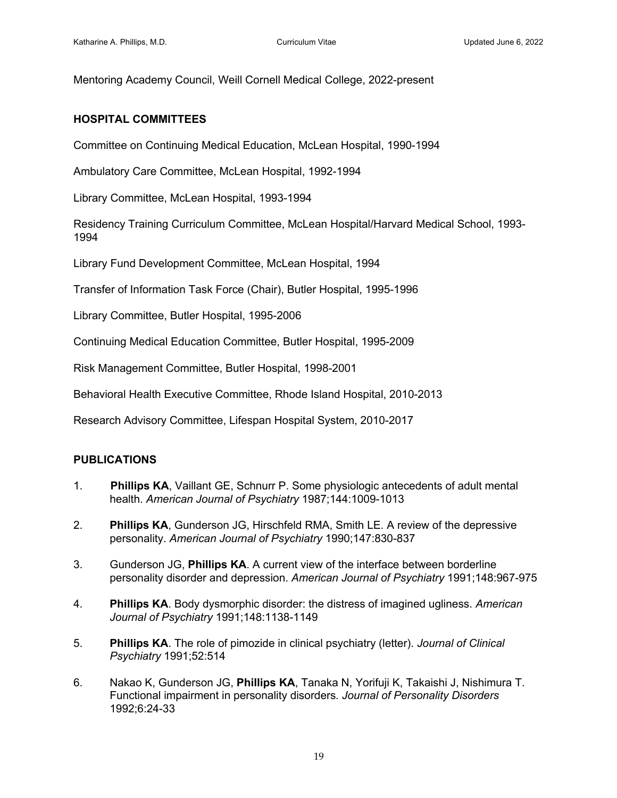Mentoring Academy Council, Weill Cornell Medical College, 2022-present

#### **HOSPITAL COMMITTEES**

Committee on Continuing Medical Education, McLean Hospital, 1990-1994

Ambulatory Care Committee, McLean Hospital, 1992-1994

Library Committee, McLean Hospital, 1993-1994

Residency Training Curriculum Committee, McLean Hospital/Harvard Medical School, 1993- 1994

Library Fund Development Committee, McLean Hospital, 1994

Transfer of Information Task Force (Chair), Butler Hospital, 1995-1996

Library Committee, Butler Hospital, 1995-2006

Continuing Medical Education Committee, Butler Hospital, 1995-2009

Risk Management Committee, Butler Hospital, 1998-2001

Behavioral Health Executive Committee, Rhode Island Hospital, 2010-2013

Research Advisory Committee, Lifespan Hospital System, 2010-2017

#### **PUBLICATIONS**

- 1. **Phillips KA**, Vaillant GE, Schnurr P. Some physiologic antecedents of adult mental health. *American Journal of Psychiatry* 1987;144:1009-1013
- 2. **Phillips KA**, Gunderson JG, Hirschfeld RMA, Smith LE. A review of the depressive personality. *American Journal of Psychiatry* 1990;147:830-837
- 3. Gunderson JG, **Phillips KA**. A current view of the interface between borderline personality disorder and depression. *American Journal of Psychiatry* 1991;148:967-975
- 4. **Phillips KA**. Body dysmorphic disorder: the distress of imagined ugliness. *American Journal of Psychiatry* 1991;148:1138-1149
- 5. **Phillips KA**. The role of pimozide in clinical psychiatry (letter). *Journal of Clinical Psychiatry* 1991;52:514
- 6. Nakao K, Gunderson JG, **Phillips KA**, Tanaka N, Yorifuji K, Takaishi J, Nishimura T. Functional impairment in personality disorders*. Journal of Personality Disorders* 1992;6:24-33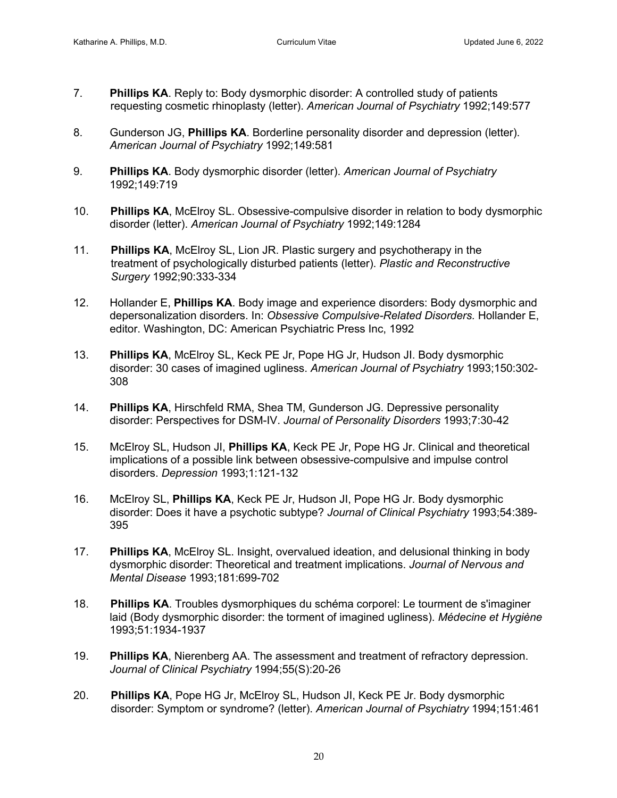- 7. **Phillips KA**. Reply to: Body dysmorphic disorder: A controlled study of patients requesting cosmetic rhinoplasty (letter). *American Journal of Psychiatry* 1992;149:577
- 8. Gunderson JG, **Phillips KA**. Borderline personality disorder and depression (letter). *American Journal of Psychiatry* 1992;149:581
- 9. **Phillips KA**. Body dysmorphic disorder (letter). *American Journal of Psychiatry* 1992;149:719
- 10. **Phillips KA**, McElroy SL. Obsessive-compulsive disorder in relation to body dysmorphic disorder (letter). *American Journal of Psychiatry* 1992;149:1284
- 11. **Phillips KA**, McElroy SL, Lion JR. Plastic surgery and psychotherapy in the treatment of psychologically disturbed patients (letter). *Plastic and Reconstructive* *Surgery* 1992;90:333-334
- 12. Hollander E, **Phillips KA**. Body image and experience disorders: Body dysmorphic and depersonalization disorders. In: *Obsessive Compulsive-Related Disorders.* Hollander E, editor. Washington, DC: American Psychiatric Press Inc, 1992
- 13. **Phillips KA**, McElroy SL, Keck PE Jr, Pope HG Jr, Hudson JI. Body dysmorphic disorder: 30 cases of imagined ugliness. *American Journal of Psychiatry* 1993;150:302- 308
- 14. **Phillips KA**, Hirschfeld RMA, Shea TM, Gunderson JG. Depressive personality disorder: Perspectives for DSM-IV. *Journal of Personality Disorders* 1993;7:30-42
- 15. McElroy SL, Hudson JI, **Phillips KA**, Keck PE Jr, Pope HG Jr. Clinical and theoretical implications of a possible link between obsessive-compulsive and impulse control disorders. *Depression* 1993;1:121-132
- 16. McElroy SL, **Phillips KA**, Keck PE Jr, Hudson JI, Pope HG Jr. Body dysmorphic disorder: Does it have a psychotic subtype? *Journal of Clinical Psychiatry* 1993;54:389- 395
- 17. **Phillips KA**, McElroy SL. Insight, overvalued ideation, and delusional thinking in body dysmorphic disorder: Theoretical and treatment implications. *Journal of Nervous and Mental Disease* 1993;181:699-702
- 18. **Phillips KA**. Troubles dysmorphiques du schéma corporel: Le tourment de s'imaginer laid (Body dysmorphic disorder: the torment of imagined ugliness). *Médecine et Hygiène* 1993;51:1934-1937
- 19. **Phillips KA**, Nierenberg AA. The assessment and treatment of refractory depression. *Journal of Clinical Psychiatry* 1994;55(S):20-26
- 20. **Phillips KA**, Pope HG Jr, McElroy SL, Hudson JI, Keck PE Jr. Body dysmorphic disorder: Symptom or syndrome? (letter). *American Journal of Psychiatry* 1994;151:461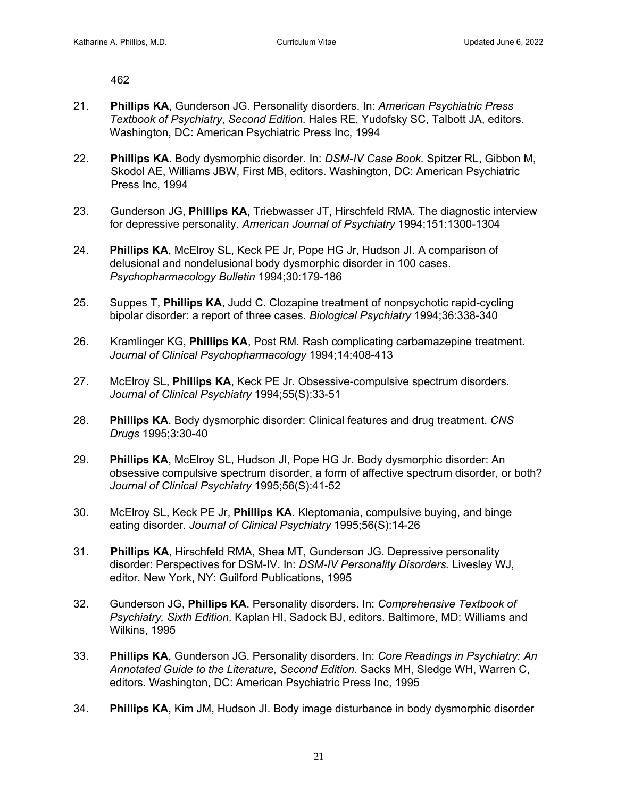462

- 21. **Phillips KA**, Gunderson JG. Personality disorders. In: *American Psychiatric Press Textbook of Psychiatry*, *Second Edition*. Hales RE, Yudofsky SC, Talbott JA, editors. Washington, DC: American Psychiatric Press Inc, 1994
- 22. **Phillips KA**. Body dysmorphic disorder. In: *DSM-IV Case Book.* Spitzer RL, Gibbon M, Skodol AE, Williams JBW, First MB, editors. Washington, DC: American Psychiatric Press Inc, 1994
- 23. Gunderson JG, **Phillips KA**, Triebwasser JT, Hirschfeld RMA. The diagnostic interview for depressive personality. *American Journal of Psychiatry* 1994;151:1300-1304
- 24. **Phillips KA**, McElroy SL, Keck PE Jr, Pope HG Jr, Hudson JI. A comparison of delusional and nondelusional body dysmorphic disorder in 100 cases. *Psychopharmacology Bulletin* 1994;30:179-186
- 25. Suppes T, **Phillips KA**, Judd C. Clozapine treatment of nonpsychotic rapid-cycling bipolar disorder: a report of three cases. *Biological Psychiatry* 1994;36:338-340
- 26. Kramlinger KG, **Phillips KA**, Post RM. Rash complicating carbamazepine treatment. *Journal of Clinical Psychopharmacology* 1994;14:408-413
- 27. McElroy SL, **Phillips KA**, Keck PE Jr. Obsessive-compulsive spectrum disorders. *Journal of Clinical Psychiatry* 1994;55(S):33-51
- 28. **Phillips KA**. Body dysmorphic disorder: Clinical features and drug treatment. *CNS Drugs* 1995;3:30-40
- 29. **Phillips KA**, McElroy SL, Hudson JI, Pope HG Jr. Body dysmorphic disorder: An obsessive compulsive spectrum disorder, a form of affective spectrum disorder, or both? *Journal of Clinical Psychiatry* 1995;56(S):41-52
- 30. McElroy SL, Keck PE Jr, **Phillips KA**. Kleptomania, compulsive buying, and binge eating disorder. *Journal of Clinical Psychiatry* 1995;56(S):14-26
- 31. **Phillips KA**, Hirschfeld RMA, Shea MT, Gunderson JG. Depressive personality disorder: Perspectives for DSM-IV. In: *DSM-IV Personality Disorders.* Livesley WJ, editor. New York, NY: Guilford Publications, 1995
- 32. Gunderson JG, **Phillips KA**. Personality disorders. In: *Comprehensive Textbook of Psychiatry, Sixth Edition*. Kaplan HI, Sadock BJ, editors. Baltimore, MD: Williams and Wilkins, 1995
- 33. **Phillips KA**, Gunderson JG. Personality disorders. In: *Core Readings in Psychiatry: An Annotated Guide to the Literature, Second Edition.* Sacks MH, Sledge WH, Warren C, editors. Washington, DC: American Psychiatric Press Inc, 1995
- 34. **Phillips KA**, Kim JM, Hudson JI. Body image disturbance in body dysmorphic disorder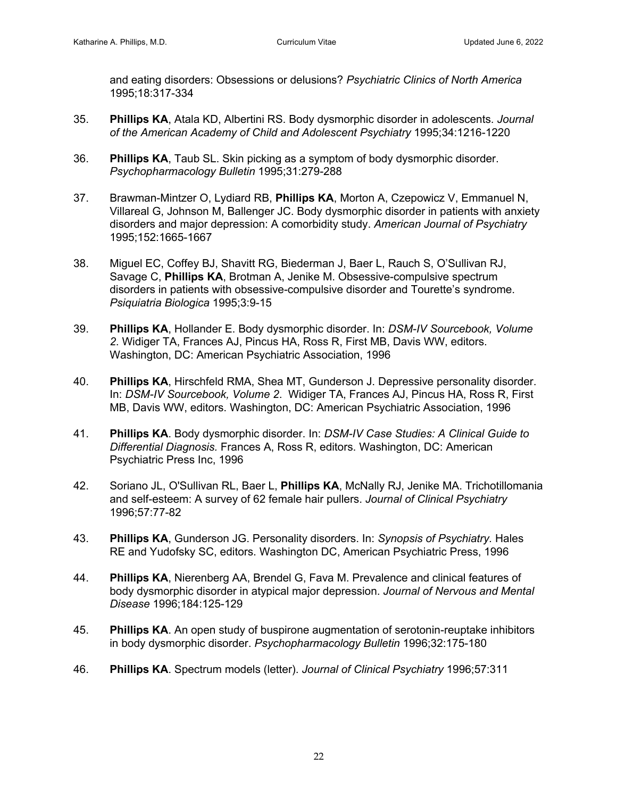and eating disorders: Obsessions or delusions? *Psychiatric Clinics of North America* 1995;18:317-334

- 35. **Phillips KA**, Atala KD, Albertini RS. Body dysmorphic disorder in adolescents. *Journal of the American Academy of Child and Adolescent Psychiatry* 1995;34:1216-1220
- 36. **Phillips KA**, Taub SL. Skin picking as a symptom of body dysmorphic disorder. *Psychopharmacology Bulletin* 1995;31:279-288
- 37. Brawman-Mintzer O, Lydiard RB, **Phillips KA**, Morton A, Czepowicz V, Emmanuel N, Villareal G, Johnson M, Ballenger JC. Body dysmorphic disorder in patients with anxiety disorders and major depression: A comorbidity study. *American Journal of Psychiatry* 1995;152:1665-1667
- 38. Miguel EC, Coffey BJ, Shavitt RG, Biederman J, Baer L, Rauch S, O'Sullivan RJ, Savage C, **Phillips KA**, Brotman A, Jenike M. Obsessive-compulsive spectrum disorders in patients with obsessive-compulsive disorder and Tourette's syndrome. *Psiquiatria Biologica* 1995;3:9-15
- 39. **Phillips KA**, Hollander E. Body dysmorphic disorder. In: *DSM-IV Sourcebook, Volume 2*. Widiger TA, Frances AJ, Pincus HA, Ross R, First MB, Davis WW, editors. Washington, DC: American Psychiatric Association, 1996
- 40. **Phillips KA**, Hirschfeld RMA, Shea MT, Gunderson J. Depressive personality disorder. In: *DSM-IV Sourcebook, Volume 2*. Widiger TA, Frances AJ, Pincus HA, Ross R, First MB, Davis WW, editors. Washington, DC: American Psychiatric Association, 1996
- 41. **Phillips KA**. Body dysmorphic disorder. In: *DSM-IV Case Studies: A Clinical Guide to Differential Diagnosis.* Frances A, Ross R, editors. Washington, DC: American Psychiatric Press Inc, 1996
- 42. Soriano JL, O'Sullivan RL, Baer L, **Phillips KA**, McNally RJ, Jenike MA. Trichotillomania and self-esteem: A survey of 62 female hair pullers. *Journal of Clinical Psychiatry* 1996;57:77-82
- 43. **Phillips KA**, Gunderson JG. Personality disorders. In: *Synopsis of Psychiatry.* Hales RE and Yudofsky SC, editors. Washington DC, American Psychiatric Press, 1996
- 44. **Phillips KA**, Nierenberg AA, Brendel G, Fava M. Prevalence and clinical features of body dysmorphic disorder in atypical major depression. *Journal of Nervous and Mental Disease* 1996;184:125-129
- 45. **Phillips KA**. An open study of buspirone augmentation of serotonin-reuptake inhibitors in body dysmorphic disorder. *Psychopharmacology Bulletin* 1996;32:175-180
- 46. **Phillips KA**. Spectrum models (letter). *Journal of Clinical Psychiatry* 1996;57:311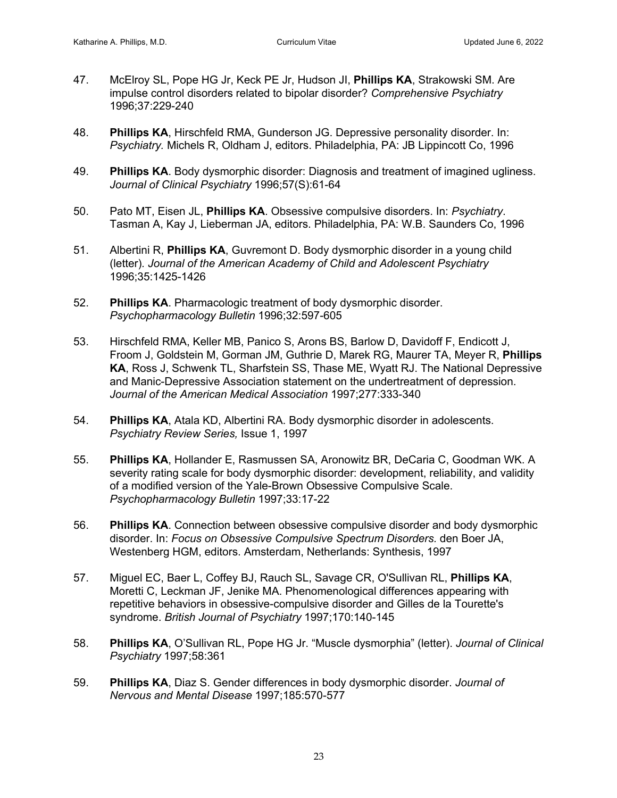- 47. McElroy SL, Pope HG Jr, Keck PE Jr, Hudson JI, **Phillips KA**, Strakowski SM. Are impulse control disorders related to bipolar disorder? *Comprehensive Psychiatry* 1996;37:229-240
- 48. **Phillips KA**, Hirschfeld RMA, Gunderson JG. Depressive personality disorder. In: *Psychiatry.* Michels R, Oldham J, editors. Philadelphia, PA: JB Lippincott Co, 1996
- 49. **Phillips KA**. Body dysmorphic disorder: Diagnosis and treatment of imagined ugliness. *Journal of Clinical Psychiatry* 1996;57(S):61-64
- 50. Pato MT, Eisen JL, **Phillips KA**. Obsessive compulsive disorders. In: *Psychiatry*. Tasman A, Kay J, Lieberman JA, editors. Philadelphia, PA: W.B. Saunders Co, 1996
- 51. Albertini R, **Phillips KA**, Guvremont D. Body dysmorphic disorder in a young child (letter)*. Journal of the American Academy of Child and Adolescent Psychiatry*  1996;35:1425-1426
- 52. **Phillips KA**. Pharmacologic treatment of body dysmorphic disorder. *Psychopharmacology Bulletin* 1996;32:597-605
- 53. Hirschfeld RMA, Keller MB, Panico S, Arons BS, Barlow D, Davidoff F, Endicott J, Froom J, Goldstein M, Gorman JM, Guthrie D, Marek RG, Maurer TA, Meyer R, **Phillips KA**, Ross J, Schwenk TL, Sharfstein SS, Thase ME, Wyatt RJ. The National Depressive and Manic-Depressive Association statement on the undertreatment of depression. *Journal of the American Medical Association* 1997;277:333-340
- 54. **Phillips KA**, Atala KD, Albertini RA. Body dysmorphic disorder in adolescents. *Psychiatry Review Series,* Issue 1, 1997
- 55. **Phillips KA**, Hollander E, Rasmussen SA, Aronowitz BR, DeCaria C, Goodman WK. A severity rating scale for body dysmorphic disorder: development, reliability, and validity of a modified version of the Yale-Brown Obsessive Compulsive Scale. *Psychopharmacology Bulletin* 1997;33:17-22
- 56. **Phillips KA**. Connection between obsessive compulsive disorder and body dysmorphic disorder. In: *Focus on Obsessive Compulsive Spectrum Disorders.* den Boer JA, Westenberg HGM, editors. Amsterdam, Netherlands: Synthesis, 1997
- 57. Miguel EC, Baer L, Coffey BJ, Rauch SL, Savage CR, O'Sullivan RL, **Phillips KA**, Moretti C, Leckman JF, Jenike MA. Phenomenological differences appearing with repetitive behaviors in obsessive-compulsive disorder and Gilles de la Tourette's syndrome. *British Journal of Psychiatry* 1997;170:140-145
- 58. **Phillips KA**, O'Sullivan RL, Pope HG Jr. "Muscle dysmorphia" (letter). *Journal of Clinical Psychiatry* 1997;58:361
- 59. **Phillips KA**, Diaz S. Gender differences in body dysmorphic disorder. *Journal of Nervous and Mental Disease* 1997;185:570-577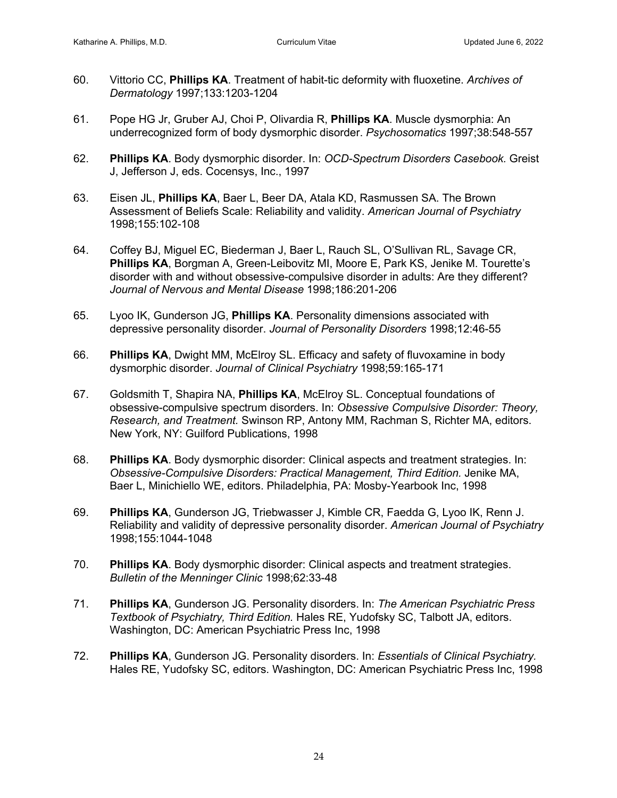- 60. Vittorio CC, **Phillips KA**. Treatment of habit-tic deformity with fluoxetine. *Archives of Dermatology* 1997;133:1203-1204
- 61. Pope HG Jr, Gruber AJ, Choi P, Olivardia R, **Phillips KA**. Muscle dysmorphia: An underrecognized form of body dysmorphic disorder. *Psychosomatics* 1997;38:548-557
- 62. **Phillips KA**. Body dysmorphic disorder. In: *OCD-Spectrum Disorders Casebook.* Greist J, Jefferson J, eds. Cocensys, Inc., 1997
- 63. Eisen JL, **Phillips KA**, Baer L, Beer DA, Atala KD, Rasmussen SA. The Brown Assessment of Beliefs Scale: Reliability and validity. *American Journal of Psychiatry* 1998;155:102-108
- 64. Coffey BJ, Miguel EC, Biederman J, Baer L, Rauch SL, O'Sullivan RL, Savage CR, **Phillips KA**, Borgman A, Green-Leibovitz MI, Moore E, Park KS, Jenike M. Tourette's disorder with and without obsessive-compulsive disorder in adults: Are they different? *Journal of Nervous and Mental Disease* 1998;186:201-206
- 65. Lyoo IK, Gunderson JG, **Phillips KA**. Personality dimensions associated with depressive personality disorder. *Journal of Personality Disorders* 1998;12:46-55
- 66. **Phillips KA**, Dwight MM, McElroy SL. Efficacy and safety of fluvoxamine in body dysmorphic disorder. *Journal of Clinical Psychiatry* 1998;59:165-171
- 67. Goldsmith T, Shapira NA, **Phillips KA**, McElroy SL. Conceptual foundations of obsessive-compulsive spectrum disorders. In: *Obsessive Compulsive Disorder: Theory, Research, and Treatment.* Swinson RP, Antony MM, Rachman S, Richter MA, editors. New York, NY: Guilford Publications, 1998
- 68. **Phillips KA**. Body dysmorphic disorder: Clinical aspects and treatment strategies. In: *Obsessive-Compulsive Disorders: Practical Management, Third Edition.* Jenike MA, Baer L, Minichiello WE, editors. Philadelphia, PA: Mosby-Yearbook Inc, 1998
- 69. **Phillips KA**, Gunderson JG, Triebwasser J, Kimble CR, Faedda G, Lyoo IK, Renn J. Reliability and validity of depressive personality disorder. *American Journal of Psychiatry* 1998;155:1044-1048
- 70. **Phillips KA**. Body dysmorphic disorder: Clinical aspects and treatment strategies. *Bulletin of the Menninger Clinic* 1998;62:33-48
- 71. **Phillips KA**, Gunderson JG. Personality disorders. In: *The American Psychiatric Press Textbook of Psychiatry, Third Edition.* Hales RE, Yudofsky SC, Talbott JA, editors. Washington, DC: American Psychiatric Press Inc, 1998
- 72. **Phillips KA**, Gunderson JG. Personality disorders. In: *Essentials of Clinical Psychiatry.* Hales RE, Yudofsky SC, editors. Washington, DC: American Psychiatric Press Inc, 1998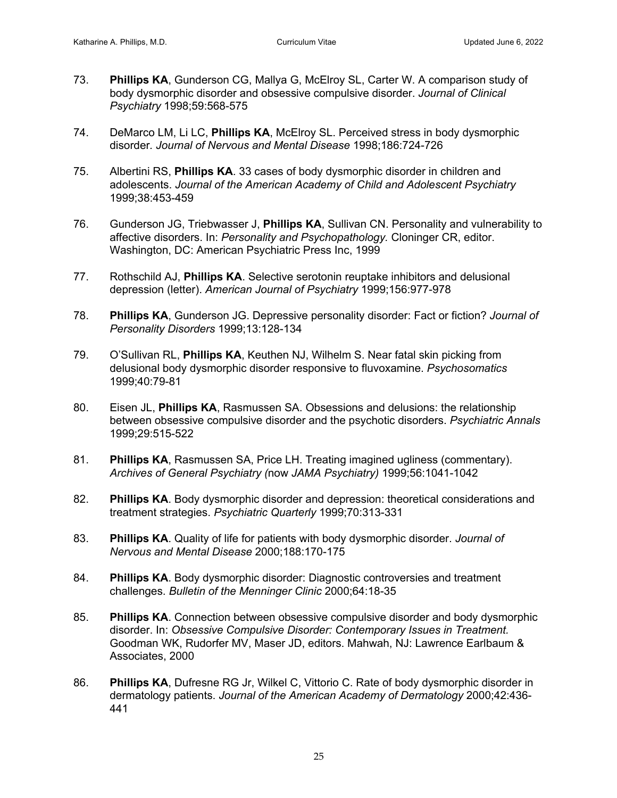- 73. **Phillips KA**, Gunderson CG, Mallya G, McElroy SL, Carter W. A comparison study of body dysmorphic disorder and obsessive compulsive disorder. *Journal of Clinical Psychiatry* 1998;59:568-575
- 74. DeMarco LM, Li LC, **Phillips KA**, McElroy SL. Perceived stress in body dysmorphic disorder*. Journal of Nervous and Mental Disease* 1998;186:724-726
- 75. Albertini RS, **Phillips KA**. 33 cases of body dysmorphic disorder in children and adolescents. *Journal of the American Academy of Child and Adolescent Psychiatry*  1999;38:453-459
- 76. Gunderson JG, Triebwasser J, **Phillips KA**, Sullivan CN. Personality and vulnerability to affective disorders. In: *Personality and Psychopathology.* Cloninger CR, editor. Washington, DC: American Psychiatric Press Inc, 1999
- 77. Rothschild AJ, **Phillips KA**. Selective serotonin reuptake inhibitors and delusional depression (letter). *American Journal of Psychiatry* 1999;156:977-978
- 78. **Phillips KA**, Gunderson JG. Depressive personality disorder: Fact or fiction? *Journal of Personality Disorders* 1999;13:128-134
- 79. O'Sullivan RL, **Phillips KA**, Keuthen NJ, Wilhelm S. Near fatal skin picking from delusional body dysmorphic disorder responsive to fluvoxamine. *Psychosomatics* 1999;40:79-81
- 80. Eisen JL, **Phillips KA**, Rasmussen SA. Obsessions and delusions: the relationship between obsessive compulsive disorder and the psychotic disorders. *Psychiatric Annals* 1999;29:515-522
- 81. **Phillips KA**, Rasmussen SA, Price LH. Treating imagined ugliness (commentary). *Archives of General Psychiatry (*now *JAMA Psychiatry)* 1999;56:1041-1042
- 82. **Phillips KA**. Body dysmorphic disorder and depression: theoretical considerations and treatment strategies. *Psychiatric Quarterly* 1999;70:313-331
- 83. **Phillips KA**. Quality of life for patients with body dysmorphic disorder. *Journal of Nervous and Mental Disease* 2000;188:170-175
- 84. **Phillips KA**. Body dysmorphic disorder: Diagnostic controversies and treatment challenges. *Bulletin of the Menninger Clinic* 2000;64:18-35
- 85. **Phillips KA**. Connection between obsessive compulsive disorder and body dysmorphic disorder. In: *Obsessive Compulsive Disorder: Contemporary Issues in Treatment.* Goodman WK, Rudorfer MV, Maser JD, editors. Mahwah, NJ: Lawrence Earlbaum & Associates, 2000
- 86. **Phillips KA**, Dufresne RG Jr, Wilkel C, Vittorio C. Rate of body dysmorphic disorder in dermatology patients. *Journal of the American Academy of Dermatology* 2000;42:436- 441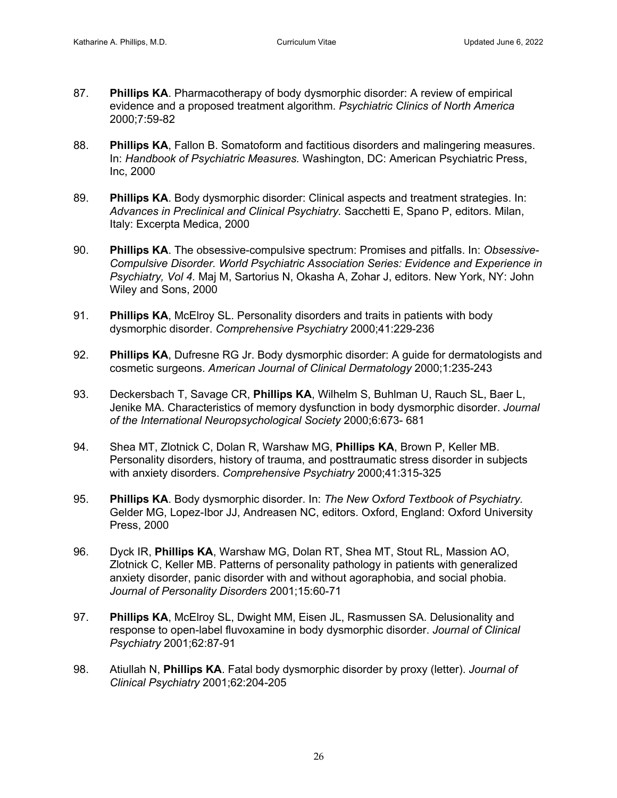- 87. **Phillips KA**. Pharmacotherapy of body dysmorphic disorder: A review of empirical evidence and a proposed treatment algorithm. *Psychiatric Clinics of North America* 2000;7:59-82
- 88. **Phillips KA**, Fallon B. Somatoform and factitious disorders and malingering measures. In: *Handbook of Psychiatric Measures.* Washington, DC: American Psychiatric Press, Inc, 2000
- 89. **Phillips KA**. Body dysmorphic disorder: Clinical aspects and treatment strategies. In: *Advances in Preclinical and Clinical Psychiatry.* Sacchetti E, Spano P, editors. Milan, Italy: Excerpta Medica, 2000
- 90. **Phillips KA**. The obsessive-compulsive spectrum: Promises and pitfalls. In: *Obsessive-Compulsive Disorder. World Psychiatric Association Series: Evidence and Experience in Psychiatry, Vol 4.* Maj M, Sartorius N, Okasha A, Zohar J, editors. New York, NY: John Wiley and Sons, 2000
- 91. **Phillips KA**, McElroy SL. Personality disorders and traits in patients with body dysmorphic disorder. *Comprehensive Psychiatry* 2000;41:229-236
- 92. **Phillips KA**, Dufresne RG Jr. Body dysmorphic disorder: A guide for dermatologists and cosmetic surgeons. *American Journal of Clinical Dermatology* 2000;1:235-243
- 93. Deckersbach T, Savage CR, **Phillips KA**, Wilhelm S, Buhlman U, Rauch SL, Baer L, Jenike MA. Characteristics of memory dysfunction in body dysmorphic disorder. *Journal of the International Neuropsychological Society* 2000;6:673- 681
- 94. Shea MT, Zlotnick C, Dolan R, Warshaw MG, **Phillips KA**, Brown P, Keller MB. Personality disorders, history of trauma, and posttraumatic stress disorder in subjects with anxiety disorders. *Comprehensive Psychiatry* 2000;41:315-325
- 95. **Phillips KA**. Body dysmorphic disorder. In: *The New Oxford Textbook of Psychiatry.* Gelder MG, Lopez-Ibor JJ, Andreasen NC, editors. Oxford, England: Oxford University Press, 2000
- 96. Dyck IR, **Phillips KA**, Warshaw MG, Dolan RT, Shea MT, Stout RL, Massion AO, Zlotnick C, Keller MB. Patterns of personality pathology in patients with generalized anxiety disorder, panic disorder with and without agoraphobia, and social phobia. *Journal of Personality Disorders* 2001;15:60-71
- 97. **Phillips KA**, McElroy SL, Dwight MM, Eisen JL, Rasmussen SA. Delusionality and response to open-label fluvoxamine in body dysmorphic disorder. *Journal of Clinical Psychiatry* 2001;62:87-91
- 98. Atiullah N, **Phillips KA**. Fatal body dysmorphic disorder by proxy (letter). *Journal of Clinical Psychiatry* 2001;62:204-205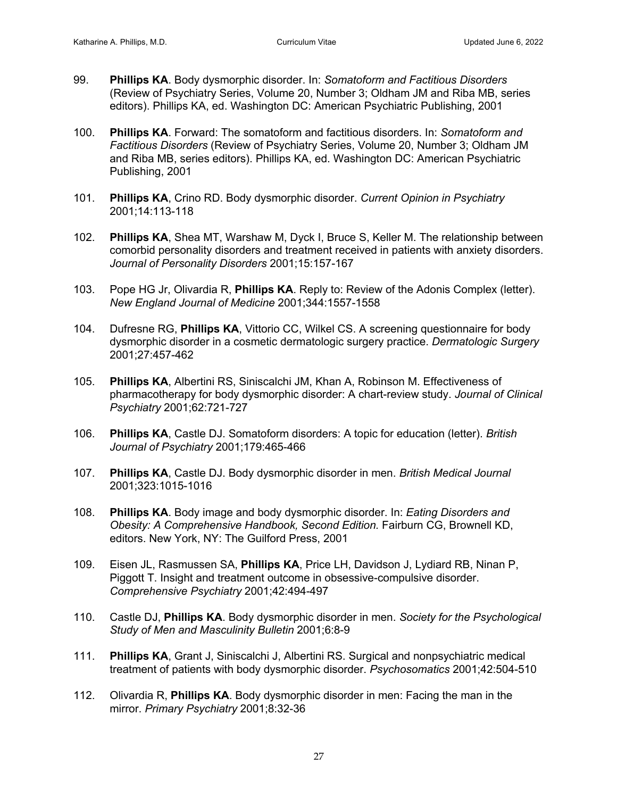- 99. **Phillips KA**. Body dysmorphic disorder. In: *Somatoform and Factitious Disorders* (Review of Psychiatry Series, Volume 20, Number 3; Oldham JM and Riba MB, series editors). Phillips KA, ed. Washington DC: American Psychiatric Publishing, 2001
- 100. **Phillips KA**. Forward: The somatoform and factitious disorders. In: *Somatoform and Factitious Disorders* (Review of Psychiatry Series, Volume 20, Number 3; Oldham JM and Riba MB, series editors). Phillips KA, ed. Washington DC: American Psychiatric Publishing, 2001
- 101. **Phillips KA**, Crino RD. Body dysmorphic disorder. *Current Opinion in Psychiatry* 2001;14:113-118
- 102. **Phillips KA**, Shea MT, Warshaw M, Dyck I, Bruce S, Keller M. The relationship between comorbid personality disorders and treatment received in patients with anxiety disorders. *Journal of Personality Disorders* 2001;15:157-167
- 103. Pope HG Jr, Olivardia R, **Phillips KA**. Reply to: Review of the Adonis Complex (letter). *New England Journal of Medicine* 2001;344:1557-1558
- 104. Dufresne RG, **Phillips KA**, Vittorio CC, Wilkel CS. A screening questionnaire for body dysmorphic disorder in a cosmetic dermatologic surgery practice. *Dermatologic Surgery* 2001;27:457-462
- 105. **Phillips KA**, Albertini RS, Siniscalchi JM, Khan A, Robinson M. Effectiveness of pharmacotherapy for body dysmorphic disorder: A chart-review study. *Journal of Clinical Psychiatry* 2001;62:721-727
- 106. **Phillips KA**, Castle DJ. Somatoform disorders: A topic for education (letter). *British Journal of Psychiatry* 2001;179:465-466
- 107. **Phillips KA**, Castle DJ. Body dysmorphic disorder in men. *British Medical Journal*  2001;323:1015-1016
- 108. **Phillips KA**. Body image and body dysmorphic disorder. In: *Eating Disorders and Obesity: A Comprehensive Handbook, Second Edition.* Fairburn CG, Brownell KD, editors. New York, NY: The Guilford Press, 2001
- 109. Eisen JL, Rasmussen SA, **Phillips KA**, Price LH, Davidson J, Lydiard RB, Ninan P, Piggott T. Insight and treatment outcome in obsessive-compulsive disorder. *Comprehensive Psychiatry* 2001;42:494-497
- 110. Castle DJ, **Phillips KA**. Body dysmorphic disorder in men. *Society for the Psychological Study of Men and Masculinity Bulletin* 2001;6:8-9
- 111. **Phillips KA**, Grant J, Siniscalchi J, Albertini RS. Surgical and nonpsychiatric medical treatment of patients with body dysmorphic disorder. *Psychosomatics* 2001;42:504-510
- 112. Olivardia R, **Phillips KA**. Body dysmorphic disorder in men: Facing the man in the mirror. *Primary Psychiatry* 2001;8:32-36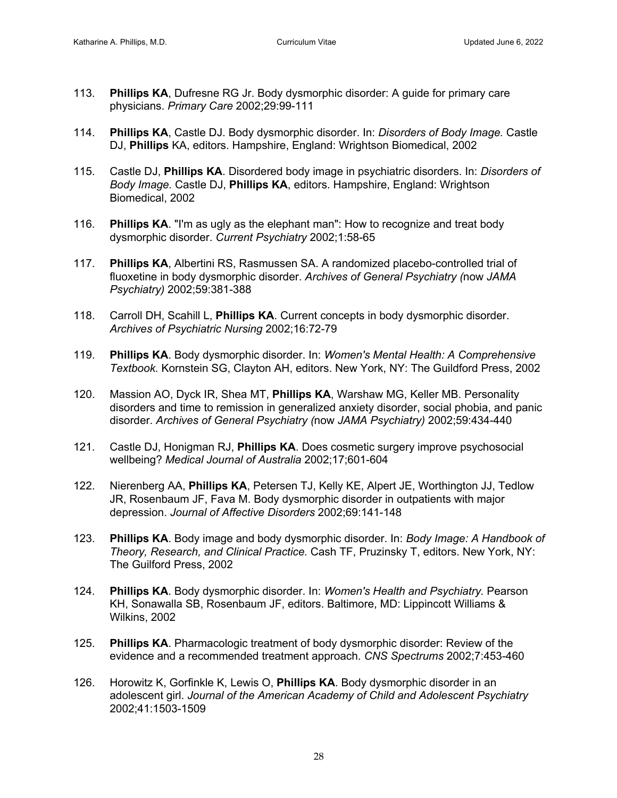- 113. **Phillips KA**, Dufresne RG Jr. Body dysmorphic disorder: A guide for primary care physicians. *Primary Care* 2002;29:99-111
- 114. **Phillips KA**, Castle DJ. Body dysmorphic disorder. In: *Disorders of Body Image.* Castle DJ, **Phillips** KA, editors. Hampshire, England: Wrightson Biomedical, 2002
- 115. Castle DJ, **Phillips KA**. Disordered body image in psychiatric disorders. In: *Disorders of Body Image.* Castle DJ, **Phillips KA**, editors. Hampshire, England: Wrightson Biomedical, 2002
- 116. **Phillips KA**. "I'm as ugly as the elephant man": How to recognize and treat body dysmorphic disorder. *Current Psychiatry* 2002;1:58-65
- 117. **Phillips KA**, Albertini RS, Rasmussen SA. A randomized placebo-controlled trial of fluoxetine in body dysmorphic disorder. *Archives of General Psychiatry (*now *JAMA Psychiatry)* 2002;59:381-388
- 118. Carroll DH, Scahill L, **Phillips KA**. Current concepts in body dysmorphic disorder. *Archives of Psychiatric Nursing* 2002;16:72-79
- 119. **Phillips KA**. Body dysmorphic disorder. In: *Women's Mental Health: A Comprehensive Textbook.* Kornstein SG, Clayton AH, editors. New York, NY: The Guildford Press, 2002
- 120. Massion AO, Dyck IR, Shea MT, **Phillips KA**, Warshaw MG, Keller MB. Personality disorders and time to remission in generalized anxiety disorder, social phobia, and panic disorder. *Archives of General Psychiatry (*now *JAMA Psychiatry)* 2002;59:434-440
- 121. Castle DJ, Honigman RJ, **Phillips KA**. Does cosmetic surgery improve psychosocial wellbeing? *Medical Journal of Australia* 2002;17;601-604
- 122. Nierenberg AA, **Phillips KA**, Petersen TJ, Kelly KE, Alpert JE, Worthington JJ, Tedlow JR, Rosenbaum JF, Fava M. Body dysmorphic disorder in outpatients with major depression. *Journal of Affective Disorders* 2002;69:141-148
- 123. **Phillips KA**. Body image and body dysmorphic disorder. In: *Body Image: A Handbook of Theory, Research, and Clinical Practice.* Cash TF, Pruzinsky T, editors. New York, NY: The Guilford Press, 2002
- 124. **Phillips KA**. Body dysmorphic disorder. In: *Women's Health and Psychiatry.* Pearson KH, Sonawalla SB, Rosenbaum JF, editors. Baltimore, MD: Lippincott Williams & Wilkins, 2002
- 125. **Phillips KA**. Pharmacologic treatment of body dysmorphic disorder: Review of the evidence and a recommended treatment approach. *CNS Spectrums* 2002;7:453-460
- 126. Horowitz K, Gorfinkle K, Lewis O, **Phillips KA**. Body dysmorphic disorder in an adolescent girl. *Journal of the American Academy of Child and Adolescent Psychiatry*  2002;41:1503-1509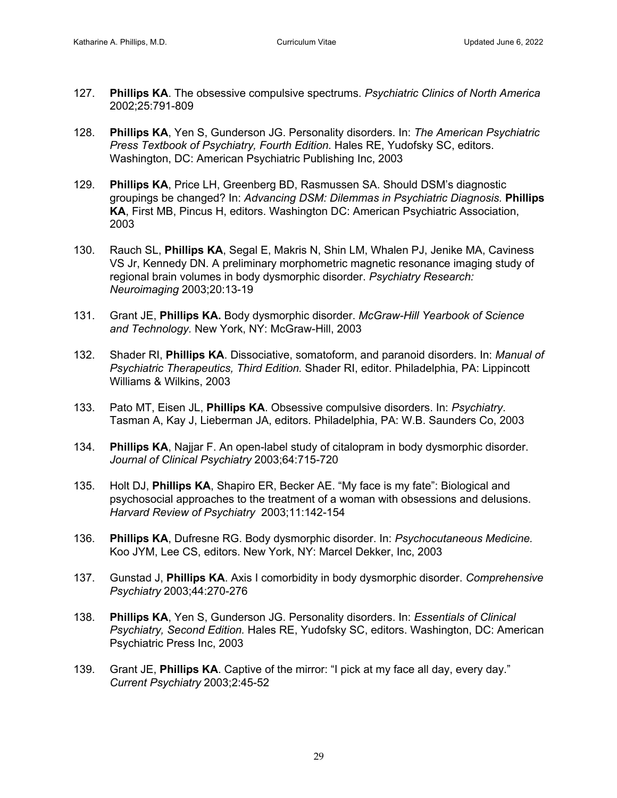- 127. **Phillips KA**. The obsessive compulsive spectrums. *Psychiatric Clinics of North America* 2002;25:791-809
- 128. **Phillips KA**, Yen S, Gunderson JG. Personality disorders. In: *The American Psychiatric Press Textbook of Psychiatry, Fourth Edition.* Hales RE, Yudofsky SC, editors. Washington, DC: American Psychiatric Publishing Inc, 2003
- 129. **Phillips KA**, Price LH, Greenberg BD, Rasmussen SA. Should DSM's diagnostic groupings be changed? In: *Advancing DSM: Dilemmas in Psychiatric Diagnosis.* **Phillips KA**, First MB, Pincus H, editors. Washington DC: American Psychiatric Association, 2003
- 130. Rauch SL, **Phillips KA**, Segal E, Makris N, Shin LM, Whalen PJ, Jenike MA, Caviness VS Jr, Kennedy DN. A preliminary morphometric magnetic resonance imaging study of regional brain volumes in body dysmorphic disorder. *Psychiatry Research: Neuroimaging* 2003;20:13-19
- 131. Grant JE, **Phillips KA.** Body dysmorphic disorder. *McGraw-Hill Yearbook of Science and Technology.* New York, NY: McGraw-Hill, 2003
- 132. Shader RI, **Phillips KA**. Dissociative, somatoform, and paranoid disorders. In: *Manual of Psychiatric Therapeutics, Third Edition.* Shader RI, editor. Philadelphia, PA: Lippincott Williams & Wilkins, 2003
- 133. Pato MT, Eisen JL, **Phillips KA**. Obsessive compulsive disorders. In: *Psychiatry*. Tasman A, Kay J, Lieberman JA, editors. Philadelphia, PA: W.B. Saunders Co, 2003
- 134. **Phillips KA**, Najjar F. An open-label study of citalopram in body dysmorphic disorder. *Journal of Clinical Psychiatry* 2003;64:715-720
- 135. Holt DJ, **Phillips KA**, Shapiro ER, Becker AE. "My face is my fate": Biological and psychosocial approaches to the treatment of a woman with obsessions and delusions. *Harvard Review of Psychiatry* 2003;11:142-154
- 136. **Phillips KA**, Dufresne RG. Body dysmorphic disorder. In: *Psychocutaneous Medicine.*  Koo JYM, Lee CS, editors. New York, NY: Marcel Dekker, Inc, 2003
- 137. Gunstad J, **Phillips KA**. Axis I comorbidity in body dysmorphic disorder. *Comprehensive Psychiatry* 2003;44:270-276
- 138. **Phillips KA**, Yen S, Gunderson JG. Personality disorders. In: *Essentials of Clinical Psychiatry, Second Edition.* Hales RE, Yudofsky SC, editors. Washington, DC: American Psychiatric Press Inc, 2003
- 139. Grant JE, **Phillips KA**. Captive of the mirror: "I pick at my face all day, every day." *Current Psychiatry* 2003;2:45-52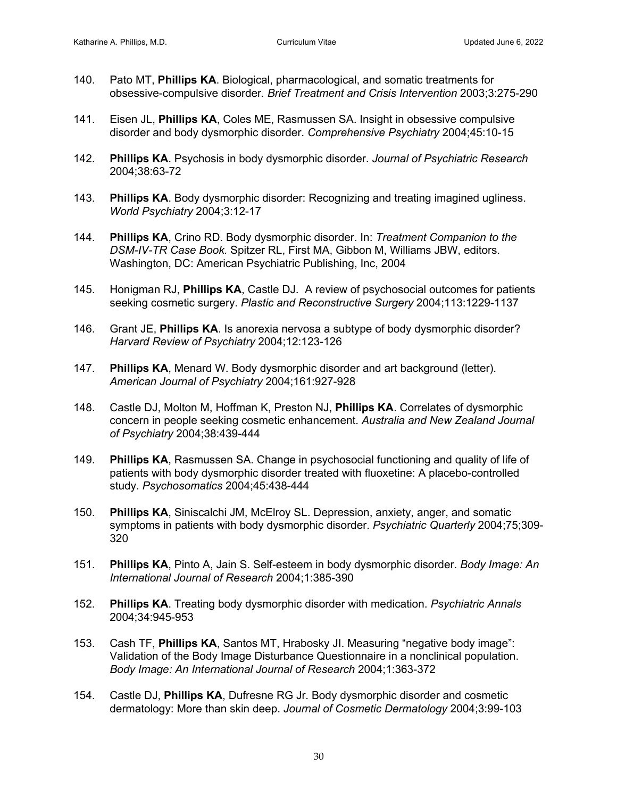- 140. Pato MT, **Phillips KA**. Biological, pharmacological, and somatic treatments for obsessive-compulsive disorder*. Brief Treatment and Crisis Intervention* 2003;3:275-290
- 141. Eisen JL, **Phillips KA**, Coles ME, Rasmussen SA. Insight in obsessive compulsive disorder and body dysmorphic disorder. *Comprehensive Psychiatry* 2004;45:10-15
- 142. **Phillips KA**. Psychosis in body dysmorphic disorder. *Journal of Psychiatric Research* 2004;38:63-72
- 143. **Phillips KA**. Body dysmorphic disorder: Recognizing and treating imagined ugliness. *World Psychiatry* 2004;3:12-17
- 144. **Phillips KA**, Crino RD. Body dysmorphic disorder. In: *Treatment Companion to the DSM-IV-TR Case Book.* Spitzer RL, First MA, Gibbon M, Williams JBW, editors. Washington, DC: American Psychiatric Publishing, Inc, 2004
- 145. Honigman RJ, **Phillips KA**, Castle DJ. A review of psychosocial outcomes for patients seeking cosmetic surgery. *Plastic and Reconstructive Surgery* 2004;113:1229-1137
- 146. Grant JE, **Phillips KA**. Is anorexia nervosa a subtype of body dysmorphic disorder? *Harvard Review of Psychiatry* 2004;12:123-126
- 147. **Phillips KA**, Menard W. Body dysmorphic disorder and art background (letter). *American Journal of Psychiatry* 2004;161:927-928
- 148. Castle DJ, Molton M, Hoffman K, Preston NJ, **Phillips KA**. Correlates of dysmorphic concern in people seeking cosmetic enhancement. *Australia and New Zealand Journal of Psychiatry* 2004;38:439-444
- 149. **Phillips KA**, Rasmussen SA. Change in psychosocial functioning and quality of life of patients with body dysmorphic disorder treated with fluoxetine: A placebo-controlled study. *Psychosomatics* 2004;45:438-444
- 150. **Phillips KA**, Siniscalchi JM, McElroy SL. Depression, anxiety, anger, and somatic symptoms in patients with body dysmorphic disorder. *Psychiatric Quarterly* 2004;75;309- 320
- 151. **Phillips KA**, Pinto A, Jain S. Self-esteem in body dysmorphic disorder. *Body Image: An International Journal of Research* 2004;1:385-390
- 152. **Phillips KA**. Treating body dysmorphic disorder with medication. *Psychiatric Annals* 2004;34:945-953
- 153. Cash TF, **Phillips KA**, Santos MT, Hrabosky JI. Measuring "negative body image": Validation of the Body Image Disturbance Questionnaire in a nonclinical population. *Body Image: An International Journal of Research* 2004;1:363-372
- 154. Castle DJ, **Phillips KA**, Dufresne RG Jr. Body dysmorphic disorder and cosmetic dermatology: More than skin deep. *Journal of Cosmetic Dermatology* 2004;3:99-103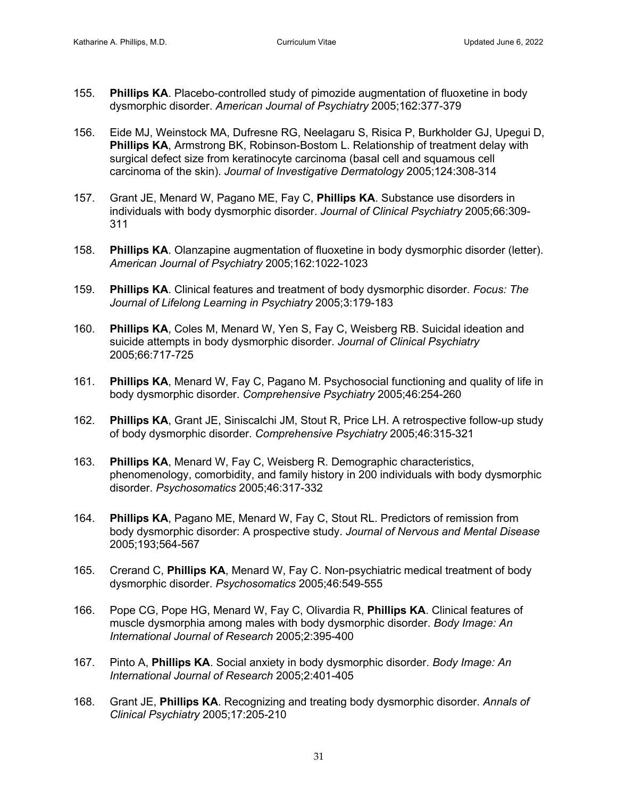- 155. **Phillips KA**. Placebo-controlled study of pimozide augmentation of fluoxetine in body dysmorphic disorder. *American Journal of Psychiatry* 2005;162:377-379
- 156. Eide MJ, Weinstock MA, Dufresne RG, Neelagaru S, Risica P, Burkholder GJ, Upegui D, **Phillips KA**, Armstrong BK, Robinson-Bostom L. Relationship of treatment delay with surgical defect size from keratinocyte carcinoma (basal cell and squamous cell carcinoma of the skin). *Journal of Investigative Dermatology* 2005;124:308-314
- 157. Grant JE, Menard W, Pagano ME, Fay C, **Phillips KA**. Substance use disorders in individuals with body dysmorphic disorder. *Journal of Clinical Psychiatry* 2005;66:309- 311
- 158. **Phillips KA**. Olanzapine augmentation of fluoxetine in body dysmorphic disorder (letter). *American Journal of Psychiatry* 2005;162:1022-1023
- 159. **Phillips KA**. Clinical features and treatment of body dysmorphic disorder. *Focus: The Journal of Lifelong Learning in Psychiatry* 2005;3:179-183
- 160. **Phillips KA**, Coles M, Menard W, Yen S, Fay C, Weisberg RB. Suicidal ideation and suicide attempts in body dysmorphic disorder. *Journal of Clinical Psychiatry*  2005;66:717-725
- 161. **Phillips KA**, Menard W, Fay C, Pagano M. Psychosocial functioning and quality of life in body dysmorphic disorder. *Comprehensive Psychiatry* 2005;46:254-260
- 162. **Phillips KA**, Grant JE, Siniscalchi JM, Stout R, Price LH. A retrospective follow-up study of body dysmorphic disorder. *Comprehensive Psychiatry* 2005;46:315-321
- 163. **Phillips KA**, Menard W, Fay C, Weisberg R. Demographic characteristics, phenomenology, comorbidity, and family history in 200 individuals with body dysmorphic disorder. *Psychosomatics* 2005;46:317-332
- 164. **Phillips KA**, Pagano ME, Menard W, Fay C, Stout RL. Predictors of remission from body dysmorphic disorder: A prospective study. *Journal of Nervous and Mental Disease* 2005;193;564-567
- 165. Crerand C, **Phillips KA**, Menard W, Fay C. Non-psychiatric medical treatment of body dysmorphic disorder. *Psychosomatics* 2005;46:549-555
- 166. Pope CG, Pope HG, Menard W, Fay C, Olivardia R, **Phillips KA**. Clinical features of muscle dysmorphia among males with body dysmorphic disorder. *Body Image: An International Journal of Research* 2005;2:395-400
- 167. Pinto A, **Phillips KA**. Social anxiety in body dysmorphic disorder. *Body Image: An International Journal of Research* 2005;2:401-405
- 168. Grant JE, **Phillips KA**. Recognizing and treating body dysmorphic disorder. *Annals of Clinical Psychiatry* 2005;17:205-210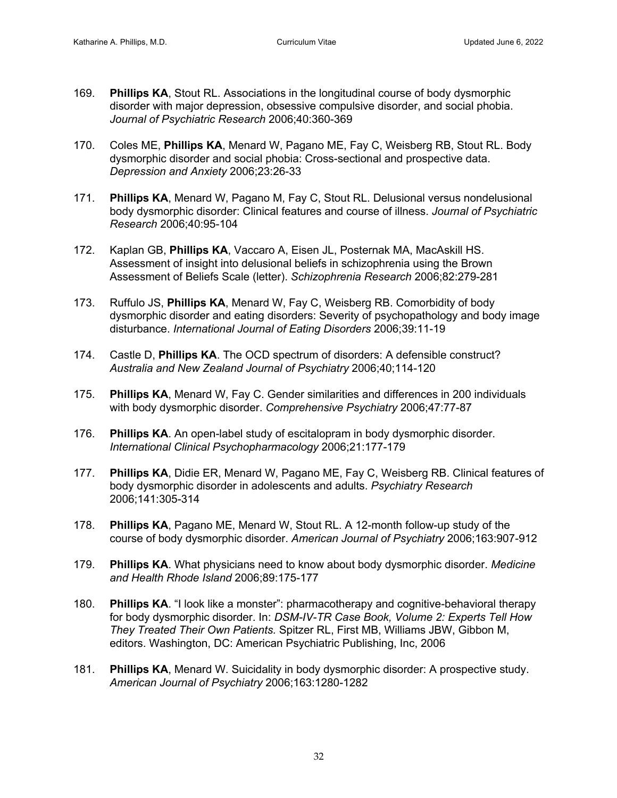- 169. **Phillips KA**, Stout RL. Associations in the longitudinal course of body dysmorphic disorder with major depression, obsessive compulsive disorder, and social phobia. *Journal of Psychiatric Research* 2006;40:360-369
- 170. Coles ME, **Phillips KA**, Menard W, Pagano ME, Fay C, Weisberg RB, Stout RL. Body dysmorphic disorder and social phobia: Cross-sectional and prospective data. *Depression and Anxiety* 2006;23:26-33
- 171. **Phillips KA**, Menard W, Pagano M, Fay C, Stout RL. Delusional versus nondelusional body dysmorphic disorder: Clinical features and course of illness. *Journal of Psychiatric Research* 2006;40:95-104
- 172. Kaplan GB, **Phillips KA**, Vaccaro A, Eisen JL, Posternak MA, MacAskill HS. Assessment of insight into delusional beliefs in schizophrenia using the Brown Assessment of Beliefs Scale (letter). *Schizophrenia Research* 2006;82:279-281
- 173. Ruffulo JS, **Phillips KA**, Menard W, Fay C, Weisberg RB. Comorbidity of body dysmorphic disorder and eating disorders: Severity of psychopathology and body image disturbance. *International Journal of Eating Disorders* 2006;39:11-19
- 174. Castle D, **Phillips KA**. The OCD spectrum of disorders: A defensible construct? *Australia and New Zealand Journal of Psychiatry* 2006;40;114-120
- 175. **Phillips KA**, Menard W, Fay C. Gender similarities and differences in 200 individuals with body dysmorphic disorder. *Comprehensive Psychiatry* 2006;47:77-87
- 176. **Phillips KA**. An open-label study of escitalopram in body dysmorphic disorder. *International Clinical Psychopharmacology* 2006;21:177-179
- 177. **Phillips KA**, Didie ER, Menard W, Pagano ME, Fay C, Weisberg RB. Clinical features of body dysmorphic disorder in adolescents and adults. *Psychiatry Research* 2006;141:305-314
- 178. **Phillips KA**, Pagano ME, Menard W, Stout RL. A 12-month follow-up study of the course of body dysmorphic disorder. *American Journal of Psychiatry* 2006;163:907-912
- 179. **Phillips KA**. What physicians need to know about body dysmorphic disorder. *Medicine and Health Rhode Island* 2006;89:175-177
- 180. **Phillips KA**. "I look like a monster": pharmacotherapy and cognitive-behavioral therapy for body dysmorphic disorder. In: *DSM-IV-TR Case Book, Volume 2: Experts Tell How They Treated Their Own Patients.* Spitzer RL, First MB, Williams JBW, Gibbon M, editors. Washington, DC: American Psychiatric Publishing, Inc, 2006
- 181. **Phillips KA**, Menard W. Suicidality in body dysmorphic disorder: A prospective study. *American Journal of Psychiatry* 2006;163:1280-1282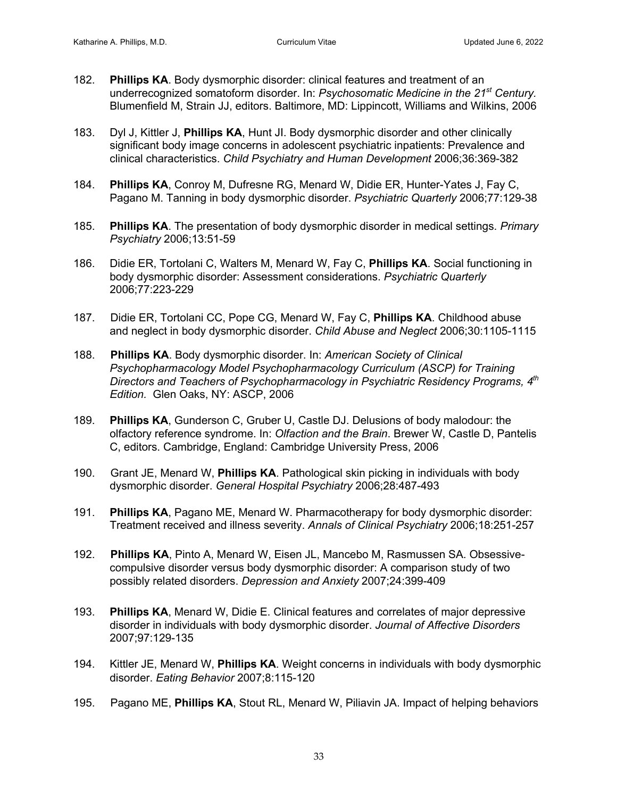- 182. **Phillips KA**. Body dysmorphic disorder: clinical features and treatment of an underrecognized somatoform disorder. In: *Psychosomatic Medicine in the 21st Century.* Blumenfield M, Strain JJ, editors. Baltimore, MD: Lippincott, Williams and Wilkins, 2006
- 183. Dyl J, Kittler J, **Phillips KA**, Hunt JI. Body dysmorphic disorder and other clinically significant body image concerns in adolescent psychiatric inpatients: Prevalence and clinical characteristics. *Child Psychiatry and Human Development* 2006;36:369-382
- 184. **Phillips KA**, Conroy M, Dufresne RG, Menard W, Didie ER, Hunter-Yates J, Fay C, Pagano M. Tanning in body dysmorphic disorder. *Psychiatric Quarterly* 2006;77:129-38
- 185. **Phillips KA**. The presentation of body dysmorphic disorder in medical settings. *Primary Psychiatry* 2006;13:51-59
- 186. Didie ER, Tortolani C, Walters M, Menard W, Fay C, **Phillips KA**. Social functioning in body dysmorphic disorder: Assessment considerations. *Psychiatric Quarterly* 2006;77:223-229
- 187. Didie ER, Tortolani CC, Pope CG, Menard W, Fay C, **Phillips KA**. Childhood abuse and neglect in body dysmorphic disorder. *Child Abuse and Neglect* 2006;30:1105-1115
- 188. **Phillips KA**. Body dysmorphic disorder. In: *American Society of Clinical Psychopharmacology Model Psychopharmacology Curriculum (ASCP) for Training Directors and Teachers of Psychopharmacology in Psychiatric Residency Programs, 4th Edition.* Glen Oaks, NY: ASCP, 2006
- 189. **Phillips KA**, Gunderson C, Gruber U, Castle DJ. Delusions of body malodour: the olfactory reference syndrome. In: *Olfaction and the Brain*. Brewer W, Castle D, Pantelis C, editors. Cambridge, England: Cambridge University Press, 2006
- 190. Grant JE, Menard W, **Phillips KA**. Pathological skin picking in individuals with body dysmorphic disorder. *General Hospital Psychiatry* 2006;28:487-493
- 191. **Phillips KA**, Pagano ME, Menard W. Pharmacotherapy for body dysmorphic disorder: Treatment received and illness severity. *Annals of Clinical Psychiatry* 2006;18:251-257
- 192. **Phillips KA**, Pinto A, Menard W, Eisen JL, Mancebo M, Rasmussen SA. Obsessivecompulsive disorder versus body dysmorphic disorder: A comparison study of two possibly related disorders. *Depression and Anxiety* 2007;24:399-409
- 193. **Phillips KA**, Menard W, Didie E. Clinical features and correlates of major depressive disorder in individuals with body dysmorphic disorder. *Journal of Affective Disorders* 2007;97:129-135
- 194. Kittler JE, Menard W, **Phillips KA**. Weight concerns in individuals with body dysmorphic disorder. *Eating Behavior* 2007;8:115-120
- 195. Pagano ME, **Phillips KA**, Stout RL, Menard W, Piliavin JA. Impact of helping behaviors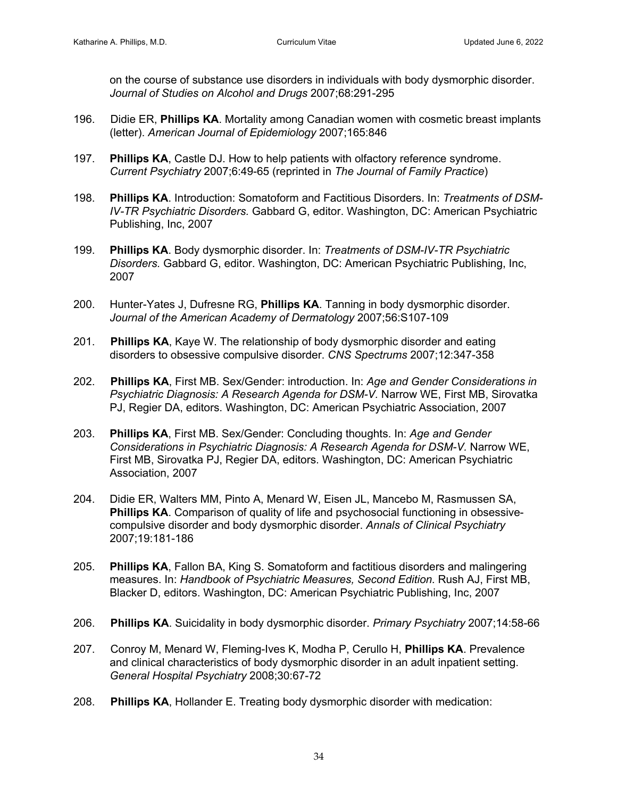on the course of substance use disorders in individuals with body dysmorphic disorder. *Journal of Studies on Alcohol and Drugs* 2007;68:291-295

- 196. Didie ER, **Phillips KA**. Mortality among Canadian women with cosmetic breast implants (letter). *American Journal of Epidemiology* 2007;165:846
- 197. **Phillips KA**, Castle DJ. How to help patients with olfactory reference syndrome. *Current Psychiatry* 2007;6:49-65 (reprinted in *The Journal of Family Practice*)
- 198. **Phillips KA**. Introduction: Somatoform and Factitious Disorders. In: *Treatments of DSM-IV-TR Psychiatric Disorders.* Gabbard G, editor. Washington, DC: American Psychiatric Publishing, Inc, 2007
- 199. **Phillips KA**. Body dysmorphic disorder. In: *Treatments of DSM-IV-TR Psychiatric Disorders.* Gabbard G, editor. Washington, DC: American Psychiatric Publishing, Inc, 2007
- 200. Hunter-Yates J, Dufresne RG, **Phillips KA**. Tanning in body dysmorphic disorder. *Journal of the American Academy of Dermatology* 2007;56:S107-109
- 201. **Phillips KA**, Kaye W. The relationship of body dysmorphic disorder and eating disorders to obsessive compulsive disorder. *CNS Spectrums* 2007;12:347-358
- 202. **Phillips KA**, First MB. Sex/Gender: introduction. In: *Age and Gender Considerations in Psychiatric Diagnosis: A Research Agenda for DSM-V.* Narrow WE, First MB, Sirovatka PJ, Regier DA, editors. Washington, DC: American Psychiatric Association, 2007
- 203. **Phillips KA**, First MB. Sex/Gender: Concluding thoughts. In: *Age and Gender Considerations in Psychiatric Diagnosis: A Research Agenda for DSM-V.* Narrow WE, First MB, Sirovatka PJ, Regier DA, editors. Washington, DC: American Psychiatric Association, 2007
- 204. Didie ER, Walters MM, Pinto A, Menard W, Eisen JL, Mancebo M, Rasmussen SA, **Phillips KA**. Comparison of quality of life and psychosocial functioning in obsessivecompulsive disorder and body dysmorphic disorder. *Annals of Clinical Psychiatry* 2007;19:181-186
- 205. **Phillips KA**, Fallon BA, King S. Somatoform and factitious disorders and malingering measures. In: *Handbook of Psychiatric Measures, Second Edition*. Rush AJ, First MB, Blacker D, editors. Washington, DC: American Psychiatric Publishing, Inc, 2007
- 206. **Phillips KA**. Suicidality in body dysmorphic disorder. *Primary Psychiatry* 2007;14:58-66
- 207. Conroy M, Menard W, Fleming-Ives K, Modha P, Cerullo H, **Phillips KA**. Prevalence and clinical characteristics of body dysmorphic disorder in an adult inpatient setting. *General Hospital Psychiatry* 2008;30:67-72
- 208. **Phillips KA**, Hollander E. Treating body dysmorphic disorder with medication: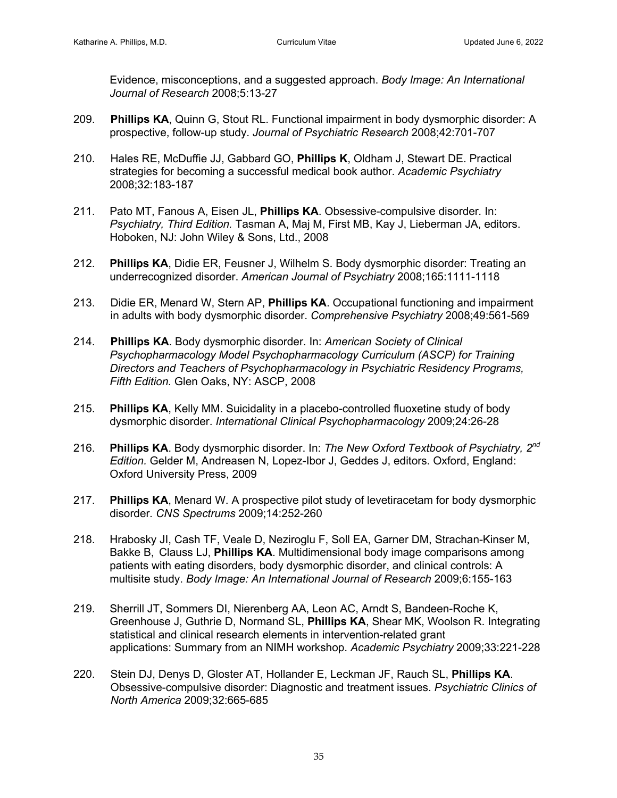Evidence, misconceptions, and a suggested approach. *Body Image: An International Journal of Research* 2008;5:13-27

- 209. **Phillips KA**, Quinn G, Stout RL. Functional impairment in body dysmorphic disorder: A prospective, follow-up study. *Journal of Psychiatric Research* 2008;42:701-707
- 210. Hales RE, McDuffie JJ, Gabbard GO, **Phillips K**, Oldham J, Stewart DE. Practical strategies for becoming a successful medical book author. *Academic Psychiatry* 2008;32:183-187
- 211. Pato MT, Fanous A, Eisen JL, **Phillips KA**. Obsessive-compulsive disorder*.* In: *Psychiatry, Third Edition.* Tasman A, Maj M, First MB, Kay J, Lieberman JA, editors. Hoboken, NJ: John Wiley & Sons, Ltd., 2008
- 212. **Phillips KA**, Didie ER, Feusner J, Wilhelm S. Body dysmorphic disorder: Treating an underrecognized disorder. *American Journal of Psychiatry* 2008;165:1111-1118
- 213. Didie ER, Menard W, Stern AP, **Phillips KA**. Occupational functioning and impairment in adults with body dysmorphic disorder. *Comprehensive Psychiatry* 2008;49:561-569
- 214. **Phillips KA**. Body dysmorphic disorder. In: *American Society of Clinical Psychopharmacology Model Psychopharmacology Curriculum (ASCP) for Training Directors and Teachers of Psychopharmacology in Psychiatric Residency Programs, Fifth Edition.* Glen Oaks, NY: ASCP, 2008
- 215. **Phillips KA**, Kelly MM. Suicidality in a placebo-controlled fluoxetine study of body dysmorphic disorder. *International Clinical Psychopharmacology* 2009;24:26-28
- 216. **Phillips KA**. Body dysmorphic disorder. In: *The New Oxford Textbook of Psychiatry, 2nd Edition.* Gelder M, Andreasen N, Lopez-Ibor J, Geddes J, editors. Oxford, England: Oxford University Press, 2009
- 217. **Phillips KA**, Menard W. A prospective pilot study of levetiracetam for body dysmorphic disorder*. CNS Spectrums* 2009;14:252-260
- 218. Hrabosky JI, Cash TF, Veale D, Neziroglu F, Soll EA, Garner DM, Strachan-Kinser M, Bakke B, Clauss LJ, **Phillips KA**. Multidimensional body image comparisons among patients with eating disorders, body dysmorphic disorder, and clinical controls: A multisite study. *Body Image: An International Journal of Research* 2009;6:155-163
- 219. Sherrill JT, Sommers DI, Nierenberg AA, Leon AC, Arndt S, Bandeen-Roche K, Greenhouse J, Guthrie D, Normand SL, **Phillips KA**, Shear MK, Woolson R. Integrating statistical and clinical research elements in intervention-related grant applications: Summary from an NIMH workshop. *Academic Psychiatry* 2009;33:221-228
- 220. Stein DJ, Denys D, Gloster AT, Hollander E, Leckman JF, Rauch SL, **Phillips KA**. Obsessive-compulsive disorder: Diagnostic and treatment issues. *Psychiatric Clinics of North America* 2009;32:665-685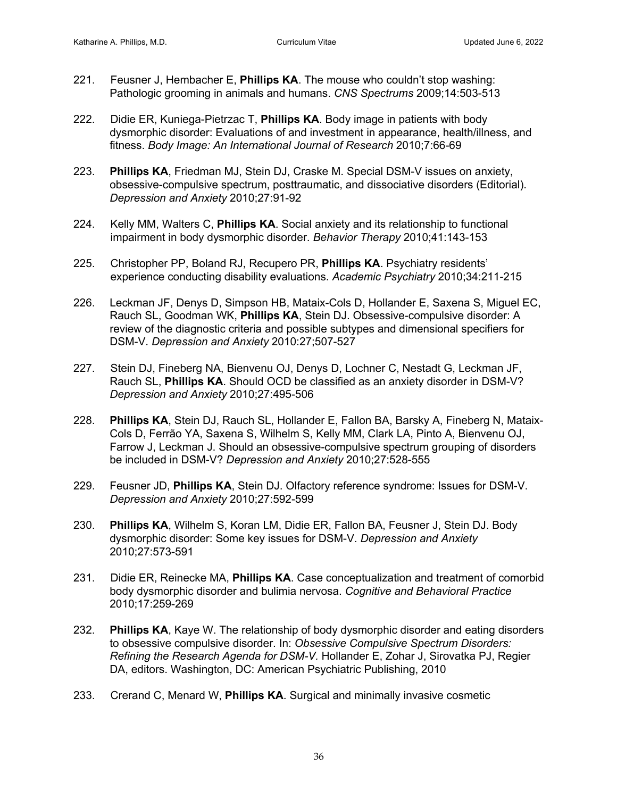- 221. Feusner J, Hembacher E, **Phillips KA**. The mouse who couldn't stop washing: Pathologic grooming in animals and humans. *CNS Spectrums* 2009;14:503-513
- 222. Didie ER, Kuniega-Pietrzac T, **Phillips KA**. Body image in patients with body dysmorphic disorder: Evaluations of and investment in appearance, health/illness, and fitness. *Body Image: An International Journal of Research* 2010;7:66-69
- 223. **Phillips KA**, Friedman MJ, Stein DJ, Craske M. Special DSM-V issues on anxiety, obsessive-compulsive spectrum, posttraumatic, and dissociative disorders (Editorial). *Depression and Anxiety* 2010;27:91-92
- 224. Kelly MM, Walters C, **Phillips KA**. Social anxiety and its relationship to functional impairment in body dysmorphic disorder. *Behavior Therapy* 2010;41:143-153
- 225. Christopher PP, Boland RJ, Recupero PR, **Phillips KA**. Psychiatry residents' experience conducting disability evaluations. *Academic Psychiatry* 2010;34:211-215
- 226. Leckman JF, Denys D, Simpson HB, Mataix-Cols D, Hollander E, Saxena S, Miguel EC, Rauch SL, Goodman WK, **Phillips KA**, Stein DJ. Obsessive-compulsive disorder: A review of the diagnostic criteria and possible subtypes and dimensional specifiers for DSM-V. *Depression and Anxiety* 2010:27;507-527
- 227. Stein DJ, Fineberg NA, Bienvenu OJ, Denys D, Lochner C, Nestadt G, Leckman JF, Rauch SL, **Phillips KA**. Should OCD be classified as an anxiety disorder in DSM-V? *Depression and Anxiety* 2010;27:495-506
- 228. **Phillips KA**, Stein DJ, Rauch SL, Hollander E, Fallon BA, Barsky A, Fineberg N, Mataix-Cols D, Ferrão YA, Saxena S, Wilhelm S, Kelly MM, Clark LA, Pinto A, Bienvenu OJ, Farrow J, Leckman J. Should an obsessive-compulsive spectrum grouping of disorders be included in DSM-V? *Depression and Anxiety* 2010;27:528-555
- 229. Feusner JD, **Phillips KA**, Stein DJ. Olfactory reference syndrome: Issues for DSM-V. *Depression and Anxiety* 2010;27:592-599
- 230. **Phillips KA**, Wilhelm S, Koran LM, Didie ER, Fallon BA, Feusner J, Stein DJ. Body dysmorphic disorder: Some key issues for DSM-V. *Depression and Anxiety* 2010;27:573-591
- 231. Didie ER, Reinecke MA, **Phillips KA**. Case conceptualization and treatment of comorbid body dysmorphic disorder and bulimia nervosa. *Cognitive and Behavioral Practice* 2010;17:259-269
- 232. **Phillips KA**, Kaye W. The relationship of body dysmorphic disorder and eating disorders to obsessive compulsive disorder. In: *Obsessive Compulsive Spectrum Disorders: Refining the Research Agenda for DSM-V.* Hollander E, Zohar J, Sirovatka PJ, Regier DA, editors. Washington, DC: American Psychiatric Publishing, 2010
- 233. Crerand C, Menard W, **Phillips KA**. Surgical and minimally invasive cosmetic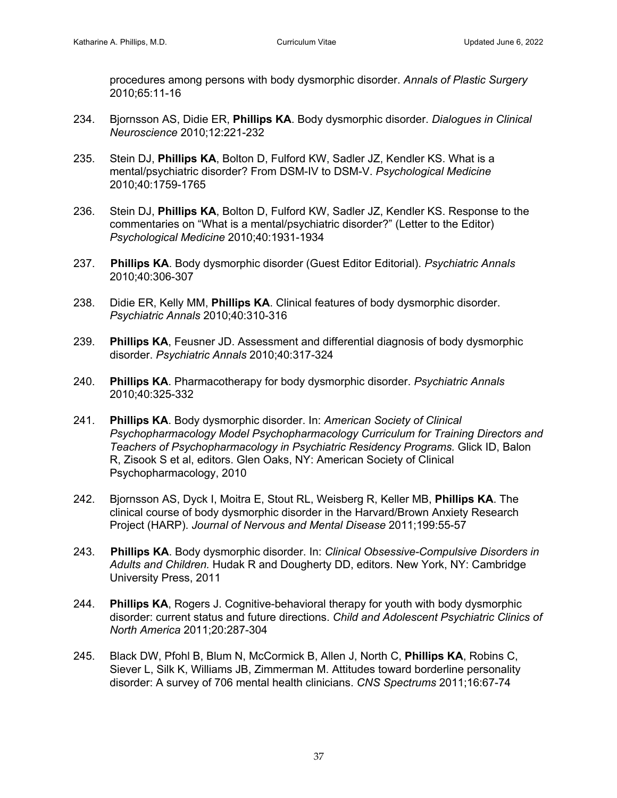procedures among persons with body dysmorphic disorder. *Annals of Plastic Surgery* 2010;65:11-16

- 234. Bjornsson AS, Didie ER, **Phillips KA**. Body dysmorphic disorder. *Dialogues in Clinical Neuroscience* 2010;12:221-232
- 235. Stein DJ, **Phillips KA**, Bolton D, Fulford KW, Sadler JZ, Kendler KS. What is a mental/psychiatric disorder? From DSM-IV to DSM-V. *Psychological Medicine* 2010;40:1759-1765
- 236. Stein DJ, **Phillips KA**, Bolton D, Fulford KW, Sadler JZ, Kendler KS. Response to the commentaries on "What is a mental/psychiatric disorder?" (Letter to the Editor) *Psychological Medicine* 2010;40:1931-1934
- 237. **Phillips KA**. Body dysmorphic disorder (Guest Editor Editorial). *Psychiatric Annals* 2010;40:306-307
- 238. Didie ER, Kelly MM, **Phillips KA**. Clinical features of body dysmorphic disorder. *Psychiatric Annals* 2010;40:310-316
- 239. **Phillips KA**, Feusner JD. Assessment and differential diagnosis of body dysmorphic disorder. *Psychiatric Annals* 2010;40:317-324
- 240. **Phillips KA**. Pharmacotherapy for body dysmorphic disorder. *Psychiatric Annals* 2010;40:325-332
- 241. **Phillips KA**. Body dysmorphic disorder. In: *American Society of Clinical Psychopharmacology Model Psychopharmacology Curriculum for Training Directors and Teachers of Psychopharmacology in Psychiatric Residency Programs.* Glick ID, Balon R, Zisook S et al, editors. Glen Oaks, NY: American Society of Clinical Psychopharmacology, 2010
- 242. Bjornsson AS, Dyck I, Moitra E, Stout RL, Weisberg R, Keller MB, **Phillips KA**. The clinical course of body dysmorphic disorder in the Harvard/Brown Anxiety Research Project (HARP). *Journal of Nervous and Mental Disease* 2011;199:55-57
- 243. **Phillips KA**. Body dysmorphic disorder. In: *Clinical Obsessive-Compulsive Disorders in Adults and Children.* Hudak R and Dougherty DD, editors. New York, NY: Cambridge University Press, 2011
- 244. **Phillips KA**, Rogers J. Cognitive-behavioral therapy for youth with body dysmorphic disorder: current status and future directions. *Child and Adolescent Psychiatric Clinics of North America* 2011;20:287-304
- 245. Black DW, Pfohl B, Blum N, McCormick B, Allen J, North C, **Phillips KA**, Robins C, Siever L, Silk K, Williams JB, Zimmerman M. Attitudes toward borderline personality disorder: A survey of 706 mental health clinicians. *CNS Spectrums* 2011;16:67-74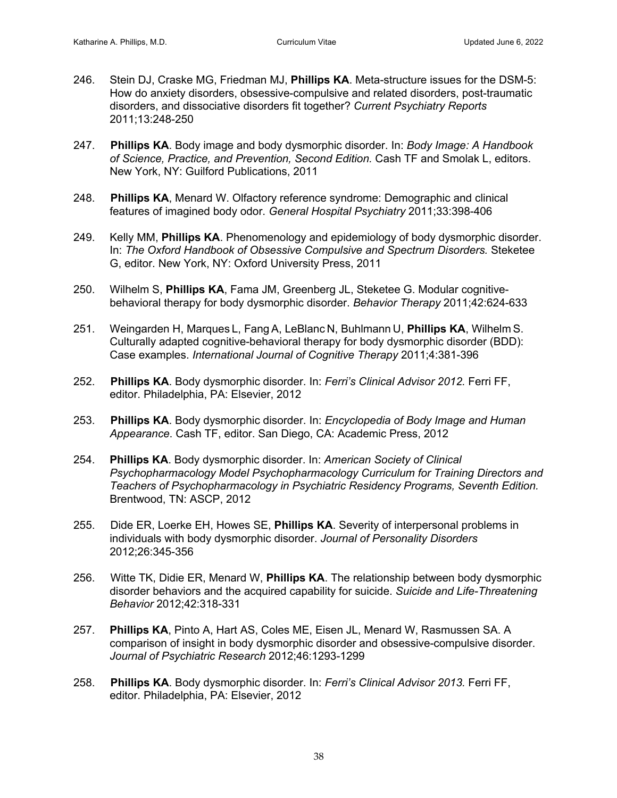- 246. Stein DJ, Craske MG, Friedman MJ, **Phillips KA**. Meta-structure issues for the DSM-5: How do anxiety disorders, obsessive-compulsive and related disorders, post-traumatic disorders, and dissociative disorders fit together? *Current Psychiatry Reports*  2011;13:248-250
- 247. **Phillips KA**. Body image and body dysmorphic disorder. In: *Body Image: A Handbook of Science, Practice, and Prevention, Second Edition.* Cash TF and Smolak L, editors. New York, NY: Guilford Publications, 2011
- 248. **Phillips KA**, Menard W. Olfactory reference syndrome: Demographic and clinical features of imagined body odor. *General Hospital Psychiatry* 2011;33:398-406
- 249. Kelly MM, **Phillips KA**. Phenomenology and epidemiology of body dysmorphic disorder. In: *The Oxford Handbook of Obsessive Compulsive and Spectrum Disorders.* Steketee G, editor. New York, NY: Oxford University Press, 2011
- 250. Wilhelm S, **Phillips KA**, Fama JM, Greenberg JL, Steketee G. Modular cognitivebehavioral therapy for body dysmorphic disorder. *Behavior Therapy* 2011;42:624-633
- 251. Weingarden H, Marques L, Fang A, LeBlanc N, Buhlmann U, **Phillips KA**, Wilhelm S. Culturally adapted cognitive-behavioral therapy for body dysmorphic disorder (BDD): Case examples. *International Journal of Cognitive Therapy* 2011;4:381-396
- 252. **Phillips KA**. Body dysmorphic disorder. In: *Ferri's Clinical Advisor 2012.* Ferri FF, editor. Philadelphia, PA: Elsevier, 2012
- 253. **Phillips KA**. Body dysmorphic disorder. In: *Encyclopedia of Body Image and Human Appearance*. Cash TF, editor. San Diego, CA: Academic Press, 2012
- 254. **Phillips KA**. Body dysmorphic disorder. In: *American Society of Clinical Psychopharmacology Model Psychopharmacology Curriculum for Training Directors and Teachers of Psychopharmacology in Psychiatric Residency Programs, Seventh Edition.*  Brentwood, TN: ASCP, 2012
- 255. Dide ER, Loerke EH, Howes SE, **Phillips KA**. Severity of interpersonal problems in individuals with body dysmorphic disorder. *Journal of Personality Disorders*  2012;26:345-356
- 256. Witte TK, Didie ER, Menard W, **Phillips KA**. The relationship between body dysmorphic disorder behaviors and the acquired capability for suicide. *Suicide and Life-Threatening Behavior* 2012;42:318-331
- 257. **Phillips KA**, Pinto A, Hart AS, Coles ME, Eisen JL, Menard W, Rasmussen SA. A comparison of insight in body dysmorphic disorder and obsessive-compulsive disorder. *Journal of Psychiatric Research* 2012;46:1293-1299
- 258. **Phillips KA**. Body dysmorphic disorder. In: *Ferri's Clinical Advisor 2013.* Ferri FF, editor. Philadelphia, PA: Elsevier, 2012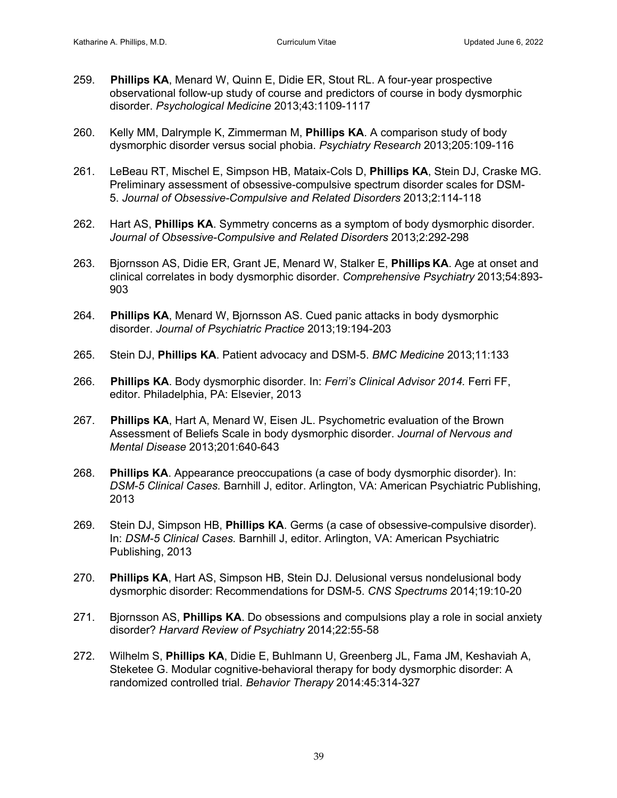- 259. **Phillips KA**, Menard W, Quinn E, Didie ER, Stout RL. A four-year prospective observational follow-up study of course and predictors of course in body dysmorphic disorder. *Psychological Medicine* 2013;43:1109-1117
- 260. Kelly MM, Dalrymple K, Zimmerman M, **Phillips KA**. A comparison study of body dysmorphic disorder versus social phobia. *Psychiatry Research* 2013;205:109-116
- 261. LeBeau RT, Mischel E, Simpson HB, Mataix-Cols D, **Phillips KA**, Stein DJ, Craske MG. Preliminary assessment of obsessive-compulsive spectrum disorder scales for DSM-5. *Journal of Obsessive-Compulsive and Related Disorders* 2013;2:114-118
- 262. Hart AS, **Phillips KA**. Symmetry concerns as a symptom of body dysmorphic disorder. *Journal of Obsessive-Compulsive and Related Disorders* 2013;2:292-298
- 263. Bjornsson AS, Didie ER, Grant JE, Menard W, Stalker E, **Phillips KA**. Age at onset and clinical correlates in body dysmorphic disorder. *Comprehensive Psychiatry* 2013;54:893- 903
- 264. **Phillips KA**, Menard W, Bjornsson AS. Cued panic attacks in body dysmorphic disorder. *Journal of Psychiatric Practice* 2013;19:194-203
- 265. Stein DJ, **Phillips KA**. Patient advocacy and DSM-5. *BMC Medicine* 2013;11:133
- 266. **Phillips KA**. Body dysmorphic disorder. In: *Ferri's Clinical Advisor 2014.* Ferri FF, editor. Philadelphia, PA: Elsevier, 2013
- 267. **Phillips KA**, Hart A, Menard W, Eisen JL. Psychometric evaluation of the Brown Assessment of Beliefs Scale in body dysmorphic disorder. *Journal of Nervous and Mental Disease* 2013;201:640-643
- 268. **Phillips KA**. Appearance preoccupations (a case of body dysmorphic disorder). In: *DSM-5 Clinical Cases.* Barnhill J, editor. Arlington, VA: American Psychiatric Publishing, 2013
- 269. Stein DJ, Simpson HB, **Phillips KA**. Germs (a case of obsessive-compulsive disorder). In: *DSM-5 Clinical Cases.* Barnhill J, editor. Arlington, VA: American Psychiatric Publishing, 2013
- 270. **Phillips KA**, Hart AS, Simpson HB, Stein DJ. Delusional versus nondelusional body dysmorphic disorder: Recommendations for DSM-5. *CNS Spectrums* 2014;19:10-20
- 271. Bjornsson AS, **Phillips KA**. Do obsessions and compulsions play a role in social anxiety disorder? *Harvard Review of Psychiatry* 2014;22:55-58
- 272. Wilhelm S, **Phillips KA**, Didie E, Buhlmann U, Greenberg JL, Fama JM, Keshaviah A, Steketee G. Modular cognitive-behavioral therapy for body dysmorphic disorder: A randomized controlled trial. *Behavior Therapy* 2014:45:314-327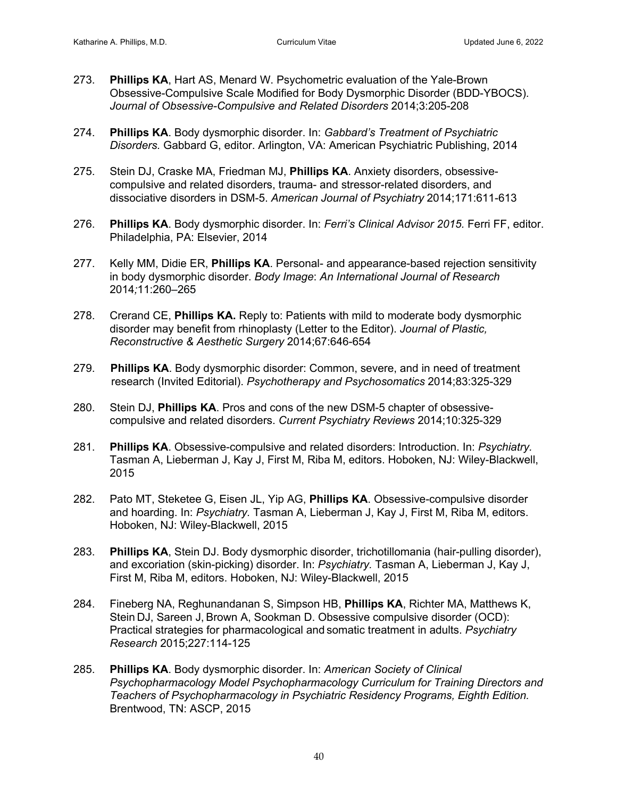- 273. **Phillips KA**, Hart AS, Menard W. Psychometric evaluation of the Yale-Brown Obsessive-Compulsive Scale Modified for Body Dysmorphic Disorder (BDD-YBOCS). *Journal of Obsessive-Compulsive and Related Disorders* 2014;3:205-208
- 274. **Phillips KA**. Body dysmorphic disorder. In: *Gabbard's Treatment of Psychiatric Disorders.* Gabbard G, editor. Arlington, VA: American Psychiatric Publishing, 2014
- 275. Stein DJ, Craske MA, Friedman MJ, **Phillips KA**. Anxiety disorders, obsessivecompulsive and related disorders, trauma- and stressor-related disorders, and dissociative disorders in DSM-5. *American Journal of Psychiatry* 2014;171:611-613
- 276. **Phillips KA**. Body dysmorphic disorder. In: *Ferri's Clinical Advisor 2015.* Ferri FF, editor. Philadelphia, PA: Elsevier, 2014
- 277. Kelly MM, Didie ER, **Phillips KA**. Personal- and appearance-based rejection sensitivity in body dysmorphic disorder. *Body Image*: *An International Journal of Research* 2014*;*11:260–265
- 278. Crerand CE, **Phillips KA.** Reply to: Patients with mild to moderate body dysmorphic disorder may benefit from rhinoplasty (Letter to the Editor). *Journal of Plastic, Reconstructive & Aesthetic Surgery* 2014;67:646-654
- 279. **Phillips KA**. Body dysmorphic disorder: Common, severe, and in need of treatment research (Invited Editorial). *Psychotherapy and Psychosomatics* 2014;83:325-329
- 280. Stein DJ, **Phillips KA**. Pros and cons of the new DSM-5 chapter of obsessivecompulsive and related disorders. *Current Psychiatry Reviews* 2014;10:325-329
- 281. **Phillips KA**. Obsessive-compulsive and related disorders: Introduction. In: *Psychiatry.* Tasman A, Lieberman J, Kay J, First M, Riba M, editors. Hoboken, NJ: Wiley-Blackwell, 2015
- 282. Pato MT, Steketee G, Eisen JL, Yip AG, **Phillips KA**. Obsessive-compulsive disorder and hoarding. In: *Psychiatry.* Tasman A, Lieberman J, Kay J, First M, Riba M, editors. Hoboken, NJ: Wiley-Blackwell, 2015
- 283. **Phillips KA**, Stein DJ. Body dysmorphic disorder, trichotillomania (hair-pulling disorder), and excoriation (skin-picking) disorder. In: *Psychiatry.* Tasman A, Lieberman J, Kay J, First M, Riba M, editors. Hoboken, NJ: Wiley-Blackwell, 2015
- 284. Fineberg NA, Reghunandanan S, Simpson HB, **Phillips KA**, Richter MA, Matthews K, Stein DJ, Sareen J, Brown A, Sookman D. Obsessive compulsive disorder (OCD): Practical strategies for pharmacological and somatic treatment in adults. *Psychiatry Research* 2015;227:114-125
- 285. **Phillips KA**. Body dysmorphic disorder. In: *American Society of Clinical Psychopharmacology Model Psychopharmacology Curriculum for Training Directors and Teachers of Psychopharmacology in Psychiatric Residency Programs, Eighth Edition.* Brentwood, TN: ASCP, 2015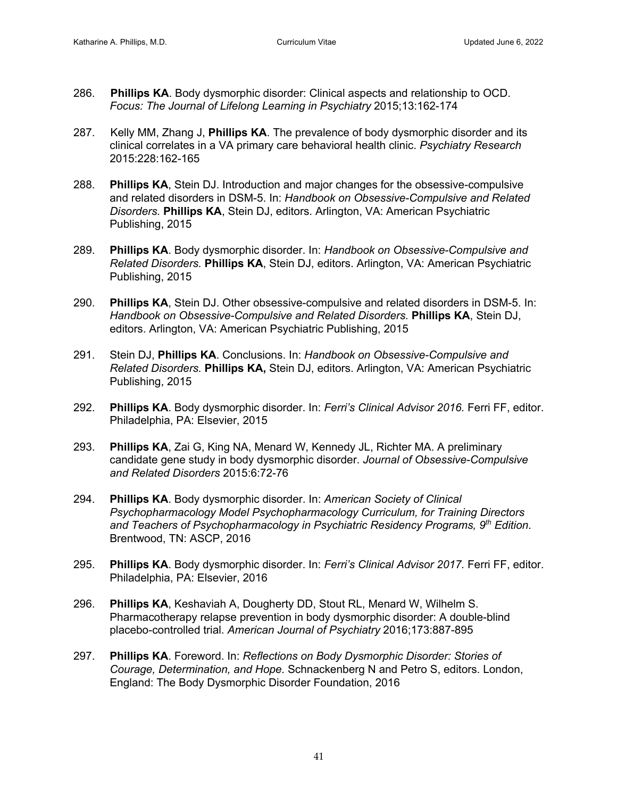- 286. **Phillips KA**. Body dysmorphic disorder: Clinical aspects and relationship to OCD. *Focus: The Journal of Lifelong Learning in Psychiatry* 2015;13:162-174
- 287. Kelly MM, Zhang J, **Phillips KA**. The prevalence of body dysmorphic disorder and its clinical correlates in a VA primary care behavioral health clinic. *Psychiatry Research* 2015:228:162-165
- 288. **Phillips KA**, Stein DJ. Introduction and major changes for the obsessive-compulsive and related disorders in DSM-5. In: *Handbook on Obsessive-Compulsive and Related Disorders.* **Phillips KA**, Stein DJ, editors. Arlington, VA: American Psychiatric Publishing, 2015
- 289. **Phillips KA**. Body dysmorphic disorder. In: *Handbook on Obsessive-Compulsive and Related Disorders.* **Phillips KA**, Stein DJ, editors. Arlington, VA: American Psychiatric Publishing, 2015
- 290. **Phillips KA**, Stein DJ. Other obsessive-compulsive and related disorders in DSM-5. In: *Handbook on Obsessive-Compulsive and Related Disorders.* **Phillips KA**, Stein DJ, editors. Arlington, VA: American Psychiatric Publishing, 2015
- 291. Stein DJ, **Phillips KA**. Conclusions. In: *Handbook on Obsessive-Compulsive and Related Disorders.* **Phillips KA,** Stein DJ, editors. Arlington, VA: American Psychiatric Publishing, 2015
- 292. **Phillips KA**. Body dysmorphic disorder. In: *Ferri's Clinical Advisor 2016.* Ferri FF, editor. Philadelphia, PA: Elsevier, 2015
- 293. **Phillips KA**, Zai G, King NA, Menard W, Kennedy JL, Richter MA. A preliminary candidate gene study in body dysmorphic disorder. *Journal of Obsessive-Compulsive and Related Disorders* 2015:6:72-76
- 294. **Phillips KA**. Body dysmorphic disorder. In: *American Society of Clinical Psychopharmacology Model Psychopharmacology Curriculum, for Training Directors and Teachers of Psychopharmacology in Psychiatric Residency Programs, 9th Edition*. Brentwood, TN: ASCP, 2016
- 295. **Phillips KA**. Body dysmorphic disorder. In: *Ferri's Clinical Advisor 2017.* Ferri FF, editor. Philadelphia, PA: Elsevier, 2016
- 296. **Phillips KA**, Keshaviah A, Dougherty DD, Stout RL, Menard W, Wilhelm S. Pharmacotherapy relapse prevention in body dysmorphic disorder: A double-blind placebo-controlled trial. *American Journal of Psychiatry* 2016;173:887-895
- 297. **Phillips KA**. Foreword. In: *Reflections on Body Dysmorphic Disorder: Stories of Courage, Determination, and Hope.* Schnackenberg N and Petro S, editors. London, England: The Body Dysmorphic Disorder Foundation, 2016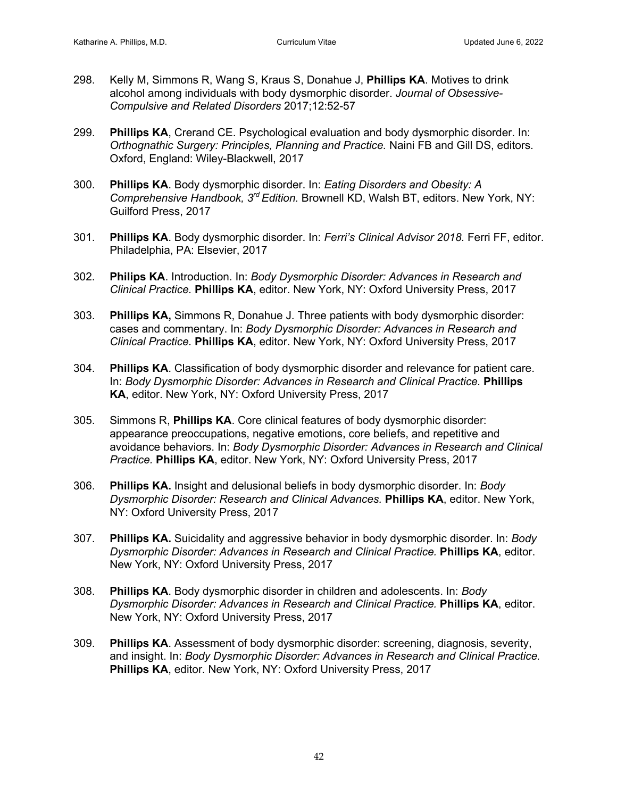- 298. Kelly M, Simmons R, Wang S, Kraus S, Donahue J, **Phillips KA**. Motives to drink alcohol among individuals with body dysmorphic disorder. *Journal of Obsessive-Compulsive and Related Disorders* 2017;12:52-57
- 299. **Phillips KA**, Crerand CE. Psychological evaluation and body dysmorphic disorder. In: *Orthognathic Surgery: Principles, Planning and Practice.* Naini FB and Gill DS, editors. Oxford, England: Wiley-Blackwell, 2017
- 300. **Phillips KA**. Body dysmorphic disorder. In: *Eating Disorders and Obesity: A Comprehensive Handbook, 3rd Edition.* Brownell KD, Walsh BT, editors. New York, NY: Guilford Press, 2017
- 301. **Phillips KA**. Body dysmorphic disorder. In: *Ferri's Clinical Advisor 2018.* Ferri FF, editor. Philadelphia, PA: Elsevier, 2017
- 302. **Philips KA**. Introduction. In: *Body Dysmorphic Disorder: Advances in Research and Clinical Practice.* **Phillips KA**, editor. New York, NY: Oxford University Press, 2017
- 303. **Phillips KA,** Simmons R, Donahue J. Three patients with body dysmorphic disorder: cases and commentary. In: *Body Dysmorphic Disorder: Advances in Research and Clinical Practice.* **Phillips KA**, editor. New York, NY: Oxford University Press, 2017
- 304. **Phillips KA**. Classification of body dysmorphic disorder and relevance for patient care. In: *Body Dysmorphic Disorder: Advances in Research and Clinical Practice.* **Phillips KA**, editor. New York, NY: Oxford University Press, 2017
- 305. Simmons R, **Phillips KA**. Core clinical features of body dysmorphic disorder: appearance preoccupations, negative emotions, core beliefs, and repetitive and avoidance behaviors. In: *Body Dysmorphic Disorder: Advances in Research and Clinical Practice.* **Phillips KA**, editor. New York, NY: Oxford University Press, 2017
- 306. **Phillips KA.** Insight and delusional beliefs in body dysmorphic disorder. In: *Body Dysmorphic Disorder: Research and Clinical Advances.* **Phillips KA**, editor. New York, NY: Oxford University Press, 2017
- 307. **Phillips KA.** Suicidality and aggressive behavior in body dysmorphic disorder. In: *Body Dysmorphic Disorder: Advances in Research and Clinical Practice.* **Phillips KA**, editor. New York, NY: Oxford University Press, 2017
- 308. **Phillips KA**. Body dysmorphic disorder in children and adolescents. In: *Body Dysmorphic Disorder: Advances in Research and Clinical Practice.* **Phillips KA**, editor. New York, NY: Oxford University Press, 2017
- 309. **Phillips KA**. Assessment of body dysmorphic disorder: screening, diagnosis, severity, and insight. In: *Body Dysmorphic Disorder: Advances in Research and Clinical Practice.*  **Phillips KA**, editor. New York, NY: Oxford University Press, 2017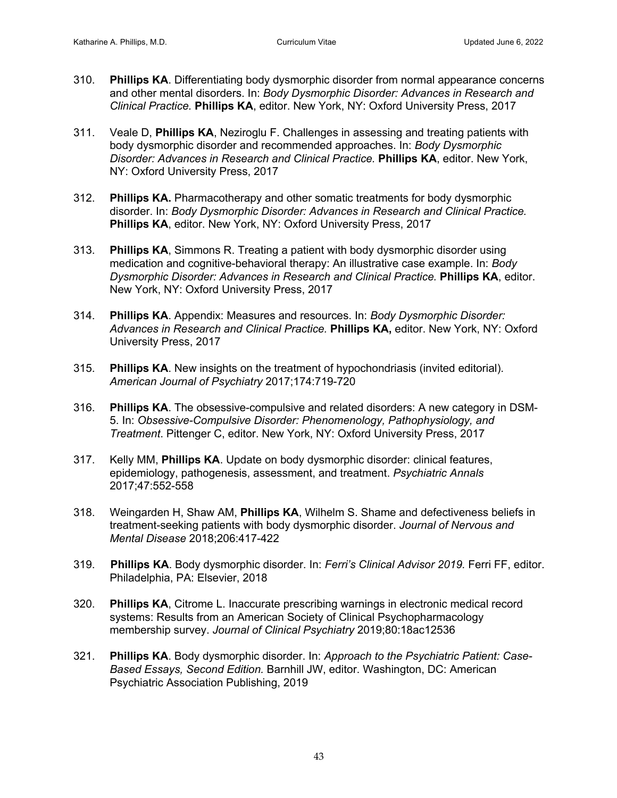- 310. **Phillips KA**. Differentiating body dysmorphic disorder from normal appearance concerns and other mental disorders. In: *Body Dysmorphic Disorder: Advances in Research and Clinical Practice.* **Phillips KA**, editor. New York, NY: Oxford University Press, 2017
- 311. Veale D, **Phillips KA**, Neziroglu F. Challenges in assessing and treating patients with body dysmorphic disorder and recommended approaches. In: *Body Dysmorphic Disorder: Advances in Research and Clinical Practice.* **Phillips KA**, editor. New York, NY: Oxford University Press, 2017
- 312. **Phillips KA.** Pharmacotherapy and other somatic treatments for body dysmorphic disorder. In: *Body Dysmorphic Disorder: Advances in Research and Clinical Practice.*  **Phillips KA**, editor. New York, NY: Oxford University Press, 2017
- 313. **Phillips KA**, Simmons R. Treating a patient with body dysmorphic disorder using medication and cognitive-behavioral therapy: An illustrative case example. In: *Body Dysmorphic Disorder: Advances in Research and Clinical Practice.* **Phillips KA**, editor. New York, NY: Oxford University Press, 2017
- 314. **Phillips KA**. Appendix: Measures and resources. In: *Body Dysmorphic Disorder: Advances in Research and Clinical Practice.* **Phillips KA,** editor. New York, NY: Oxford University Press, 2017
- 315. **Phillips KA**. New insights on the treatment of hypochondriasis (invited editorial). *American Journal of Psychiatry* 2017;174:719-720
- 316. **Phillips KA**. The obsessive-compulsive and related disorders: A new category in DSM-5. In: *Obsessive-Compulsive Disorder: Phenomenology, Pathophysiology, and Treatment*. Pittenger C, editor. New York, NY: Oxford University Press, 2017
- 317. Kelly MM, **Phillips KA**. Update on body dysmorphic disorder: clinical features, epidemiology, pathogenesis, assessment, and treatment. *Psychiatric Annals* 2017;47:552-558
- 318. Weingarden H, Shaw AM, **Phillips KA**, Wilhelm S. Shame and defectiveness beliefs in treatment-seeking patients with body dysmorphic disorder. *Journal of Nervous and Mental Disease* 2018;206:417-422
- 319. **Phillips KA**. Body dysmorphic disorder. In: *Ferri's Clinical Advisor 2019.* Ferri FF, editor. Philadelphia, PA: Elsevier, 2018
- 320. **Phillips KA**, Citrome L. Inaccurate prescribing warnings in electronic medical record systems: Results from an American Society of Clinical Psychopharmacology membership survey. *Journal of Clinical Psychiatry* 2019;80:18ac12536
- 321. **Phillips KA**. Body dysmorphic disorder. In: *Approach to the Psychiatric Patient: Case-Based Essays, Second Edition.* Barnhill JW, editor. Washington, DC: American Psychiatric Association Publishing, 2019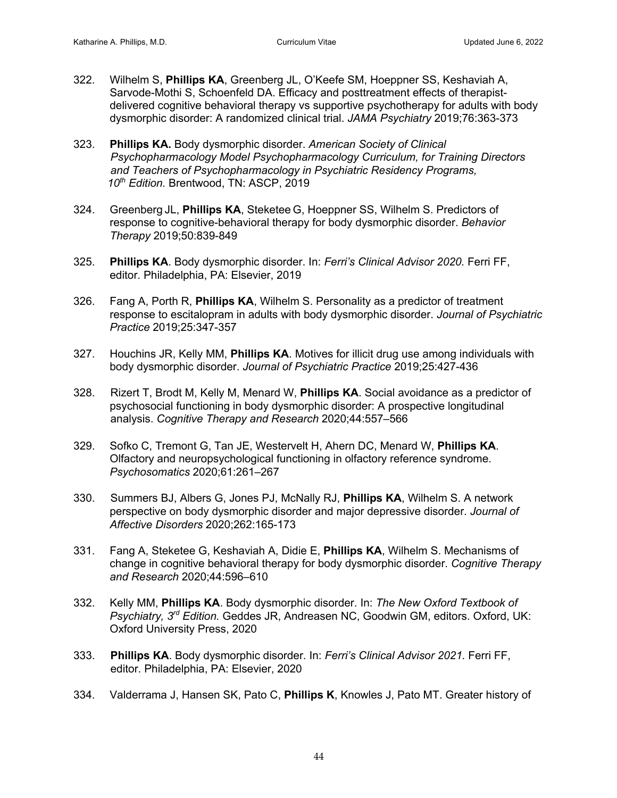- 322. Wilhelm S, **Phillips KA**, Greenberg JL, O'Keefe SM, Hoeppner SS, Keshaviah A, Sarvode-Mothi S, Schoenfeld DA. Efficacy and posttreatment effects of therapistdelivered cognitive behavioral therapy vs supportive psychotherapy for adults with body dysmorphic disorder: A randomized clinical trial. *JAMA Psychiatry* 2019;76:363-373
- 323. **Phillips KA.** Body dysmorphic disorder. *American Society of Clinical Psychopharmacology Model Psychopharmacology Curriculum, for Training Directors and Teachers of Psychopharmacology in Psychiatric Residency Programs, 10th Edition.* Brentwood, TN: ASCP, 2019
- 324. Greenberg JL, **Phillips KA**, Steketee G, Hoeppner SS, Wilhelm S. Predictors of response to cognitive-behavioral therapy for body dysmorphic disorder. *Behavior Therapy* 2019;50:839-849
- 325. **Phillips KA**. Body dysmorphic disorder. In: *Ferri's Clinical Advisor 2020.* Ferri FF, editor. Philadelphia, PA: Elsevier, 2019
- 326. Fang A, Porth R, **Phillips KA**, Wilhelm S. Personality as a predictor of treatment response to escitalopram in adults with body dysmorphic disorder. *Journal of Psychiatric Practice* 2019;25:347-357
- 327. Houchins JR, Kelly MM, **Phillips KA**. Motives for illicit drug use among individuals with body dysmorphic disorder. *Journal of Psychiatric Practice* 2019;25:427-436
- 328. Rizert T, Brodt M, Kelly M, Menard W, **Phillips KA**. Social avoidance as a predictor of psychosocial functioning in body dysmorphic disorder: A prospective longitudinal analysis. *Cognitive Therapy and Research* 2020;44:557–566
- 329. Sofko C, Tremont G, Tan JE, Westervelt H, Ahern DC, Menard W, **Phillips KA**. Olfactory and neuropsychological functioning in olfactory reference syndrome. *Psychosomatics* 2020;61:261–267
- 330. Summers BJ, Albers G, Jones PJ, McNally RJ, **Phillips KA**, Wilhelm S. A network perspective on body dysmorphic disorder and major depressive disorder. *Journal of Affective Disorders* 2020;262:165-173
- 331. Fang A, Steketee G, Keshaviah A, Didie E, **Phillips KA**, Wilhelm S. Mechanisms of change in cognitive behavioral therapy for body dysmorphic disorder. *Cognitive Therapy and Research* 2020;44:596–610
- 332. Kelly MM, **Phillips KA**. Body dysmorphic disorder. In: *The New Oxford Textbook of Psychiatry, 3rd Edition.* Geddes JR, Andreasen NC, Goodwin GM, editors. Oxford, UK: Oxford University Press, 2020
- 333. **Phillips KA**. Body dysmorphic disorder. In: *Ferri's Clinical Advisor 2021.* Ferri FF, editor. Philadelphia, PA: Elsevier, 2020
- 334. Valderrama J, Hansen SK, Pato C, **Phillips K**, Knowles J, Pato MT. Greater history of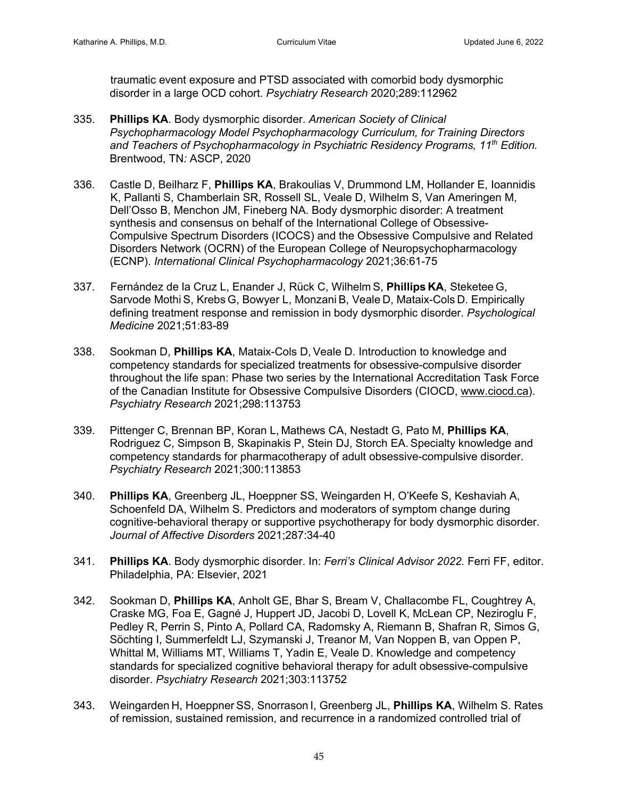traumatic event exposure and PTSD associated with comorbid body dysmorphic disorder in a large OCD cohort. *Psychiatry Research* 2020;289:112962

- 335. **Phillips KA**. Body dysmorphic disorder. *American Society of Clinical Psychopharmacology Model Psychopharmacology Curriculum, for Training Directors and Teachers of Psychopharmacology in Psychiatric Residency Programs, 11th Edition.*  Brentwood, TN*:* ASCP, 2020
- 336. Castle D, Beilharz F, **Phillips KA**, Brakoulias V, Drummond LM, Hollander E, Ioannidis K, Pallanti S, Chamberlain SR, Rossell SL, Veale D, Wilhelm S, Van Ameringen M, Dell'Osso B, Menchon JM, Fineberg NA. Body dysmorphic disorder: A treatment synthesis and consensus on behalf of the International College of Obsessive-Compulsive Spectrum Disorders (ICOCS) and the Obsessive Compulsive and Related Disorders Network (OCRN) of the European College of Neuropsychopharmacology (ECNP). *International Clinical Psychopharmacology* 2021;36:61-75
- 337. Fernández de la Cruz L, Enander J, Rück C, Wilhelm S, **Phillips KA**, Steketee G, Sarvode Mothi S, Krebs G, Bowyer L, Monzani B, Veale D, Mataix-Cols D. Empirically defining treatment response and remission in body dysmorphic disorder. *Psychological Medicine* 2021;51:83-89
- 338. Sookman D, **Phillips KA**, Mataix-Cols D, Veale D. Introduction to knowledge and competency standards for specialized treatments for obsessive-compulsive disorder throughout the life span: Phase two series by the International Accreditation Task Force of the Canadian Institute for Obsessive Compulsive Disorders (CIOCD, www.ciocd.ca). *Psychiatry Research* 2021;298:113753
- 339. Pittenger C, Brennan BP, Koran L, Mathews CA, Nestadt G, Pato M, **Phillips KA**, Rodriguez C, Simpson B, Skapinakis P, Stein DJ, Storch EA. Specialty knowledge and competency standards for pharmacotherapy of adult obsessive-compulsive disorder. *Psychiatry Research* 2021;300:113853
- 340. **Phillips KA**, Greenberg JL, Hoeppner SS, Weingarden H, O'Keefe S, Keshaviah A, Schoenfeld DA, Wilhelm S. Predictors and moderators of symptom change during cognitive-behavioral therapy or supportive psychotherapy for body dysmorphic disorder. *Journal of Affective Disorders* 2021;287:34-40
- 341. **Phillips KA**. Body dysmorphic disorder. In: *Ferri's Clinical Advisor 2022.* Ferri FF, editor. Philadelphia, PA: Elsevier, 2021
- 342. Sookman D, **Phillips KA**, Anholt GE, Bhar S, Bream V, Challacombe FL, Coughtrey A, Craske MG, Foa E, Gagné J, Huppert JD, Jacobi D, Lovell K, McLean CP, Neziroglu F, Pedley R, Perrin S, Pinto A, Pollard CA, Radomsky A, Riemann B, Shafran R, Simos G, Söchting I, Summerfeldt LJ, Szymanski J, Treanor M, Van Noppen B, van Oppen P, Whittal M, Williams MT, Williams T, Yadin E, Veale D. Knowledge and competency standards for specialized cognitive behavioral therapy for adult obsessive-compulsive disorder. *Psychiatry Research* 2021;303:113752
- 343. Weingarden H, Hoeppner SS, Snorrason I, Greenberg JL, **Phillips KA**, Wilhelm S. Rates of remission, sustained remission, and recurrence in a randomized controlled trial of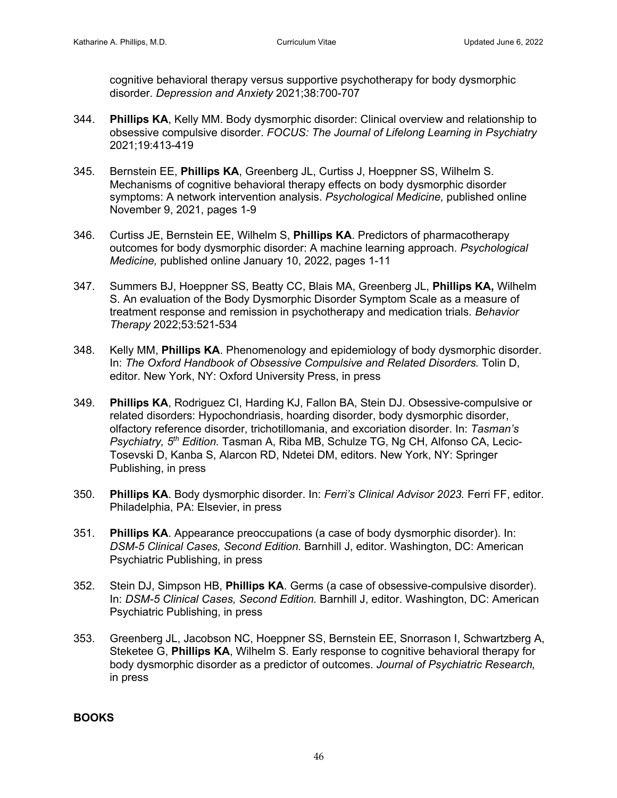cognitive behavioral therapy versus supportive psychotherapy for body dysmorphic disorder. *Depression and Anxiety* 2021;38:700-707

- 344. **Phillips KA**, Kelly MM. Body dysmorphic disorder: Clinical overview and relationship to obsessive compulsive disorder. *FOCUS: The Journal of Lifelong Learning in Psychiatry* 2021;19:413-419
- 345. Bernstein EE, **Phillips KA**, Greenberg JL, Curtiss J, Hoeppner SS, Wilhelm S. Mechanisms of cognitive behavioral therapy effects on body dysmorphic disorder symptoms: A network intervention analysis. *Psychological Medicine,* published online November 9, 2021, pages 1-9
- 346. Curtiss JE, Bernstein EE, Wilhelm S, **Phillips KA**. Predictors of pharmacotherapy outcomes for body dysmorphic disorder: A machine learning approach. *Psychological Medicine,* published online January 10, 2022, pages 1-11
- 347. Summers BJ, Hoeppner SS, Beatty CC, Blais MA, Greenberg JL, **Phillips KA,** Wilhelm S. An evaluation of the Body Dysmorphic Disorder Symptom Scale as a measure of treatment response and remission in psychotherapy and medication trials. *Behavior Therapy* 2022;53:521-534
- 348. Kelly MM, **Phillips KA**. Phenomenology and epidemiology of body dysmorphic disorder. In: *The Oxford Handbook of Obsessive Compulsive and Related Disorders.* Tolin D, editor. New York, NY: Oxford University Press, in press
- 349. **Phillips KA**, Rodriguez CI, Harding KJ, Fallon BA, Stein DJ. Obsessive-compulsive or related disorders: Hypochondriasis, hoarding disorder, body dysmorphic disorder, olfactory reference disorder, trichotillomania, and excoriation disorder. In: *Tasman's Psychiatry, 5th Edition.* Tasman A, Riba MB, Schulze TG, Ng CH, Alfonso CA, Lecic-Tosevski D, Kanba S, Alarcon RD, Ndetei DM, editors. New York, NY: Springer Publishing, in press
- 350. **Phillips KA**. Body dysmorphic disorder. In: *Ferri's Clinical Advisor 2023.* Ferri FF, editor. Philadelphia, PA: Elsevier, in press
- 351. **Phillips KA**. Appearance preoccupations (a case of body dysmorphic disorder). In: *DSM-5 Clinical Cases, Second Edition.* Barnhill J, editor. Washington, DC: American Psychiatric Publishing, in press
- 352. Stein DJ, Simpson HB, **Phillips KA**. Germs (a case of obsessive-compulsive disorder). In: *DSM-5 Clinical Cases, Second Edition.* Barnhill J, editor. Washington, DC: American Psychiatric Publishing, in press
- 353. Greenberg JL, Jacobson NC, Hoeppner SS, Bernstein EE, Snorrason I, Schwartzberg A, Steketee G, **Phillips KA**, Wilhelm S. Early response to cognitive behavioral therapy for body dysmorphic disorder as a predictor of outcomes. *Journal of Psychiatric Research,*  in press

**BOOKS**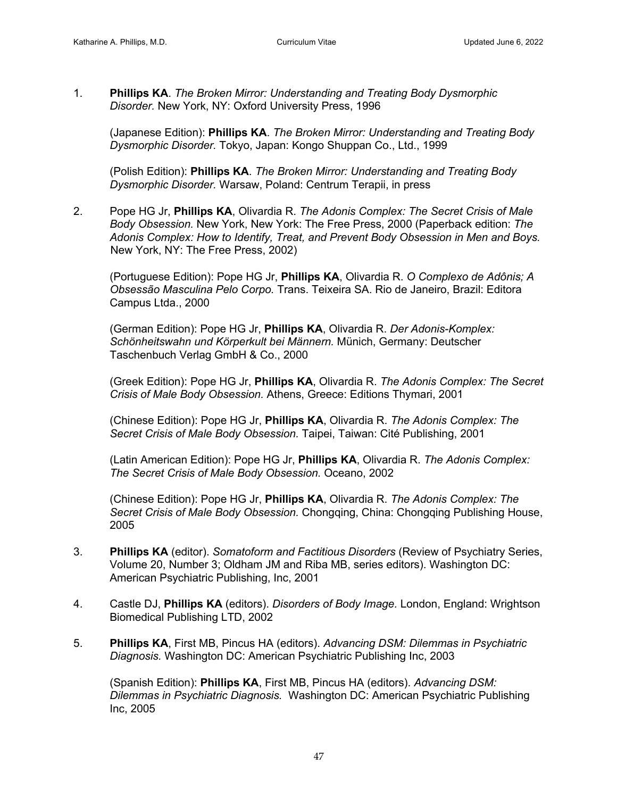1. **Phillips KA**. *The Broken Mirror: Understanding and Treating Body Dysmorphic Disorder.* New York, NY: Oxford University Press, 1996

(Japanese Edition): **Phillips KA**. *The Broken Mirror: Understanding and Treating Body Dysmorphic Disorder.* Tokyo, Japan: Kongo Shuppan Co., Ltd., 1999

(Polish Edition): **Phillips KA**. *The Broken Mirror: Understanding and Treating Body Dysmorphic Disorder.* Warsaw, Poland: Centrum Terapii, in press

2. Pope HG Jr, **Phillips KA**, Olivardia R. *The Adonis Complex: The Secret Crisis of Male Body Obsession.* New York, New York: The Free Press, 2000 (Paperback edition: *The Adonis Complex: How to Identify, Treat, and Prevent Body Obsession in Men and Boys.* New York, NY: The Free Press, 2002)

(Portuguese Edition): Pope HG Jr, **Phillips KA**, Olivardia R. *O Complexo de Adônis; A Obsessão Masculina Pelo Corpo.* Trans. Teixeira SA. Rio de Janeiro, Brazil: Editora Campus Ltda., 2000

(German Edition): Pope HG Jr, **Phillips KA**, Olivardia R. *Der Adonis-Komplex: Schönheitswahn und Körperkult bei Männern.* Münich, Germany: Deutscher Taschenbuch Verlag GmbH & Co., 2000

(Greek Edition): Pope HG Jr, **Phillips KA**, Olivardia R. *The Adonis Complex: The Secret Crisis of Male Body Obsession.* Athens, Greece: Editions Thymari, 2001

(Chinese Edition): Pope HG Jr, **Phillips KA**, Olivardia R. *The Adonis Complex: The Secret Crisis of Male Body Obsession.* Taipei, Taiwan: Cité Publishing, 2001

(Latin American Edition): Pope HG Jr, **Phillips KA**, Olivardia R. *The Adonis Complex: The Secret Crisis of Male Body Obsession.* Oceano, 2002

(Chinese Edition): Pope HG Jr, **Phillips KA**, Olivardia R. *The Adonis Complex: The Secret Crisis of Male Body Obsession.* Chongqing, China: Chongqing Publishing House, 2005

- 3. **Phillips KA** (editor). *Somatoform and Factitious Disorders* (Review of Psychiatry Series, Volume 20, Number 3; Oldham JM and Riba MB, series editors). Washington DC: American Psychiatric Publishing, Inc, 2001
- 4. Castle DJ, **Phillips KA** (editors). *Disorders of Body Image.* London, England: Wrightson Biomedical Publishing LTD, 2002
- 5. **Phillips KA**, First MB, Pincus HA (editors). *Advancing DSM: Dilemmas in Psychiatric Diagnosis.* Washington DC: American Psychiatric Publishing Inc, 2003

(Spanish Edition): **Phillips KA**, First MB, Pincus HA (editors). *Advancing DSM: Dilemmas in Psychiatric Diagnosis.* Washington DC: American Psychiatric Publishing Inc, 2005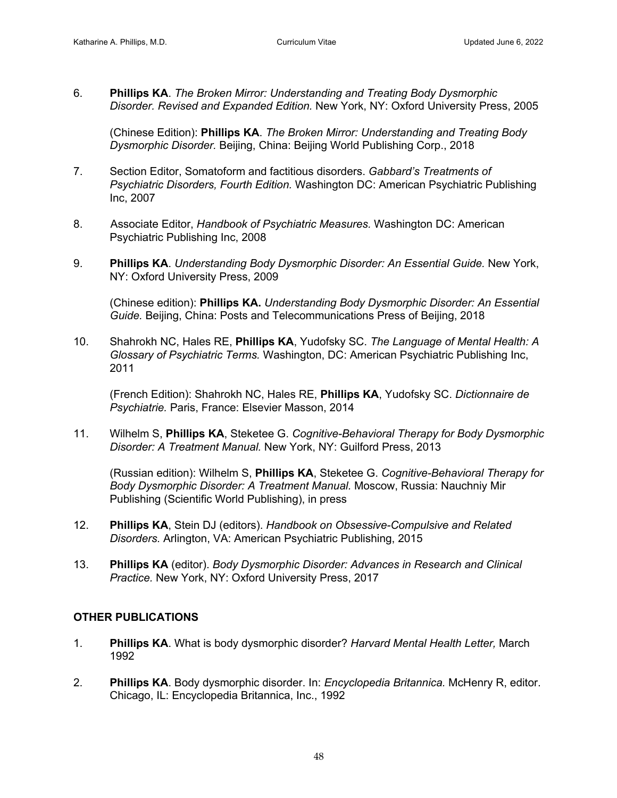6. **Phillips KA**. *The Broken Mirror: Understanding and Treating Body Dysmorphic Disorder. Revised and Expanded Edition.* New York, NY: Oxford University Press, 2005

(Chinese Edition): **Phillips KA**. *The Broken Mirror: Understanding and Treating Body Dysmorphic Disorder.* Beijing, China: Beijing World Publishing Corp., 2018

- 7. Section Editor, Somatoform and factitious disorders. *Gabbard's Treatments of Psychiatric Disorders, Fourth Edition.* Washington DC: American Psychiatric Publishing Inc, 2007
- 8. Associate Editor, *Handbook of Psychiatric Measures.* Washington DC: American Psychiatric Publishing Inc, 2008
- 9. **Phillips KA**. *Understanding Body Dysmorphic Disorder: An Essential Guide.* New York, NY: Oxford University Press, 2009

(Chinese edition): **Phillips KA.** *Understanding Body Dysmorphic Disorder: An Essential Guide.* Beijing, China: Posts and Telecommunications Press of Beijing, 2018

10. Shahrokh NC, Hales RE, **Phillips KA**, Yudofsky SC. *The Language of Mental Health: A Glossary of Psychiatric Terms.* Washington, DC: American Psychiatric Publishing Inc, 2011

(French Edition): Shahrokh NC, Hales RE, **Phillips KA**, Yudofsky SC. *Dictionnaire de Psychiatrie.* Paris, France: Elsevier Masson, 2014

11. Wilhelm S, **Phillips KA**, Steketee G. *Cognitive-Behavioral Therapy for Body Dysmorphic Disorder: A Treatment Manual.* New York, NY: Guilford Press, 2013

(Russian edition): Wilhelm S, **Phillips KA**, Steketee G. *Cognitive-Behavioral Therapy for Body Dysmorphic Disorder: A Treatment Manual.* Moscow, Russia: Nauchniy Mir Publishing (Scientific World Publishing), in press

- 12. **Phillips KA**, Stein DJ (editors). *Handbook on Obsessive-Compulsive and Related Disorders.* Arlington, VA: American Psychiatric Publishing, 2015
- 13. **Phillips KA** (editor). *Body Dysmorphic Disorder: Advances in Research and Clinical Practice.* New York, NY: Oxford University Press, 2017

## **OTHER PUBLICATIONS**

- 1. **Phillips KA**. What is body dysmorphic disorder? *Harvard Mental Health Letter,* March 1992
- 2. **Phillips KA**. Body dysmorphic disorder. In: *Encyclopedia Britannica.* McHenry R, editor. Chicago, IL: Encyclopedia Britannica, Inc., 1992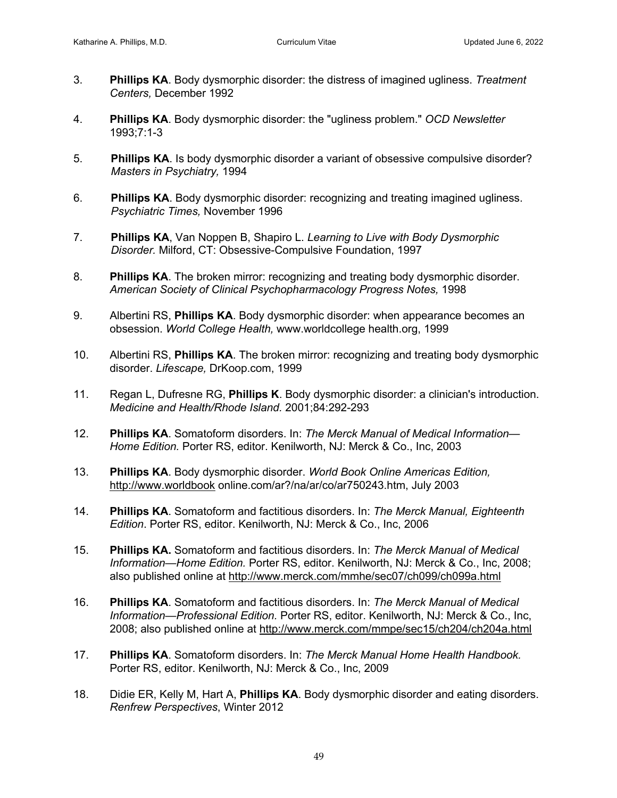- 3. **Phillips KA**. Body dysmorphic disorder: the distress of imagined ugliness. *Treatment Centers,* December 1992
- 4. **Phillips KA**. Body dysmorphic disorder: the "ugliness problem." *OCD Newsletter*  1993;7:1-3
- 5. **Phillips KA**. Is body dysmorphic disorder a variant of obsessive compulsive disorder? *Masters in Psychiatry,* 1994
- 6. **Phillips KA**. Body dysmorphic disorder: recognizing and treating imagined ugliness. *Psychiatric Times,* November 1996
- 7. **Phillips KA**, Van Noppen B, Shapiro L. *Learning to Live with Body Dysmorphic Disorder.* Milford, CT: Obsessive-Compulsive Foundation, 1997
- 8. **Phillips KA**. The broken mirror: recognizing and treating body dysmorphic disorder. *American Society of Clinical Psychopharmacology Progress Notes,* 1998
- 9. Albertini RS, **Phillips KA**. Body dysmorphic disorder: when appearance becomes an obsession. *World College Health,* www.worldcollege health.org, 1999
- 10. Albertini RS, **Phillips KA**. The broken mirror: recognizing and treating body dysmorphic disorder. *Lifescape,* DrKoop.com, 1999
- 11. Regan L, Dufresne RG, **Phillips K**. Body dysmorphic disorder: a clinician's introduction. *Medicine and Health/Rhode Island.* 2001;84:292-293
- 12. **Phillips KA**. Somatoform disorders. In: *The Merck Manual of Medical Information— Home Edition.* Porter RS, editor. Kenilworth, NJ: Merck & Co., Inc, 2003
- 13. **Phillips KA**. Body dysmorphic disorder. *World Book Online Americas Edition,* http://www.worldbook online.com/ar?/na/ar/co/ar750243.htm, July 2003
- 14. **Phillips KA**. Somatoform and factitious disorders. In: *The Merck Manual, Eighteenth Edition*. Porter RS, editor. Kenilworth, NJ: Merck & Co., Inc, 2006
- 15. **Phillips KA.** Somatoform and factitious disorders. In: *The Merck Manual of Medical Information—Home Edition.* Porter RS, editor. Kenilworth, NJ: Merck & Co., Inc, 2008; also published online at http://www.merck.com/mmhe/sec07/ch099/ch099a.html
- 16. **Phillips KA**. Somatoform and factitious disorders. In: *The Merck Manual of Medical Information—Professional Edition.* Porter RS, editor. Kenilworth, NJ: Merck & Co., Inc, 2008; also published online at http://www.merck.com/mmpe/sec15/ch204/ch204a.html
- 17. **Phillips KA**. Somatoform disorders. In: *The Merck Manual Home Health Handbook.* Porter RS, editor. Kenilworth, NJ: Merck & Co., Inc, 2009
- 18. Didie ER, Kelly M, Hart A, **Phillips KA**. Body dysmorphic disorder and eating disorders. *Renfrew Perspectives*, Winter 2012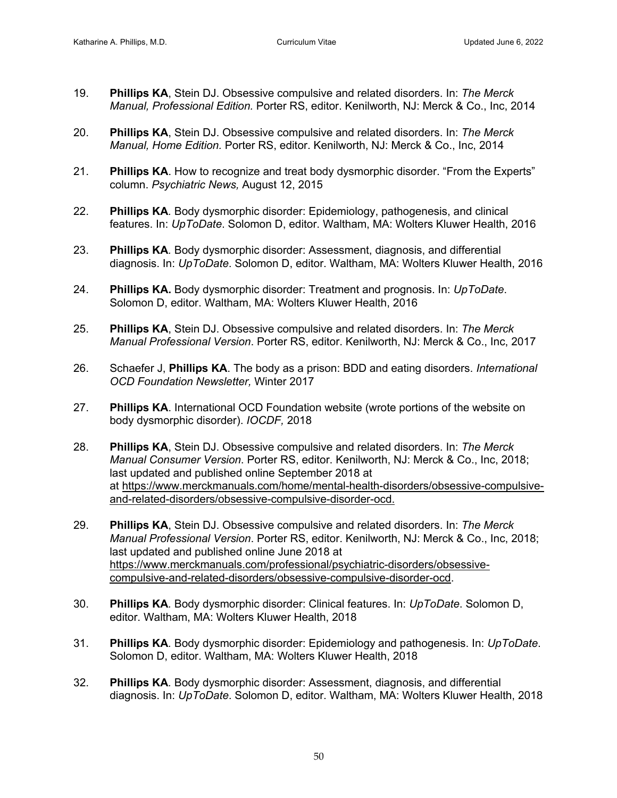- 19. **Phillips KA**, Stein DJ. Obsessive compulsive and related disorders. In: *The Merck Manual, Professional Edition.* Porter RS, editor. Kenilworth, NJ: Merck & Co., Inc, 2014
- 20. **Phillips KA**, Stein DJ. Obsessive compulsive and related disorders. In: *The Merck Manual, Home Edition.* Porter RS, editor. Kenilworth, NJ: Merck & Co., Inc, 2014
- 21. **Phillips KA**. How to recognize and treat body dysmorphic disorder. "From the Experts" column. *Psychiatric News,* August 12, 2015
- 22. **Phillips KA***.* Body dysmorphic disorder: Epidemiology, pathogenesis, and clinical features. In: *UpToDate*. Solomon D, editor. Waltham, MA: Wolters Kluwer Health, 2016
- 23. **Phillips KA***.* Body dysmorphic disorder: Assessment, diagnosis, and differential diagnosis. In: *UpToDate*. Solomon D, editor. Waltham, MA: Wolters Kluwer Health, 2016
- 24. **Phillips KA.** Body dysmorphic disorder: Treatment and prognosis. In: *UpToDate*. Solomon D, editor. Waltham, MA: Wolters Kluwer Health, 2016
- 25. **Phillips KA**, Stein DJ. Obsessive compulsive and related disorders. In: *The Merck Manual Professional Version*. Porter RS, editor. Kenilworth, NJ: Merck & Co., Inc, 2017
- 26. Schaefer J, **Phillips KA**. The body as a prison: BDD and eating disorders. *International OCD Foundation Newsletter,* Winter 2017
- 27. **Phillips KA**. International OCD Foundation website (wrote portions of the website on body dysmorphic disorder). *IOCDF,* 2018
- 28. **Phillips KA**, Stein DJ. Obsessive compulsive and related disorders. In: *The Merck Manual Consumer Version*. Porter RS, editor. Kenilworth, NJ: Merck & Co., Inc, 2018; last updated and published online September 2018 at at https://www.merckmanuals.com/home/mental-health-disorders/obsessive-compulsiveand-related-disorders/obsessive-compulsive-disorder-ocd.
- 29. **Phillips KA**, Stein DJ. Obsessive compulsive and related disorders. In: *The Merck Manual Professional Version*. Porter RS, editor. Kenilworth, NJ: Merck & Co., Inc, 2018; last updated and published online June 2018 at https://www.merckmanuals.com/professional/psychiatric-disorders/obsessivecompulsive-and-related-disorders/obsessive-compulsive-disorder-ocd.
- 30. **Phillips KA***.* Body dysmorphic disorder: Clinical features. In: *UpToDate*. Solomon D, editor. Waltham, MA: Wolters Kluwer Health, 2018
- 31. **Phillips KA***.* Body dysmorphic disorder: Epidemiology and pathogenesis. In: *UpToDate*. Solomon D, editor. Waltham, MA: Wolters Kluwer Health, 2018
- 32. **Phillips KA***.* Body dysmorphic disorder: Assessment, diagnosis, and differential diagnosis. In: *UpToDate*. Solomon D, editor. Waltham, MA: Wolters Kluwer Health, 2018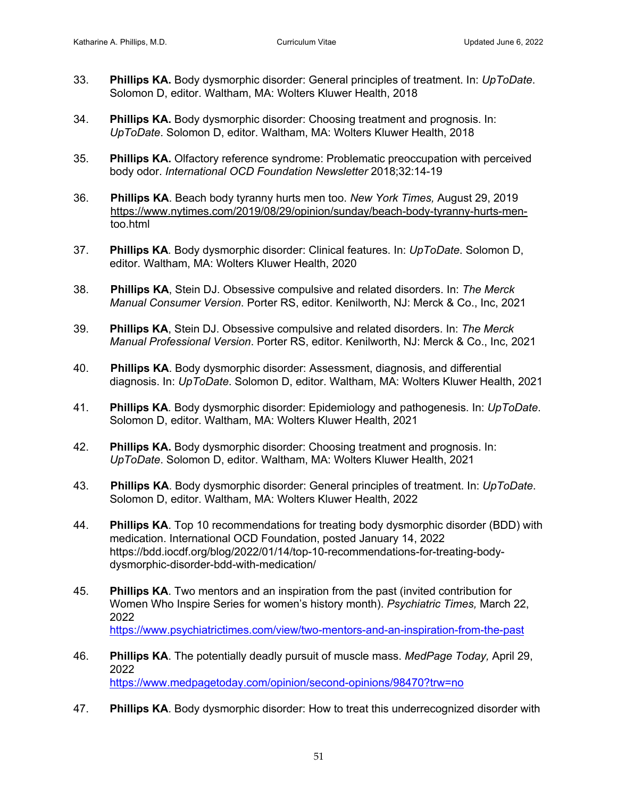- 33. **Phillips KA.** Body dysmorphic disorder: General principles of treatment. In: *UpToDate*. Solomon D, editor. Waltham, MA: Wolters Kluwer Health, 2018
- 34. **Phillips KA.** Body dysmorphic disorder: Choosing treatment and prognosis. In: *UpToDate*. Solomon D, editor. Waltham, MA: Wolters Kluwer Health, 2018
- 35. **Phillips KA.** Olfactory reference syndrome: Problematic preoccupation with perceived body odor. *International OCD Foundation Newsletter* 2018;32:14-19
- 36. **Phillips KA**. Beach body tyranny hurts men too. *New York Times,* August 29, 2019 https://www.nytimes.com/2019/08/29/opinion/sunday/beach-body-tyranny-hurts-men too.html
- 37. **Phillips KA***.* Body dysmorphic disorder: Clinical features. In: *UpToDate*. Solomon D, editor. Waltham, MA: Wolters Kluwer Health, 2020
- 38. **Phillips KA**, Stein DJ. Obsessive compulsive and related disorders. In: *The Merck Manual Consumer Version*. Porter RS, editor. Kenilworth, NJ: Merck & Co., Inc, 2021
- 39. **Phillips KA**, Stein DJ. Obsessive compulsive and related disorders. In: *The Merck Manual Professional Version*. Porter RS, editor. Kenilworth, NJ: Merck & Co., Inc, 2021
- 40. **Phillips KA**. Body dysmorphic disorder: Assessment, diagnosis, and differential diagnosis. In: *UpToDate*. Solomon D, editor. Waltham, MA: Wolters Kluwer Health, 2021
- 41. **Phillips KA***.* Body dysmorphic disorder: Epidemiology and pathogenesis. In: *UpToDate*. Solomon D, editor. Waltham, MA: Wolters Kluwer Health, 2021
- 42. **Phillips KA.** Body dysmorphic disorder: Choosing treatment and prognosis. In: *UpToDate*. Solomon D, editor. Waltham, MA: Wolters Kluwer Health, 2021
- 43. **Phillips KA**. Body dysmorphic disorder: General principles of treatment. In: *UpToDate*. Solomon D, editor. Waltham, MA: Wolters Kluwer Health, 2022
- 44. **Phillips KA**. Top 10 recommendations for treating body dysmorphic disorder (BDD) with medication. International OCD Foundation, posted January 14, 2022 https://bdd.iocdf.org/blog/2022/01/14/top-10-recommendations-for-treating-bodydysmorphic-disorder-bdd-with-medication/
- 45. **Phillips KA**. Two mentors and an inspiration from the past (invited contribution for Women Who Inspire Series for women's history month). *Psychiatric Times,* March 22, 2022 https://www.psychiatrictimes.com/view/two-mentors-and-an-inspiration-from-the-past
- 46. **Phillips KA**. The potentially deadly pursuit of muscle mass. *MedPage Today,* April 29, 2022 https://www.medpagetoday.com/opinion/second-opinions/98470?trw=no
- 47. **Phillips KA**. Body dysmorphic disorder: How to treat this underrecognized disorder with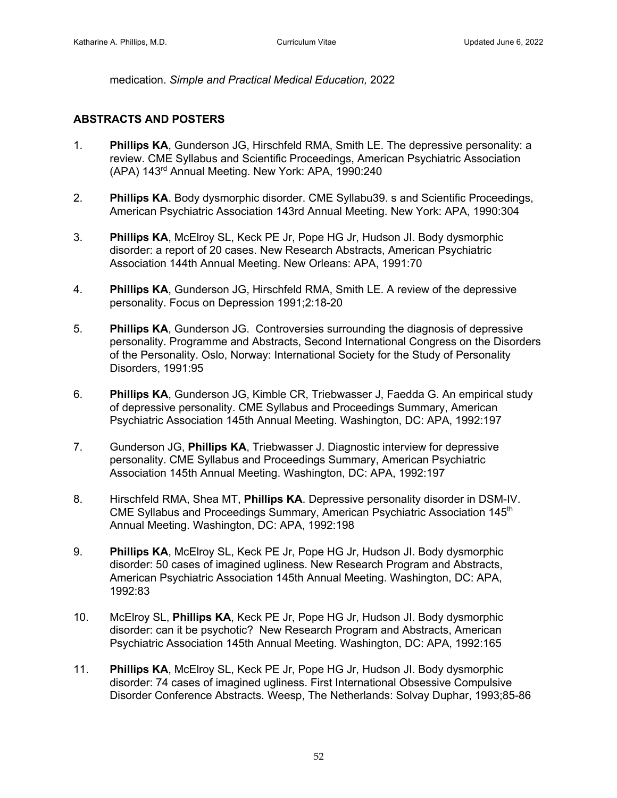medication. *Simple and Practical Medical Education,* 2022

## **ABSTRACTS AND POSTERS**

- 1. **Phillips KA**, Gunderson JG, Hirschfeld RMA, Smith LE. The depressive personality: a review. CME Syllabus and Scientific Proceedings, American Psychiatric Association (APA) 143rd Annual Meeting. New York: APA, 1990:240
- 2. **Phillips KA**. Body dysmorphic disorder. CME Syllabu39. s and Scientific Proceedings, American Psychiatric Association 143rd Annual Meeting. New York: APA, 1990:304
- 3. **Phillips KA**, McElroy SL, Keck PE Jr, Pope HG Jr, Hudson JI. Body dysmorphic disorder: a report of 20 cases. New Research Abstracts, American Psychiatric Association 144th Annual Meeting. New Orleans: APA, 1991:70
- 4. **Phillips KA**, Gunderson JG, Hirschfeld RMA, Smith LE. A review of the depressive personality. Focus on Depression 1991;2:18-20
- 5. **Phillips KA**, Gunderson JG. Controversies surrounding the diagnosis of depressive personality. Programme and Abstracts, Second International Congress on the Disorders of the Personality. Oslo, Norway: International Society for the Study of Personality Disorders, 1991:95
- 6. **Phillips KA**, Gunderson JG, Kimble CR, Triebwasser J, Faedda G. An empirical study of depressive personality. CME Syllabus and Proceedings Summary, American Psychiatric Association 145th Annual Meeting. Washington, DC: APA, 1992:197
- 7. Gunderson JG, **Phillips KA**, Triebwasser J. Diagnostic interview for depressive personality. CME Syllabus and Proceedings Summary, American Psychiatric Association 145th Annual Meeting. Washington, DC: APA, 1992:197
- 8. Hirschfeld RMA, Shea MT, **Phillips KA**. Depressive personality disorder in DSM-IV. CME Syllabus and Proceedings Summary, American Psychiatric Association 145th Annual Meeting. Washington, DC: APA, 1992:198
- 9. **Phillips KA**, McElroy SL, Keck PE Jr, Pope HG Jr, Hudson JI. Body dysmorphic disorder: 50 cases of imagined ugliness. New Research Program and Abstracts, American Psychiatric Association 145th Annual Meeting. Washington, DC: APA, 1992:83
- 10. McElroy SL, **Phillips KA**, Keck PE Jr, Pope HG Jr, Hudson JI. Body dysmorphic disorder: can it be psychotic? New Research Program and Abstracts, American Psychiatric Association 145th Annual Meeting. Washington, DC: APA, 1992:165
- 11. **Phillips KA**, McElroy SL, Keck PE Jr, Pope HG Jr, Hudson JI. Body dysmorphic disorder: 74 cases of imagined ugliness. First International Obsessive Compulsive Disorder Conference Abstracts. Weesp, The Netherlands: Solvay Duphar, 1993;85-86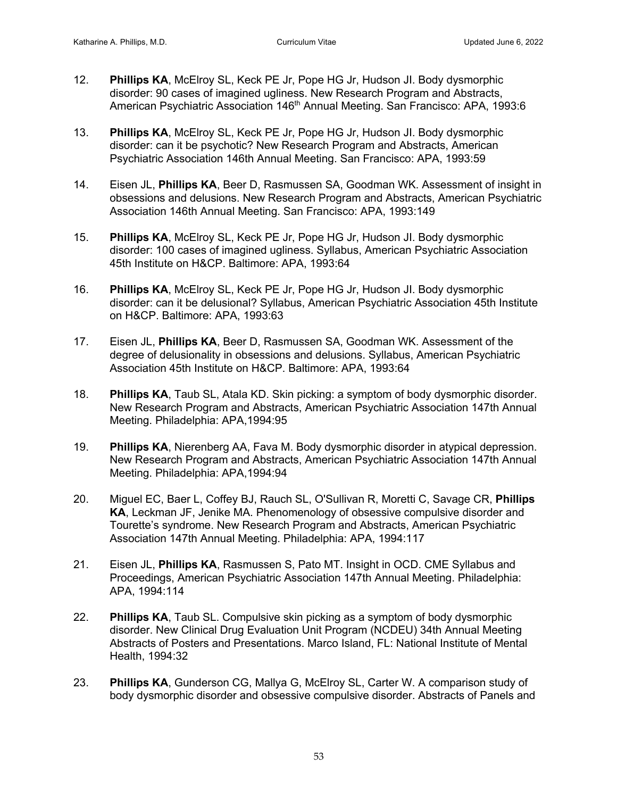- 12. **Phillips KA**, McElroy SL, Keck PE Jr, Pope HG Jr, Hudson JI. Body dysmorphic disorder: 90 cases of imagined ugliness. New Research Program and Abstracts, American Psychiatric Association 146<sup>th</sup> Annual Meeting. San Francisco: APA, 1993:6
- 13. **Phillips KA**, McElroy SL, Keck PE Jr, Pope HG Jr, Hudson JI. Body dysmorphic disorder: can it be psychotic? New Research Program and Abstracts, American Psychiatric Association 146th Annual Meeting. San Francisco: APA, 1993:59
- 14. Eisen JL, **Phillips KA**, Beer D, Rasmussen SA, Goodman WK. Assessment of insight in obsessions and delusions. New Research Program and Abstracts, American Psychiatric Association 146th Annual Meeting. San Francisco: APA, 1993:149
- 15. **Phillips KA**, McElroy SL, Keck PE Jr, Pope HG Jr, Hudson JI. Body dysmorphic disorder: 100 cases of imagined ugliness. Syllabus, American Psychiatric Association 45th Institute on H&CP. Baltimore: APA, 1993:64
- 16. **Phillips KA**, McElroy SL, Keck PE Jr, Pope HG Jr, Hudson JI. Body dysmorphic disorder: can it be delusional? Syllabus, American Psychiatric Association 45th Institute on H&CP. Baltimore: APA, 1993:63
- 17. Eisen JL, **Phillips KA**, Beer D, Rasmussen SA, Goodman WK. Assessment of the degree of delusionality in obsessions and delusions. Syllabus, American Psychiatric Association 45th Institute on H&CP. Baltimore: APA, 1993:64
- 18. **Phillips KA**, Taub SL, Atala KD. Skin picking: a symptom of body dysmorphic disorder. New Research Program and Abstracts, American Psychiatric Association 147th Annual Meeting. Philadelphia: APA,1994:95
- 19. **Phillips KA**, Nierenberg AA, Fava M. Body dysmorphic disorder in atypical depression. New Research Program and Abstracts, American Psychiatric Association 147th Annual Meeting. Philadelphia: APA,1994:94
- 20. Miguel EC, Baer L, Coffey BJ, Rauch SL, O'Sullivan R, Moretti C, Savage CR, **Phillips KA**, Leckman JF, Jenike MA. Phenomenology of obsessive compulsive disorder and Tourette's syndrome. New Research Program and Abstracts, American Psychiatric Association 147th Annual Meeting. Philadelphia: APA, 1994:117
- 21. Eisen JL, **Phillips KA**, Rasmussen S, Pato MT. Insight in OCD. CME Syllabus and Proceedings, American Psychiatric Association 147th Annual Meeting. Philadelphia: APA, 1994:114
- 22. **Phillips KA**, Taub SL. Compulsive skin picking as a symptom of body dysmorphic disorder. New Clinical Drug Evaluation Unit Program (NCDEU) 34th Annual Meeting Abstracts of Posters and Presentations. Marco Island, FL: National Institute of Mental Health, 1994:32
- 23. **Phillips KA**, Gunderson CG, Mallya G, McElroy SL, Carter W. A comparison study of body dysmorphic disorder and obsessive compulsive disorder. Abstracts of Panels and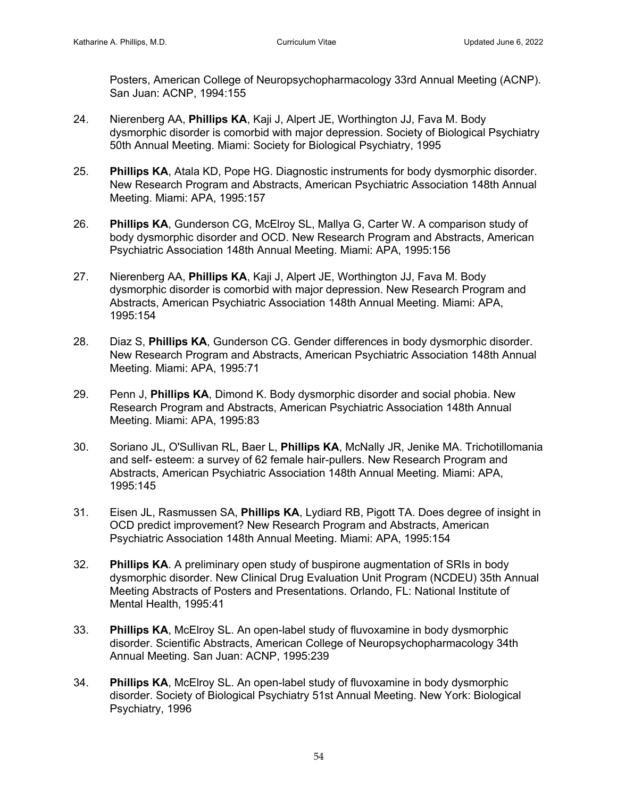Posters, American College of Neuropsychopharmacology 33rd Annual Meeting (ACNP). San Juan: ACNP, 1994:155

- 24. Nierenberg AA, **Phillips KA**, Kaji J, Alpert JE, Worthington JJ, Fava M. Body dysmorphic disorder is comorbid with major depression. Society of Biological Psychiatry 50th Annual Meeting. Miami: Society for Biological Psychiatry, 1995
- 25. **Phillips KA**, Atala KD, Pope HG. Diagnostic instruments for body dysmorphic disorder. New Research Program and Abstracts, American Psychiatric Association 148th Annual Meeting. Miami: APA, 1995:157
- 26. **Phillips KA**, Gunderson CG, McElroy SL, Mallya G, Carter W. A comparison study of body dysmorphic disorder and OCD. New Research Program and Abstracts, American Psychiatric Association 148th Annual Meeting. Miami: APA, 1995:156
- 27. Nierenberg AA, **Phillips KA**, Kaji J, Alpert JE, Worthington JJ, Fava M. Body dysmorphic disorder is comorbid with major depression. New Research Program and Abstracts, American Psychiatric Association 148th Annual Meeting. Miami: APA, 1995:154
- 28. Diaz S, **Phillips KA**, Gunderson CG. Gender differences in body dysmorphic disorder. New Research Program and Abstracts, American Psychiatric Association 148th Annual Meeting. Miami: APA, 1995:71
- 29. Penn J, **Phillips KA**, Dimond K. Body dysmorphic disorder and social phobia. New Research Program and Abstracts, American Psychiatric Association 148th Annual Meeting. Miami: APA, 1995:83
- 30. Soriano JL, O'Sullivan RL, Baer L, **Phillips KA**, McNally JR, Jenike MA. Trichotillomania and self- esteem: a survey of 62 female hair-pullers. New Research Program and Abstracts, American Psychiatric Association 148th Annual Meeting. Miami: APA, 1995:145
- 31. Eisen JL, Rasmussen SA, **Phillips KA**, Lydiard RB, Pigott TA. Does degree of insight in OCD predict improvement? New Research Program and Abstracts, American Psychiatric Association 148th Annual Meeting. Miami: APA, 1995:154
- 32. **Phillips KA**. A preliminary open study of buspirone augmentation of SRIs in body dysmorphic disorder. New Clinical Drug Evaluation Unit Program (NCDEU) 35th Annual Meeting Abstracts of Posters and Presentations. Orlando, FL: National Institute of Mental Health, 1995:41
- 33. **Phillips KA**, McElroy SL. An open-label study of fluvoxamine in body dysmorphic disorder. Scientific Abstracts, American College of Neuropsychopharmacology 34th Annual Meeting. San Juan: ACNP, 1995:239
- 34. **Phillips KA**, McElroy SL. An open-label study of fluvoxamine in body dysmorphic disorder. Society of Biological Psychiatry 51st Annual Meeting. New York: Biological Psychiatry, 1996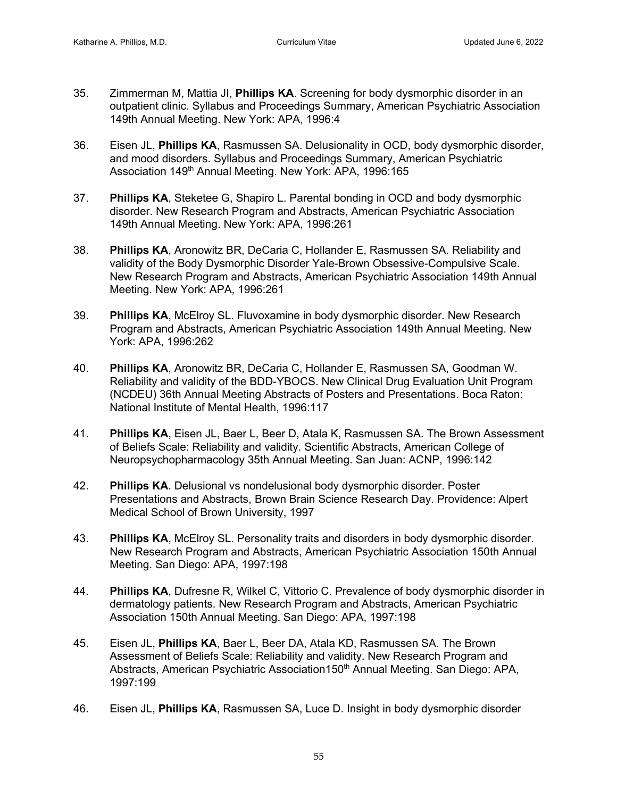- 35. Zimmerman M, Mattia JI, **Phillips KA**. Screening for body dysmorphic disorder in an outpatient clinic. Syllabus and Proceedings Summary, American Psychiatric Association 149th Annual Meeting. New York: APA, 1996:4
- 36. Eisen JL, **Phillips KA**, Rasmussen SA. Delusionality in OCD, body dysmorphic disorder, and mood disorders. Syllabus and Proceedings Summary, American Psychiatric Association 149<sup>th</sup> Annual Meeting. New York: APA, 1996:165
- 37. **Phillips KA**, Steketee G, Shapiro L. Parental bonding in OCD and body dysmorphic disorder. New Research Program and Abstracts, American Psychiatric Association 149th Annual Meeting. New York: APA, 1996:261
- 38. **Phillips KA**, Aronowitz BR, DeCaria C, Hollander E, Rasmussen SA. Reliability and validity of the Body Dysmorphic Disorder Yale-Brown Obsessive-Compulsive Scale. New Research Program and Abstracts, American Psychiatric Association 149th Annual Meeting. New York: APA, 1996:261
- 39. **Phillips KA**, McElroy SL. Fluvoxamine in body dysmorphic disorder. New Research Program and Abstracts, American Psychiatric Association 149th Annual Meeting. New York: APA, 1996:262
- 40. **Phillips KA**, Aronowitz BR, DeCaria C, Hollander E, Rasmussen SA, Goodman W. Reliability and validity of the BDD-YBOCS. New Clinical Drug Evaluation Unit Program (NCDEU) 36th Annual Meeting Abstracts of Posters and Presentations. Boca Raton: National Institute of Mental Health, 1996:117
- 41. **Phillips KA**, Eisen JL, Baer L, Beer D, Atala K, Rasmussen SA. The Brown Assessment of Beliefs Scale: Reliability and validity. Scientific Abstracts, American College of Neuropsychopharmacology 35th Annual Meeting. San Juan: ACNP, 1996:142
- 42. **Phillips KA**. Delusional vs nondelusional body dysmorphic disorder. Poster Presentations and Abstracts, Brown Brain Science Research Day. Providence: Alpert Medical School of Brown University, 1997
- 43. **Phillips KA**, McElroy SL. Personality traits and disorders in body dysmorphic disorder. New Research Program and Abstracts, American Psychiatric Association 150th Annual Meeting. San Diego: APA, 1997:198
- 44. **Phillips KA**, Dufresne R, Wilkel C, Vittorio C. Prevalence of body dysmorphic disorder in dermatology patients. New Research Program and Abstracts, American Psychiatric Association 150th Annual Meeting. San Diego: APA, 1997:198
- 45. Eisen JL, **Phillips KA**, Baer L, Beer DA, Atala KD, Rasmussen SA. The Brown Assessment of Beliefs Scale: Reliability and validity. New Research Program and Abstracts, American Psychiatric Association150<sup>th</sup> Annual Meeting. San Diego: APA, 1997:199
- 46. Eisen JL, **Phillips KA**, Rasmussen SA, Luce D. Insight in body dysmorphic disorder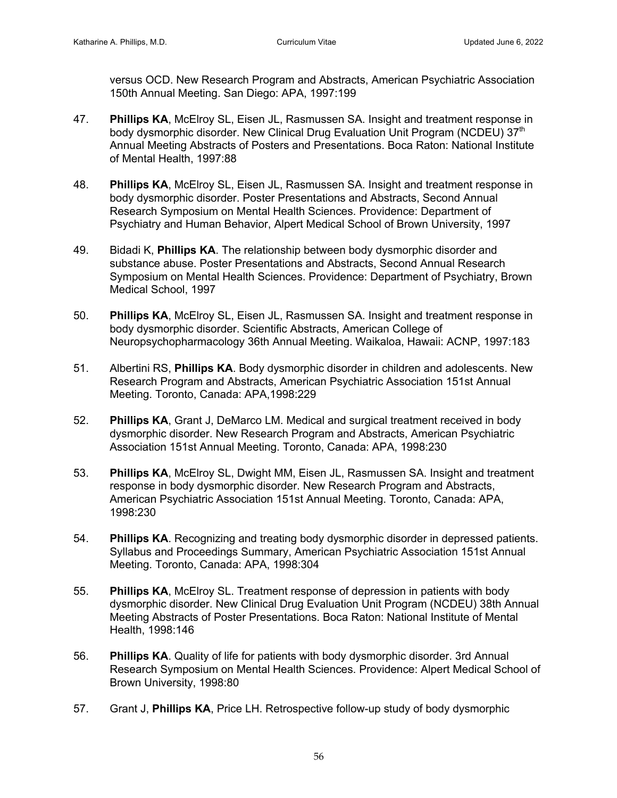versus OCD. New Research Program and Abstracts, American Psychiatric Association 150th Annual Meeting. San Diego: APA, 1997:199

- 47. **Phillips KA**, McElroy SL, Eisen JL, Rasmussen SA. Insight and treatment response in body dysmorphic disorder. New Clinical Drug Evaluation Unit Program (NCDEU) 37<sup>th</sup> Annual Meeting Abstracts of Posters and Presentations. Boca Raton: National Institute of Mental Health, 1997:88
- 48. **Phillips KA**, McElroy SL, Eisen JL, Rasmussen SA. Insight and treatment response in body dysmorphic disorder. Poster Presentations and Abstracts, Second Annual Research Symposium on Mental Health Sciences. Providence: Department of Psychiatry and Human Behavior, Alpert Medical School of Brown University, 1997
- 49. Bidadi K, **Phillips KA**. The relationship between body dysmorphic disorder and substance abuse. Poster Presentations and Abstracts, Second Annual Research Symposium on Mental Health Sciences. Providence: Department of Psychiatry, Brown Medical School, 1997
- 50. **Phillips KA**, McElroy SL, Eisen JL, Rasmussen SA. Insight and treatment response in body dysmorphic disorder. Scientific Abstracts, American College of Neuropsychopharmacology 36th Annual Meeting. Waikaloa, Hawaii: ACNP, 1997:183
- 51. Albertini RS, **Phillips KA**. Body dysmorphic disorder in children and adolescents. New Research Program and Abstracts, American Psychiatric Association 151st Annual Meeting. Toronto, Canada: APA,1998:229
- 52. **Phillips KA**, Grant J, DeMarco LM. Medical and surgical treatment received in body dysmorphic disorder. New Research Program and Abstracts, American Psychiatric Association 151st Annual Meeting. Toronto, Canada: APA, 1998:230
- 53. **Phillips KA**, McElroy SL, Dwight MM, Eisen JL, Rasmussen SA. Insight and treatment response in body dysmorphic disorder. New Research Program and Abstracts, American Psychiatric Association 151st Annual Meeting. Toronto, Canada: APA, 1998:230
- 54. **Phillips KA**. Recognizing and treating body dysmorphic disorder in depressed patients. Syllabus and Proceedings Summary, American Psychiatric Association 151st Annual Meeting. Toronto, Canada: APA, 1998:304
- 55. **Phillips KA**, McElroy SL. Treatment response of depression in patients with body dysmorphic disorder. New Clinical Drug Evaluation Unit Program (NCDEU) 38th Annual Meeting Abstracts of Poster Presentations. Boca Raton: National Institute of Mental Health, 1998:146
- 56. **Phillips KA**. Quality of life for patients with body dysmorphic disorder. 3rd Annual Research Symposium on Mental Health Sciences. Providence: Alpert Medical School of Brown University, 1998:80
- 57. Grant J, **Phillips KA**, Price LH. Retrospective follow-up study of body dysmorphic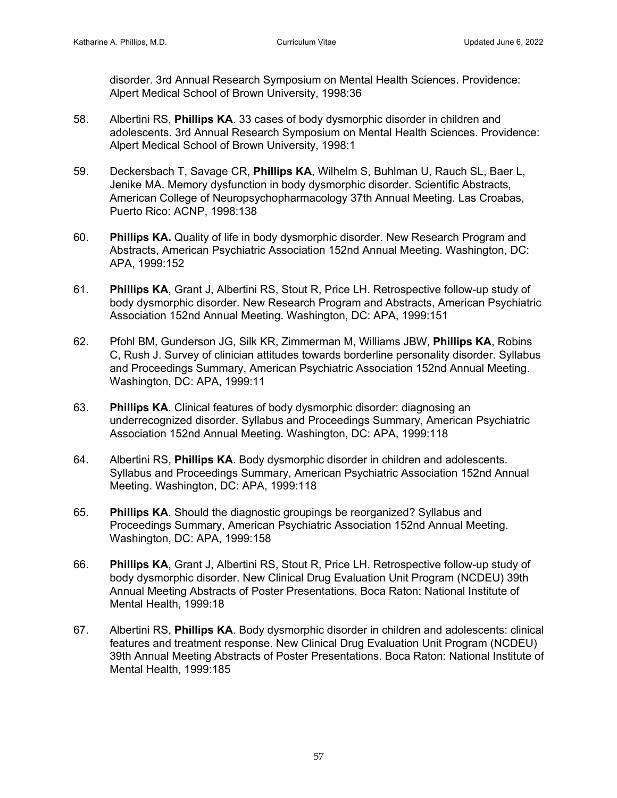disorder. 3rd Annual Research Symposium on Mental Health Sciences. Providence: Alpert Medical School of Brown University, 1998:36

- 58. Albertini RS, **Phillips KA**. 33 cases of body dysmorphic disorder in children and adolescents. 3rd Annual Research Symposium on Mental Health Sciences. Providence: Alpert Medical School of Brown University, 1998:1
- 59. Deckersbach T, Savage CR, **Phillips KA**, Wilhelm S, Buhlman U, Rauch SL, Baer L, Jenike MA. Memory dysfunction in body dysmorphic disorder. Scientific Abstracts, American College of Neuropsychopharmacology 37th Annual Meeting. Las Croabas, Puerto Rico: ACNP, 1998:138
- 60. **Phillips KA.** Quality of life in body dysmorphic disorder. New Research Program and Abstracts, American Psychiatric Association 152nd Annual Meeting. Washington, DC: APA, 1999:152
- 61. **Phillips KA**, Grant J, Albertini RS, Stout R, Price LH. Retrospective follow-up study of body dysmorphic disorder. New Research Program and Abstracts, American Psychiatric Association 152nd Annual Meeting. Washington, DC: APA, 1999:151
- 62. Pfohl BM, Gunderson JG, Silk KR, Zimmerman M, Williams JBW, **Phillips KA**, Robins C, Rush J. Survey of clinician attitudes towards borderline personality disorder. Syllabus and Proceedings Summary, American Psychiatric Association 152nd Annual Meeting. Washington, DC: APA, 1999:11
- 63. **Phillips KA**. Clinical features of body dysmorphic disorder: diagnosing an underrecognized disorder. Syllabus and Proceedings Summary, American Psychiatric Association 152nd Annual Meeting. Washington, DC: APA, 1999:118
- 64. Albertini RS, **Phillips KA**. Body dysmorphic disorder in children and adolescents. Syllabus and Proceedings Summary, American Psychiatric Association 152nd Annual Meeting. Washington, DC: APA, 1999:118
- 65. **Phillips KA**. Should the diagnostic groupings be reorganized? Syllabus and Proceedings Summary, American Psychiatric Association 152nd Annual Meeting. Washington, DC: APA, 1999:158
- 66. **Phillips KA**, Grant J, Albertini RS, Stout R, Price LH. Retrospective follow-up study of body dysmorphic disorder. New Clinical Drug Evaluation Unit Program (NCDEU) 39th Annual Meeting Abstracts of Poster Presentations. Boca Raton: National Institute of Mental Health, 1999:18
- 67. Albertini RS, **Phillips KA**. Body dysmorphic disorder in children and adolescents: clinical features and treatment response. New Clinical Drug Evaluation Unit Program (NCDEU) 39th Annual Meeting Abstracts of Poster Presentations. Boca Raton: National Institute of Mental Health, 1999:185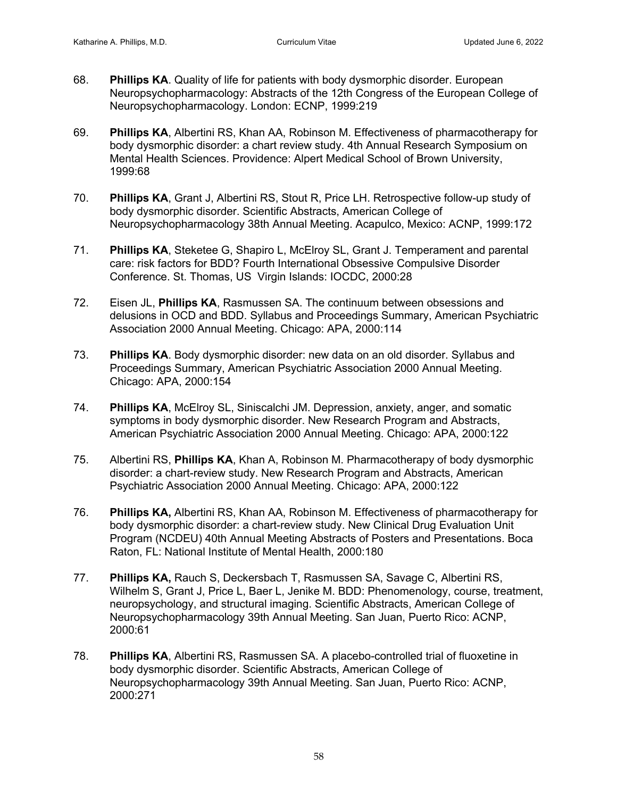- 68. **Phillips KA**. Quality of life for patients with body dysmorphic disorder. European Neuropsychopharmacology: Abstracts of the 12th Congress of the European College of Neuropsychopharmacology. London: ECNP, 1999:219
- 69. **Phillips KA**, Albertini RS, Khan AA, Robinson M. Effectiveness of pharmacotherapy for body dysmorphic disorder: a chart review study. 4th Annual Research Symposium on Mental Health Sciences. Providence: Alpert Medical School of Brown University, 1999:68
- 70. **Phillips KA**, Grant J, Albertini RS, Stout R, Price LH. Retrospective follow-up study of body dysmorphic disorder. Scientific Abstracts, American College of Neuropsychopharmacology 38th Annual Meeting. Acapulco, Mexico: ACNP, 1999:172
- 71. **Phillips KA**, Steketee G, Shapiro L, McElroy SL, Grant J. Temperament and parental care: risk factors for BDD? Fourth International Obsessive Compulsive Disorder Conference. St. Thomas, US Virgin Islands: IOCDC, 2000:28
- 72. Eisen JL, **Phillips KA**, Rasmussen SA. The continuum between obsessions and delusions in OCD and BDD. Syllabus and Proceedings Summary, American Psychiatric Association 2000 Annual Meeting. Chicago: APA, 2000:114
- 73. **Phillips KA**. Body dysmorphic disorder: new data on an old disorder. Syllabus and Proceedings Summary, American Psychiatric Association 2000 Annual Meeting. Chicago: APA, 2000:154
- 74. **Phillips KA**, McElroy SL, Siniscalchi JM. Depression, anxiety, anger, and somatic symptoms in body dysmorphic disorder. New Research Program and Abstracts, American Psychiatric Association 2000 Annual Meeting. Chicago: APA, 2000:122
- 75. Albertini RS, **Phillips KA**, Khan A, Robinson M. Pharmacotherapy of body dysmorphic disorder: a chart-review study. New Research Program and Abstracts, American Psychiatric Association 2000 Annual Meeting. Chicago: APA, 2000:122
- 76. **Phillips KA,** Albertini RS, Khan AA, Robinson M. Effectiveness of pharmacotherapy for body dysmorphic disorder: a chart-review study. New Clinical Drug Evaluation Unit Program (NCDEU) 40th Annual Meeting Abstracts of Posters and Presentations. Boca Raton, FL: National Institute of Mental Health, 2000:180
- 77. **Phillips KA,** Rauch S, Deckersbach T, Rasmussen SA, Savage C, Albertini RS, Wilhelm S, Grant J, Price L, Baer L, Jenike M. BDD: Phenomenology, course, treatment, neuropsychology, and structural imaging. Scientific Abstracts, American College of Neuropsychopharmacology 39th Annual Meeting. San Juan, Puerto Rico: ACNP, 2000:61
- 78. **Phillips KA**, Albertini RS, Rasmussen SA. A placebo-controlled trial of fluoxetine in body dysmorphic disorder. Scientific Abstracts, American College of Neuropsychopharmacology 39th Annual Meeting. San Juan, Puerto Rico: ACNP, 2000:271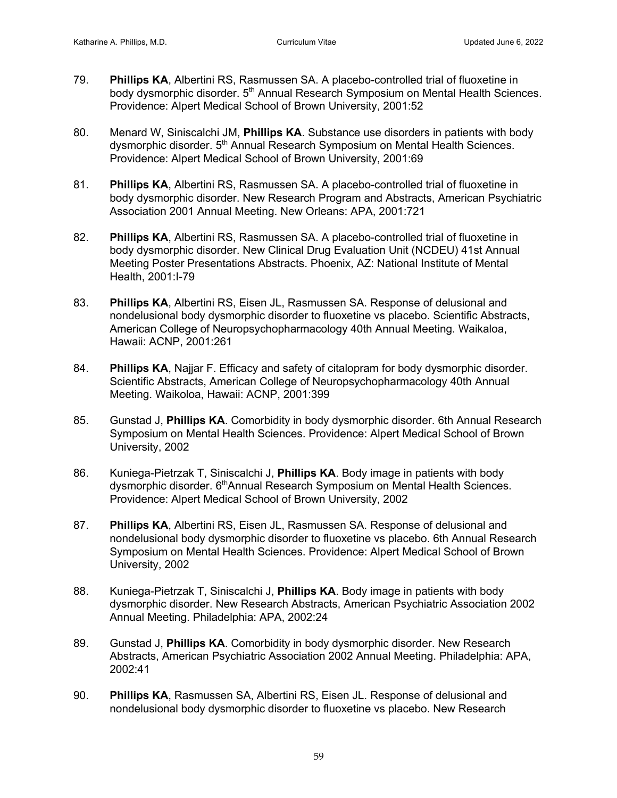- 79. **Phillips KA**, Albertini RS, Rasmussen SA. A placebo-controlled trial of fluoxetine in body dysmorphic disorder. 5<sup>th</sup> Annual Research Symposium on Mental Health Sciences. Providence: Alpert Medical School of Brown University, 2001:52
- 80. Menard W, Siniscalchi JM, **Phillips KA**. Substance use disorders in patients with body dysmorphic disorder. 5<sup>th</sup> Annual Research Symposium on Mental Health Sciences. Providence: Alpert Medical School of Brown University, 2001:69
- 81. **Phillips KA**, Albertini RS, Rasmussen SA. A placebo-controlled trial of fluoxetine in body dysmorphic disorder. New Research Program and Abstracts, American Psychiatric Association 2001 Annual Meeting. New Orleans: APA, 2001:721
- 82. **Phillips KA**, Albertini RS, Rasmussen SA. A placebo-controlled trial of fluoxetine in body dysmorphic disorder. New Clinical Drug Evaluation Unit (NCDEU) 41st Annual Meeting Poster Presentations Abstracts. Phoenix, AZ: National Institute of Mental Health, 2001:I-79
- 83. **Phillips KA**, Albertini RS, Eisen JL, Rasmussen SA. Response of delusional and nondelusional body dysmorphic disorder to fluoxetine vs placebo. Scientific Abstracts, American College of Neuropsychopharmacology 40th Annual Meeting. Waikaloa, Hawaii: ACNP, 2001:261
- 84. **Phillips KA**, Najjar F. Efficacy and safety of citalopram for body dysmorphic disorder. Scientific Abstracts, American College of Neuropsychopharmacology 40th Annual Meeting. Waikoloa, Hawaii: ACNP, 2001:399
- 85. Gunstad J, **Phillips KA**. Comorbidity in body dysmorphic disorder. 6th Annual Research Symposium on Mental Health Sciences. Providence: Alpert Medical School of Brown University, 2002
- 86. Kuniega-Pietrzak T, Siniscalchi J, **Phillips KA**. Body image in patients with body dysmorphic disorder. 6<sup>th</sup>Annual Research Symposium on Mental Health Sciences. Providence: Alpert Medical School of Brown University, 2002
- 87. **Phillips KA**, Albertini RS, Eisen JL, Rasmussen SA. Response of delusional and nondelusional body dysmorphic disorder to fluoxetine vs placebo. 6th Annual Research Symposium on Mental Health Sciences. Providence: Alpert Medical School of Brown University, 2002
- 88. Kuniega-Pietrzak T, Siniscalchi J, **Phillips KA**. Body image in patients with body dysmorphic disorder. New Research Abstracts, American Psychiatric Association 2002 Annual Meeting. Philadelphia: APA, 2002:24
- 89. Gunstad J, **Phillips KA**. Comorbidity in body dysmorphic disorder. New Research Abstracts, American Psychiatric Association 2002 Annual Meeting. Philadelphia: APA, 2002:41
- 90. **Phillips KA**, Rasmussen SA, Albertini RS, Eisen JL. Response of delusional and nondelusional body dysmorphic disorder to fluoxetine vs placebo. New Research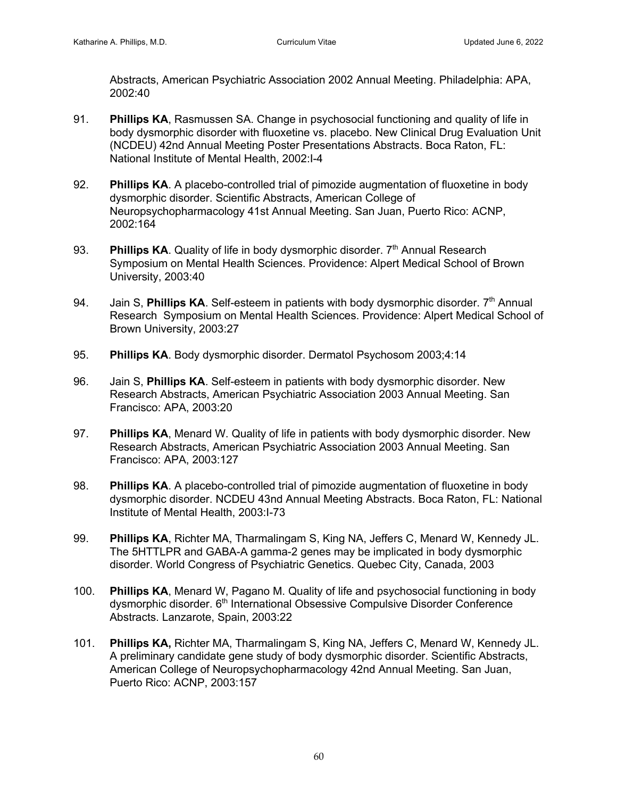Abstracts, American Psychiatric Association 2002 Annual Meeting. Philadelphia: APA, 2002:40

- 91. **Phillips KA**, Rasmussen SA. Change in psychosocial functioning and quality of life in body dysmorphic disorder with fluoxetine vs. placebo. New Clinical Drug Evaluation Unit (NCDEU) 42nd Annual Meeting Poster Presentations Abstracts. Boca Raton, FL: National Institute of Mental Health, 2002:I-4
- 92. **Phillips KA**. A placebo-controlled trial of pimozide augmentation of fluoxetine in body dysmorphic disorder. Scientific Abstracts, American College of Neuropsychopharmacology 41st Annual Meeting. San Juan, Puerto Rico: ACNP, 2002:164
- 93. **Phillips KA**. Quality of life in body dysmorphic disorder. 7<sup>th</sup> Annual Research Symposium on Mental Health Sciences. Providence: Alpert Medical School of Brown University, 2003:40
- 94. Jain S, **Phillips KA**. Self-esteem in patients with body dysmorphic disorder. 7<sup>th</sup> Annual Research Symposium on Mental Health Sciences. Providence: Alpert Medical School of Brown University, 2003:27
- 95. **Phillips KA**. Body dysmorphic disorder. Dermatol Psychosom 2003;4:14
- 96. Jain S, **Phillips KA**. Self-esteem in patients with body dysmorphic disorder. New Research Abstracts, American Psychiatric Association 2003 Annual Meeting. San Francisco: APA, 2003:20
- 97. **Phillips KA**, Menard W. Quality of life in patients with body dysmorphic disorder. New Research Abstracts, American Psychiatric Association 2003 Annual Meeting. San Francisco: APA, 2003:127
- 98. **Phillips KA**. A placebo-controlled trial of pimozide augmentation of fluoxetine in body dysmorphic disorder. NCDEU 43nd Annual Meeting Abstracts. Boca Raton, FL: National Institute of Mental Health, 2003:I-73
- 99. **Phillips KA**, Richter MA, Tharmalingam S, King NA, Jeffers C, Menard W, Kennedy JL. The 5HTTLPR and GABA-A gamma-2 genes may be implicated in body dysmorphic disorder. World Congress of Psychiatric Genetics. Quebec City, Canada, 2003
- 100. **Phillips KA**, Menard W, Pagano M. Quality of life and psychosocial functioning in body dysmorphic disorder. 6th International Obsessive Compulsive Disorder Conference Abstracts. Lanzarote, Spain, 2003:22
- 101. **Phillips KA,** Richter MA, Tharmalingam S, King NA, Jeffers C, Menard W, Kennedy JL. A preliminary candidate gene study of body dysmorphic disorder. Scientific Abstracts, American College of Neuropsychopharmacology 42nd Annual Meeting. San Juan, Puerto Rico: ACNP, 2003:157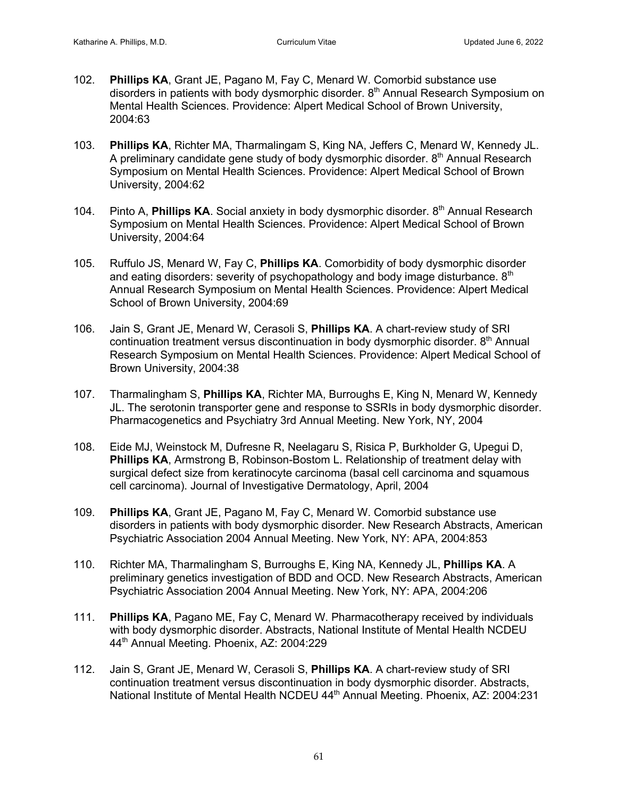- 102. **Phillips KA**, Grant JE, Pagano M, Fay C, Menard W. Comorbid substance use disorders in patients with body dysmorphic disorder.  $8<sup>th</sup>$  Annual Research Symposium on Mental Health Sciences. Providence: Alpert Medical School of Brown University, 2004:63
- 103. **Phillips KA**, Richter MA, Tharmalingam S, King NA, Jeffers C, Menard W, Kennedy JL. A preliminary candidate gene study of body dysmorphic disorder.  $8<sup>th</sup>$  Annual Research Symposium on Mental Health Sciences. Providence: Alpert Medical School of Brown University, 2004:62
- 104. Pinto A, **Phillips KA**. Social anxiety in body dysmorphic disorder. 8<sup>th</sup> Annual Research Symposium on Mental Health Sciences. Providence: Alpert Medical School of Brown University, 2004:64
- 105. Ruffulo JS, Menard W, Fay C, **Phillips KA**. Comorbidity of body dysmorphic disorder and eating disorders: severity of psychopathology and body image disturbance. 8<sup>th</sup> Annual Research Symposium on Mental Health Sciences. Providence: Alpert Medical School of Brown University, 2004:69
- 106. Jain S, Grant JE, Menard W, Cerasoli S, **Phillips KA**. A chart-review study of SRI continuation treatment versus discontinuation in body dysmorphic disorder. 8<sup>th</sup> Annual Research Symposium on Mental Health Sciences. Providence: Alpert Medical School of Brown University, 2004:38
- 107.Tharmalingham S, **Phillips KA**, Richter MA, Burroughs E, King N, Menard W, Kennedy JL. The serotonin transporter gene and response to SSRIs in body dysmorphic disorder. Pharmacogenetics and Psychiatry 3rd Annual Meeting. New York, NY, 2004
- 108. Eide MJ, Weinstock M, Dufresne R, Neelagaru S, Risica P, Burkholder G, Upegui D, **Phillips KA**, Armstrong B, Robinson-Bostom L. Relationship of treatment delay with surgical defect size from keratinocyte carcinoma (basal cell carcinoma and squamous cell carcinoma). Journal of Investigative Dermatology, April, 2004
- 109. **Phillips KA**, Grant JE, Pagano M, Fay C, Menard W. Comorbid substance use disorders in patients with body dysmorphic disorder. New Research Abstracts, American Psychiatric Association 2004 Annual Meeting. New York, NY: APA, 2004:853
- 110. Richter MA, Tharmalingham S, Burroughs E, King NA, Kennedy JL, **Phillips KA**. A preliminary genetics investigation of BDD and OCD. New Research Abstracts, American Psychiatric Association 2004 Annual Meeting. New York, NY: APA, 2004:206
- 111. **Phillips KA**, Pagano ME, Fay C, Menard W. Pharmacotherapy received by individuals with body dysmorphic disorder. Abstracts, National Institute of Mental Health NCDEU 44<sup>th</sup> Annual Meeting. Phoenix, AZ: 2004:229
- 112. Jain S, Grant JE, Menard W, Cerasoli S, **Phillips KA**. A chart-review study of SRI continuation treatment versus discontinuation in body dysmorphic disorder. Abstracts, National Institute of Mental Health NCDEU 44<sup>th</sup> Annual Meeting. Phoenix, AZ: 2004:231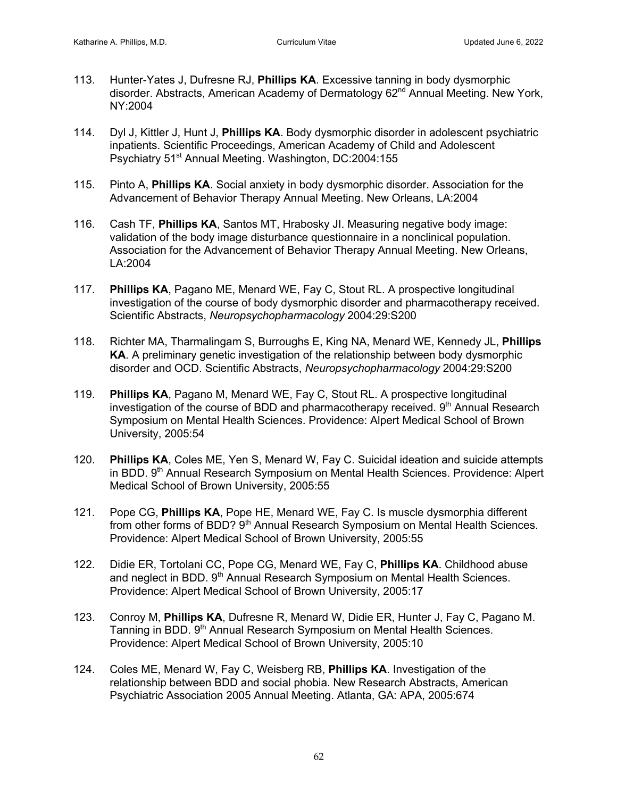- 113. Hunter-Yates J, Dufresne RJ, **Phillips KA**. Excessive tanning in body dysmorphic disorder. Abstracts, American Academy of Dermatology 62<sup>nd</sup> Annual Meeting. New York, NY:2004
- 114. Dyl J, Kittler J, Hunt J, **Phillips KA**. Body dysmorphic disorder in adolescent psychiatric inpatients. Scientific Proceedings, American Academy of Child and Adolescent Psychiatry 51<sup>st</sup> Annual Meeting. Washington, DC:2004:155
- 115. Pinto A, **Phillips KA**. Social anxiety in body dysmorphic disorder. Association for the Advancement of Behavior Therapy Annual Meeting. New Orleans, LA:2004
- 116. Cash TF, **Phillips KA**, Santos MT, Hrabosky JI. Measuring negative body image: validation of the body image disturbance questionnaire in a nonclinical population. Association for the Advancement of Behavior Therapy Annual Meeting. New Orleans, LA:2004
- 117. **Phillips KA**, Pagano ME, Menard WE, Fay C, Stout RL. A prospective longitudinal investigation of the course of body dysmorphic disorder and pharmacotherapy received. Scientific Abstracts, *Neuropsychopharmacology* 2004:29:S200
- 118. Richter MA, Tharmalingam S, Burroughs E, King NA, Menard WE, Kennedy JL, **Phillips KA**. A preliminary genetic investigation of the relationship between body dysmorphic disorder and OCD. Scientific Abstracts, *Neuropsychopharmacology* 2004:29:S200
- 119. **Phillips KA**, Pagano M, Menard WE, Fay C, Stout RL. A prospective longitudinal investigation of the course of BDD and pharmacotherapy received.  $9<sup>th</sup>$  Annual Research Symposium on Mental Health Sciences. Providence: Alpert Medical School of Brown University, 2005:54
- 120. **Phillips KA**, Coles ME, Yen S, Menard W, Fay C. Suicidal ideation and suicide attempts in BDD. 9<sup>th</sup> Annual Research Symposium on Mental Health Sciences. Providence: Alpert Medical School of Brown University, 2005:55
- 121. Pope CG, **Phillips KA**, Pope HE, Menard WE, Fay C. Is muscle dysmorphia different from other forms of BDD? 9<sup>th</sup> Annual Research Symposium on Mental Health Sciences. Providence: Alpert Medical School of Brown University, 2005:55
- 122. Didie ER, Tortolani CC, Pope CG, Menard WE, Fay C, **Phillips KA**. Childhood abuse and neglect in BDD. 9<sup>th</sup> Annual Research Symposium on Mental Health Sciences. Providence: Alpert Medical School of Brown University, 2005:17
- 123. Conroy M, **Phillips KA**, Dufresne R, Menard W, Didie ER, Hunter J, Fay C, Pagano M. Tanning in BDD. 9<sup>th</sup> Annual Research Symposium on Mental Health Sciences. Providence: Alpert Medical School of Brown University, 2005:10
- 124. Coles ME, Menard W, Fay C, Weisberg RB, **Phillips KA**. Investigation of the relationship between BDD and social phobia. New Research Abstracts, American Psychiatric Association 2005 Annual Meeting. Atlanta, GA: APA, 2005:674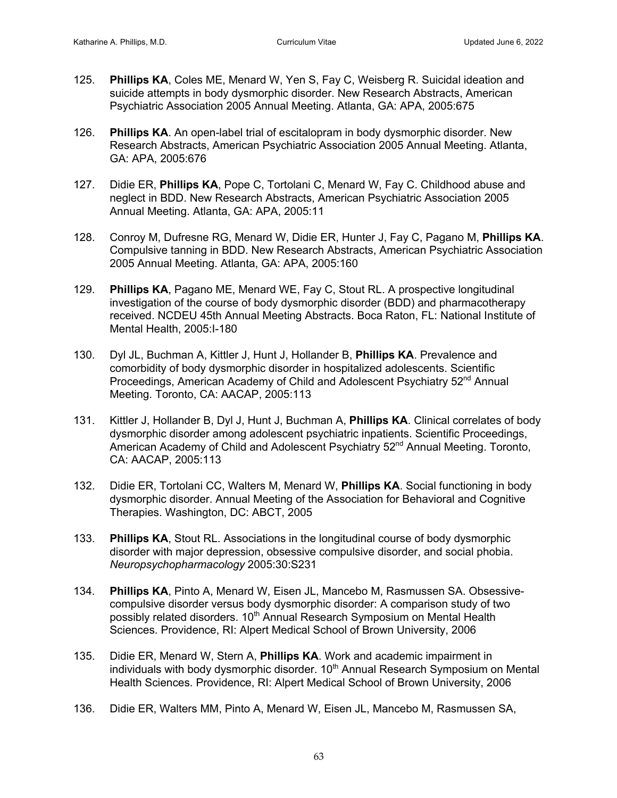- 125. **Phillips KA**, Coles ME, Menard W, Yen S, Fay C, Weisberg R. Suicidal ideation and suicide attempts in body dysmorphic disorder. New Research Abstracts, American Psychiatric Association 2005 Annual Meeting. Atlanta, GA: APA, 2005:675
- 126. **Phillips KA**. An open-label trial of escitalopram in body dysmorphic disorder. New Research Abstracts, American Psychiatric Association 2005 Annual Meeting. Atlanta, GA: APA, 2005:676
- 127. Didie ER, **Phillips KA**, Pope C, Tortolani C, Menard W, Fay C. Childhood abuse and neglect in BDD. New Research Abstracts, American Psychiatric Association 2005 Annual Meeting. Atlanta, GA: APA, 2005:11
- 128. Conroy M, Dufresne RG, Menard W, Didie ER, Hunter J, Fay C, Pagano M, **Phillips KA**. Compulsive tanning in BDD. New Research Abstracts, American Psychiatric Association 2005 Annual Meeting. Atlanta, GA: APA, 2005:160
- 129. **Phillips KA**, Pagano ME, Menard WE, Fay C, Stout RL. A prospective longitudinal investigation of the course of body dysmorphic disorder (BDD) and pharmacotherapy received. NCDEU 45th Annual Meeting Abstracts. Boca Raton, FL: National Institute of Mental Health, 2005:I-180
- 130. Dyl JL, Buchman A, Kittler J, Hunt J, Hollander B, **Phillips KA**. Prevalence and comorbidity of body dysmorphic disorder in hospitalized adolescents. Scientific Proceedings, American Academy of Child and Adolescent Psychiatry 52<sup>nd</sup> Annual Meeting. Toronto, CA: AACAP, 2005:113
- 131. Kittler J, Hollander B, Dyl J, Hunt J, Buchman A, **Phillips KA**. Clinical correlates of body dysmorphic disorder among adolescent psychiatric inpatients. Scientific Proceedings, American Academy of Child and Adolescent Psychiatry 52<sup>nd</sup> Annual Meeting. Toronto, CA: AACAP, 2005:113
- 132. Didie ER, Tortolani CC, Walters M, Menard W, **Phillips KA**. Social functioning in body dysmorphic disorder. Annual Meeting of the Association for Behavioral and Cognitive Therapies. Washington, DC: ABCT, 2005
- 133. **Phillips KA**, Stout RL. Associations in the longitudinal course of body dysmorphic disorder with major depression, obsessive compulsive disorder, and social phobia. *Neuropsychopharmacology* 2005:30:S231
- 134. **Phillips KA**, Pinto A, Menard W, Eisen JL, Mancebo M, Rasmussen SA. Obsessivecompulsive disorder versus body dysmorphic disorder: A comparison study of two possibly related disorders. 10<sup>th</sup> Annual Research Symposium on Mental Health Sciences. Providence, RI: Alpert Medical School of Brown University, 2006
- 135. Didie ER, Menard W, Stern A, **Phillips KA**. Work and academic impairment in individuals with body dysmorphic disorder.  $10<sup>th</sup>$  Annual Research Symposium on Mental Health Sciences. Providence, RI: Alpert Medical School of Brown University, 2006
- 136. Didie ER, Walters MM, Pinto A, Menard W, Eisen JL, Mancebo M, Rasmussen SA,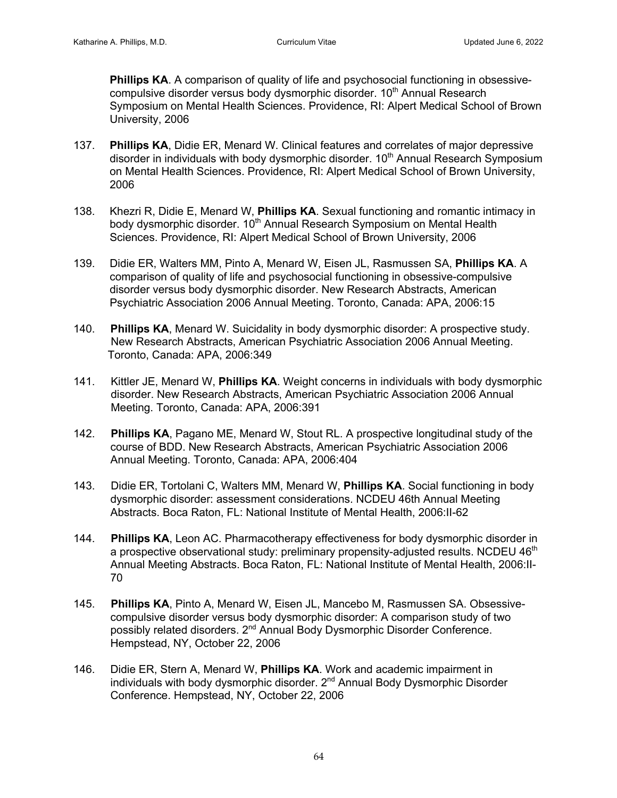**Phillips KA.** A comparison of quality of life and psychosocial functioning in obsessivecompulsive disorder versus body dysmorphic disorder.  $10<sup>th</sup>$  Annual Research Symposium on Mental Health Sciences. Providence, RI: Alpert Medical School of Brown University, 2006

- 137. **Phillips KA**, Didie ER, Menard W. Clinical features and correlates of major depressive disorder in individuals with body dysmorphic disorder. 10<sup>th</sup> Annual Research Symposium on Mental Health Sciences. Providence, RI: Alpert Medical School of Brown University, 2006
- 138. Khezri R, Didie E, Menard W, **Phillips KA**. Sexual functioning and romantic intimacy in body dysmorphic disorder. 10<sup>th</sup> Annual Research Symposium on Mental Health Sciences. Providence, RI: Alpert Medical School of Brown University, 2006
- 139. Didie ER, Walters MM, Pinto A, Menard W, Eisen JL, Rasmussen SA, **Phillips KA**. A comparison of quality of life and psychosocial functioning in obsessive-compulsive disorder versus body dysmorphic disorder. New Research Abstracts, American Psychiatric Association 2006 Annual Meeting. Toronto, Canada: APA, 2006:15
- 140. **Phillips KA**, Menard W. Suicidality in body dysmorphic disorder: A prospective study. New Research Abstracts, American Psychiatric Association 2006 Annual Meeting. Toronto, Canada: APA, 2006:349
- 141. Kittler JE, Menard W, **Phillips KA**. Weight concerns in individuals with body dysmorphic disorder. New Research Abstracts, American Psychiatric Association 2006 Annual Meeting. Toronto, Canada: APA, 2006:391
- 142. **Phillips KA**, Pagano ME, Menard W, Stout RL. A prospective longitudinal study of the course of BDD. New Research Abstracts, American Psychiatric Association 2006 Annual Meeting. Toronto, Canada: APA, 2006:404
- 143. Didie ER, Tortolani C, Walters MM, Menard W, **Phillips KA**. Social functioning in body dysmorphic disorder: assessment considerations. NCDEU 46th Annual Meeting Abstracts. Boca Raton, FL: National Institute of Mental Health, 2006:II-62
- 144. **Phillips KA**, Leon AC. Pharmacotherapy effectiveness for body dysmorphic disorder in a prospective observational study: preliminary propensity-adjusted results. NCDEU  $46<sup>th</sup>$  Annual Meeting Abstracts. Boca Raton, FL: National Institute of Mental Health, 2006:II- 70
- 145. **Phillips KA**, Pinto A, Menard W, Eisen JL, Mancebo M, Rasmussen SA. Obsessive compulsive disorder versus body dysmorphic disorder: A comparison study of two possibly related disorders. 2<sup>nd</sup> Annual Body Dysmorphic Disorder Conference. Hempstead, NY, October 22, 2006
- 146. Didie ER, Stern A, Menard W, **Phillips KA**. Work and academic impairment in individuals with body dysmorphic disorder.  $2<sup>nd</sup>$  Annual Body Dysmorphic Disorder Conference. Hempstead, NY, October 22, 2006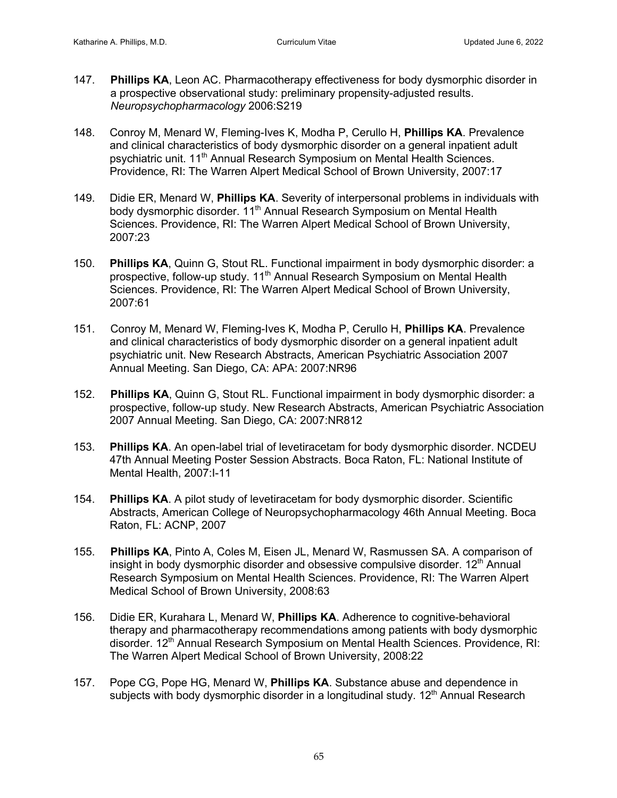- 147. **Phillips KA**, Leon AC. Pharmacotherapy effectiveness for body dysmorphic disorder in a prospective observational study: preliminary propensity-adjusted results. *Neuropsychopharmacology* 2006:S219
- 148. Conroy M, Menard W, Fleming-Ives K, Modha P, Cerullo H, **Phillips KA**. Prevalence and clinical characteristics of body dysmorphic disorder on a general inpatient adult psychiatric unit. 11<sup>th</sup> Annual Research Symposium on Mental Health Sciences. Providence, RI: The Warren Alpert Medical School of Brown University, 2007:17
- 149. Didie ER, Menard W, **Phillips KA**. Severity of interpersonal problems in individuals with body dysmorphic disorder. 11<sup>th</sup> Annual Research Symposium on Mental Health Sciences. Providence, RI: The Warren Alpert Medical School of Brown University, 2007:23
- 150. **Phillips KA**, Quinn G, Stout RL. Functional impairment in body dysmorphic disorder: a prospective, follow-up study. 11<sup>th</sup> Annual Research Symposium on Mental Health Sciences. Providence, RI: The Warren Alpert Medical School of Brown University, 2007:61
- 151.Conroy M, Menard W, Fleming-Ives K, Modha P, Cerullo H, **Phillips KA**. Prevalence and clinical characteristics of body dysmorphic disorder on a general inpatient adult psychiatric unit. New Research Abstracts, American Psychiatric Association 2007 Annual Meeting. San Diego, CA: APA: 2007:NR96
- 152. **Phillips KA**, Quinn G, Stout RL. Functional impairment in body dysmorphic disorder: a prospective, follow-up study. New Research Abstracts, American Psychiatric Association 2007 Annual Meeting. San Diego, CA: 2007:NR812
- 153. **Phillips KA**. An open-label trial of levetiracetam for body dysmorphic disorder. NCDEU 47th Annual Meeting Poster Session Abstracts. Boca Raton, FL: National Institute of Mental Health, 2007:I-11
- 154. **Phillips KA**. A pilot study of levetiracetam for body dysmorphic disorder. Scientific Abstracts, American College of Neuropsychopharmacology 46th Annual Meeting. Boca Raton, FL: ACNP, 2007
- 155. **Phillips KA**, Pinto A, Coles M, Eisen JL, Menard W, Rasmussen SA. A comparison of insight in body dysmorphic disorder and obsessive compulsive disorder.  $12<sup>th</sup>$  Annual Research Symposium on Mental Health Sciences. Providence, RI: The Warren Alpert Medical School of Brown University, 2008:63
- 156. Didie ER, Kurahara L, Menard W, **Phillips KA**. Adherence to cognitive-behavioral therapy and pharmacotherapy recommendations among patients with body dysmorphic disorder. 12<sup>th</sup> Annual Research Symposium on Mental Health Sciences. Providence, RI: The Warren Alpert Medical School of Brown University, 2008:22
- 157. Pope CG, Pope HG, Menard W, **Phillips KA**. Substance abuse and dependence in subjects with body dysmorphic disorder in a longitudinal study.  $12<sup>th</sup>$  Annual Research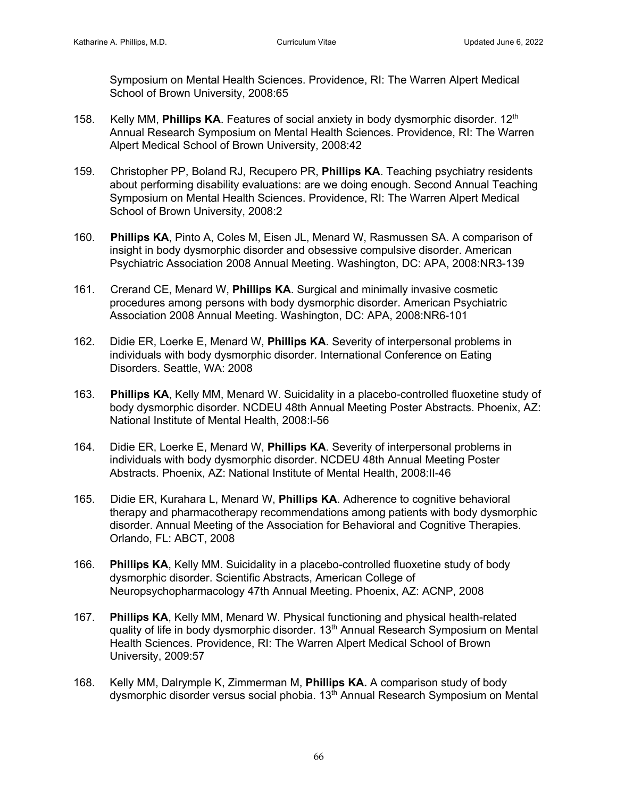Symposium on Mental Health Sciences. Providence, RI: The Warren Alpert Medical School of Brown University, 2008:65

- 158. Kelly MM, **Phillips KA**. Features of social anxiety in body dysmorphic disorder. 12<sup>th</sup> Annual Research Symposium on Mental Health Sciences. Providence, RI: The Warren Alpert Medical School of Brown University, 2008:42
- 159. Christopher PP, Boland RJ, Recupero PR, **Phillips KA**. Teaching psychiatry residents about performing disability evaluations: are we doing enough. Second Annual Teaching Symposium on Mental Health Sciences. Providence, RI: The Warren Alpert Medical School of Brown University, 2008:2
- 160. **Phillips KA**, Pinto A, Coles M, Eisen JL, Menard W, Rasmussen SA. A comparison of insight in body dysmorphic disorder and obsessive compulsive disorder. American Psychiatric Association 2008 Annual Meeting. Washington, DC: APA, 2008:NR3-139
- 161. Crerand CE, Menard W, **Phillips KA**. Surgical and minimally invasive cosmetic procedures among persons with body dysmorphic disorder. American Psychiatric Association 2008 Annual Meeting. Washington, DC: APA, 2008:NR6-101
- 162. Didie ER, Loerke E, Menard W, **Phillips KA**. Severity of interpersonal problems in individuals with body dysmorphic disorder*.* International Conference on Eating Disorders. Seattle, WA: 2008
- 163. **Phillips KA**, Kelly MM, Menard W. Suicidality in a placebo-controlled fluoxetine study of body dysmorphic disorder. NCDEU 48th Annual Meeting Poster Abstracts. Phoenix, AZ: National Institute of Mental Health, 2008:I-56
- 164. Didie ER, Loerke E, Menard W, **Phillips KA**. Severity of interpersonal problems in individuals with body dysmorphic disorder. NCDEU 48th Annual Meeting Poster Abstracts. Phoenix, AZ: National Institute of Mental Health, 2008:II-46
- 165. Didie ER, Kurahara L, Menard W, **Phillips KA**. Adherence to cognitive behavioral therapy and pharmacotherapy recommendations among patients with body dysmorphic disorder. Annual Meeting of the Association for Behavioral and Cognitive Therapies. Orlando, FL: ABCT, 2008
- 166. **Phillips KA**, Kelly MM. Suicidality in a placebo-controlled fluoxetine study of body dysmorphic disorder. Scientific Abstracts, American College of Neuropsychopharmacology 47th Annual Meeting. Phoenix, AZ: ACNP, 2008
- 167. **Phillips KA**, Kelly MM, Menard W. Physical functioning and physical health-related quality of life in body dysmorphic disorder. 13<sup>th</sup> Annual Research Symposium on Mental Health Sciences. Providence, RI: The Warren Alpert Medical School of Brown University, 2009:57
- 168. Kelly MM, Dalrymple K, Zimmerman M, **Phillips KA.** A comparison study of body dysmorphic disorder versus social phobia. 13<sup>th</sup> Annual Research Symposium on Mental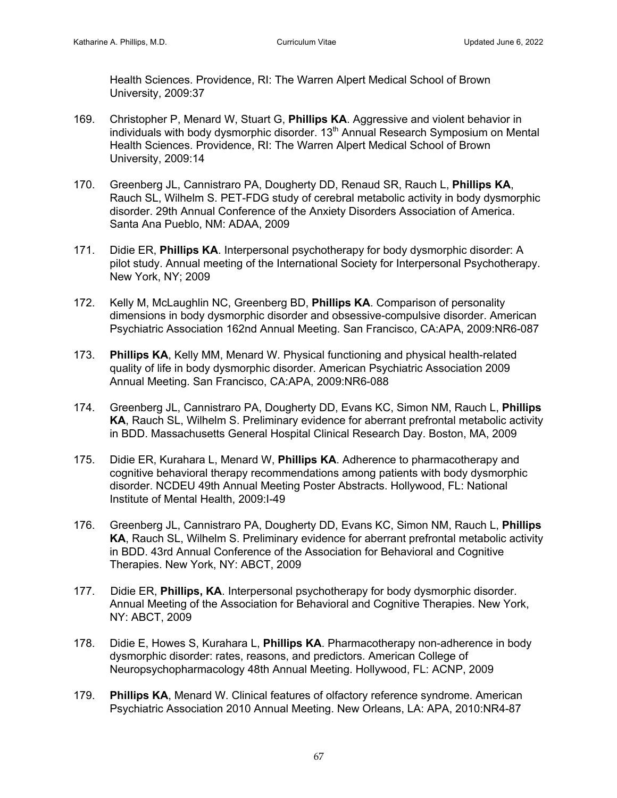Health Sciences. Providence, RI: The Warren Alpert Medical School of Brown University, 2009:37

- 169. Christopher P, Menard W, Stuart G, **Phillips KA**. Aggressive and violent behavior in individuals with body dysmorphic disorder. 13<sup>th</sup> Annual Research Symposium on Mental Health Sciences. Providence, RI: The Warren Alpert Medical School of Brown University, 2009:14
- 170. Greenberg JL, Cannistraro PA, Dougherty DD, Renaud SR, Rauch L, **Phillips KA**, Rauch SL, Wilhelm S. PET-FDG study of cerebral metabolic activity in body dysmorphic disorder. 29th Annual Conference of the Anxiety Disorders Association of America. Santa Ana Pueblo, NM: ADAA, 2009
- 171. Didie ER, **Phillips KA**. Interpersonal psychotherapy for body dysmorphic disorder: A pilot study. Annual meeting of the International Society for Interpersonal Psychotherapy. New York, NY; 2009
- 172. Kelly M, McLaughlin NC, Greenberg BD, **Phillips KA**. Comparison of personality dimensions in body dysmorphic disorder and obsessive-compulsive disorder. American Psychiatric Association 162nd Annual Meeting. San Francisco, CA:APA, 2009:NR6-087
- 173. **Phillips KA**, Kelly MM, Menard W. Physical functioning and physical health-related quality of life in body dysmorphic disorder. American Psychiatric Association 2009 Annual Meeting. San Francisco, CA:APA, 2009:NR6-088
- 174. Greenberg JL, Cannistraro PA, Dougherty DD, Evans KC, Simon NM, Rauch L, **Phillips KA**, Rauch SL, Wilhelm S. Preliminary evidence for aberrant prefrontal metabolic activity in BDD. Massachusetts General Hospital Clinical Research Day. Boston, MA, 2009
- 175. Didie ER, Kurahara L, Menard W, **Phillips KA**. Adherence to pharmacotherapy and cognitive behavioral therapy recommendations among patients with body dysmorphic disorder. NCDEU 49th Annual Meeting Poster Abstracts. Hollywood, FL: National Institute of Mental Health, 2009:I-49
- 176. Greenberg JL, Cannistraro PA, Dougherty DD, Evans KC, Simon NM, Rauch L, **Phillips KA**, Rauch SL, Wilhelm S. Preliminary evidence for aberrant prefrontal metabolic activity in BDD. 43rd Annual Conference of the Association for Behavioral and Cognitive Therapies. New York, NY: ABCT, 2009
- 177. Didie ER, **Phillips, KA**. Interpersonal psychotherapy for body dysmorphic disorder. Annual Meeting of the Association for Behavioral and Cognitive Therapies. New York, NY: ABCT, 2009
- 178. Didie E, Howes S, Kurahara L, **Phillips KA**. Pharmacotherapy non-adherence in body dysmorphic disorder: rates, reasons, and predictors. American College of Neuropsychopharmacology 48th Annual Meeting. Hollywood, FL: ACNP, 2009
- 179. **Phillips KA**, Menard W. Clinical features of olfactory reference syndrome. American Psychiatric Association 2010 Annual Meeting. New Orleans, LA: APA, 2010:NR4-87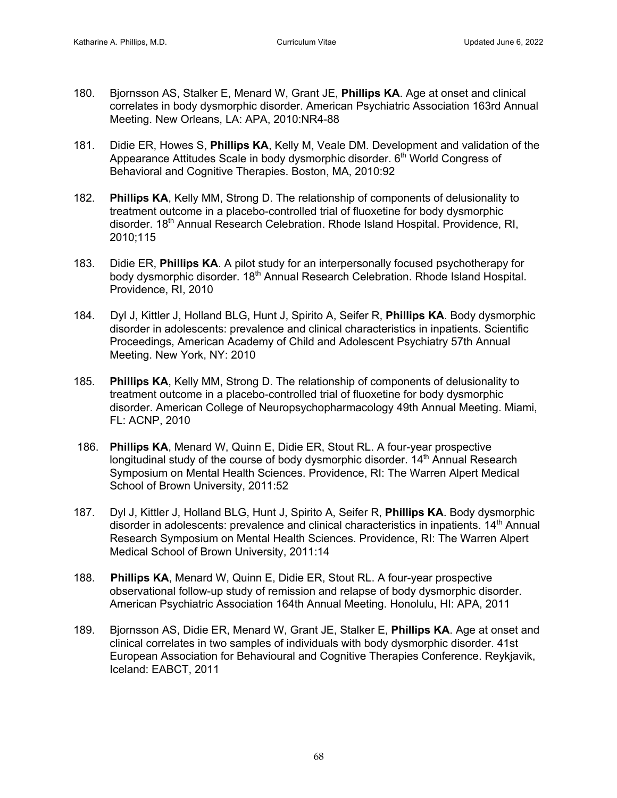- 180. Bjornsson AS, Stalker E, Menard W, Grant JE, **Phillips KA**. Age at onset and clinical correlates in body dysmorphic disorder. American Psychiatric Association 163rd Annual Meeting. New Orleans, LA: APA, 2010:NR4-88
- 181. Didie ER, Howes S, **Phillips KA**, Kelly M, Veale DM. Development and validation of the Appearance Attitudes Scale in body dysmorphic disorder. 6<sup>th</sup> World Congress of Behavioral and Cognitive Therapies. Boston, MA, 2010:92
- 182. **Phillips KA**, Kelly MM, Strong D. The relationship of components of delusionality to treatment outcome in a placebo-controlled trial of fluoxetine for body dysmorphic disorder. 18<sup>th</sup> Annual Research Celebration. Rhode Island Hospital. Providence, RI, 2010;115
- 183. Didie ER, **Phillips KA**. A pilot study for an interpersonally focused psychotherapy for body dysmorphic disorder. 18<sup>th</sup> Annual Research Celebration. Rhode Island Hospital. Providence, RI, 2010
- 184. Dyl J, Kittler J, Holland BLG, Hunt J, Spirito A, Seifer R, **Phillips KA**. Body dysmorphic disorder in adolescents: prevalence and clinical characteristics in inpatients. Scientific Proceedings, American Academy of Child and Adolescent Psychiatry 57th Annual Meeting. New York, NY: 2010
- 185. **Phillips KA**, Kelly MM, Strong D. The relationship of components of delusionality to treatment outcome in a placebo-controlled trial of fluoxetine for body dysmorphic disorder. American College of Neuropsychopharmacology 49th Annual Meeting. Miami, FL: ACNP, 2010
- 186. **Phillips KA**, Menard W, Quinn E, Didie ER, Stout RL. A four-year prospective longitudinal study of the course of body dysmorphic disorder. 14<sup>th</sup> Annual Research Symposium on Mental Health Sciences. Providence, RI: The Warren Alpert Medical School of Brown University, 2011:52
- 187. Dyl J, Kittler J, Holland BLG, Hunt J, Spirito A, Seifer R, **Phillips KA**. Body dysmorphic disorder in adolescents: prevalence and clinical characteristics in inpatients. 14<sup>th</sup> Annual Research Symposium on Mental Health Sciences. Providence, RI: The Warren Alpert Medical School of Brown University, 2011:14
- 188. **Phillips KA**, Menard W, Quinn E, Didie ER, Stout RL. A four-year prospective observational follow-up study of remission and relapse of body dysmorphic disorder. American Psychiatric Association 164th Annual Meeting. Honolulu, HI: APA, 2011
- 189. Bjornsson AS, Didie ER, Menard W, Grant JE, Stalker E, **Phillips KA**. Age at onset and clinical correlates in two samples of individuals with body dysmorphic disorder. 41st European Association for Behavioural and Cognitive Therapies Conference. Reykjavik, Iceland: EABCT, 2011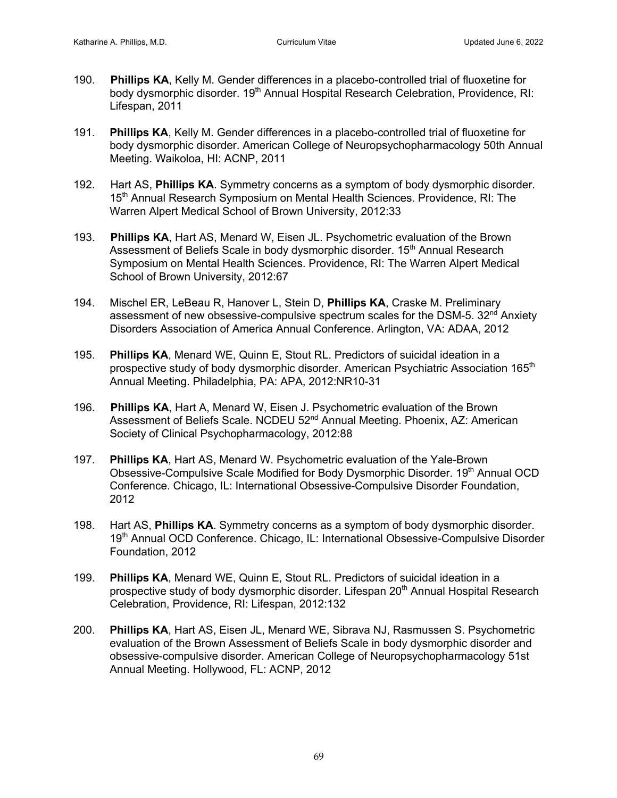- 190. **Phillips KA**, Kelly M. Gender differences in a placebo-controlled trial of fluoxetine for body dysmorphic disorder. 19<sup>th</sup> Annual Hospital Research Celebration, Providence, RI: Lifespan, 2011
- 191. **Phillips KA**, Kelly M. Gender differences in a placebo-controlled trial of fluoxetine for body dysmorphic disorder. American College of Neuropsychopharmacology 50th Annual Meeting. Waikoloa, HI: ACNP, 2011
- 192. Hart AS, **Phillips KA**. Symmetry concerns as a symptom of body dysmorphic disorder. 15th Annual Research Symposium on Mental Health Sciences. Providence, RI: The Warren Alpert Medical School of Brown University, 2012:33
- 193. **Phillips KA**, Hart AS, Menard W, Eisen JL. Psychometric evaluation of the Brown Assessment of Beliefs Scale in body dysmorphic disorder. 15<sup>th</sup> Annual Research Symposium on Mental Health Sciences. Providence, RI: The Warren Alpert Medical School of Brown University, 2012:67
- 194. Mischel ER, LeBeau R, Hanover L, Stein D, **Phillips KA**, Craske M. Preliminary assessment of new obsessive-compulsive spectrum scales for the DSM-5. 32<sup>nd</sup> Anxiety Disorders Association of America Annual Conference. Arlington, VA: ADAA, 2012
- 195. **Phillips KA**, Menard WE, Quinn E, Stout RL. Predictors of suicidal ideation in a prospective study of body dysmorphic disorder. American Psychiatric Association 165<sup>th</sup> Annual Meeting. Philadelphia, PA: APA, 2012:NR10-31
- 196. **Phillips KA**, Hart A, Menard W, Eisen J. Psychometric evaluation of the Brown Assessment of Beliefs Scale. NCDEU 52<sup>nd</sup> Annual Meeting. Phoenix, AZ: American Society of Clinical Psychopharmacology, 2012:88
- 197. **Phillips KA**, Hart AS, Menard W. Psychometric evaluation of the Yale-Brown Obsessive-Compulsive Scale Modified for Body Dysmorphic Disorder. 19th Annual OCD Conference. Chicago, IL: International Obsessive-Compulsive Disorder Foundation, 2012
- 198. Hart AS, **Phillips KA**. Symmetry concerns as a symptom of body dysmorphic disorder. 19<sup>th</sup> Annual OCD Conference. Chicago, IL: International Obsessive-Compulsive Disorder Foundation, 2012
- 199. **Phillips KA**, Menard WE, Quinn E, Stout RL. Predictors of suicidal ideation in a prospective study of body dysmorphic disorder. Lifespan 20<sup>th</sup> Annual Hospital Research Celebration, Providence, RI: Lifespan, 2012:132
- 200. **Phillips KA**, Hart AS, Eisen JL, Menard WE, Sibrava NJ, Rasmussen S. Psychometric evaluation of the Brown Assessment of Beliefs Scale in body dysmorphic disorder and obsessive-compulsive disorder. American College of Neuropsychopharmacology 51st Annual Meeting. Hollywood, FL: ACNP, 2012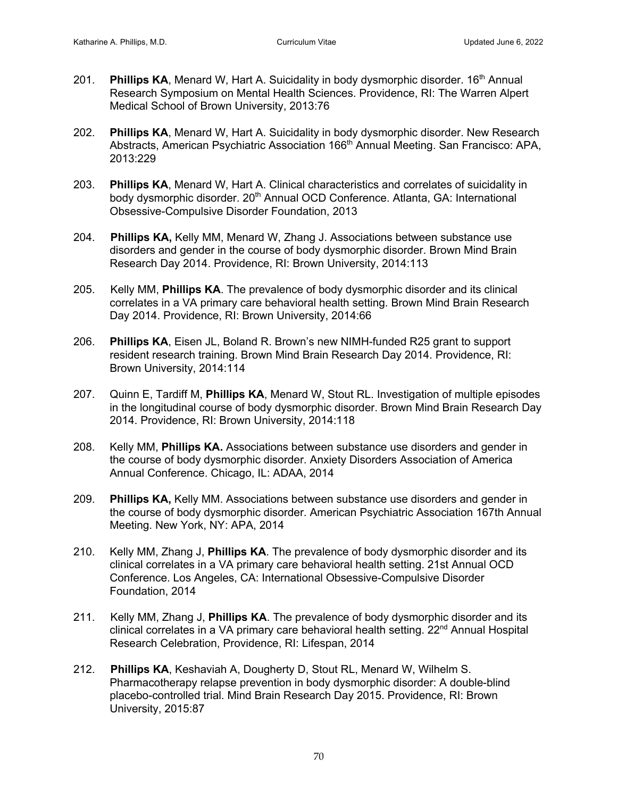- 201. **Phillips KA**, Menard W, Hart A. Suicidality in body dysmorphic disorder. 16<sup>th</sup> Annual Research Symposium on Mental Health Sciences. Providence, RI: The Warren Alpert Medical School of Brown University, 2013:76
- 202. **Phillips KA**, Menard W, Hart A. Suicidality in body dysmorphic disorder. New Research Abstracts, American Psychiatric Association 166th Annual Meeting. San Francisco: APA, 2013:229
- 203. **Phillips KA**, Menard W, Hart A. Clinical characteristics and correlates of suicidality in body dysmorphic disorder. 20<sup>th</sup> Annual OCD Conference. Atlanta, GA: International Obsessive-Compulsive Disorder Foundation, 2013
- 204. **Phillips KA,** Kelly MM, Menard W, Zhang J. Associations between substance use disorders and gender in the course of body dysmorphic disorder. Brown Mind Brain Research Day 2014. Providence, RI: Brown University, 2014:113
- 205. Kelly MM, **Phillips KA**. The prevalence of body dysmorphic disorder and its clinical correlates in a VA primary care behavioral health setting. Brown Mind Brain Research Day 2014. Providence, RI: Brown University, 2014:66
- 206. **Phillips KA**, Eisen JL, Boland R. Brown's new NIMH-funded R25 grant to support resident research training. Brown Mind Brain Research Day 2014. Providence, RI: Brown University, 2014:114
- 207. Quinn E, Tardiff M, **Phillips KA**, Menard W, Stout RL. Investigation of multiple episodes in the longitudinal course of body dysmorphic disorder. Brown Mind Brain Research Day 2014. Providence, RI: Brown University, 2014:118
- 208. Kelly MM, **Phillips KA.** Associations between substance use disorders and gender in the course of body dysmorphic disorder. Anxiety Disorders Association of America Annual Conference. Chicago, IL: ADAA, 2014
- 209. **Phillips KA,** Kelly MM. Associations between substance use disorders and gender in the course of body dysmorphic disorder. American Psychiatric Association 167th Annual Meeting. New York, NY: APA, 2014
- 210. Kelly MM, Zhang J, **Phillips KA**. The prevalence of body dysmorphic disorder and its clinical correlates in a VA primary care behavioral health setting. 21st Annual OCD Conference. Los Angeles, CA: International Obsessive-Compulsive Disorder Foundation, 2014
- 211. Kelly MM, Zhang J, **Phillips KA**. The prevalence of body dysmorphic disorder and its clinical correlates in a VA primary care behavioral health setting. 22<sup>nd</sup> Annual Hospital Research Celebration, Providence, RI: Lifespan, 2014
- 212. **Phillips KA**, Keshaviah A, Dougherty D, Stout RL, Menard W, Wilhelm S. Pharmacotherapy relapse prevention in body dysmorphic disorder: A double-blind placebo-controlled trial. Mind Brain Research Day 2015. Providence, RI: Brown University, 2015:87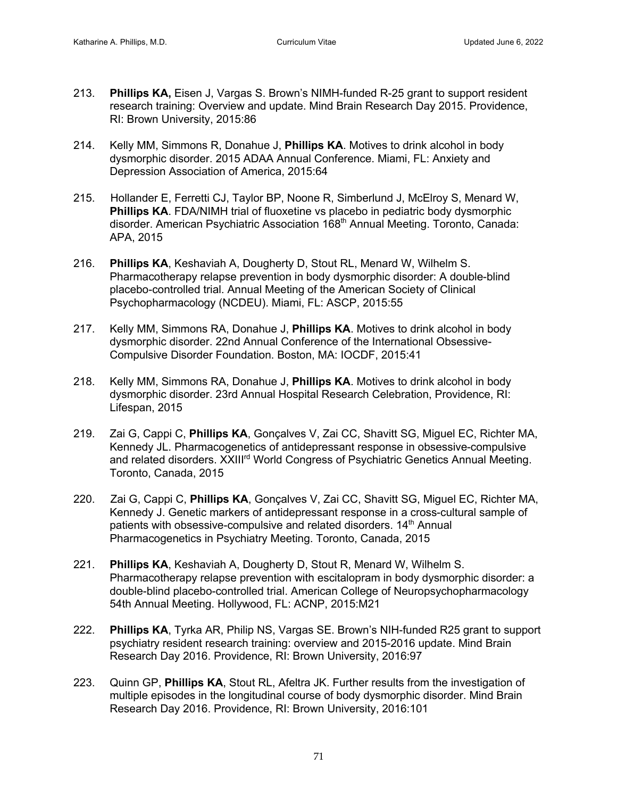- 213. **Phillips KA,** Eisen J, Vargas S. Brown's NIMH-funded R-25 grant to support resident research training: Overview and update. Mind Brain Research Day 2015. Providence, RI: Brown University, 2015:86
- 214. Kelly MM, Simmons R, Donahue J, **Phillips KA**. Motives to drink alcohol in body dysmorphic disorder. 2015 ADAA Annual Conference. Miami, FL: Anxiety and Depression Association of America, 2015:64
- 215. Hollander E, Ferretti CJ, Taylor BP, Noone R, Simberlund J, McElroy S, Menard W, **Phillips KA.** FDA/NIMH trial of fluoxetine vs placebo in pediatric body dysmorphic disorder. American Psychiatric Association 168<sup>th</sup> Annual Meeting. Toronto, Canada: APA, 2015
- 216. **Phillips KA**, Keshaviah A, Dougherty D, Stout RL, Menard W, Wilhelm S. Pharmacotherapy relapse prevention in body dysmorphic disorder: A double-blind placebo-controlled trial. Annual Meeting of the American Society of Clinical Psychopharmacology (NCDEU). Miami, FL: ASCP, 2015:55
- 217. Kelly MM, Simmons RA, Donahue J, **Phillips KA**. Motives to drink alcohol in body dysmorphic disorder. 22nd Annual Conference of the International Obsessive-Compulsive Disorder Foundation. Boston, MA: IOCDF, 2015:41
- 218. Kelly MM, Simmons RA, Donahue J, **Phillips KA**. Motives to drink alcohol in body dysmorphic disorder. 23rd Annual Hospital Research Celebration, Providence, RI: Lifespan, 2015
- 219. Zai G, Cappi C, **Phillips KA**, Gonçalves V, Zai CC, Shavitt SG, Miguel EC, Richter MA, Kennedy JL. Pharmacogenetics of antidepressant response in obsessive-compulsive and related disorders. XXIII<sup>rd</sup> World Congress of Psychiatric Genetics Annual Meeting. Toronto, Canada, 2015
- 220. Zai G, Cappi C, **Phillips KA**, Gonçalves V, Zai CC, Shavitt SG, Miguel EC, Richter MA, Kennedy J. Genetic markers of antidepressant response in a cross-cultural sample of patients with obsessive-compulsive and related disorders. 14<sup>th</sup> Annual Pharmacogenetics in Psychiatry Meeting. Toronto, Canada, 2015
- 221. **Phillips KA**, Keshaviah A, Dougherty D, Stout R, Menard W, Wilhelm S. Pharmacotherapy relapse prevention with escitalopram in body dysmorphic disorder: a double-blind placebo-controlled trial. American College of Neuropsychopharmacology 54th Annual Meeting. Hollywood, FL: ACNP, 2015:M21
- 222. **Phillips KA**, Tyrka AR, Philip NS, Vargas SE. Brown's NIH-funded R25 grant to support psychiatry resident research training: overview and 2015-2016 update. Mind Brain Research Day 2016. Providence, RI: Brown University, 2016:97
- 223. Quinn GP, **Phillips KA**, Stout RL, Afeltra JK. Further results from the investigation of multiple episodes in the longitudinal course of body dysmorphic disorder. Mind Brain Research Day 2016. Providence, RI: Brown University, 2016:101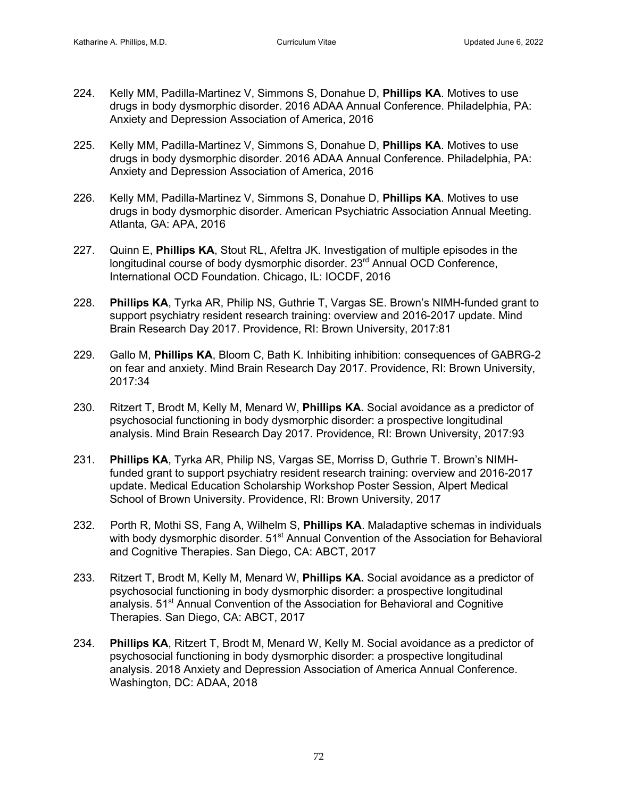- 224. Kelly MM, Padilla-Martinez V, Simmons S, Donahue D, **Phillips KA**. Motives to use drugs in body dysmorphic disorder. 2016 ADAA Annual Conference. Philadelphia, PA: Anxiety and Depression Association of America, 2016
- 225. Kelly MM, Padilla-Martinez V, Simmons S, Donahue D, **Phillips KA**. Motives to use drugs in body dysmorphic disorder. 2016 ADAA Annual Conference. Philadelphia, PA: Anxiety and Depression Association of America, 2016
- 226. Kelly MM, Padilla-Martinez V, Simmons S, Donahue D, **Phillips KA**. Motives to use drugs in body dysmorphic disorder. American Psychiatric Association Annual Meeting. Atlanta, GA: APA, 2016
- 227. Quinn E, **Phillips KA**, Stout RL, Afeltra JK. Investigation of multiple episodes in the longitudinal course of body dysmorphic disorder. 23<sup>rd</sup> Annual OCD Conference, International OCD Foundation. Chicago, IL: IOCDF, 2016
- 228. **Phillips KA**, Tyrka AR, Philip NS, Guthrie T, Vargas SE. Brown's NIMH-funded grant to support psychiatry resident research training: overview and 2016-2017 update. Mind Brain Research Day 2017. Providence, RI: Brown University, 2017:81
- 229. Gallo M, **Phillips KA**, Bloom C, Bath K. Inhibiting inhibition: consequences of GABRG-2 on fear and anxiety. Mind Brain Research Day 2017. Providence, RI: Brown University, 2017:34
- 230. Ritzert T, Brodt M, Kelly M, Menard W, **Phillips KA.** Social avoidance as a predictor of psychosocial functioning in body dysmorphic disorder: a prospective longitudinal analysis. Mind Brain Research Day 2017. Providence, RI: Brown University, 2017:93
- 231. **Phillips KA**, Tyrka AR, Philip NS, Vargas SE, Morriss D, Guthrie T. Brown's NIMHfunded grant to support psychiatry resident research training: overview and 2016-2017 update. Medical Education Scholarship Workshop Poster Session, Alpert Medical School of Brown University. Providence, RI: Brown University, 2017
- 232. Porth R, Mothi SS, Fang A, Wilhelm S, **Phillips KA**. Maladaptive schemas in individuals with body dysmorphic disorder. 51<sup>st</sup> Annual Convention of the Association for Behavioral and Cognitive Therapies. San Diego, CA: ABCT, 2017
- 233. Ritzert T, Brodt M, Kelly M, Menard W, **Phillips KA.** Social avoidance as a predictor of psychosocial functioning in body dysmorphic disorder: a prospective longitudinal analysis. 51<sup>st</sup> Annual Convention of the Association for Behavioral and Cognitive Therapies. San Diego, CA: ABCT, 2017
- 234. **Phillips KA**, Ritzert T, Brodt M, Menard W, Kelly M. Social avoidance as a predictor of psychosocial functioning in body dysmorphic disorder: a prospective longitudinal analysis. 2018 Anxiety and Depression Association of America Annual Conference. Washington, DC: ADAA, 2018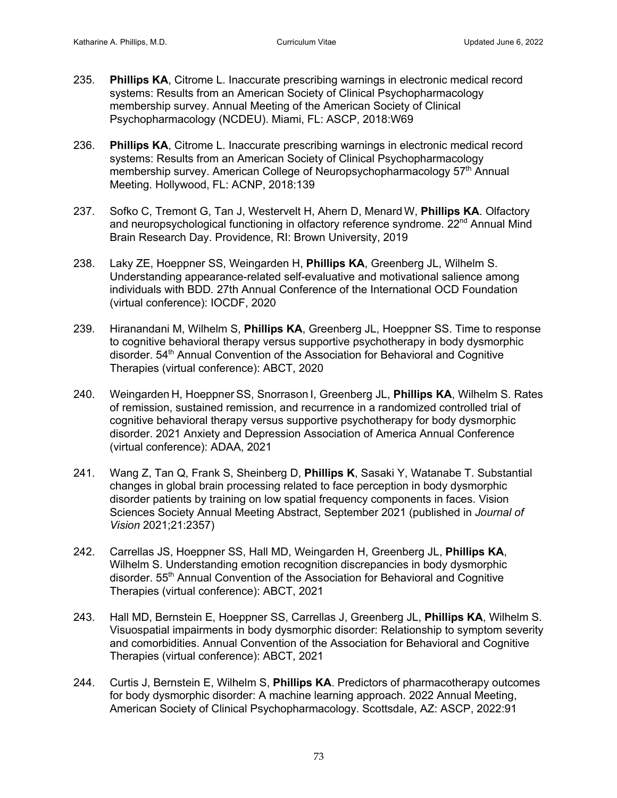- 235. **Phillips KA**, Citrome L. Inaccurate prescribing warnings in electronic medical record systems: Results from an American Society of Clinical Psychopharmacology membership survey. Annual Meeting of the American Society of Clinical Psychopharmacology (NCDEU). Miami, FL: ASCP, 2018:W69
- 236. **Phillips KA**, Citrome L. Inaccurate prescribing warnings in electronic medical record systems: Results from an American Society of Clinical Psychopharmacology membership survey. American College of Neuropsychopharmacology 57<sup>th</sup> Annual Meeting. Hollywood, FL: ACNP, 2018:139
- 237. Sofko C, Tremont G, Tan J, Westervelt H, Ahern D, Menard W, **Phillips KA**. Olfactory and neuropsychological functioning in olfactory reference syndrome. 22<sup>nd</sup> Annual Mind Brain Research Day. Providence, RI: Brown University, 2019
- 238. Laky ZE, Hoeppner SS, Weingarden H, **Phillips KA**, Greenberg JL, Wilhelm S. Understanding appearance-related self-evaluative and motivational salience among individuals with BDD*.* 27th Annual Conference of the International OCD Foundation (virtual conference): IOCDF, 2020
- 239. Hiranandani M, Wilhelm S, **Phillips KA**, Greenberg JL, Hoeppner SS. Time to response to cognitive behavioral therapy versus supportive psychotherapy in body dysmorphic disorder. 54<sup>th</sup> Annual Convention of the Association for Behavioral and Cognitive Therapies (virtual conference): ABCT, 2020
- 240. Weingarden H, Hoeppner SS, Snorrason I, Greenberg JL, **Phillips KA**, Wilhelm S. Rates of remission, sustained remission, and recurrence in a randomized controlled trial of cognitive behavioral therapy versus supportive psychotherapy for body dysmorphic disorder. 2021 Anxiety and Depression Association of America Annual Conference (virtual conference): ADAA, 2021
- 241. Wang Z, Tan Q, Frank S, Sheinberg D, **Phillips K**, Sasaki Y, Watanabe T. Substantial changes in global brain processing related to face perception in body dysmorphic disorder patients by training on low spatial frequency components in faces. Vision Sciences Society Annual Meeting Abstract, September 2021 (published in *Journal of Vision* 2021;21:2357)
- 242. Carrellas JS, Hoeppner SS, Hall MD, Weingarden H, Greenberg JL, **Phillips KA**, Wilhelm S. Understanding emotion recognition discrepancies in body dysmorphic disorder. 55<sup>th</sup> Annual Convention of the Association for Behavioral and Cognitive Therapies (virtual conference): ABCT, 2021
- 243. Hall MD, Bernstein E, Hoeppner SS, Carrellas J, Greenberg JL, **Phillips KA**, Wilhelm S. Visuospatial impairments in body dysmorphic disorder: Relationship to symptom severity and comorbidities. Annual Convention of the Association for Behavioral and Cognitive Therapies (virtual conference): ABCT, 2021
- 244. Curtis J, Bernstein E, Wilhelm S, **Phillips KA**. Predictors of pharmacotherapy outcomes for body dysmorphic disorder: A machine learning approach. 2022 Annual Meeting, American Society of Clinical Psychopharmacology. Scottsdale, AZ: ASCP, 2022:91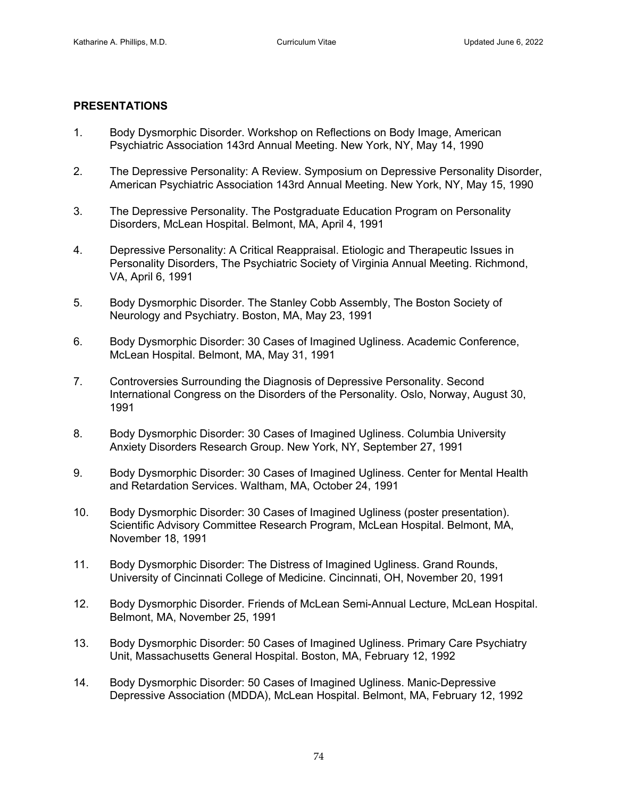## **PRESENTATIONS**

- 1. Body Dysmorphic Disorder. Workshop on Reflections on Body Image, American Psychiatric Association 143rd Annual Meeting. New York, NY, May 14, 1990
- 2. The Depressive Personality: A Review. Symposium on Depressive Personality Disorder, American Psychiatric Association 143rd Annual Meeting. New York, NY, May 15, 1990
- 3. The Depressive Personality. The Postgraduate Education Program on Personality Disorders, McLean Hospital. Belmont, MA, April 4, 1991
- 4. Depressive Personality: A Critical Reappraisal. Etiologic and Therapeutic Issues in Personality Disorders, The Psychiatric Society of Virginia Annual Meeting. Richmond, VA, April 6, 1991
- 5. Body Dysmorphic Disorder. The Stanley Cobb Assembly, The Boston Society of Neurology and Psychiatry. Boston, MA, May 23, 1991
- 6. Body Dysmorphic Disorder: 30 Cases of Imagined Ugliness. Academic Conference, McLean Hospital. Belmont, MA, May 31, 1991
- 7. Controversies Surrounding the Diagnosis of Depressive Personality. Second International Congress on the Disorders of the Personality. Oslo, Norway, August 30, 1991
- 8. Body Dysmorphic Disorder: 30 Cases of Imagined Ugliness. Columbia University Anxiety Disorders Research Group. New York, NY, September 27, 1991
- 9. Body Dysmorphic Disorder: 30 Cases of Imagined Ugliness. Center for Mental Health and Retardation Services. Waltham, MA, October 24, 1991
- 10. Body Dysmorphic Disorder: 30 Cases of Imagined Ugliness (poster presentation). Scientific Advisory Committee Research Program, McLean Hospital. Belmont, MA, November 18, 1991
- 11. Body Dysmorphic Disorder: The Distress of Imagined Ugliness. Grand Rounds, University of Cincinnati College of Medicine. Cincinnati, OH, November 20, 1991
- 12. Body Dysmorphic Disorder. Friends of McLean Semi-Annual Lecture, McLean Hospital. Belmont, MA, November 25, 1991
- 13. Body Dysmorphic Disorder: 50 Cases of Imagined Ugliness. Primary Care Psychiatry Unit, Massachusetts General Hospital. Boston, MA, February 12, 1992
- 14. Body Dysmorphic Disorder: 50 Cases of Imagined Ugliness. Manic-Depressive Depressive Association (MDDA), McLean Hospital. Belmont, MA, February 12, 1992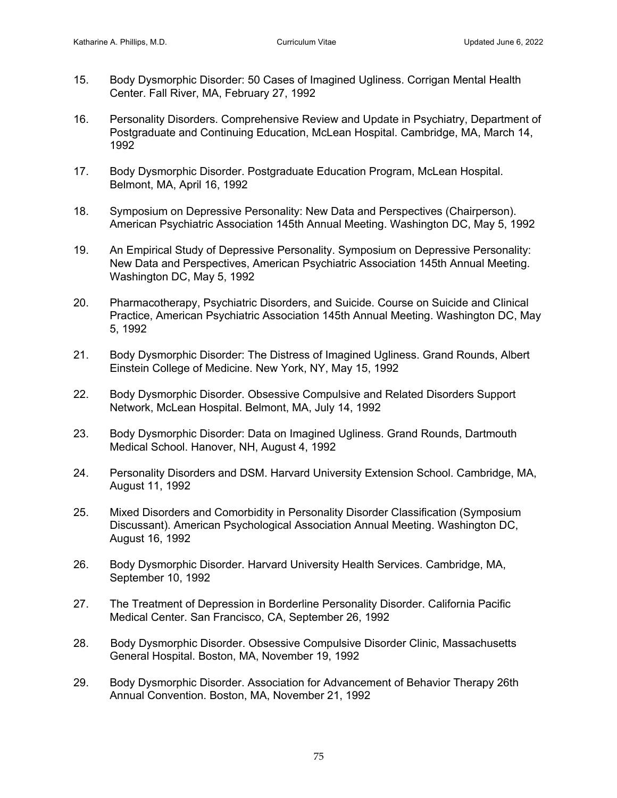- 15. Body Dysmorphic Disorder: 50 Cases of Imagined Ugliness. Corrigan Mental Health Center. Fall River, MA, February 27, 1992
- 16. Personality Disorders. Comprehensive Review and Update in Psychiatry, Department of Postgraduate and Continuing Education, McLean Hospital. Cambridge, MA, March 14, 1992
- 17. Body Dysmorphic Disorder. Postgraduate Education Program, McLean Hospital. Belmont, MA, April 16, 1992
- 18. Symposium on Depressive Personality: New Data and Perspectives (Chairperson). American Psychiatric Association 145th Annual Meeting. Washington DC, May 5, 1992
- 19. An Empirical Study of Depressive Personality. Symposium on Depressive Personality: New Data and Perspectives, American Psychiatric Association 145th Annual Meeting. Washington DC, May 5, 1992
- 20. Pharmacotherapy, Psychiatric Disorders, and Suicide. Course on Suicide and Clinical Practice, American Psychiatric Association 145th Annual Meeting. Washington DC, May 5, 1992
- 21. Body Dysmorphic Disorder: The Distress of Imagined Ugliness. Grand Rounds, Albert Einstein College of Medicine. New York, NY, May 15, 1992
- 22. Body Dysmorphic Disorder. Obsessive Compulsive and Related Disorders Support Network, McLean Hospital. Belmont, MA, July 14, 1992
- 23. Body Dysmorphic Disorder: Data on Imagined Ugliness. Grand Rounds, Dartmouth Medical School. Hanover, NH, August 4, 1992
- 24. Personality Disorders and DSM. Harvard University Extension School. Cambridge, MA, August 11, 1992
- 25. Mixed Disorders and Comorbidity in Personality Disorder Classification (Symposium Discussant). American Psychological Association Annual Meeting. Washington DC, August 16, 1992
- 26. Body Dysmorphic Disorder. Harvard University Health Services. Cambridge, MA, September 10, 1992
- 27. The Treatment of Depression in Borderline Personality Disorder. California Pacific Medical Center. San Francisco, CA, September 26, 1992
- 28. Body Dysmorphic Disorder. Obsessive Compulsive Disorder Clinic, Massachusetts General Hospital. Boston, MA, November 19, 1992
- 29. Body Dysmorphic Disorder. Association for Advancement of Behavior Therapy 26th Annual Convention. Boston, MA, November 21, 1992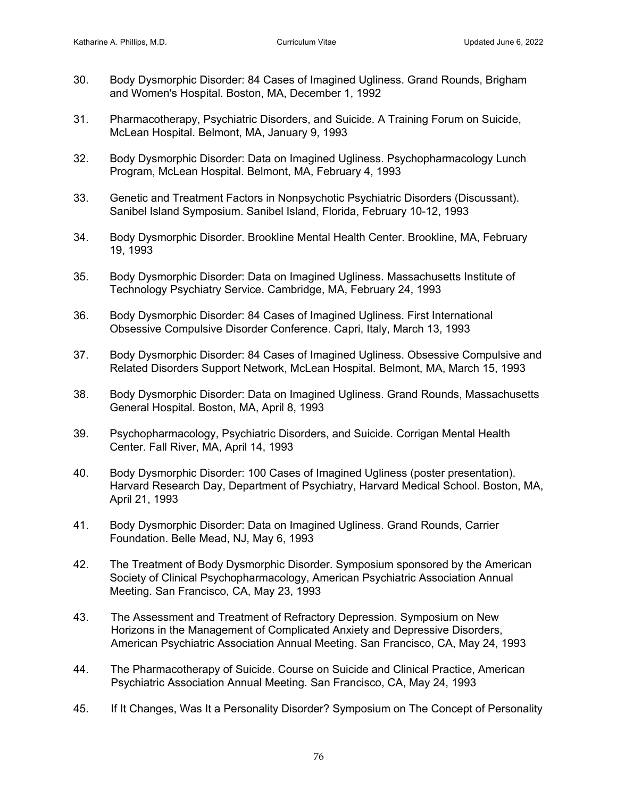- 30. Body Dysmorphic Disorder: 84 Cases of Imagined Ugliness. Grand Rounds, Brigham and Women's Hospital. Boston, MA, December 1, 1992
- 31. Pharmacotherapy, Psychiatric Disorders, and Suicide. A Training Forum on Suicide, McLean Hospital. Belmont, MA, January 9, 1993
- 32. Body Dysmorphic Disorder: Data on Imagined Ugliness. Psychopharmacology Lunch Program, McLean Hospital. Belmont, MA, February 4, 1993
- 33. Genetic and Treatment Factors in Nonpsychotic Psychiatric Disorders (Discussant). Sanibel Island Symposium. Sanibel Island, Florida, February 10-12, 1993
- 34. Body Dysmorphic Disorder. Brookline Mental Health Center. Brookline, MA, February 19, 1993
- 35. Body Dysmorphic Disorder: Data on Imagined Ugliness. Massachusetts Institute of Technology Psychiatry Service. Cambridge, MA, February 24, 1993
- 36. Body Dysmorphic Disorder: 84 Cases of Imagined Ugliness. First International Obsessive Compulsive Disorder Conference. Capri, Italy, March 13, 1993
- 37. Body Dysmorphic Disorder: 84 Cases of Imagined Ugliness. Obsessive Compulsive and Related Disorders Support Network, McLean Hospital. Belmont, MA, March 15, 1993
- 38. Body Dysmorphic Disorder: Data on Imagined Ugliness. Grand Rounds, Massachusetts General Hospital. Boston, MA, April 8, 1993
- 39. Psychopharmacology, Psychiatric Disorders, and Suicide. Corrigan Mental Health Center. Fall River, MA, April 14, 1993
- 40. Body Dysmorphic Disorder: 100 Cases of Imagined Ugliness (poster presentation). Harvard Research Day, Department of Psychiatry, Harvard Medical School. Boston, MA, April 21, 1993
- 41. Body Dysmorphic Disorder: Data on Imagined Ugliness. Grand Rounds, Carrier Foundation. Belle Mead, NJ, May 6, 1993
- 42. The Treatment of Body Dysmorphic Disorder. Symposium sponsored by the American Society of Clinical Psychopharmacology, American Psychiatric Association Annual Meeting. San Francisco, CA, May 23, 1993
- 43. The Assessment and Treatment of Refractory Depression. Symposium on New Horizons in the Management of Complicated Anxiety and Depressive Disorders, American Psychiatric Association Annual Meeting. San Francisco, CA, May 24, 1993
- 44. The Pharmacotherapy of Suicide. Course on Suicide and Clinical Practice, American Psychiatric Association Annual Meeting. San Francisco, CA, May 24, 1993
- 45. If It Changes, Was It a Personality Disorder? Symposium on The Concept of Personality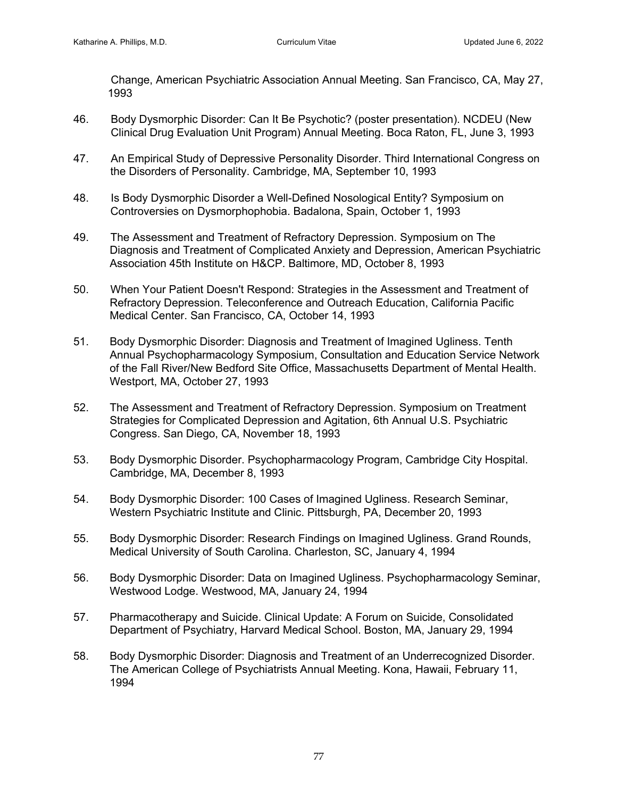Change, American Psychiatric Association Annual Meeting. San Francisco, CA, May 27, 1993

- 46. Body Dysmorphic Disorder: Can It Be Psychotic? (poster presentation). NCDEU (New Clinical Drug Evaluation Unit Program) Annual Meeting. Boca Raton, FL, June 3, 1993
- 47. An Empirical Study of Depressive Personality Disorder. Third International Congress on the Disorders of Personality. Cambridge, MA, September 10, 1993
- 48. Is Body Dysmorphic Disorder a Well-Defined Nosological Entity? Symposium on Controversies on Dysmorphophobia. Badalona, Spain, October 1, 1993
- 49. The Assessment and Treatment of Refractory Depression. Symposium on The Diagnosis and Treatment of Complicated Anxiety and Depression, American Psychiatric Association 45th Institute on H&CP. Baltimore, MD, October 8, 1993
- 50. When Your Patient Doesn't Respond: Strategies in the Assessment and Treatment of Refractory Depression. Teleconference and Outreach Education, California Pacific Medical Center. San Francisco, CA, October 14, 1993
- 51. Body Dysmorphic Disorder: Diagnosis and Treatment of Imagined Ugliness. Tenth Annual Psychopharmacology Symposium, Consultation and Education Service Network of the Fall River/New Bedford Site Office, Massachusetts Department of Mental Health. Westport, MA, October 27, 1993
- 52. The Assessment and Treatment of Refractory Depression. Symposium on Treatment Strategies for Complicated Depression and Agitation, 6th Annual U.S. Psychiatric Congress. San Diego, CA, November 18, 1993
- 53. Body Dysmorphic Disorder. Psychopharmacology Program, Cambridge City Hospital. Cambridge, MA, December 8, 1993
- 54. Body Dysmorphic Disorder: 100 Cases of Imagined Ugliness. Research Seminar, Western Psychiatric Institute and Clinic. Pittsburgh, PA, December 20, 1993
- 55. Body Dysmorphic Disorder: Research Findings on Imagined Ugliness. Grand Rounds, Medical University of South Carolina. Charleston, SC, January 4, 1994
- 56. Body Dysmorphic Disorder: Data on Imagined Ugliness. Psychopharmacology Seminar, Westwood Lodge. Westwood, MA, January 24, 1994
- 57. Pharmacotherapy and Suicide. Clinical Update: A Forum on Suicide, Consolidated Department of Psychiatry, Harvard Medical School. Boston, MA, January 29, 1994
- 58. Body Dysmorphic Disorder: Diagnosis and Treatment of an Underrecognized Disorder. The American College of Psychiatrists Annual Meeting. Kona, Hawaii, February 11, 1994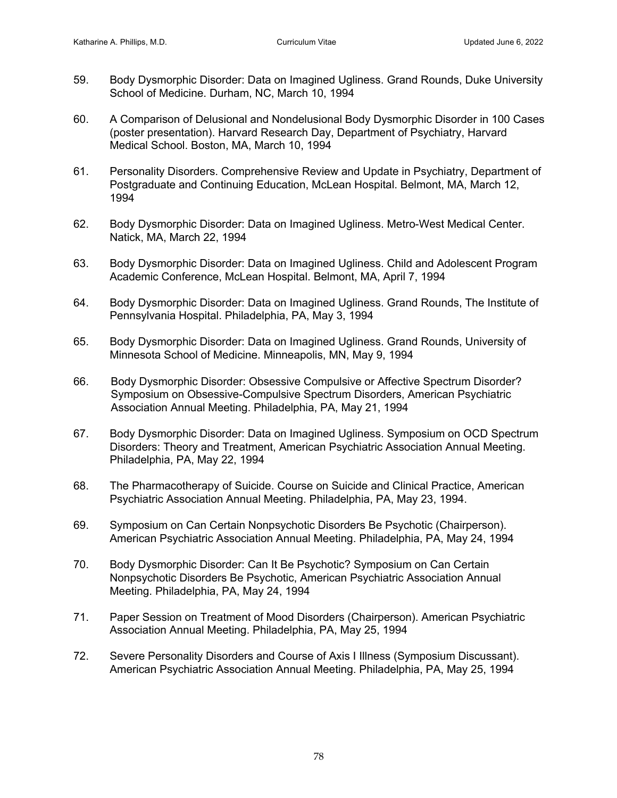- 59. Body Dysmorphic Disorder: Data on Imagined Ugliness. Grand Rounds, Duke University School of Medicine. Durham, NC, March 10, 1994
- 60. A Comparison of Delusional and Nondelusional Body Dysmorphic Disorder in 100 Cases (poster presentation). Harvard Research Day, Department of Psychiatry, Harvard Medical School. Boston, MA, March 10, 1994
- 61. Personality Disorders. Comprehensive Review and Update in Psychiatry, Department of Postgraduate and Continuing Education, McLean Hospital. Belmont, MA, March 12, 1994
- 62. Body Dysmorphic Disorder: Data on Imagined Ugliness. Metro-West Medical Center. Natick, MA, March 22, 1994
- 63. Body Dysmorphic Disorder: Data on Imagined Ugliness. Child and Adolescent Program Academic Conference, McLean Hospital. Belmont, MA, April 7, 1994
- 64. Body Dysmorphic Disorder: Data on Imagined Ugliness. Grand Rounds, The Institute of Pennsylvania Hospital. Philadelphia, PA, May 3, 1994
- 65. Body Dysmorphic Disorder: Data on Imagined Ugliness. Grand Rounds, University of Minnesota School of Medicine. Minneapolis, MN, May 9, 1994
- 66. Body Dysmorphic Disorder: Obsessive Compulsive or Affective Spectrum Disorder? Symposium on Obsessive-Compulsive Spectrum Disorders, American Psychiatric Association Annual Meeting. Philadelphia, PA, May 21, 1994
- 67. Body Dysmorphic Disorder: Data on Imagined Ugliness. Symposium on OCD Spectrum Disorders: Theory and Treatment, American Psychiatric Association Annual Meeting. Philadelphia, PA, May 22, 1994
- 68. The Pharmacotherapy of Suicide. Course on Suicide and Clinical Practice, American Psychiatric Association Annual Meeting. Philadelphia, PA, May 23, 1994.
- 69. Symposium on Can Certain Nonpsychotic Disorders Be Psychotic (Chairperson). American Psychiatric Association Annual Meeting. Philadelphia, PA, May 24, 1994
- 70. Body Dysmorphic Disorder: Can It Be Psychotic? Symposium on Can Certain Nonpsychotic Disorders Be Psychotic, American Psychiatric Association Annual Meeting. Philadelphia, PA, May 24, 1994
- 71. Paper Session on Treatment of Mood Disorders (Chairperson). American Psychiatric Association Annual Meeting. Philadelphia, PA, May 25, 1994
- 72. Severe Personality Disorders and Course of Axis I Illness (Symposium Discussant). American Psychiatric Association Annual Meeting. Philadelphia, PA, May 25, 1994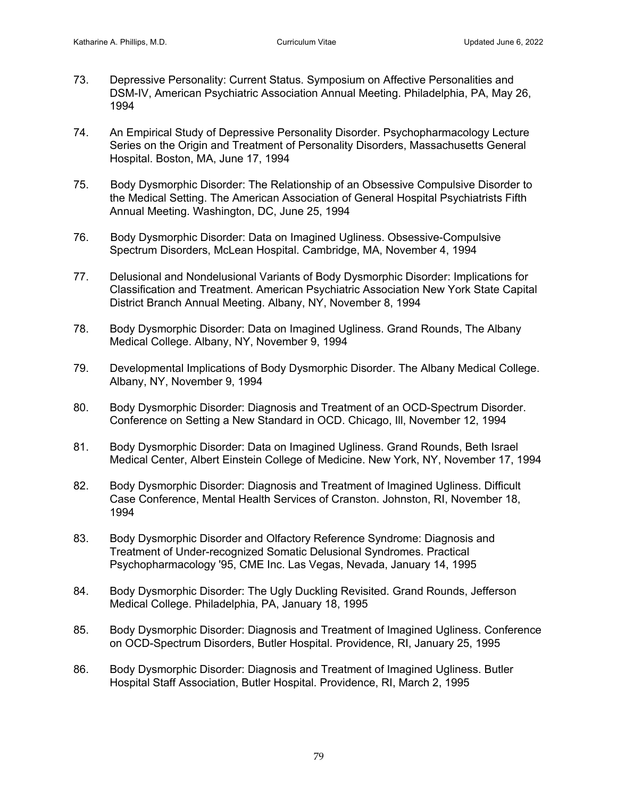- 73. Depressive Personality: Current Status. Symposium on Affective Personalities and DSM-IV, American Psychiatric Association Annual Meeting. Philadelphia, PA, May 26, 1994
- 74. An Empirical Study of Depressive Personality Disorder. Psychopharmacology Lecture Series on the Origin and Treatment of Personality Disorders, Massachusetts General Hospital. Boston, MA, June 17, 1994
- 75. Body Dysmorphic Disorder: The Relationship of an Obsessive Compulsive Disorder to the Medical Setting. The American Association of General Hospital Psychiatrists Fifth Annual Meeting. Washington, DC, June 25, 1994
- 76. Body Dysmorphic Disorder: Data on Imagined Ugliness. Obsessive-Compulsive Spectrum Disorders, McLean Hospital. Cambridge, MA, November 4, 1994
- 77. Delusional and Nondelusional Variants of Body Dysmorphic Disorder: Implications for Classification and Treatment. American Psychiatric Association New York State Capital District Branch Annual Meeting. Albany, NY, November 8, 1994
- 78. Body Dysmorphic Disorder: Data on Imagined Ugliness. Grand Rounds, The Albany Medical College. Albany, NY, November 9, 1994
- 79. Developmental Implications of Body Dysmorphic Disorder. The Albany Medical College. Albany, NY, November 9, 1994
- 80. Body Dysmorphic Disorder: Diagnosis and Treatment of an OCD-Spectrum Disorder. Conference on Setting a New Standard in OCD. Chicago, Ill, November 12, 1994
- 81. Body Dysmorphic Disorder: Data on Imagined Ugliness. Grand Rounds, Beth Israel Medical Center, Albert Einstein College of Medicine. New York, NY, November 17, 1994
- 82. Body Dysmorphic Disorder: Diagnosis and Treatment of Imagined Ugliness. Difficult Case Conference, Mental Health Services of Cranston. Johnston, RI, November 18, 1994
- 83. Body Dysmorphic Disorder and Olfactory Reference Syndrome: Diagnosis and Treatment of Under-recognized Somatic Delusional Syndromes. Practical Psychopharmacology '95, CME Inc. Las Vegas, Nevada, January 14, 1995
- 84. Body Dysmorphic Disorder: The Ugly Duckling Revisited. Grand Rounds, Jefferson Medical College. Philadelphia, PA, January 18, 1995
- 85. Body Dysmorphic Disorder: Diagnosis and Treatment of Imagined Ugliness. Conference on OCD-Spectrum Disorders, Butler Hospital. Providence, RI, January 25, 1995
- 86. Body Dysmorphic Disorder: Diagnosis and Treatment of Imagined Ugliness. Butler Hospital Staff Association, Butler Hospital. Providence, RI, March 2, 1995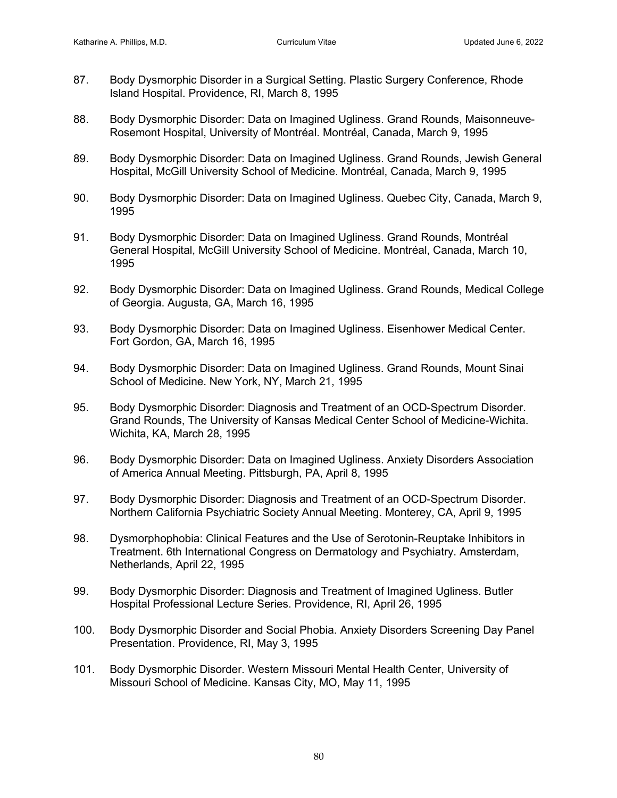- 87. Body Dysmorphic Disorder in a Surgical Setting. Plastic Surgery Conference, Rhode Island Hospital. Providence, RI, March 8, 1995
- 88. Body Dysmorphic Disorder: Data on Imagined Ugliness. Grand Rounds, Maisonneuve-Rosemont Hospital, University of Montréal. Montréal, Canada, March 9, 1995
- 89. Body Dysmorphic Disorder: Data on Imagined Ugliness. Grand Rounds, Jewish General Hospital, McGill University School of Medicine. Montréal, Canada, March 9, 1995
- 90. Body Dysmorphic Disorder: Data on Imagined Ugliness. Quebec City, Canada, March 9, 1995
- 91. Body Dysmorphic Disorder: Data on Imagined Ugliness. Grand Rounds, Montréal General Hospital, McGill University School of Medicine. Montréal, Canada, March 10, 1995
- 92. Body Dysmorphic Disorder: Data on Imagined Ugliness. Grand Rounds, Medical College of Georgia. Augusta, GA, March 16, 1995
- 93. Body Dysmorphic Disorder: Data on Imagined Ugliness. Eisenhower Medical Center. Fort Gordon, GA, March 16, 1995
- 94. Body Dysmorphic Disorder: Data on Imagined Ugliness. Grand Rounds, Mount Sinai School of Medicine. New York, NY, March 21, 1995
- 95. Body Dysmorphic Disorder: Diagnosis and Treatment of an OCD-Spectrum Disorder. Grand Rounds, The University of Kansas Medical Center School of Medicine-Wichita. Wichita, KA, March 28, 1995
- 96. Body Dysmorphic Disorder: Data on Imagined Ugliness. Anxiety Disorders Association of America Annual Meeting. Pittsburgh, PA, April 8, 1995
- 97. Body Dysmorphic Disorder: Diagnosis and Treatment of an OCD-Spectrum Disorder. Northern California Psychiatric Society Annual Meeting. Monterey, CA, April 9, 1995
- 98. Dysmorphophobia: Clinical Features and the Use of Serotonin-Reuptake Inhibitors in Treatment. 6th International Congress on Dermatology and Psychiatry. Amsterdam, Netherlands, April 22, 1995
- 99. Body Dysmorphic Disorder: Diagnosis and Treatment of Imagined Ugliness. Butler Hospital Professional Lecture Series. Providence, RI, April 26, 1995
- 100. Body Dysmorphic Disorder and Social Phobia. Anxiety Disorders Screening Day Panel Presentation. Providence, RI, May 3, 1995
- 101. Body Dysmorphic Disorder. Western Missouri Mental Health Center, University of Missouri School of Medicine. Kansas City, MO, May 11, 1995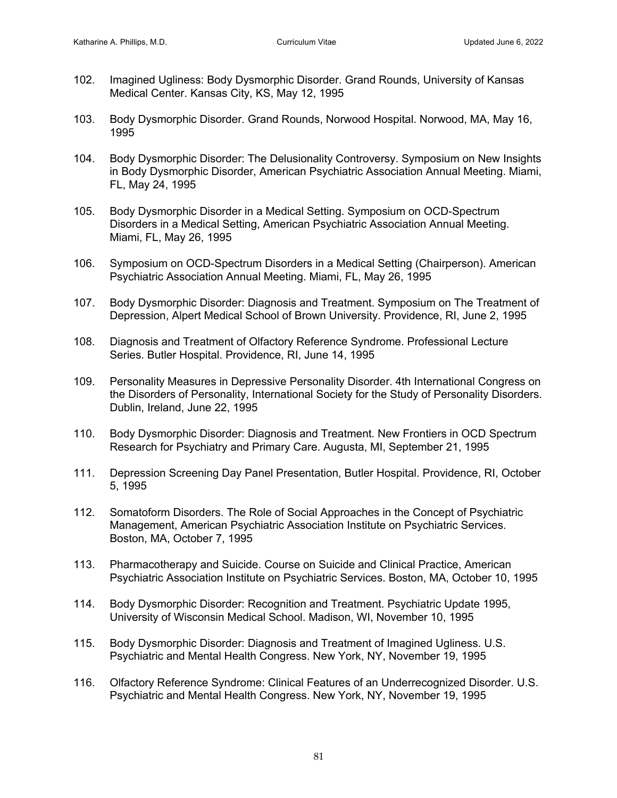- 102. Imagined Ugliness: Body Dysmorphic Disorder. Grand Rounds, University of Kansas Medical Center. Kansas City, KS, May 12, 1995
- 103. Body Dysmorphic Disorder. Grand Rounds, Norwood Hospital. Norwood, MA, May 16, 1995
- 104. Body Dysmorphic Disorder: The Delusionality Controversy. Symposium on New Insights in Body Dysmorphic Disorder, American Psychiatric Association Annual Meeting. Miami, FL, May 24, 1995
- 105. Body Dysmorphic Disorder in a Medical Setting. Symposium on OCD-Spectrum Disorders in a Medical Setting, American Psychiatric Association Annual Meeting. Miami, FL, May 26, 1995
- 106. Symposium on OCD-Spectrum Disorders in a Medical Setting (Chairperson). American Psychiatric Association Annual Meeting. Miami, FL, May 26, 1995
- 107. Body Dysmorphic Disorder: Diagnosis and Treatment. Symposium on The Treatment of Depression, Alpert Medical School of Brown University. Providence, RI, June 2, 1995
- 108. Diagnosis and Treatment of Olfactory Reference Syndrome. Professional Lecture Series. Butler Hospital. Providence, RI, June 14, 1995
- 109. Personality Measures in Depressive Personality Disorder. 4th International Congress on the Disorders of Personality, International Society for the Study of Personality Disorders. Dublin, Ireland, June 22, 1995
- 110. Body Dysmorphic Disorder: Diagnosis and Treatment. New Frontiers in OCD Spectrum Research for Psychiatry and Primary Care. Augusta, MI, September 21, 1995
- 111. Depression Screening Day Panel Presentation, Butler Hospital. Providence, RI, October 5, 1995
- 112. Somatoform Disorders. The Role of Social Approaches in the Concept of Psychiatric Management, American Psychiatric Association Institute on Psychiatric Services. Boston, MA, October 7, 1995
- 113. Pharmacotherapy and Suicide. Course on Suicide and Clinical Practice, American Psychiatric Association Institute on Psychiatric Services. Boston, MA, October 10, 1995
- 114. Body Dysmorphic Disorder: Recognition and Treatment. Psychiatric Update 1995, University of Wisconsin Medical School. Madison, WI, November 10, 1995
- 115. Body Dysmorphic Disorder: Diagnosis and Treatment of Imagined Ugliness. U.S. Psychiatric and Mental Health Congress. New York, NY, November 19, 1995
- 116. Olfactory Reference Syndrome: Clinical Features of an Underrecognized Disorder. U.S. Psychiatric and Mental Health Congress. New York, NY, November 19, 1995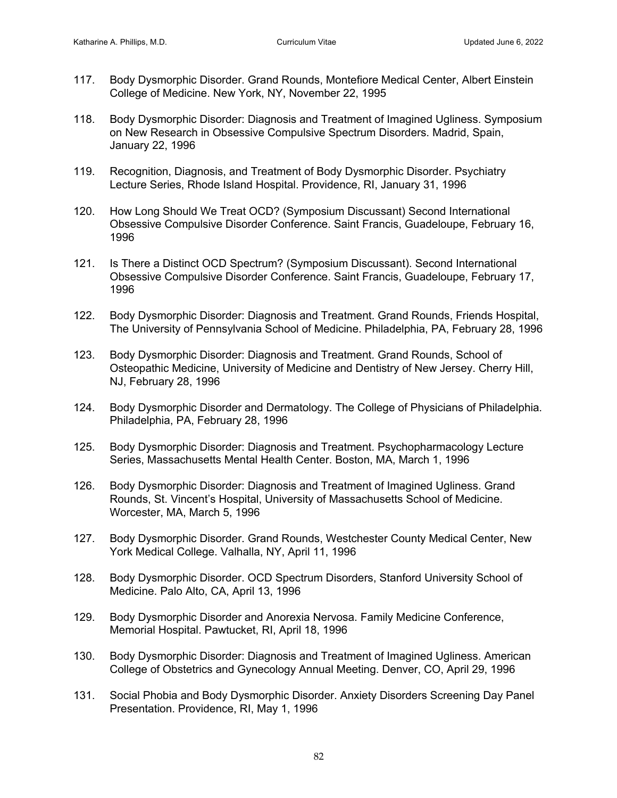- 117. Body Dysmorphic Disorder. Grand Rounds, Montefiore Medical Center, Albert Einstein College of Medicine. New York, NY, November 22, 1995
- 118. Body Dysmorphic Disorder: Diagnosis and Treatment of Imagined Ugliness. Symposium on New Research in Obsessive Compulsive Spectrum Disorders. Madrid, Spain, January 22, 1996
- 119. Recognition, Diagnosis, and Treatment of Body Dysmorphic Disorder. Psychiatry Lecture Series, Rhode Island Hospital. Providence, RI, January 31, 1996
- 120. How Long Should We Treat OCD? (Symposium Discussant) Second International Obsessive Compulsive Disorder Conference. Saint Francis, Guadeloupe, February 16, 1996
- 121. Is There a Distinct OCD Spectrum? (Symposium Discussant). Second International Obsessive Compulsive Disorder Conference. Saint Francis, Guadeloupe, February 17, 1996
- 122. Body Dysmorphic Disorder: Diagnosis and Treatment. Grand Rounds, Friends Hospital, The University of Pennsylvania School of Medicine. Philadelphia, PA, February 28, 1996
- 123. Body Dysmorphic Disorder: Diagnosis and Treatment. Grand Rounds, School of Osteopathic Medicine, University of Medicine and Dentistry of New Jersey. Cherry Hill, NJ, February 28, 1996
- 124. Body Dysmorphic Disorder and Dermatology. The College of Physicians of Philadelphia. Philadelphia, PA, February 28, 1996
- 125. Body Dysmorphic Disorder: Diagnosis and Treatment. Psychopharmacology Lecture Series, Massachusetts Mental Health Center. Boston, MA, March 1, 1996
- 126. Body Dysmorphic Disorder: Diagnosis and Treatment of Imagined Ugliness. Grand Rounds, St. Vincent's Hospital, University of Massachusetts School of Medicine. Worcester, MA, March 5, 1996
- 127. Body Dysmorphic Disorder. Grand Rounds, Westchester County Medical Center, New York Medical College. Valhalla, NY, April 11, 1996
- 128. Body Dysmorphic Disorder. OCD Spectrum Disorders, Stanford University School of Medicine. Palo Alto, CA, April 13, 1996
- 129. Body Dysmorphic Disorder and Anorexia Nervosa. Family Medicine Conference, Memorial Hospital. Pawtucket, RI, April 18, 1996
- 130. Body Dysmorphic Disorder: Diagnosis and Treatment of Imagined Ugliness. American College of Obstetrics and Gynecology Annual Meeting. Denver, CO, April 29, 1996
- 131. Social Phobia and Body Dysmorphic Disorder. Anxiety Disorders Screening Day Panel Presentation. Providence, RI, May 1, 1996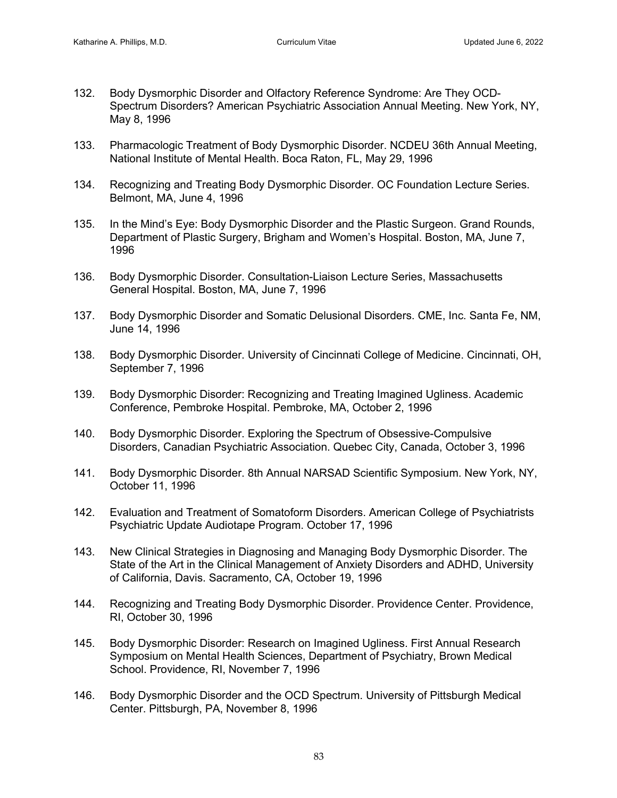- 132. Body Dysmorphic Disorder and Olfactory Reference Syndrome: Are They OCD-Spectrum Disorders? American Psychiatric Association Annual Meeting. New York, NY, May 8, 1996
- 133. Pharmacologic Treatment of Body Dysmorphic Disorder. NCDEU 36th Annual Meeting, National Institute of Mental Health. Boca Raton, FL, May 29, 1996
- 134. Recognizing and Treating Body Dysmorphic Disorder. OC Foundation Lecture Series. Belmont, MA, June 4, 1996
- 135. In the Mind's Eye: Body Dysmorphic Disorder and the Plastic Surgeon. Grand Rounds, Department of Plastic Surgery, Brigham and Women's Hospital. Boston, MA, June 7, 1996
- 136. Body Dysmorphic Disorder. Consultation-Liaison Lecture Series, Massachusetts General Hospital. Boston, MA, June 7, 1996
- 137. Body Dysmorphic Disorder and Somatic Delusional Disorders. CME, Inc. Santa Fe, NM, June 14, 1996
- 138. Body Dysmorphic Disorder. University of Cincinnati College of Medicine. Cincinnati, OH, September 7, 1996
- 139. Body Dysmorphic Disorder: Recognizing and Treating Imagined Ugliness. Academic Conference, Pembroke Hospital. Pembroke, MA, October 2, 1996
- 140. Body Dysmorphic Disorder. Exploring the Spectrum of Obsessive-Compulsive Disorders, Canadian Psychiatric Association. Quebec City, Canada, October 3, 1996
- 141. Body Dysmorphic Disorder. 8th Annual NARSAD Scientific Symposium. New York, NY, October 11, 1996
- 142. Evaluation and Treatment of Somatoform Disorders. American College of Psychiatrists Psychiatric Update Audiotape Program. October 17, 1996
- 143. New Clinical Strategies in Diagnosing and Managing Body Dysmorphic Disorder. The State of the Art in the Clinical Management of Anxiety Disorders and ADHD, University of California, Davis. Sacramento, CA, October 19, 1996
- 144. Recognizing and Treating Body Dysmorphic Disorder. Providence Center. Providence, RI, October 30, 1996
- 145. Body Dysmorphic Disorder: Research on Imagined Ugliness. First Annual Research Symposium on Mental Health Sciences, Department of Psychiatry, Brown Medical School. Providence, RI, November 7, 1996
- 146. Body Dysmorphic Disorder and the OCD Spectrum. University of Pittsburgh Medical Center. Pittsburgh, PA, November 8, 1996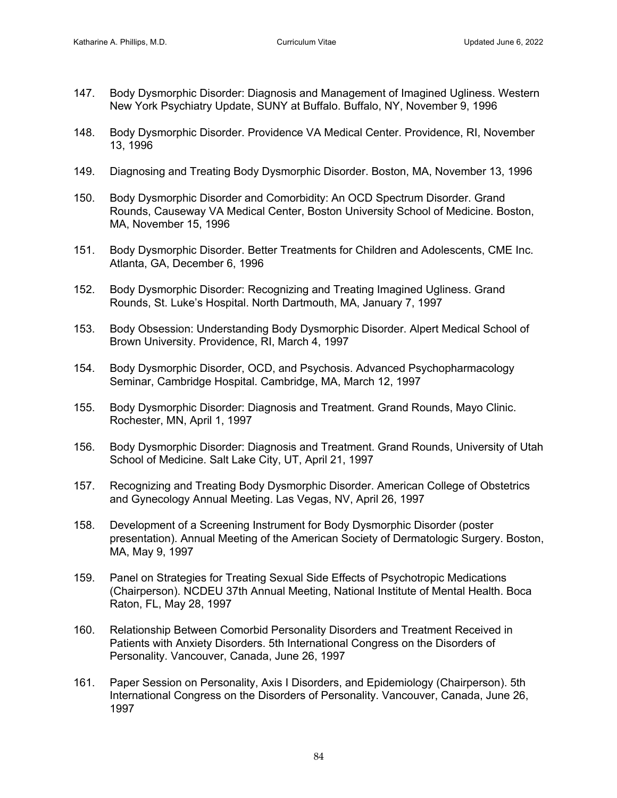- 147. Body Dysmorphic Disorder: Diagnosis and Management of Imagined Ugliness. Western New York Psychiatry Update, SUNY at Buffalo. Buffalo, NY, November 9, 1996
- 148. Body Dysmorphic Disorder. Providence VA Medical Center. Providence, RI, November 13, 1996
- 149. Diagnosing and Treating Body Dysmorphic Disorder. Boston, MA, November 13, 1996
- 150. Body Dysmorphic Disorder and Comorbidity: An OCD Spectrum Disorder. Grand Rounds, Causeway VA Medical Center, Boston University School of Medicine. Boston, MA, November 15, 1996
- 151. Body Dysmorphic Disorder. Better Treatments for Children and Adolescents, CME Inc. Atlanta, GA, December 6, 1996
- 152. Body Dysmorphic Disorder: Recognizing and Treating Imagined Ugliness. Grand Rounds, St. Luke's Hospital. North Dartmouth, MA, January 7, 1997
- 153. Body Obsession: Understanding Body Dysmorphic Disorder. Alpert Medical School of Brown University. Providence, RI, March 4, 1997
- 154. Body Dysmorphic Disorder, OCD, and Psychosis. Advanced Psychopharmacology Seminar, Cambridge Hospital. Cambridge, MA, March 12, 1997
- 155. Body Dysmorphic Disorder: Diagnosis and Treatment. Grand Rounds, Mayo Clinic. Rochester, MN, April 1, 1997
- 156. Body Dysmorphic Disorder: Diagnosis and Treatment. Grand Rounds, University of Utah School of Medicine. Salt Lake City, UT, April 21, 1997
- 157. Recognizing and Treating Body Dysmorphic Disorder. American College of Obstetrics and Gynecology Annual Meeting. Las Vegas, NV, April 26, 1997
- 158. Development of a Screening Instrument for Body Dysmorphic Disorder (poster presentation). Annual Meeting of the American Society of Dermatologic Surgery. Boston, MA, May 9, 1997
- 159. Panel on Strategies for Treating Sexual Side Effects of Psychotropic Medications (Chairperson). NCDEU 37th Annual Meeting, National Institute of Mental Health. Boca Raton, FL, May 28, 1997
- 160. Relationship Between Comorbid Personality Disorders and Treatment Received in Patients with Anxiety Disorders. 5th International Congress on the Disorders of Personality. Vancouver, Canada, June 26, 1997
- 161. Paper Session on Personality, Axis I Disorders, and Epidemiology (Chairperson). 5th International Congress on the Disorders of Personality. Vancouver, Canada, June 26, 1997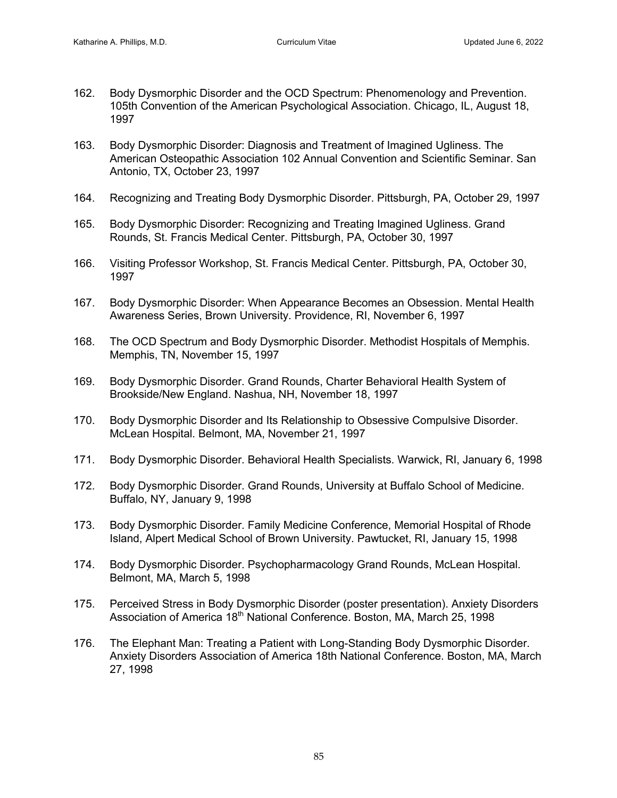- 162. Body Dysmorphic Disorder and the OCD Spectrum: Phenomenology and Prevention. 105th Convention of the American Psychological Association. Chicago, IL, August 18, 1997
- 163. Body Dysmorphic Disorder: Diagnosis and Treatment of Imagined Ugliness. The American Osteopathic Association 102 Annual Convention and Scientific Seminar. San Antonio, TX, October 23, 1997
- 164. Recognizing and Treating Body Dysmorphic Disorder. Pittsburgh, PA, October 29, 1997
- 165. Body Dysmorphic Disorder: Recognizing and Treating Imagined Ugliness. Grand Rounds, St. Francis Medical Center. Pittsburgh, PA, October 30, 1997
- 166. Visiting Professor Workshop, St. Francis Medical Center. Pittsburgh, PA, October 30, 1997
- 167. Body Dysmorphic Disorder: When Appearance Becomes an Obsession. Mental Health Awareness Series, Brown University. Providence, RI, November 6, 1997
- 168. The OCD Spectrum and Body Dysmorphic Disorder. Methodist Hospitals of Memphis. Memphis, TN, November 15, 1997
- 169. Body Dysmorphic Disorder. Grand Rounds, Charter Behavioral Health System of Brookside/New England. Nashua, NH, November 18, 1997
- 170. Body Dysmorphic Disorder and Its Relationship to Obsessive Compulsive Disorder. McLean Hospital. Belmont, MA, November 21, 1997
- 171. Body Dysmorphic Disorder. Behavioral Health Specialists. Warwick, RI, January 6, 1998
- 172. Body Dysmorphic Disorder. Grand Rounds, University at Buffalo School of Medicine. Buffalo, NY, January 9, 1998
- 173. Body Dysmorphic Disorder. Family Medicine Conference, Memorial Hospital of Rhode Island, Alpert Medical School of Brown University. Pawtucket, RI, January 15, 1998
- 174. Body Dysmorphic Disorder. Psychopharmacology Grand Rounds, McLean Hospital. Belmont, MA, March 5, 1998
- 175. Perceived Stress in Body Dysmorphic Disorder (poster presentation). Anxiety Disorders Association of America 18<sup>th</sup> National Conference. Boston, MA, March 25, 1998
- 176. The Elephant Man: Treating a Patient with Long-Standing Body Dysmorphic Disorder. Anxiety Disorders Association of America 18th National Conference. Boston, MA, March 27, 1998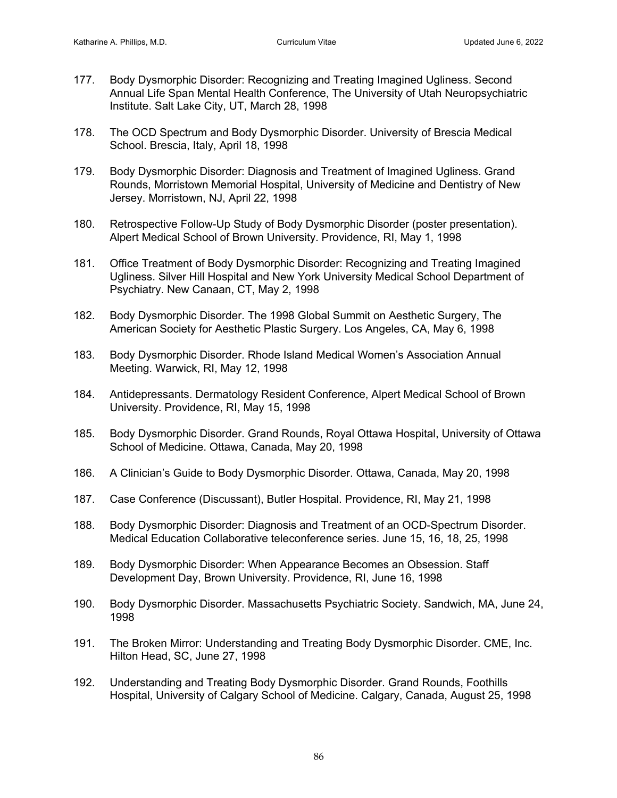- 177. Body Dysmorphic Disorder: Recognizing and Treating Imagined Ugliness. Second Annual Life Span Mental Health Conference, The University of Utah Neuropsychiatric Institute. Salt Lake City, UT, March 28, 1998
- 178. The OCD Spectrum and Body Dysmorphic Disorder. University of Brescia Medical School. Brescia, Italy, April 18, 1998
- 179. Body Dysmorphic Disorder: Diagnosis and Treatment of Imagined Ugliness. Grand Rounds, Morristown Memorial Hospital, University of Medicine and Dentistry of New Jersey. Morristown, NJ, April 22, 1998
- 180. Retrospective Follow-Up Study of Body Dysmorphic Disorder (poster presentation). Alpert Medical School of Brown University. Providence, RI, May 1, 1998
- 181. Office Treatment of Body Dysmorphic Disorder: Recognizing and Treating Imagined Ugliness. Silver Hill Hospital and New York University Medical School Department of Psychiatry. New Canaan, CT, May 2, 1998
- 182. Body Dysmorphic Disorder. The 1998 Global Summit on Aesthetic Surgery, The American Society for Aesthetic Plastic Surgery. Los Angeles, CA, May 6, 1998
- 183. Body Dysmorphic Disorder. Rhode Island Medical Women's Association Annual Meeting. Warwick, RI, May 12, 1998
- 184. Antidepressants. Dermatology Resident Conference, Alpert Medical School of Brown University. Providence, RI, May 15, 1998
- 185. Body Dysmorphic Disorder. Grand Rounds, Royal Ottawa Hospital, University of Ottawa School of Medicine. Ottawa, Canada, May 20, 1998
- 186. A Clinician's Guide to Body Dysmorphic Disorder. Ottawa, Canada, May 20, 1998
- 187. Case Conference (Discussant), Butler Hospital. Providence, RI, May 21, 1998
- 188. Body Dysmorphic Disorder: Diagnosis and Treatment of an OCD-Spectrum Disorder. Medical Education Collaborative teleconference series. June 15, 16, 18, 25, 1998
- 189. Body Dysmorphic Disorder: When Appearance Becomes an Obsession. Staff Development Day, Brown University. Providence, RI, June 16, 1998
- 190. Body Dysmorphic Disorder. Massachusetts Psychiatric Society. Sandwich, MA, June 24, 1998
- 191. The Broken Mirror: Understanding and Treating Body Dysmorphic Disorder. CME, Inc. Hilton Head, SC, June 27, 1998
- 192. Understanding and Treating Body Dysmorphic Disorder. Grand Rounds, Foothills Hospital, University of Calgary School of Medicine. Calgary, Canada, August 25, 1998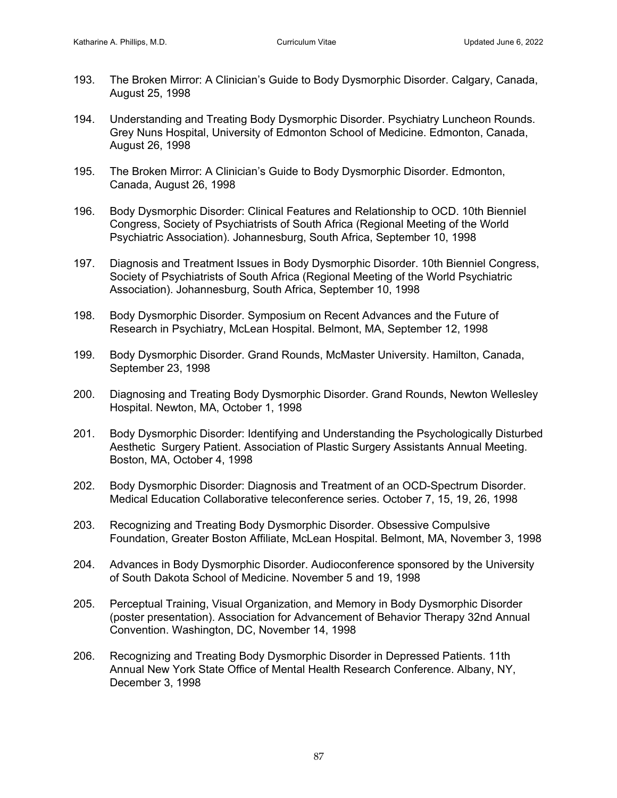- 193. The Broken Mirror: A Clinician's Guide to Body Dysmorphic Disorder. Calgary, Canada, August 25, 1998
- 194. Understanding and Treating Body Dysmorphic Disorder. Psychiatry Luncheon Rounds. Grey Nuns Hospital, University of Edmonton School of Medicine. Edmonton, Canada, August 26, 1998
- 195. The Broken Mirror: A Clinician's Guide to Body Dysmorphic Disorder. Edmonton, Canada, August 26, 1998
- 196. Body Dysmorphic Disorder: Clinical Features and Relationship to OCD. 10th Bienniel Congress, Society of Psychiatrists of South Africa (Regional Meeting of the World Psychiatric Association). Johannesburg, South Africa, September 10, 1998
- 197. Diagnosis and Treatment Issues in Body Dysmorphic Disorder. 10th Bienniel Congress, Society of Psychiatrists of South Africa (Regional Meeting of the World Psychiatric Association). Johannesburg, South Africa, September 10, 1998
- 198. Body Dysmorphic Disorder. Symposium on Recent Advances and the Future of Research in Psychiatry, McLean Hospital. Belmont, MA, September 12, 1998
- 199. Body Dysmorphic Disorder. Grand Rounds, McMaster University. Hamilton, Canada, September 23, 1998
- 200. Diagnosing and Treating Body Dysmorphic Disorder. Grand Rounds, Newton Wellesley Hospital. Newton, MA, October 1, 1998
- 201. Body Dysmorphic Disorder: Identifying and Understanding the Psychologically Disturbed Aesthetic Surgery Patient. Association of Plastic Surgery Assistants Annual Meeting. Boston, MA, October 4, 1998
- 202. Body Dysmorphic Disorder: Diagnosis and Treatment of an OCD-Spectrum Disorder. Medical Education Collaborative teleconference series. October 7, 15, 19, 26, 1998
- 203. Recognizing and Treating Body Dysmorphic Disorder. Obsessive Compulsive Foundation, Greater Boston Affiliate, McLean Hospital. Belmont, MA, November 3, 1998
- 204. Advances in Body Dysmorphic Disorder. Audioconference sponsored by the University of South Dakota School of Medicine. November 5 and 19, 1998
- 205. Perceptual Training, Visual Organization, and Memory in Body Dysmorphic Disorder (poster presentation). Association for Advancement of Behavior Therapy 32nd Annual Convention. Washington, DC, November 14, 1998
- 206. Recognizing and Treating Body Dysmorphic Disorder in Depressed Patients. 11th Annual New York State Office of Mental Health Research Conference. Albany, NY, December 3, 1998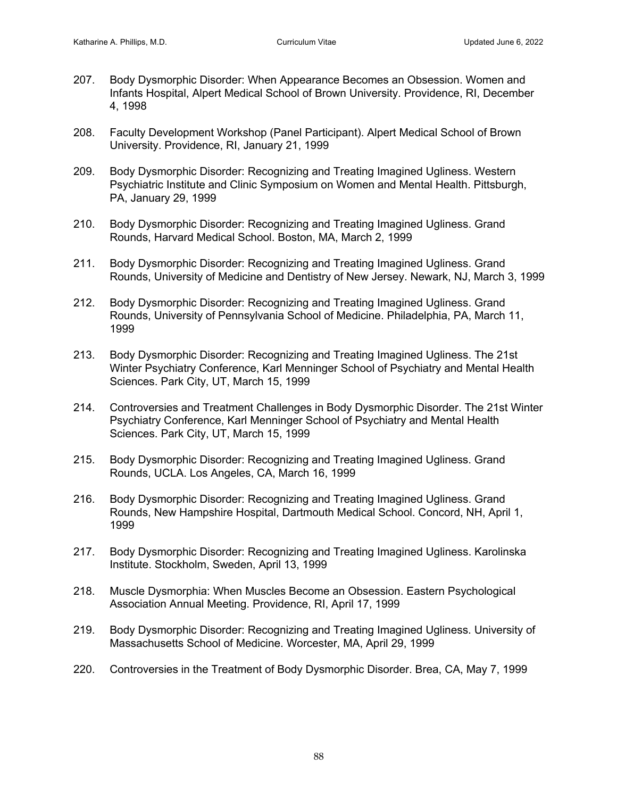- 207. Body Dysmorphic Disorder: When Appearance Becomes an Obsession. Women and Infants Hospital, Alpert Medical School of Brown University. Providence, RI, December 4, 1998
- 208. Faculty Development Workshop (Panel Participant). Alpert Medical School of Brown University. Providence, RI, January 21, 1999
- 209. Body Dysmorphic Disorder: Recognizing and Treating Imagined Ugliness. Western Psychiatric Institute and Clinic Symposium on Women and Mental Health. Pittsburgh, PA, January 29, 1999
- 210. Body Dysmorphic Disorder: Recognizing and Treating Imagined Ugliness. Grand Rounds, Harvard Medical School. Boston, MA, March 2, 1999
- 211. Body Dysmorphic Disorder: Recognizing and Treating Imagined Ugliness. Grand Rounds, University of Medicine and Dentistry of New Jersey. Newark, NJ, March 3, 1999
- 212. Body Dysmorphic Disorder: Recognizing and Treating Imagined Ugliness. Grand Rounds, University of Pennsylvania School of Medicine. Philadelphia, PA, March 11, 1999
- 213. Body Dysmorphic Disorder: Recognizing and Treating Imagined Ugliness. The 21st Winter Psychiatry Conference, Karl Menninger School of Psychiatry and Mental Health Sciences. Park City, UT, March 15, 1999
- 214. Controversies and Treatment Challenges in Body Dysmorphic Disorder. The 21st Winter Psychiatry Conference, Karl Menninger School of Psychiatry and Mental Health Sciences. Park City, UT, March 15, 1999
- 215. Body Dysmorphic Disorder: Recognizing and Treating Imagined Ugliness. Grand Rounds, UCLA. Los Angeles, CA, March 16, 1999
- 216. Body Dysmorphic Disorder: Recognizing and Treating Imagined Ugliness. Grand Rounds, New Hampshire Hospital, Dartmouth Medical School. Concord, NH, April 1, 1999
- 217. Body Dysmorphic Disorder: Recognizing and Treating Imagined Ugliness. Karolinska Institute. Stockholm, Sweden, April 13, 1999
- 218. Muscle Dysmorphia: When Muscles Become an Obsession. Eastern Psychological Association Annual Meeting. Providence, RI, April 17, 1999
- 219. Body Dysmorphic Disorder: Recognizing and Treating Imagined Ugliness. University of Massachusetts School of Medicine. Worcester, MA, April 29, 1999
- 220. Controversies in the Treatment of Body Dysmorphic Disorder. Brea, CA, May 7, 1999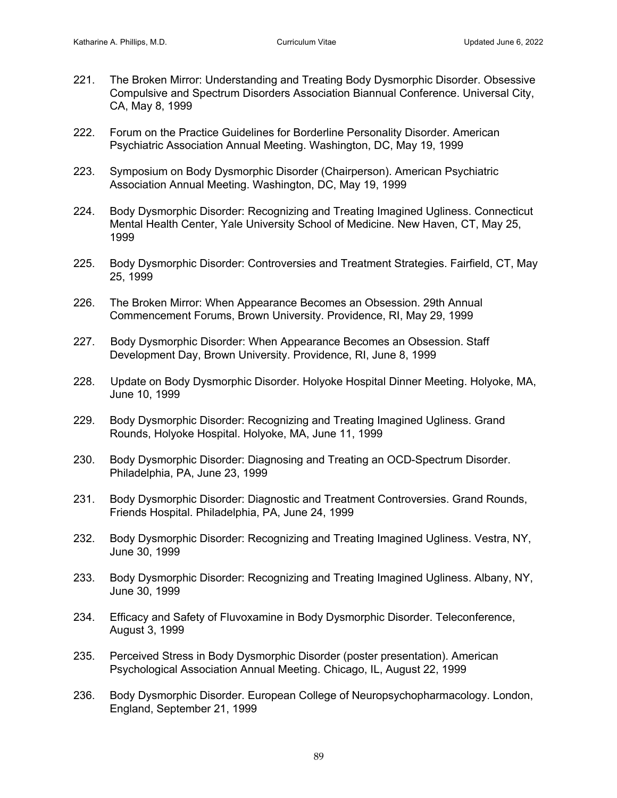- 221. The Broken Mirror: Understanding and Treating Body Dysmorphic Disorder. Obsessive Compulsive and Spectrum Disorders Association Biannual Conference. Universal City, CA, May 8, 1999
- 222. Forum on the Practice Guidelines for Borderline Personality Disorder. American Psychiatric Association Annual Meeting. Washington, DC, May 19, 1999
- 223. Symposium on Body Dysmorphic Disorder (Chairperson). American Psychiatric Association Annual Meeting. Washington, DC, May 19, 1999
- 224. Body Dysmorphic Disorder: Recognizing and Treating Imagined Ugliness. Connecticut Mental Health Center, Yale University School of Medicine. New Haven, CT, May 25, 1999
- 225. Body Dysmorphic Disorder: Controversies and Treatment Strategies. Fairfield, CT, May 25, 1999
- 226. The Broken Mirror: When Appearance Becomes an Obsession. 29th Annual Commencement Forums, Brown University. Providence, RI, May 29, 1999
- 227. Body Dysmorphic Disorder: When Appearance Becomes an Obsession. Staff Development Day, Brown University. Providence, RI, June 8, 1999
- 228. Update on Body Dysmorphic Disorder. Holyoke Hospital Dinner Meeting. Holyoke, MA, June 10, 1999
- 229. Body Dysmorphic Disorder: Recognizing and Treating Imagined Ugliness. Grand Rounds, Holyoke Hospital. Holyoke, MA, June 11, 1999
- 230. Body Dysmorphic Disorder: Diagnosing and Treating an OCD-Spectrum Disorder. Philadelphia, PA, June 23, 1999
- 231. Body Dysmorphic Disorder: Diagnostic and Treatment Controversies. Grand Rounds, Friends Hospital. Philadelphia, PA, June 24, 1999
- 232. Body Dysmorphic Disorder: Recognizing and Treating Imagined Ugliness. Vestra, NY, June 30, 1999
- 233. Body Dysmorphic Disorder: Recognizing and Treating Imagined Ugliness. Albany, NY, June 30, 1999
- 234. Efficacy and Safety of Fluvoxamine in Body Dysmorphic Disorder. Teleconference, August 3, 1999
- 235. Perceived Stress in Body Dysmorphic Disorder (poster presentation). American Psychological Association Annual Meeting. Chicago, IL, August 22, 1999
- 236. Body Dysmorphic Disorder. European College of Neuropsychopharmacology. London, England, September 21, 1999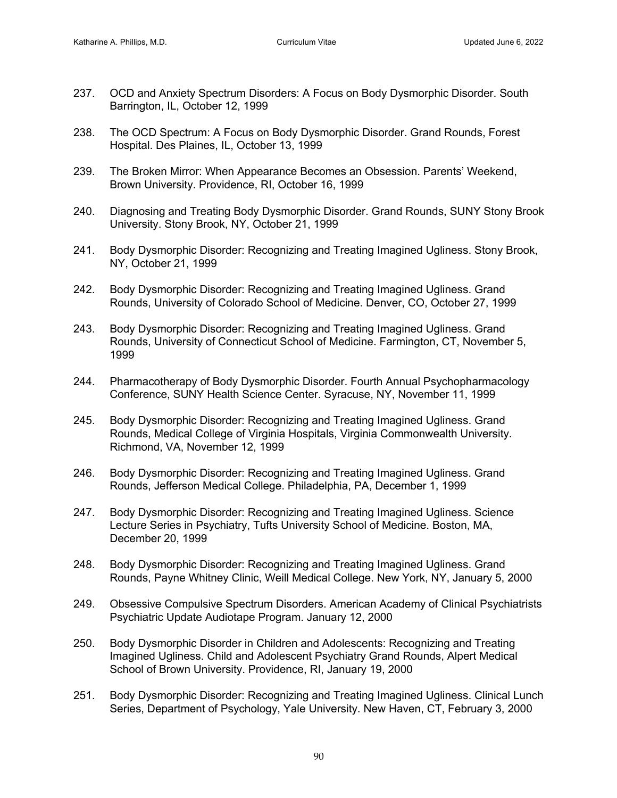- 237. OCD and Anxiety Spectrum Disorders: A Focus on Body Dysmorphic Disorder. South Barrington, IL, October 12, 1999
- 238. The OCD Spectrum: A Focus on Body Dysmorphic Disorder. Grand Rounds, Forest Hospital. Des Plaines, IL, October 13, 1999
- 239. The Broken Mirror: When Appearance Becomes an Obsession. Parents' Weekend, Brown University. Providence, RI, October 16, 1999
- 240. Diagnosing and Treating Body Dysmorphic Disorder. Grand Rounds, SUNY Stony Brook University. Stony Brook, NY, October 21, 1999
- 241. Body Dysmorphic Disorder: Recognizing and Treating Imagined Ugliness. Stony Brook, NY, October 21, 1999
- 242. Body Dysmorphic Disorder: Recognizing and Treating Imagined Ugliness. Grand Rounds, University of Colorado School of Medicine. Denver, CO, October 27, 1999
- 243. Body Dysmorphic Disorder: Recognizing and Treating Imagined Ugliness. Grand Rounds, University of Connecticut School of Medicine. Farmington, CT, November 5, 1999
- 244. Pharmacotherapy of Body Dysmorphic Disorder. Fourth Annual Psychopharmacology Conference, SUNY Health Science Center. Syracuse, NY, November 11, 1999
- 245. Body Dysmorphic Disorder: Recognizing and Treating Imagined Ugliness. Grand Rounds, Medical College of Virginia Hospitals, Virginia Commonwealth University. Richmond, VA, November 12, 1999
- 246. Body Dysmorphic Disorder: Recognizing and Treating Imagined Ugliness. Grand Rounds, Jefferson Medical College. Philadelphia, PA, December 1, 1999
- 247. Body Dysmorphic Disorder: Recognizing and Treating Imagined Ugliness. Science Lecture Series in Psychiatry, Tufts University School of Medicine. Boston, MA, December 20, 1999
- 248. Body Dysmorphic Disorder: Recognizing and Treating Imagined Ugliness. Grand Rounds, Payne Whitney Clinic, Weill Medical College. New York, NY, January 5, 2000
- 249. Obsessive Compulsive Spectrum Disorders. American Academy of Clinical Psychiatrists Psychiatric Update Audiotape Program. January 12, 2000
- 250. Body Dysmorphic Disorder in Children and Adolescents: Recognizing and Treating Imagined Ugliness. Child and Adolescent Psychiatry Grand Rounds, Alpert Medical School of Brown University. Providence, RI, January 19, 2000
- 251. Body Dysmorphic Disorder: Recognizing and Treating Imagined Ugliness. Clinical Lunch Series, Department of Psychology, Yale University. New Haven, CT, February 3, 2000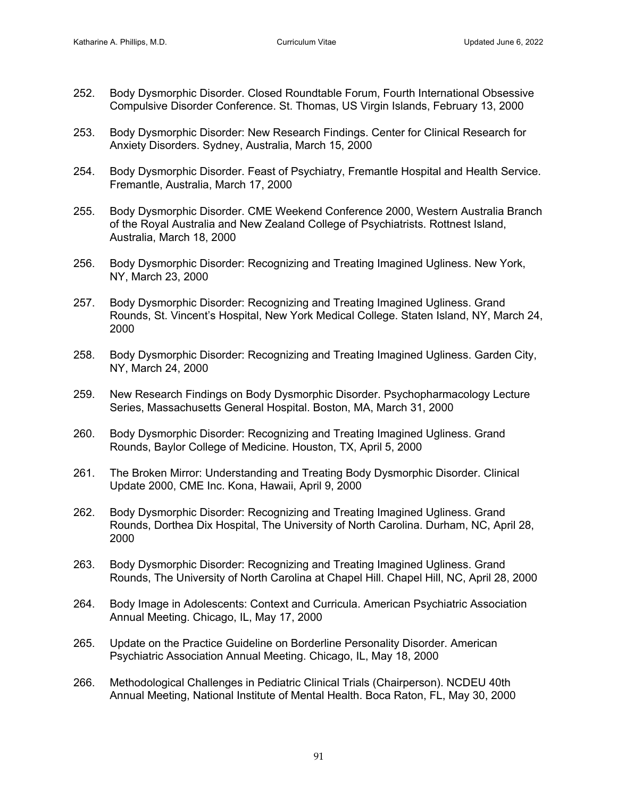- 252. Body Dysmorphic Disorder. Closed Roundtable Forum, Fourth International Obsessive Compulsive Disorder Conference. St. Thomas, US Virgin Islands, February 13, 2000
- 253. Body Dysmorphic Disorder: New Research Findings. Center for Clinical Research for Anxiety Disorders. Sydney, Australia, March 15, 2000
- 254. Body Dysmorphic Disorder. Feast of Psychiatry, Fremantle Hospital and Health Service. Fremantle, Australia, March 17, 2000
- 255. Body Dysmorphic Disorder. CME Weekend Conference 2000, Western Australia Branch of the Royal Australia and New Zealand College of Psychiatrists. Rottnest Island, Australia, March 18, 2000
- 256. Body Dysmorphic Disorder: Recognizing and Treating Imagined Ugliness. New York, NY, March 23, 2000
- 257. Body Dysmorphic Disorder: Recognizing and Treating Imagined Ugliness. Grand Rounds, St. Vincent's Hospital, New York Medical College. Staten Island, NY, March 24, 2000
- 258. Body Dysmorphic Disorder: Recognizing and Treating Imagined Ugliness. Garden City, NY, March 24, 2000
- 259. New Research Findings on Body Dysmorphic Disorder. Psychopharmacology Lecture Series, Massachusetts General Hospital. Boston, MA, March 31, 2000
- 260. Body Dysmorphic Disorder: Recognizing and Treating Imagined Ugliness. Grand Rounds, Baylor College of Medicine. Houston, TX, April 5, 2000
- 261. The Broken Mirror: Understanding and Treating Body Dysmorphic Disorder. Clinical Update 2000, CME Inc. Kona, Hawaii, April 9, 2000
- 262. Body Dysmorphic Disorder: Recognizing and Treating Imagined Ugliness. Grand Rounds, Dorthea Dix Hospital, The University of North Carolina. Durham, NC, April 28, 2000
- 263. Body Dysmorphic Disorder: Recognizing and Treating Imagined Ugliness. Grand Rounds, The University of North Carolina at Chapel Hill. Chapel Hill, NC, April 28, 2000
- 264. Body Image in Adolescents: Context and Curricula. American Psychiatric Association Annual Meeting. Chicago, IL, May 17, 2000
- 265. Update on the Practice Guideline on Borderline Personality Disorder. American Psychiatric Association Annual Meeting. Chicago, IL, May 18, 2000
- 266. Methodological Challenges in Pediatric Clinical Trials (Chairperson). NCDEU 40th Annual Meeting, National Institute of Mental Health. Boca Raton, FL, May 30, 2000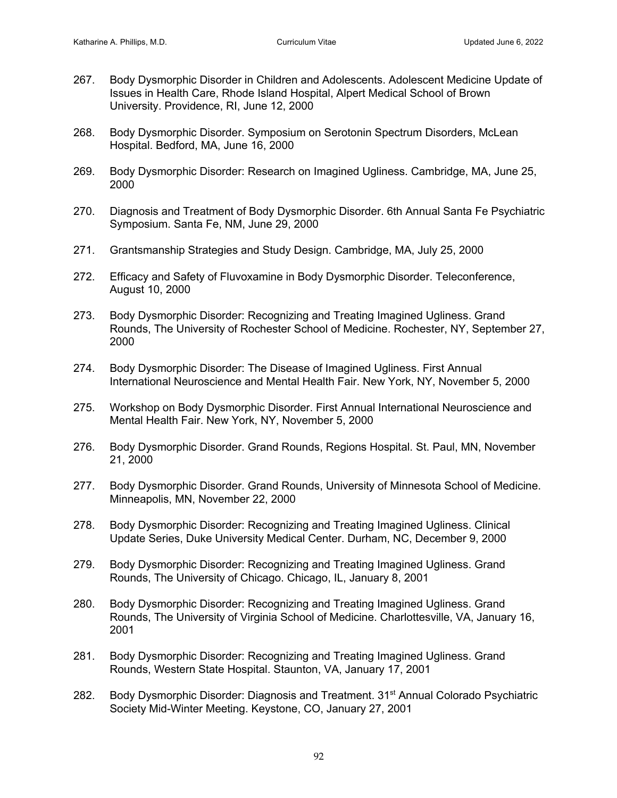- 267. Body Dysmorphic Disorder in Children and Adolescents. Adolescent Medicine Update of Issues in Health Care, Rhode Island Hospital, Alpert Medical School of Brown University. Providence, RI, June 12, 2000
- 268. Body Dysmorphic Disorder. Symposium on Serotonin Spectrum Disorders, McLean Hospital. Bedford, MA, June 16, 2000
- 269. Body Dysmorphic Disorder: Research on Imagined Ugliness. Cambridge, MA, June 25, 2000
- 270. Diagnosis and Treatment of Body Dysmorphic Disorder. 6th Annual Santa Fe Psychiatric Symposium. Santa Fe, NM, June 29, 2000
- 271. Grantsmanship Strategies and Study Design. Cambridge, MA, July 25, 2000
- 272. Efficacy and Safety of Fluvoxamine in Body Dysmorphic Disorder. Teleconference, August 10, 2000
- 273. Body Dysmorphic Disorder: Recognizing and Treating Imagined Ugliness. Grand Rounds, The University of Rochester School of Medicine. Rochester, NY, September 27, 2000
- 274. Body Dysmorphic Disorder: The Disease of Imagined Ugliness. First Annual International Neuroscience and Mental Health Fair. New York, NY, November 5, 2000
- 275. Workshop on Body Dysmorphic Disorder. First Annual International Neuroscience and Mental Health Fair. New York, NY, November 5, 2000
- 276. Body Dysmorphic Disorder. Grand Rounds, Regions Hospital. St. Paul, MN, November 21, 2000
- 277. Body Dysmorphic Disorder. Grand Rounds, University of Minnesota School of Medicine. Minneapolis, MN, November 22, 2000
- 278. Body Dysmorphic Disorder: Recognizing and Treating Imagined Ugliness. Clinical Update Series, Duke University Medical Center. Durham, NC, December 9, 2000
- 279. Body Dysmorphic Disorder: Recognizing and Treating Imagined Ugliness. Grand Rounds, The University of Chicago. Chicago, IL, January 8, 2001
- 280. Body Dysmorphic Disorder: Recognizing and Treating Imagined Ugliness. Grand Rounds, The University of Virginia School of Medicine. Charlottesville, VA, January 16, 2001
- 281. Body Dysmorphic Disorder: Recognizing and Treating Imagined Ugliness. Grand Rounds, Western State Hospital. Staunton, VA, January 17, 2001
- 282. Body Dysmorphic Disorder: Diagnosis and Treatment. 31<sup>st</sup> Annual Colorado Psychiatric Society Mid-Winter Meeting. Keystone, CO, January 27, 2001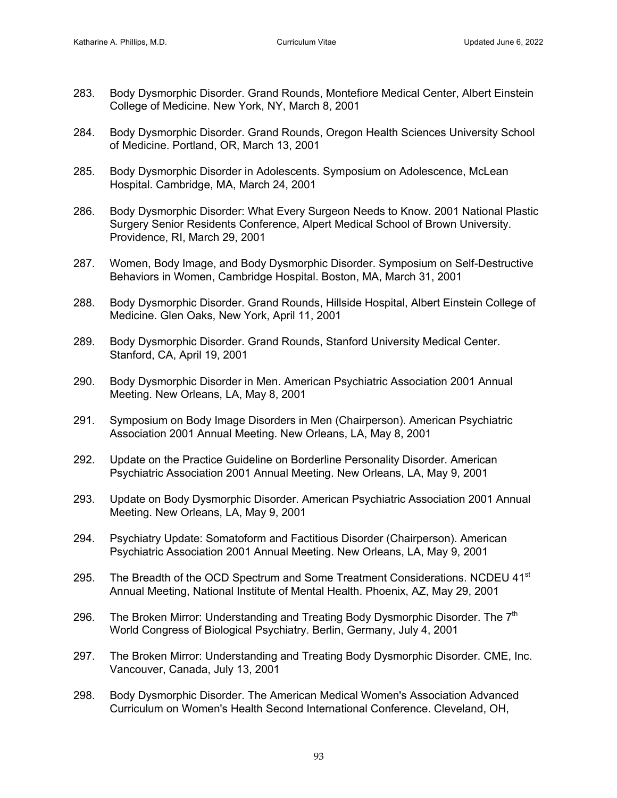- 283. Body Dysmorphic Disorder. Grand Rounds, Montefiore Medical Center, Albert Einstein College of Medicine. New York, NY, March 8, 2001
- 284. Body Dysmorphic Disorder. Grand Rounds, Oregon Health Sciences University School of Medicine. Portland, OR, March 13, 2001
- 285. Body Dysmorphic Disorder in Adolescents. Symposium on Adolescence, McLean Hospital. Cambridge, MA, March 24, 2001
- 286. Body Dysmorphic Disorder: What Every Surgeon Needs to Know. 2001 National Plastic Surgery Senior Residents Conference, Alpert Medical School of Brown University. Providence, RI, March 29, 2001
- 287. Women, Body Image, and Body Dysmorphic Disorder. Symposium on Self-Destructive Behaviors in Women, Cambridge Hospital. Boston, MA, March 31, 2001
- 288. Body Dysmorphic Disorder. Grand Rounds, Hillside Hospital, Albert Einstein College of Medicine. Glen Oaks, New York, April 11, 2001
- 289. Body Dysmorphic Disorder. Grand Rounds, Stanford University Medical Center. Stanford, CA, April 19, 2001
- 290. Body Dysmorphic Disorder in Men. American Psychiatric Association 2001 Annual Meeting. New Orleans, LA, May 8, 2001
- 291. Symposium on Body Image Disorders in Men (Chairperson). American Psychiatric Association 2001 Annual Meeting. New Orleans, LA, May 8, 2001
- 292. Update on the Practice Guideline on Borderline Personality Disorder. American Psychiatric Association 2001 Annual Meeting. New Orleans, LA, May 9, 2001
- 293. Update on Body Dysmorphic Disorder. American Psychiatric Association 2001 Annual Meeting. New Orleans, LA, May 9, 2001
- 294. Psychiatry Update: Somatoform and Factitious Disorder (Chairperson). American Psychiatric Association 2001 Annual Meeting. New Orleans, LA, May 9, 2001
- 295. The Breadth of the OCD Spectrum and Some Treatment Considerations. NCDEU 41<sup>st</sup> Annual Meeting, National Institute of Mental Health. Phoenix, AZ, May 29, 2001
- 296. The Broken Mirror: Understanding and Treating Body Dysmorphic Disorder. The  $7<sup>th</sup>$ World Congress of Biological Psychiatry. Berlin, Germany, July 4, 2001
- 297. The Broken Mirror: Understanding and Treating Body Dysmorphic Disorder. CME, Inc. Vancouver, Canada, July 13, 2001
- 298. Body Dysmorphic Disorder. The American Medical Women's Association Advanced Curriculum on Women's Health Second International Conference. Cleveland, OH,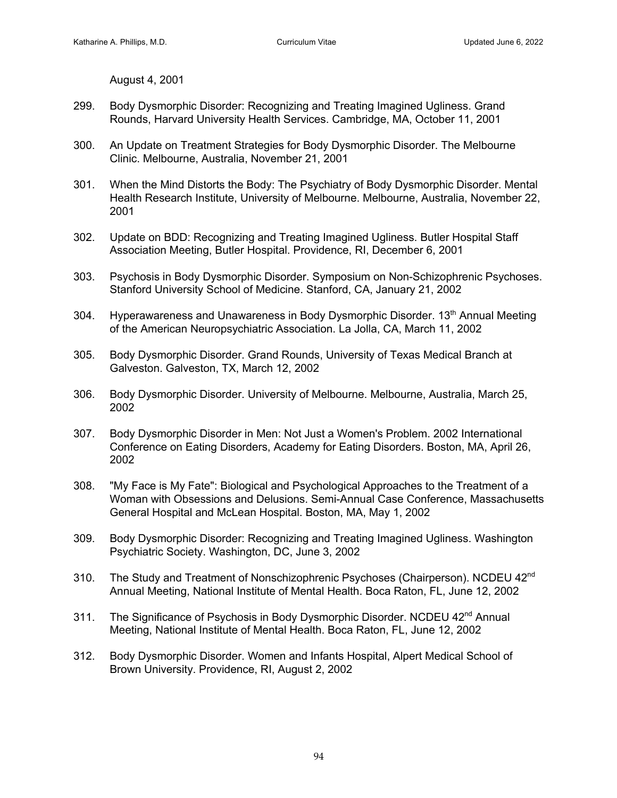August 4, 2001

- 299. Body Dysmorphic Disorder: Recognizing and Treating Imagined Ugliness. Grand Rounds, Harvard University Health Services. Cambridge, MA, October 11, 2001
- 300. An Update on Treatment Strategies for Body Dysmorphic Disorder. The Melbourne Clinic. Melbourne, Australia, November 21, 2001
- 301. When the Mind Distorts the Body: The Psychiatry of Body Dysmorphic Disorder. Mental Health Research Institute, University of Melbourne. Melbourne, Australia, November 22, 2001
- 302. Update on BDD: Recognizing and Treating Imagined Ugliness. Butler Hospital Staff Association Meeting, Butler Hospital. Providence, RI, December 6, 2001
- 303. Psychosis in Body Dysmorphic Disorder. Symposium on Non-Schizophrenic Psychoses. Stanford University School of Medicine. Stanford, CA, January 21, 2002
- 304. Hyperawareness and Unawareness in Body Dysmorphic Disorder. 13<sup>th</sup> Annual Meeting of the American Neuropsychiatric Association. La Jolla, CA, March 11, 2002
- 305. Body Dysmorphic Disorder. Grand Rounds, University of Texas Medical Branch at Galveston. Galveston, TX, March 12, 2002
- 306. Body Dysmorphic Disorder. University of Melbourne. Melbourne, Australia, March 25, 2002
- 307. Body Dysmorphic Disorder in Men: Not Just a Women's Problem. 2002 International Conference on Eating Disorders, Academy for Eating Disorders. Boston, MA, April 26, 2002
- 308. "My Face is My Fate": Biological and Psychological Approaches to the Treatment of a Woman with Obsessions and Delusions. Semi-Annual Case Conference, Massachusetts General Hospital and McLean Hospital. Boston, MA, May 1, 2002
- 309. Body Dysmorphic Disorder: Recognizing and Treating Imagined Ugliness. Washington Psychiatric Society. Washington, DC, June 3, 2002
- 310. The Study and Treatment of Nonschizophrenic Psychoses (Chairperson). NCDEU 42<sup>nd</sup> Annual Meeting, National Institute of Mental Health. Boca Raton, FL, June 12, 2002
- 311. The Significance of Psychosis in Body Dysmorphic Disorder. NCDEU 42<sup>nd</sup> Annual Meeting, National Institute of Mental Health. Boca Raton, FL, June 12, 2002
- 312. Body Dysmorphic Disorder. Women and Infants Hospital, Alpert Medical School of Brown University. Providence, RI, August 2, 2002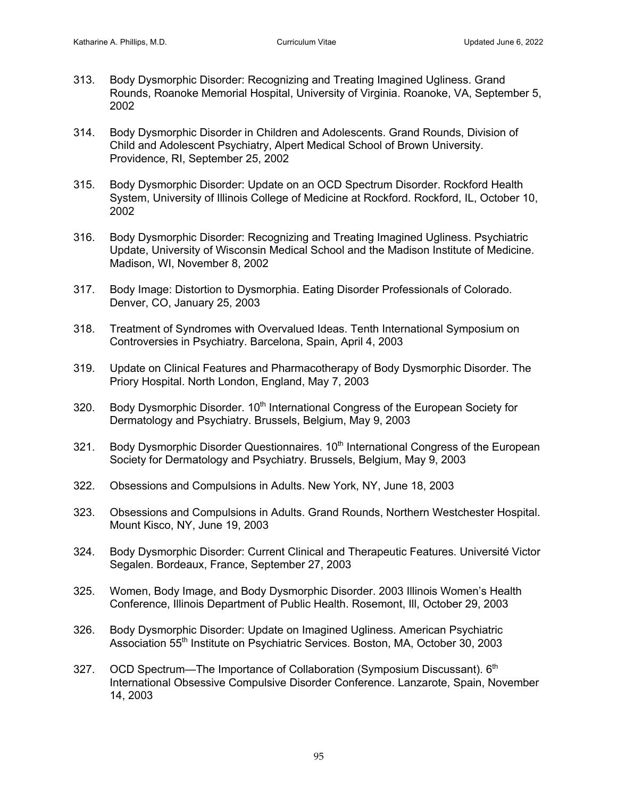- 313. Body Dysmorphic Disorder: Recognizing and Treating Imagined Ugliness. Grand Rounds, Roanoke Memorial Hospital, University of Virginia. Roanoke, VA, September 5, 2002
- 314. Body Dysmorphic Disorder in Children and Adolescents. Grand Rounds, Division of Child and Adolescent Psychiatry, Alpert Medical School of Brown University. Providence, RI, September 25, 2002
- 315. Body Dysmorphic Disorder: Update on an OCD Spectrum Disorder. Rockford Health System, University of Illinois College of Medicine at Rockford. Rockford, IL, October 10, 2002
- 316. Body Dysmorphic Disorder: Recognizing and Treating Imagined Ugliness. Psychiatric Update, University of Wisconsin Medical School and the Madison Institute of Medicine. Madison, WI, November 8, 2002
- 317. Body Image: Distortion to Dysmorphia. Eating Disorder Professionals of Colorado. Denver, CO, January 25, 2003
- 318. Treatment of Syndromes with Overvalued Ideas. Tenth International Symposium on Controversies in Psychiatry. Barcelona, Spain, April 4, 2003
- 319. Update on Clinical Features and Pharmacotherapy of Body Dysmorphic Disorder. The Priory Hospital. North London, England, May 7, 2003
- 320. Body Dysmorphic Disorder. 10<sup>th</sup> International Congress of the European Society for Dermatology and Psychiatry. Brussels, Belgium, May 9, 2003
- 321. Body Dysmorphic Disorder Questionnaires. 10<sup>th</sup> International Congress of the European Society for Dermatology and Psychiatry. Brussels, Belgium, May 9, 2003
- 322. Obsessions and Compulsions in Adults. New York, NY, June 18, 2003
- 323. Obsessions and Compulsions in Adults. Grand Rounds, Northern Westchester Hospital. Mount Kisco, NY, June 19, 2003
- 324. Body Dysmorphic Disorder: Current Clinical and Therapeutic Features. Université Victor Segalen. Bordeaux, France, September 27, 2003
- 325. Women, Body Image, and Body Dysmorphic Disorder. 2003 Illinois Women's Health Conference, Illinois Department of Public Health. Rosemont, Ill, October 29, 2003
- 326. Body Dysmorphic Disorder: Update on Imagined Ugliness. American Psychiatric Association 55<sup>th</sup> Institute on Psychiatric Services. Boston, MA, October 30, 2003
- 327. OCD Spectrum—The Importance of Collaboration (Symposium Discussant). 6<sup>th</sup> International Obsessive Compulsive Disorder Conference. Lanzarote, Spain, November 14, 2003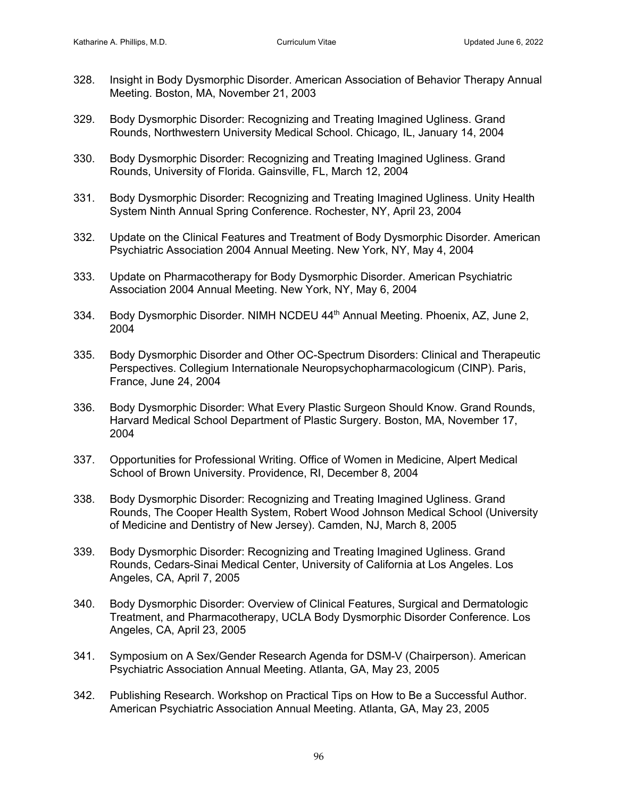- 328. Insight in Body Dysmorphic Disorder. American Association of Behavior Therapy Annual Meeting. Boston, MA, November 21, 2003
- 329. Body Dysmorphic Disorder: Recognizing and Treating Imagined Ugliness. Grand Rounds, Northwestern University Medical School. Chicago, IL, January 14, 2004
- 330. Body Dysmorphic Disorder: Recognizing and Treating Imagined Ugliness. Grand Rounds, University of Florida. Gainsville, FL, March 12, 2004
- 331. Body Dysmorphic Disorder: Recognizing and Treating Imagined Ugliness. Unity Health System Ninth Annual Spring Conference. Rochester, NY, April 23, 2004
- 332. Update on the Clinical Features and Treatment of Body Dysmorphic Disorder. American Psychiatric Association 2004 Annual Meeting. New York, NY, May 4, 2004
- 333. Update on Pharmacotherapy for Body Dysmorphic Disorder. American Psychiatric Association 2004 Annual Meeting. New York, NY, May 6, 2004
- 334. Body Dysmorphic Disorder. NIMH NCDEU 44<sup>th</sup> Annual Meeting. Phoenix, AZ, June 2, 2004
- 335. Body Dysmorphic Disorder and Other OC-Spectrum Disorders: Clinical and Therapeutic Perspectives. Collegium Internationale Neuropsychopharmacologicum (CINP). Paris, France, June 24, 2004
- 336. Body Dysmorphic Disorder: What Every Plastic Surgeon Should Know. Grand Rounds, Harvard Medical School Department of Plastic Surgery. Boston, MA, November 17, 2004
- 337. Opportunities for Professional Writing. Office of Women in Medicine, Alpert Medical School of Brown University. Providence, RI, December 8, 2004
- 338. Body Dysmorphic Disorder: Recognizing and Treating Imagined Ugliness. Grand Rounds, The Cooper Health System, Robert Wood Johnson Medical School (University of Medicine and Dentistry of New Jersey). Camden, NJ, March 8, 2005
- 339. Body Dysmorphic Disorder: Recognizing and Treating Imagined Ugliness. Grand Rounds, Cedars-Sinai Medical Center, University of California at Los Angeles. Los Angeles, CA, April 7, 2005
- 340. Body Dysmorphic Disorder: Overview of Clinical Features, Surgical and Dermatologic Treatment, and Pharmacotherapy, UCLA Body Dysmorphic Disorder Conference. Los Angeles, CA, April 23, 2005
- 341. Symposium on A Sex/Gender Research Agenda for DSM-V (Chairperson). American Psychiatric Association Annual Meeting. Atlanta, GA, May 23, 2005
- 342. Publishing Research. Workshop on Practical Tips on How to Be a Successful Author. American Psychiatric Association Annual Meeting. Atlanta, GA, May 23, 2005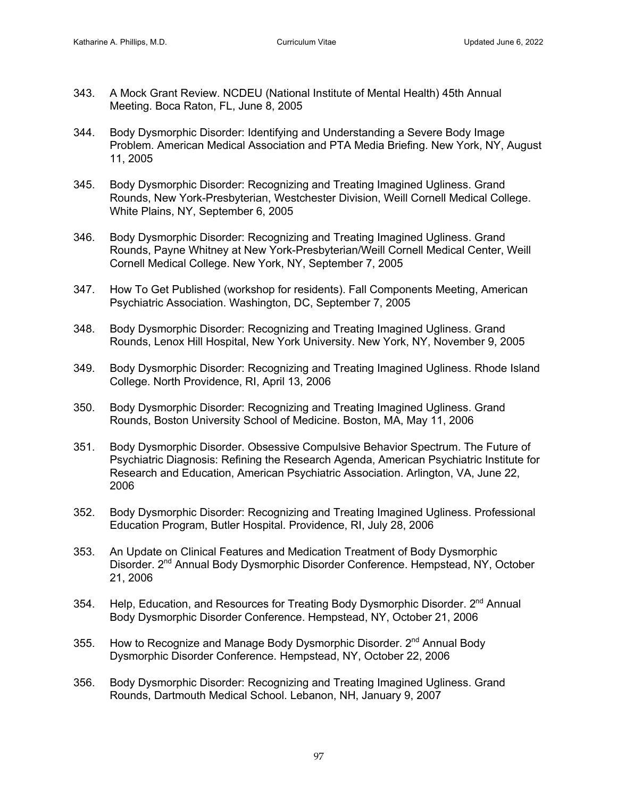- 343. A Mock Grant Review. NCDEU (National Institute of Mental Health) 45th Annual Meeting. Boca Raton, FL, June 8, 2005
- 344. Body Dysmorphic Disorder: Identifying and Understanding a Severe Body Image Problem. American Medical Association and PTA Media Briefing. New York, NY, August 11, 2005
- 345. Body Dysmorphic Disorder: Recognizing and Treating Imagined Ugliness. Grand Rounds, New York-Presbyterian, Westchester Division, Weill Cornell Medical College. White Plains, NY, September 6, 2005
- 346. Body Dysmorphic Disorder: Recognizing and Treating Imagined Ugliness. Grand Rounds, Payne Whitney at New York-Presbyterian/Weill Cornell Medical Center, Weill Cornell Medical College. New York, NY, September 7, 2005
- 347. How To Get Published (workshop for residents). Fall Components Meeting, American Psychiatric Association. Washington, DC, September 7, 2005
- 348. Body Dysmorphic Disorder: Recognizing and Treating Imagined Ugliness. Grand Rounds, Lenox Hill Hospital, New York University. New York, NY, November 9, 2005
- 349. Body Dysmorphic Disorder: Recognizing and Treating Imagined Ugliness. Rhode Island College. North Providence, RI, April 13, 2006
- 350. Body Dysmorphic Disorder: Recognizing and Treating Imagined Ugliness. Grand Rounds, Boston University School of Medicine. Boston, MA, May 11, 2006
- 351. Body Dysmorphic Disorder. Obsessive Compulsive Behavior Spectrum. The Future of Psychiatric Diagnosis: Refining the Research Agenda, American Psychiatric Institute for Research and Education, American Psychiatric Association. Arlington, VA, June 22, 2006
- 352. Body Dysmorphic Disorder: Recognizing and Treating Imagined Ugliness. Professional Education Program, Butler Hospital. Providence, RI, July 28, 2006
- 353. An Update on Clinical Features and Medication Treatment of Body Dysmorphic Disorder. 2<sup>nd</sup> Annual Body Dysmorphic Disorder Conference. Hempstead, NY, October 21, 2006
- 354. Help, Education, and Resources for Treating Body Dysmorphic Disorder. 2<sup>nd</sup> Annual Body Dysmorphic Disorder Conference. Hempstead, NY, October 21, 2006
- 355. How to Recognize and Manage Body Dysmorphic Disorder. 2<sup>nd</sup> Annual Body Dysmorphic Disorder Conference. Hempstead, NY, October 22, 2006
- 356. Body Dysmorphic Disorder: Recognizing and Treating Imagined Ugliness. Grand Rounds, Dartmouth Medical School. Lebanon, NH, January 9, 2007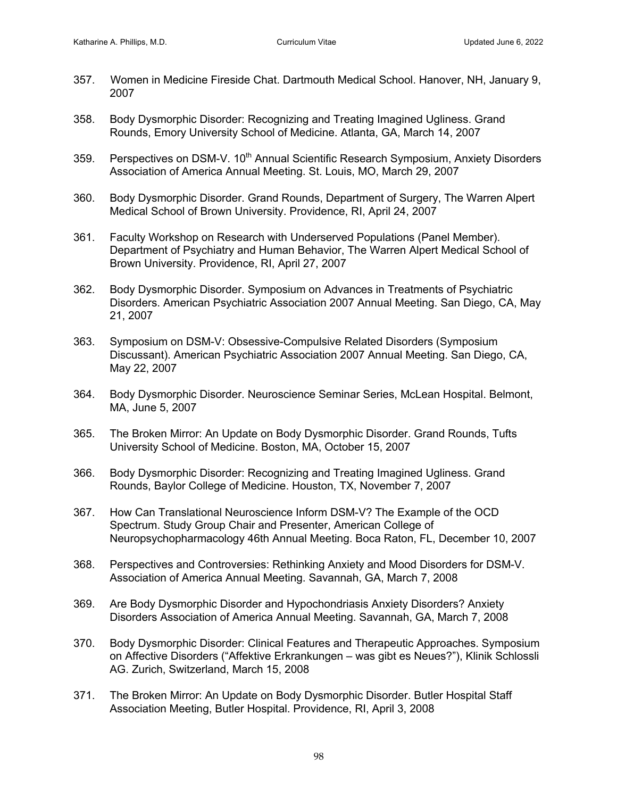- 357. Women in Medicine Fireside Chat. Dartmouth Medical School. Hanover, NH, January 9, 2007
- 358. Body Dysmorphic Disorder: Recognizing and Treating Imagined Ugliness. Grand Rounds, Emory University School of Medicine. Atlanta, GA, March 14, 2007
- 359. Perspectives on DSM-V. 10<sup>th</sup> Annual Scientific Research Symposium, Anxiety Disorders Association of America Annual Meeting. St. Louis, MO, March 29, 2007
- 360. Body Dysmorphic Disorder. Grand Rounds, Department of Surgery, The Warren Alpert Medical School of Brown University. Providence, RI, April 24, 2007
- 361. Faculty Workshop on Research with Underserved Populations (Panel Member). Department of Psychiatry and Human Behavior, The Warren Alpert Medical School of Brown University. Providence, RI, April 27, 2007
- 362. Body Dysmorphic Disorder. Symposium on Advances in Treatments of Psychiatric Disorders. American Psychiatric Association 2007 Annual Meeting. San Diego, CA, May 21, 2007
- 363. Symposium on DSM-V: Obsessive-Compulsive Related Disorders (Symposium Discussant). American Psychiatric Association 2007 Annual Meeting. San Diego, CA, May 22, 2007
- 364. Body Dysmorphic Disorder. Neuroscience Seminar Series, McLean Hospital. Belmont, MA, June 5, 2007
- 365. The Broken Mirror: An Update on Body Dysmorphic Disorder. Grand Rounds, Tufts University School of Medicine. Boston, MA, October 15, 2007
- 366. Body Dysmorphic Disorder: Recognizing and Treating Imagined Ugliness. Grand Rounds, Baylor College of Medicine. Houston, TX, November 7, 2007
- 367. How Can Translational Neuroscience Inform DSM-V? The Example of the OCD Spectrum. Study Group Chair and Presenter, American College of Neuropsychopharmacology 46th Annual Meeting. Boca Raton, FL, December 10, 2007
- 368. Perspectives and Controversies: Rethinking Anxiety and Mood Disorders for DSM-V. Association of America Annual Meeting. Savannah, GA, March 7, 2008
- 369. Are Body Dysmorphic Disorder and Hypochondriasis Anxiety Disorders? Anxiety Disorders Association of America Annual Meeting. Savannah, GA, March 7, 2008
- 370. Body Dysmorphic Disorder: Clinical Features and Therapeutic Approaches. Symposium on Affective Disorders ("Affektive Erkrankungen – was gibt es Neues?"), Klinik Schlossli AG. Zurich, Switzerland, March 15, 2008
- 371. The Broken Mirror: An Update on Body Dysmorphic Disorder. Butler Hospital Staff Association Meeting, Butler Hospital. Providence, RI, April 3, 2008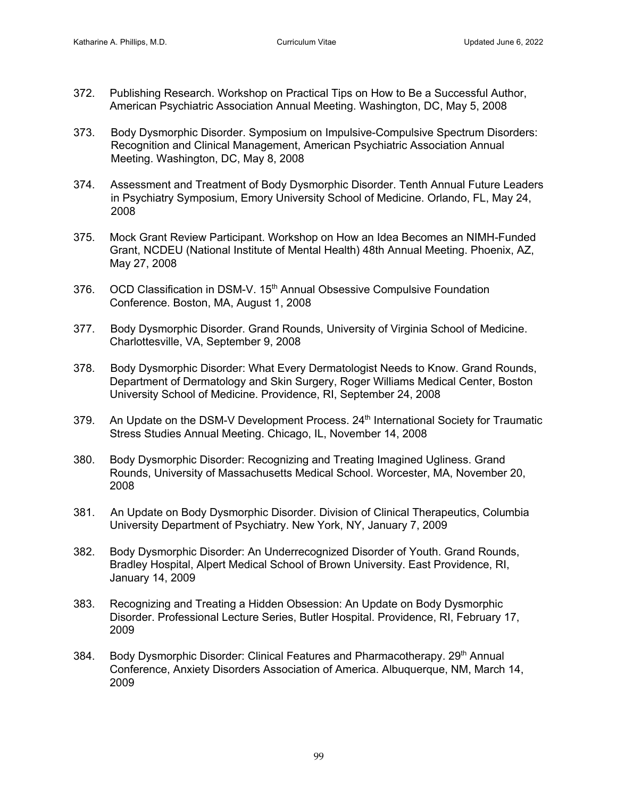- 372. Publishing Research. Workshop on Practical Tips on How to Be a Successful Author, American Psychiatric Association Annual Meeting. Washington, DC, May 5, 2008
- 373. Body Dysmorphic Disorder. Symposium on Impulsive-Compulsive Spectrum Disorders: Recognition and Clinical Management, American Psychiatric Association Annual Meeting. Washington, DC, May 8, 2008
- 374. Assessment and Treatment of Body Dysmorphic Disorder. Tenth Annual Future Leaders in Psychiatry Symposium, Emory University School of Medicine. Orlando, FL, May 24, 2008
- 375. Mock Grant Review Participant. Workshop on How an Idea Becomes an NIMH-Funded Grant, NCDEU (National Institute of Mental Health) 48th Annual Meeting. Phoenix, AZ, May 27, 2008
- 376. OCD Classification in DSM-V. 15<sup>th</sup> Annual Obsessive Compulsive Foundation Conference. Boston, MA, August 1, 2008
- 377. Body Dysmorphic Disorder. Grand Rounds, University of Virginia School of Medicine. Charlottesville, VA, September 9, 2008
- 378. Body Dysmorphic Disorder: What Every Dermatologist Needs to Know. Grand Rounds, Department of Dermatology and Skin Surgery, Roger Williams Medical Center, Boston University School of Medicine. Providence, RI, September 24, 2008
- 379. An Update on the DSM-V Development Process. 24<sup>th</sup> International Society for Traumatic Stress Studies Annual Meeting. Chicago, IL, November 14, 2008
- 380. Body Dysmorphic Disorder: Recognizing and Treating Imagined Ugliness. Grand Rounds, University of Massachusetts Medical School. Worcester, MA, November 20, 2008
- 381. An Update on Body Dysmorphic Disorder. Division of Clinical Therapeutics, Columbia University Department of Psychiatry. New York, NY, January 7, 2009
- 382. Body Dysmorphic Disorder: An Underrecognized Disorder of Youth. Grand Rounds, Bradley Hospital, Alpert Medical School of Brown University. East Providence, RI, January 14, 2009
- 383. Recognizing and Treating a Hidden Obsession: An Update on Body Dysmorphic Disorder. Professional Lecture Series, Butler Hospital. Providence, RI, February 17, 2009
- 384. Body Dysmorphic Disorder: Clinical Features and Pharmacotherapy. 29<sup>th</sup> Annual Conference, Anxiety Disorders Association of America. Albuquerque, NM, March 14, 2009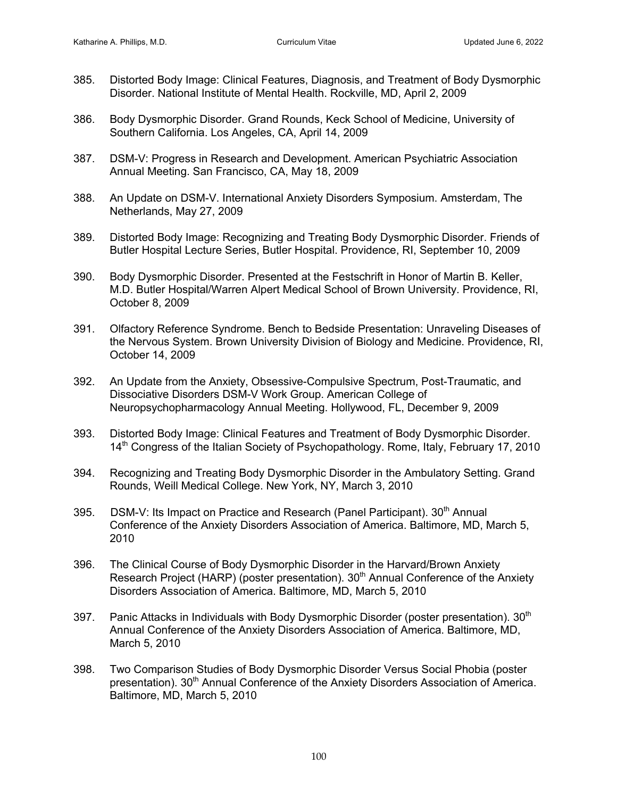- 385. Distorted Body Image: Clinical Features, Diagnosis, and Treatment of Body Dysmorphic Disorder. National Institute of Mental Health. Rockville, MD, April 2, 2009
- 386. Body Dysmorphic Disorder. Grand Rounds, Keck School of Medicine, University of Southern California. Los Angeles, CA, April 14, 2009
- 387. DSM-V: Progress in Research and Development. American Psychiatric Association Annual Meeting. San Francisco, CA, May 18, 2009
- 388. An Update on DSM-V. International Anxiety Disorders Symposium. Amsterdam, The Netherlands, May 27, 2009
- 389. Distorted Body Image: Recognizing and Treating Body Dysmorphic Disorder. Friends of Butler Hospital Lecture Series, Butler Hospital. Providence, RI, September 10, 2009
- 390. Body Dysmorphic Disorder. Presented at the Festschrift in Honor of Martin B. Keller, M.D. Butler Hospital/Warren Alpert Medical School of Brown University. Providence, RI, October 8, 2009
- 391. Olfactory Reference Syndrome. Bench to Bedside Presentation: Unraveling Diseases of the Nervous System. Brown University Division of Biology and Medicine. Providence, RI, October 14, 2009
- 392. An Update from the Anxiety, Obsessive-Compulsive Spectrum, Post-Traumatic, and Dissociative Disorders DSM-V Work Group. American College of Neuropsychopharmacology Annual Meeting. Hollywood, FL, December 9, 2009
- 393. Distorted Body Image: Clinical Features and Treatment of Body Dysmorphic Disorder. 14th Congress of the Italian Society of Psychopathology. Rome, Italy, February 17, 2010
- 394. Recognizing and Treating Body Dysmorphic Disorder in the Ambulatory Setting. Grand Rounds, Weill Medical College. New York, NY, March 3, 2010
- 395. DSM-V: Its Impact on Practice and Research (Panel Participant). 30<sup>th</sup> Annual Conference of the Anxiety Disorders Association of America. Baltimore, MD, March 5, 2010
- 396. The Clinical Course of Body Dysmorphic Disorder in the Harvard/Brown Anxiety Research Project (HARP) (poster presentation). 30<sup>th</sup> Annual Conference of the Anxiety Disorders Association of America. Baltimore, MD, March 5, 2010
- 397. Panic Attacks in Individuals with Body Dysmorphic Disorder (poster presentation).  $30<sup>th</sup>$ Annual Conference of the Anxiety Disorders Association of America. Baltimore, MD, March 5, 2010
- 398. Two Comparison Studies of Body Dysmorphic Disorder Versus Social Phobia (poster presentation). 30<sup>th</sup> Annual Conference of the Anxiety Disorders Association of America. Baltimore, MD, March 5, 2010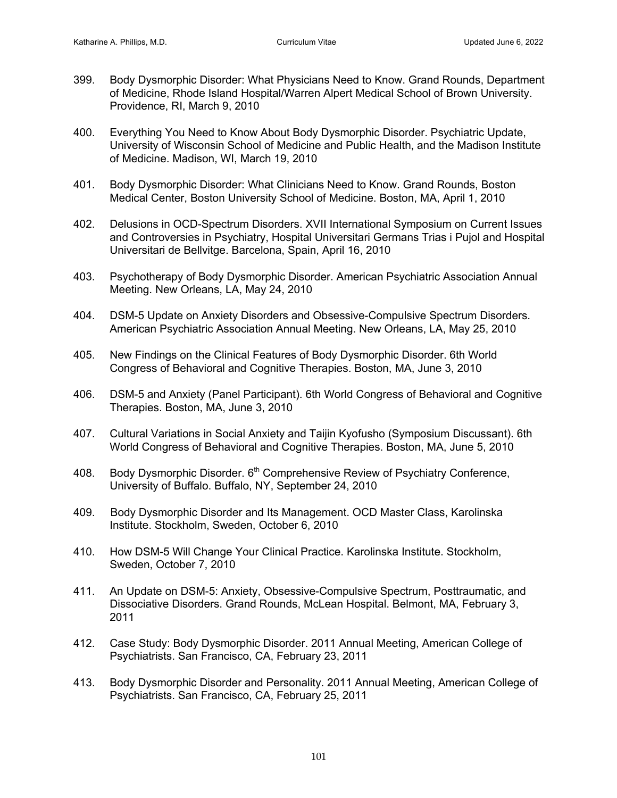- 399. Body Dysmorphic Disorder: What Physicians Need to Know. Grand Rounds, Department of Medicine, Rhode Island Hospital/Warren Alpert Medical School of Brown University. Providence, RI, March 9, 2010
- 400. Everything You Need to Know About Body Dysmorphic Disorder. Psychiatric Update, University of Wisconsin School of Medicine and Public Health, and the Madison Institute of Medicine. Madison, WI, March 19, 2010
- 401. Body Dysmorphic Disorder: What Clinicians Need to Know. Grand Rounds, Boston Medical Center, Boston University School of Medicine. Boston, MA, April 1, 2010
- 402. Delusions in OCD-Spectrum Disorders. XVII International Symposium on Current Issues and Controversies in Psychiatry, Hospital Universitari Germans Trias i Pujol and Hospital Universitari de Bellvitge. Barcelona, Spain, April 16, 2010
- 403. Psychotherapy of Body Dysmorphic Disorder. American Psychiatric Association Annual Meeting. New Orleans, LA, May 24, 2010
- 404. DSM-5 Update on Anxiety Disorders and Obsessive-Compulsive Spectrum Disorders. American Psychiatric Association Annual Meeting. New Orleans, LA, May 25, 2010
- 405. New Findings on the Clinical Features of Body Dysmorphic Disorder. 6th World Congress of Behavioral and Cognitive Therapies. Boston, MA, June 3, 2010
- 406. DSM-5 and Anxiety (Panel Participant). 6th World Congress of Behavioral and Cognitive Therapies. Boston, MA, June 3, 2010
- 407. Cultural Variations in Social Anxiety and Taijin Kyofusho (Symposium Discussant). 6th World Congress of Behavioral and Cognitive Therapies. Boston, MA, June 5, 2010
- 408. Body Dysmorphic Disorder, 6<sup>th</sup> Comprehensive Review of Psychiatry Conference, University of Buffalo. Buffalo, NY, September 24, 2010
- 409. Body Dysmorphic Disorder and Its Management. OCD Master Class, Karolinska Institute. Stockholm, Sweden, October 6, 2010
- 410. How DSM-5 Will Change Your Clinical Practice. Karolinska Institute. Stockholm, Sweden, October 7, 2010
- 411. An Update on DSM-5: Anxiety, Obsessive-Compulsive Spectrum, Posttraumatic, and Dissociative Disorders. Grand Rounds, McLean Hospital. Belmont, MA, February 3, 2011
- 412. Case Study: Body Dysmorphic Disorder. 2011 Annual Meeting, American College of Psychiatrists. San Francisco, CA, February 23, 2011
- 413. Body Dysmorphic Disorder and Personality. 2011 Annual Meeting, American College of Psychiatrists. San Francisco, CA, February 25, 2011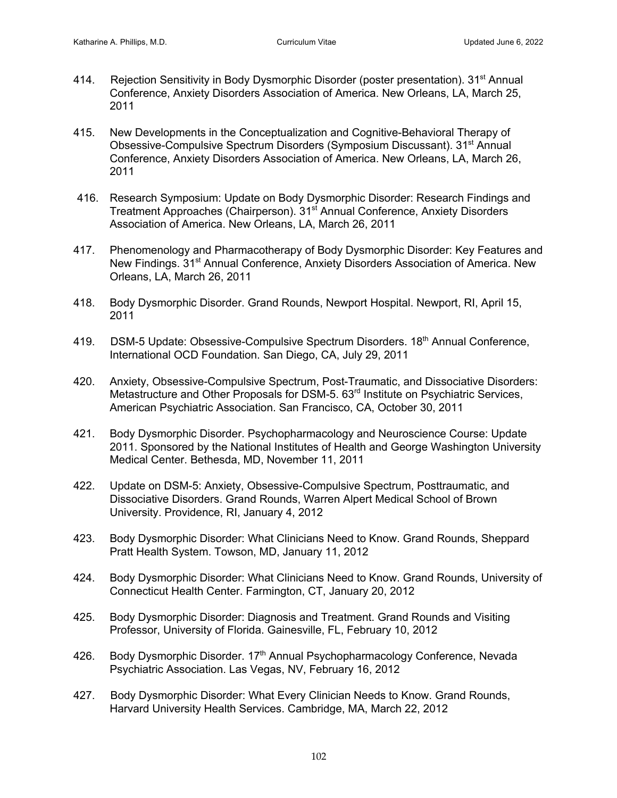- 414. Rejection Sensitivity in Body Dysmorphic Disorder (poster presentation). 31<sup>st</sup> Annual Conference, Anxiety Disorders Association of America. New Orleans, LA, March 25, 2011
- 415. New Developments in the Conceptualization and Cognitive-Behavioral Therapy of Obsessive-Compulsive Spectrum Disorders (Symposium Discussant). 31st Annual Conference, Anxiety Disorders Association of America. New Orleans, LA, March 26, 2011
- 416. Research Symposium: Update on Body Dysmorphic Disorder: Research Findings and Treatment Approaches (Chairperson). 31<sup>st</sup> Annual Conference, Anxiety Disorders Association of America. New Orleans, LA, March 26, 2011
- 417. Phenomenology and Pharmacotherapy of Body Dysmorphic Disorder: Key Features and New Findings. 31<sup>st</sup> Annual Conference, Anxiety Disorders Association of America. New Orleans, LA, March 26, 2011
- 418. Body Dysmorphic Disorder. Grand Rounds, Newport Hospital. Newport, RI, April 15, 2011
- 419. DSM-5 Update: Obsessive-Compulsive Spectrum Disorders. 18<sup>th</sup> Annual Conference, International OCD Foundation. San Diego, CA, July 29, 2011
- 420. Anxiety, Obsessive-Compulsive Spectrum, Post-Traumatic, and Dissociative Disorders: Metastructure and Other Proposals for DSM-5. 63<sup>rd</sup> Institute on Psychiatric Services, American Psychiatric Association. San Francisco, CA, October 30, 2011
- 421. Body Dysmorphic Disorder. Psychopharmacology and Neuroscience Course: Update 2011. Sponsored by the National Institutes of Health and George Washington University Medical Center. Bethesda, MD, November 11, 2011
- 422. Update on DSM-5: Anxiety, Obsessive-Compulsive Spectrum, Posttraumatic, and Dissociative Disorders. Grand Rounds, Warren Alpert Medical School of Brown University. Providence, RI, January 4, 2012
- 423. Body Dysmorphic Disorder: What Clinicians Need to Know. Grand Rounds, Sheppard Pratt Health System. Towson, MD, January 11, 2012
- 424. Body Dysmorphic Disorder: What Clinicians Need to Know. Grand Rounds, University of Connecticut Health Center. Farmington, CT, January 20, 2012
- 425. Body Dysmorphic Disorder: Diagnosis and Treatment. Grand Rounds and Visiting Professor, University of Florida. Gainesville, FL, February 10, 2012
- 426. Body Dysmorphic Disorder. 17<sup>th</sup> Annual Psychopharmacology Conference, Nevada Psychiatric Association. Las Vegas, NV, February 16, 2012
- 427. Body Dysmorphic Disorder: What Every Clinician Needs to Know. Grand Rounds, Harvard University Health Services. Cambridge, MA, March 22, 2012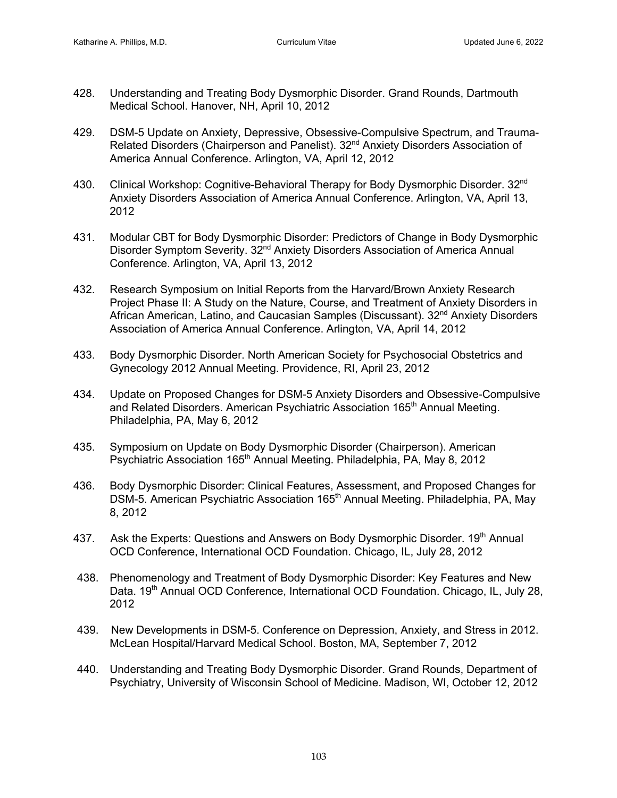- 428. Understanding and Treating Body Dysmorphic Disorder. Grand Rounds, Dartmouth Medical School. Hanover, NH, April 10, 2012
- 429. DSM-5 Update on Anxiety, Depressive, Obsessive-Compulsive Spectrum, and Trauma-Related Disorders (Chairperson and Panelist). 32<sup>nd</sup> Anxiety Disorders Association of America Annual Conference. Arlington, VA, April 12, 2012
- 430. Clinical Workshop: Cognitive-Behavioral Therapy for Body Dysmorphic Disorder. 32<sup>nd</sup> Anxiety Disorders Association of America Annual Conference. Arlington, VA, April 13, 2012
- 431. Modular CBT for Body Dysmorphic Disorder: Predictors of Change in Body Dysmorphic Disorder Symptom Severity. 32<sup>nd</sup> Anxiety Disorders Association of America Annual Conference. Arlington, VA, April 13, 2012
- 432. Research Symposium on Initial Reports from the Harvard/Brown Anxiety Research Project Phase II: A Study on the Nature, Course, and Treatment of Anxiety Disorders in African American, Latino, and Caucasian Samples (Discussant). 32<sup>nd</sup> Anxiety Disorders Association of America Annual Conference. Arlington, VA, April 14, 2012
- 433. Body Dysmorphic Disorder. North American Society for Psychosocial Obstetrics and Gynecology 2012 Annual Meeting. Providence, RI, April 23, 2012
- 434. Update on Proposed Changes for DSM-5 Anxiety Disorders and Obsessive-Compulsive and Related Disorders. American Psychiatric Association 165<sup>th</sup> Annual Meeting. Philadelphia, PA, May 6, 2012
- 435. Symposium on Update on Body Dysmorphic Disorder (Chairperson). American Psychiatric Association 165<sup>th</sup> Annual Meeting. Philadelphia, PA, May 8, 2012
- 436. Body Dysmorphic Disorder: Clinical Features, Assessment, and Proposed Changes for DSM-5. American Psychiatric Association 165<sup>th</sup> Annual Meeting. Philadelphia, PA, May 8, 2012
- 437. Ask the Experts: Questions and Answers on Body Dysmorphic Disorder. 19<sup>th</sup> Annual OCD Conference, International OCD Foundation. Chicago, IL, July 28, 2012
- 438. Phenomenology and Treatment of Body Dysmorphic Disorder: Key Features and New Data. 19<sup>th</sup> Annual OCD Conference, International OCD Foundation. Chicago, IL, July 28, 2012
- 439. New Developments in DSM-5. Conference on Depression, Anxiety, and Stress in 2012. McLean Hospital/Harvard Medical School. Boston, MA, September 7, 2012
- 440. Understanding and Treating Body Dysmorphic Disorder. Grand Rounds, Department of Psychiatry, University of Wisconsin School of Medicine. Madison, WI, October 12, 2012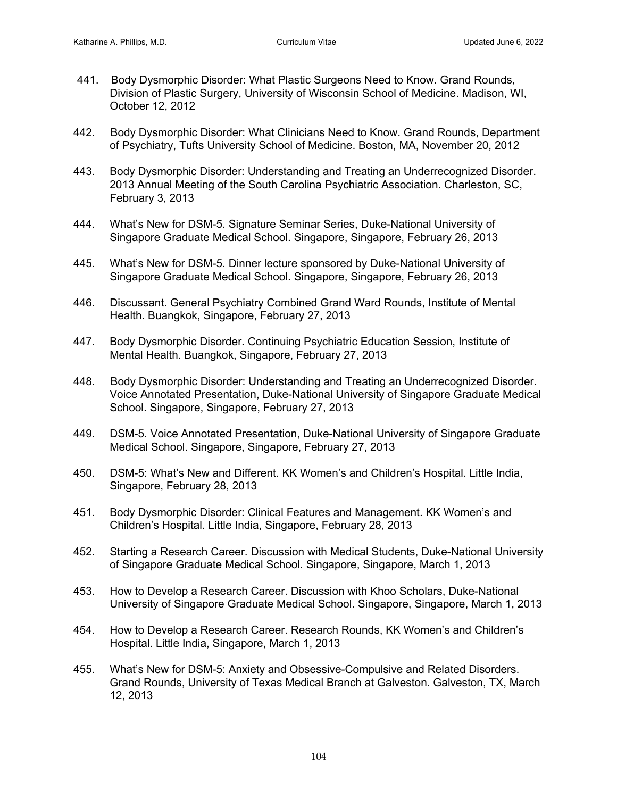- 441. Body Dysmorphic Disorder: What Plastic Surgeons Need to Know. Grand Rounds, Division of Plastic Surgery, University of Wisconsin School of Medicine. Madison, WI, October 12, 2012
- 442. Body Dysmorphic Disorder: What Clinicians Need to Know. Grand Rounds, Department of Psychiatry, Tufts University School of Medicine. Boston, MA, November 20, 2012
- 443. Body Dysmorphic Disorder: Understanding and Treating an Underrecognized Disorder. 2013 Annual Meeting of the South Carolina Psychiatric Association. Charleston, SC, February 3, 2013
- 444. What's New for DSM-5. Signature Seminar Series, Duke-National University of Singapore Graduate Medical School. Singapore, Singapore, February 26, 2013
- 445. What's New for DSM-5. Dinner lecture sponsored by Duke-National University of Singapore Graduate Medical School. Singapore, Singapore, February 26, 2013
- 446. Discussant. General Psychiatry Combined Grand Ward Rounds, Institute of Mental Health. Buangkok, Singapore, February 27, 2013
- 447. Body Dysmorphic Disorder. Continuing Psychiatric Education Session, Institute of Mental Health. Buangkok, Singapore, February 27, 2013
- 448. Body Dysmorphic Disorder: Understanding and Treating an Underrecognized Disorder. Voice Annotated Presentation, Duke-National University of Singapore Graduate Medical School. Singapore, Singapore, February 27, 2013
- 449. DSM-5. Voice Annotated Presentation, Duke-National University of Singapore Graduate Medical School. Singapore, Singapore, February 27, 2013
- 450. DSM-5: What's New and Different. KK Women's and Children's Hospital. Little India, Singapore, February 28, 2013
- 451. Body Dysmorphic Disorder: Clinical Features and Management. KK Women's and Children's Hospital. Little India, Singapore, February 28, 2013
- 452. Starting a Research Career. Discussion with Medical Students, Duke-National University of Singapore Graduate Medical School. Singapore, Singapore, March 1, 2013
- 453. How to Develop a Research Career. Discussion with Khoo Scholars, Duke-National University of Singapore Graduate Medical School. Singapore, Singapore, March 1, 2013
- 454. How to Develop a Research Career. Research Rounds, KK Women's and Children's Hospital. Little India, Singapore, March 1, 2013
- 455. What's New for DSM-5: Anxiety and Obsessive-Compulsive and Related Disorders. Grand Rounds, University of Texas Medical Branch at Galveston. Galveston, TX, March 12, 2013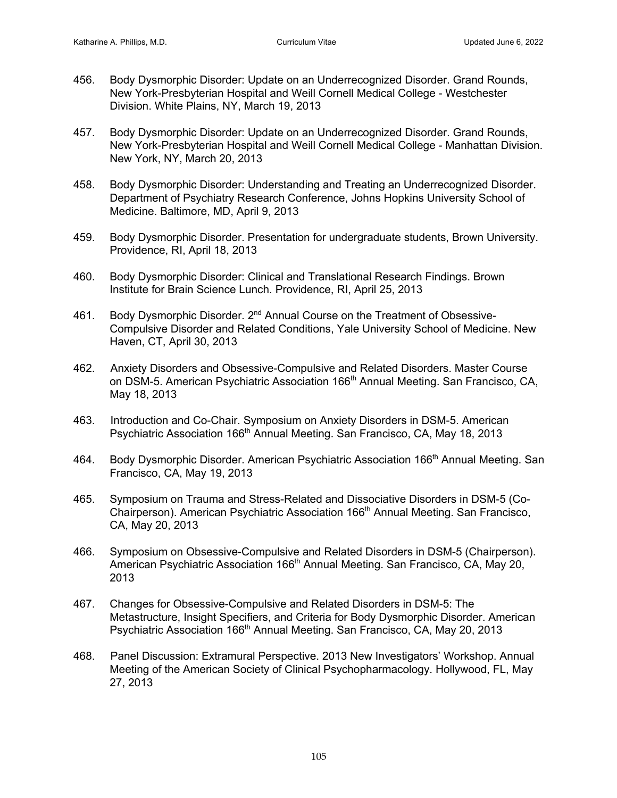- 456. Body Dysmorphic Disorder: Update on an Underrecognized Disorder. Grand Rounds, New York-Presbyterian Hospital and Weill Cornell Medical College - Westchester Division. White Plains, NY, March 19, 2013
- 457. Body Dysmorphic Disorder: Update on an Underrecognized Disorder. Grand Rounds, New York-Presbyterian Hospital and Weill Cornell Medical College - Manhattan Division. New York, NY, March 20, 2013
- 458. Body Dysmorphic Disorder: Understanding and Treating an Underrecognized Disorder. Department of Psychiatry Research Conference, Johns Hopkins University School of Medicine. Baltimore, MD, April 9, 2013
- 459. Body Dysmorphic Disorder. Presentation for undergraduate students, Brown University. Providence, RI, April 18, 2013
- 460. Body Dysmorphic Disorder: Clinical and Translational Research Findings. Brown Institute for Brain Science Lunch. Providence, RI, April 25, 2013
- 461. Body Dysmorphic Disorder. 2<sup>nd</sup> Annual Course on the Treatment of Obsessive-Compulsive Disorder and Related Conditions, Yale University School of Medicine. New Haven, CT, April 30, 2013
- 462. Anxiety Disorders and Obsessive-Compulsive and Related Disorders. Master Course on DSM-5. American Psychiatric Association 166<sup>th</sup> Annual Meeting. San Francisco, CA, May 18, 2013
- 463. Introduction and Co-Chair. Symposium on Anxiety Disorders in DSM-5. American Psychiatric Association 166<sup>th</sup> Annual Meeting. San Francisco, CA, May 18, 2013
- 464. Body Dysmorphic Disorder. American Psychiatric Association 166<sup>th</sup> Annual Meeting. San Francisco, CA, May 19, 2013
- 465. Symposium on Trauma and Stress-Related and Dissociative Disorders in DSM-5 (Co-Chairperson). American Psychiatric Association 166<sup>th</sup> Annual Meeting. San Francisco, CA, May 20, 2013
- 466. Symposium on Obsessive-Compulsive and Related Disorders in DSM-5 (Chairperson). American Psychiatric Association 166<sup>th</sup> Annual Meeting. San Francisco, CA, May 20, 2013
- 467. Changes for Obsessive-Compulsive and Related Disorders in DSM-5: The Metastructure, Insight Specifiers, and Criteria for Body Dysmorphic Disorder. American Psychiatric Association 166<sup>th</sup> Annual Meeting. San Francisco, CA, May 20, 2013
- 468. Panel Discussion: Extramural Perspective. 2013 New Investigators' Workshop. Annual Meeting of the American Society of Clinical Psychopharmacology. Hollywood, FL, May 27, 2013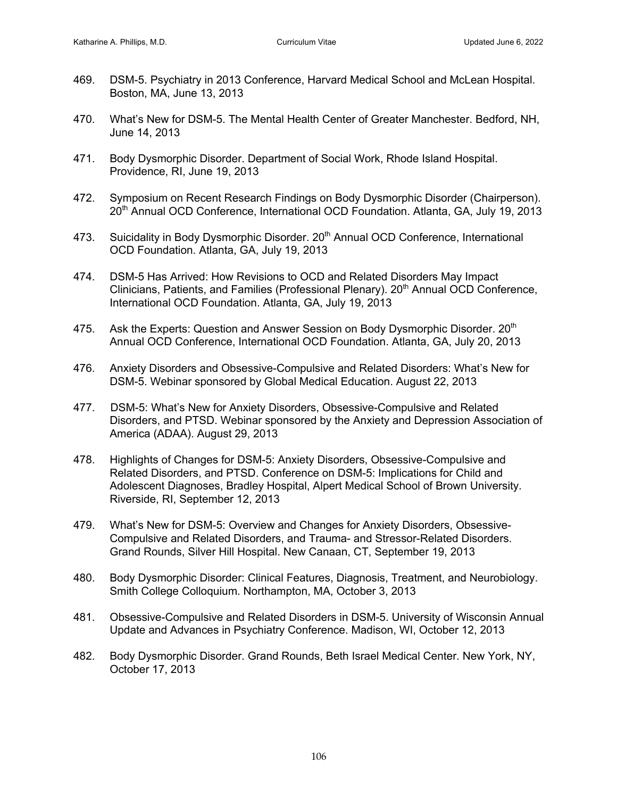- 469. DSM-5. Psychiatry in 2013 Conference, Harvard Medical School and McLean Hospital. Boston, MA, June 13, 2013
- 470. What's New for DSM-5. The Mental Health Center of Greater Manchester. Bedford, NH, June 14, 2013
- 471. Body Dysmorphic Disorder. Department of Social Work, Rhode Island Hospital. Providence, RI, June 19, 2013
- 472. Symposium on Recent Research Findings on Body Dysmorphic Disorder (Chairperson). 20th Annual OCD Conference, International OCD Foundation. Atlanta, GA, July 19, 2013
- 473. Suicidality in Body Dysmorphic Disorder. 20<sup>th</sup> Annual OCD Conference, International OCD Foundation. Atlanta, GA, July 19, 2013
- 474. DSM-5 Has Arrived: How Revisions to OCD and Related Disorders May Impact Clinicians, Patients, and Families (Professional Plenary). 20<sup>th</sup> Annual OCD Conference, International OCD Foundation. Atlanta, GA, July 19, 2013
- 475. Ask the Experts: Question and Answer Session on Body Dysmorphic Disorder. 20<sup>th</sup> Annual OCD Conference, International OCD Foundation. Atlanta, GA, July 20, 2013
- 476. Anxiety Disorders and Obsessive-Compulsive and Related Disorders: What's New for DSM-5. Webinar sponsored by Global Medical Education. August 22, 2013
- 477. DSM-5: What's New for Anxiety Disorders, Obsessive-Compulsive and Related Disorders, and PTSD. Webinar sponsored by the Anxiety and Depression Association of America (ADAA). August 29, 2013
- 478. Highlights of Changes for DSM-5: Anxiety Disorders, Obsessive-Compulsive and Related Disorders, and PTSD. Conference on DSM-5: Implications for Child and Adolescent Diagnoses, Bradley Hospital, Alpert Medical School of Brown University. Riverside, RI, September 12, 2013
- 479. What's New for DSM-5: Overview and Changes for Anxiety Disorders, Obsessive-Compulsive and Related Disorders, and Trauma- and Stressor-Related Disorders. Grand Rounds, Silver Hill Hospital. New Canaan, CT, September 19, 2013
- 480. Body Dysmorphic Disorder: Clinical Features, Diagnosis, Treatment, and Neurobiology. Smith College Colloquium. Northampton, MA, October 3, 2013
- 481. Obsessive-Compulsive and Related Disorders in DSM-5. University of Wisconsin Annual Update and Advances in Psychiatry Conference. Madison, WI, October 12, 2013
- 482. Body Dysmorphic Disorder. Grand Rounds, Beth Israel Medical Center. New York, NY, October 17, 2013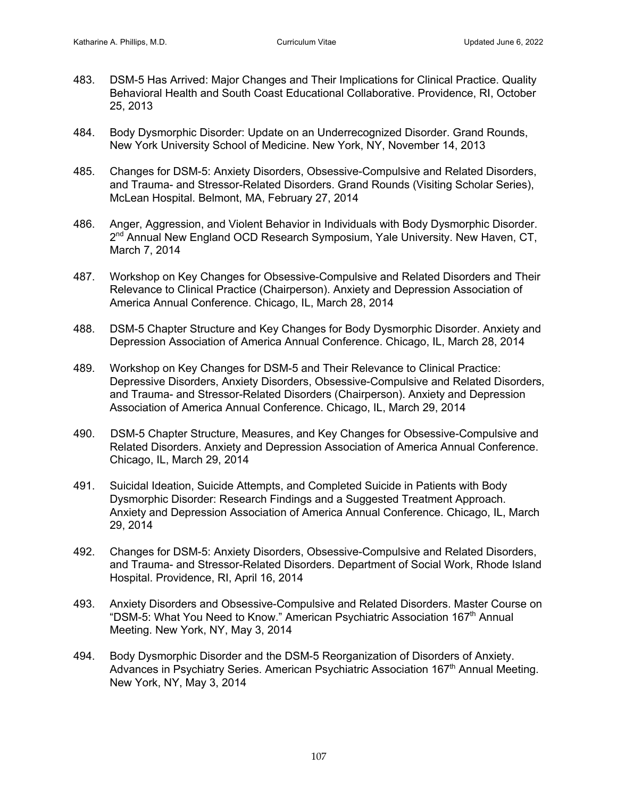- 483. DSM-5 Has Arrived: Major Changes and Their Implications for Clinical Practice. Quality Behavioral Health and South Coast Educational Collaborative. Providence, RI, October 25, 2013
- 484. Body Dysmorphic Disorder: Update on an Underrecognized Disorder. Grand Rounds, New York University School of Medicine. New York, NY, November 14, 2013
- 485. Changes for DSM-5: Anxiety Disorders, Obsessive-Compulsive and Related Disorders, and Trauma- and Stressor-Related Disorders. Grand Rounds (Visiting Scholar Series), McLean Hospital. Belmont, MA, February 27, 2014
- 486. Anger, Aggression, and Violent Behavior in Individuals with Body Dysmorphic Disorder. 2<sup>nd</sup> Annual New England OCD Research Symposium, Yale University. New Haven, CT, March 7, 2014
- 487. Workshop on Key Changes for Obsessive-Compulsive and Related Disorders and Their Relevance to Clinical Practice (Chairperson). Anxiety and Depression Association of America Annual Conference. Chicago, IL, March 28, 2014
- 488. DSM-5 Chapter Structure and Key Changes for Body Dysmorphic Disorder. Anxiety and Depression Association of America Annual Conference. Chicago, IL, March 28, 2014
- 489. Workshop on Key Changes for DSM-5 and Their Relevance to Clinical Practice: Depressive Disorders, Anxiety Disorders, Obsessive-Compulsive and Related Disorders, and Trauma- and Stressor-Related Disorders (Chairperson). Anxiety and Depression Association of America Annual Conference. Chicago, IL, March 29, 2014
- 490. DSM-5 Chapter Structure, Measures, and Key Changes for Obsessive-Compulsive and Related Disorders. Anxiety and Depression Association of America Annual Conference. Chicago, IL, March 29, 2014
- 491. Suicidal Ideation, Suicide Attempts, and Completed Suicide in Patients with Body Dysmorphic Disorder: Research Findings and a Suggested Treatment Approach. Anxiety and Depression Association of America Annual Conference. Chicago, IL, March 29, 2014
- 492. Changes for DSM-5: Anxiety Disorders, Obsessive-Compulsive and Related Disorders, and Trauma- and Stressor-Related Disorders. Department of Social Work, Rhode Island Hospital. Providence, RI, April 16, 2014
- 493. Anxiety Disorders and Obsessive-Compulsive and Related Disorders. Master Course on "DSM-5: What You Need to Know." American Psychiatric Association 167th Annual Meeting. New York, NY, May 3, 2014
- 494. Body Dysmorphic Disorder and the DSM-5 Reorganization of Disorders of Anxiety. Advances in Psychiatry Series. American Psychiatric Association  $167<sup>th</sup>$  Annual Meeting. New York, NY, May 3, 2014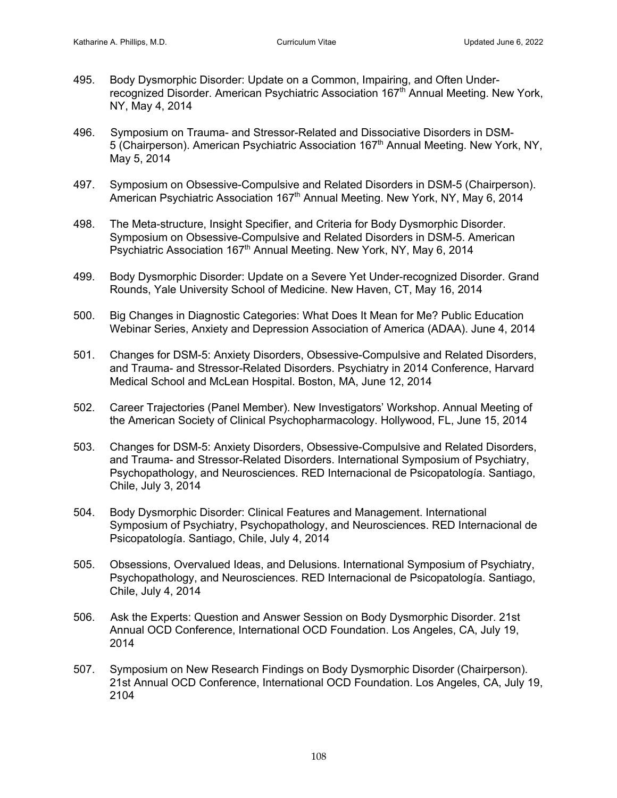- 495. Body Dysmorphic Disorder: Update on a Common, Impairing, and Often Underrecognized Disorder. American Psychiatric Association 167<sup>th</sup> Annual Meeting. New York, NY, May 4, 2014
- 496. Symposium on Trauma- and Stressor-Related and Dissociative Disorders in DSM-5 (Chairperson). American Psychiatric Association 167<sup>th</sup> Annual Meeting. New York, NY, May 5, 2014
- 497. Symposium on Obsessive-Compulsive and Related Disorders in DSM-5 (Chairperson). American Psychiatric Association 167<sup>th</sup> Annual Meeting. New York, NY, May 6, 2014
- 498. The Meta-structure, Insight Specifier, and Criteria for Body Dysmorphic Disorder. Symposium on Obsessive-Compulsive and Related Disorders in DSM-5. American Psychiatric Association 167<sup>th</sup> Annual Meeting. New York, NY, May 6, 2014
- 499. Body Dysmorphic Disorder: Update on a Severe Yet Under-recognized Disorder. Grand Rounds, Yale University School of Medicine. New Haven, CT, May 16, 2014
- 500. Big Changes in Diagnostic Categories: What Does It Mean for Me? Public Education Webinar Series, Anxiety and Depression Association of America (ADAA). June 4, 2014
- 501. Changes for DSM-5: Anxiety Disorders, Obsessive-Compulsive and Related Disorders, and Trauma- and Stressor-Related Disorders. Psychiatry in 2014 Conference, Harvard Medical School and McLean Hospital. Boston, MA, June 12, 2014
- 502. Career Trajectories (Panel Member). New Investigators' Workshop. Annual Meeting of the American Society of Clinical Psychopharmacology. Hollywood, FL, June 15, 2014
- 503. Changes for DSM-5: Anxiety Disorders, Obsessive-Compulsive and Related Disorders, and Trauma- and Stressor-Related Disorders. International Symposium of Psychiatry, Psychopathology, and Neurosciences. RED Internacional de Psicopatología. Santiago, Chile, July 3, 2014
- 504. Body Dysmorphic Disorder: Clinical Features and Management. International Symposium of Psychiatry, Psychopathology, and Neurosciences. RED Internacional de Psicopatología. Santiago, Chile, July 4, 2014
- 505. Obsessions, Overvalued Ideas, and Delusions. International Symposium of Psychiatry, Psychopathology, and Neurosciences. RED Internacional de Psicopatología. Santiago, Chile, July 4, 2014
- 506. Ask the Experts: Question and Answer Session on Body Dysmorphic Disorder. 21st Annual OCD Conference, International OCD Foundation. Los Angeles, CA, July 19, 2014
- 507. Symposium on New Research Findings on Body Dysmorphic Disorder (Chairperson). 21st Annual OCD Conference, International OCD Foundation. Los Angeles, CA, July 19, 2104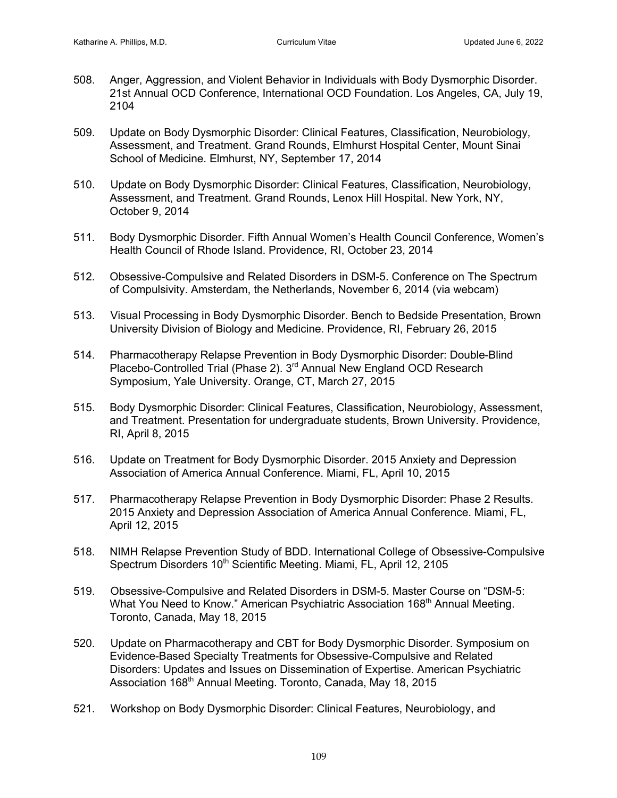- 508. Anger, Aggression, and Violent Behavior in Individuals with Body Dysmorphic Disorder. 21st Annual OCD Conference, International OCD Foundation. Los Angeles, CA, July 19, 2104
- 509. Update on Body Dysmorphic Disorder: Clinical Features, Classification, Neurobiology, Assessment, and Treatment. Grand Rounds, Elmhurst Hospital Center, Mount Sinai School of Medicine. Elmhurst, NY, September 17, 2014
- 510. Update on Body Dysmorphic Disorder: Clinical Features, Classification, Neurobiology, Assessment, and Treatment. Grand Rounds, Lenox Hill Hospital. New York, NY, October 9, 2014
- 511. Body Dysmorphic Disorder. Fifth Annual Women's Health Council Conference, Women's Health Council of Rhode Island. Providence, RI, October 23, 2014
- 512. Obsessive-Compulsive and Related Disorders in DSM-5. Conference on The Spectrum of Compulsivity. Amsterdam, the Netherlands, November 6, 2014 (via webcam)
- 513. Visual Processing in Body Dysmorphic Disorder. Bench to Bedside Presentation, Brown University Division of Biology and Medicine. Providence, RI, February 26, 2015
- 514. Pharmacotherapy Relapse Prevention in Body Dysmorphic Disorder: Double-Blind Placebo-Controlled Trial (Phase 2). 3<sup>rd</sup> Annual New England OCD Research Symposium, Yale University. Orange, CT, March 27, 2015
- 515. Body Dysmorphic Disorder: Clinical Features, Classification, Neurobiology, Assessment, and Treatment. Presentation for undergraduate students, Brown University. Providence, RI, April 8, 2015
- 516. Update on Treatment for Body Dysmorphic Disorder. 2015 Anxiety and Depression Association of America Annual Conference. Miami, FL, April 10, 2015
- 517. Pharmacotherapy Relapse Prevention in Body Dysmorphic Disorder: Phase 2 Results. 2015 Anxiety and Depression Association of America Annual Conference. Miami, FL, April 12, 2015
- 518. NIMH Relapse Prevention Study of BDD. International College of Obsessive-Compulsive Spectrum Disorders 10<sup>th</sup> Scientific Meeting. Miami, FL, April 12, 2105
- 519. Obsessive-Compulsive and Related Disorders in DSM-5. Master Course on "DSM-5: What You Need to Know." American Psychiatric Association 168<sup>th</sup> Annual Meeting. Toronto, Canada, May 18, 2015
- 520. Update on Pharmacotherapy and CBT for Body Dysmorphic Disorder. Symposium on Evidence-Based Specialty Treatments for Obsessive-Compulsive and Related Disorders: Updates and Issues on Dissemination of Expertise. American Psychiatric Association 168<sup>th</sup> Annual Meeting. Toronto, Canada, May 18, 2015
- 521. Workshop on Body Dysmorphic Disorder: Clinical Features, Neurobiology, and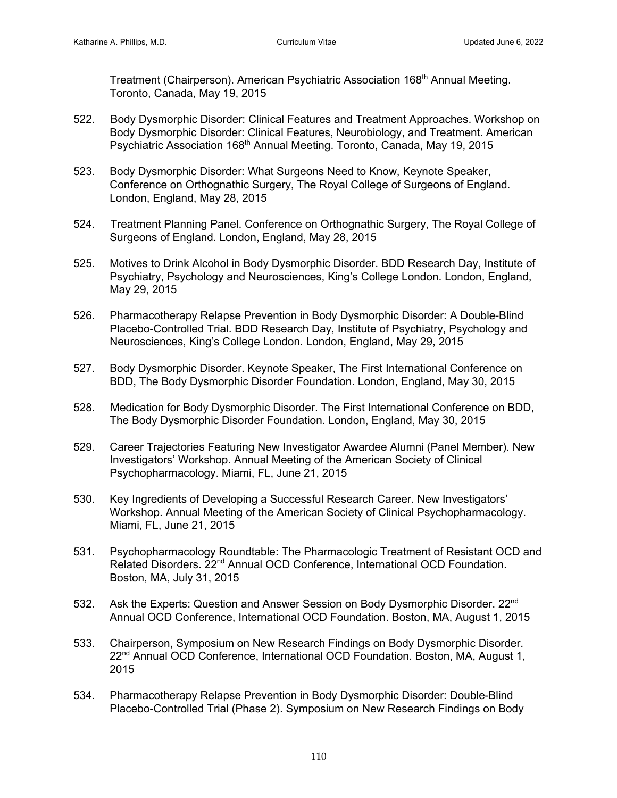Treatment (Chairperson). American Psychiatric Association 168<sup>th</sup> Annual Meeting. Toronto, Canada, May 19, 2015

- 522. Body Dysmorphic Disorder: Clinical Features and Treatment Approaches. Workshop on Body Dysmorphic Disorder: Clinical Features, Neurobiology, and Treatment. American Psychiatric Association 168<sup>th</sup> Annual Meeting. Toronto, Canada, May 19, 2015
- 523. Body Dysmorphic Disorder: What Surgeons Need to Know, Keynote Speaker, Conference on Orthognathic Surgery, The Royal College of Surgeons of England. London, England, May 28, 2015
- 524. Treatment Planning Panel. Conference on Orthognathic Surgery, The Royal College of Surgeons of England. London, England, May 28, 2015
- 525. Motives to Drink Alcohol in Body Dysmorphic Disorder. BDD Research Day, Institute of Psychiatry, Psychology and Neurosciences, King's College London. London, England, May 29, 2015
- 526. Pharmacotherapy Relapse Prevention in Body Dysmorphic Disorder: A Double-Blind Placebo-Controlled Trial. BDD Research Day, Institute of Psychiatry, Psychology and Neurosciences, King's College London. London, England, May 29, 2015
- 527. Body Dysmorphic Disorder. Keynote Speaker, The First International Conference on BDD, The Body Dysmorphic Disorder Foundation. London, England, May 30, 2015
- 528. Medication for Body Dysmorphic Disorder. The First International Conference on BDD, The Body Dysmorphic Disorder Foundation. London, England, May 30, 2015
- 529. Career Trajectories Featuring New Investigator Awardee Alumni (Panel Member). New Investigators' Workshop. Annual Meeting of the American Society of Clinical Psychopharmacology. Miami, FL, June 21, 2015
- 530. Key Ingredients of Developing a Successful Research Career. New Investigators' Workshop. Annual Meeting of the American Society of Clinical Psychopharmacology. Miami, FL, June 21, 2015
- 531. Psychopharmacology Roundtable: The Pharmacologic Treatment of Resistant OCD and Related Disorders. 22<sup>nd</sup> Annual OCD Conference, International OCD Foundation. Boston, MA, July 31, 2015
- 532. Ask the Experts: Question and Answer Session on Body Dysmorphic Disorder. 22<sup>nd</sup> Annual OCD Conference, International OCD Foundation. Boston, MA, August 1, 2015
- 533. Chairperson, Symposium on New Research Findings on Body Dysmorphic Disorder. 22<sup>nd</sup> Annual OCD Conference, International OCD Foundation. Boston, MA, August 1, 2015
- 534. Pharmacotherapy Relapse Prevention in Body Dysmorphic Disorder: Double-Blind Placebo-Controlled Trial (Phase 2). Symposium on New Research Findings on Body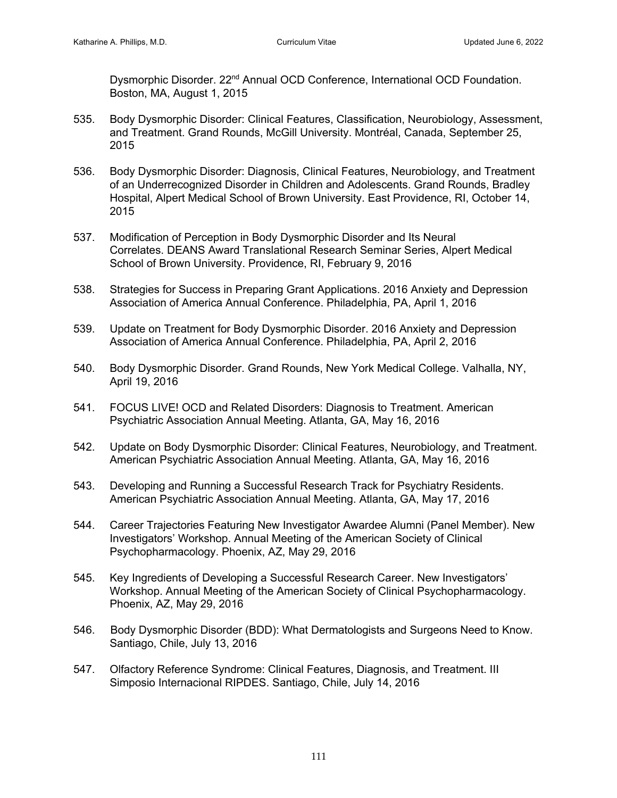Dysmorphic Disorder. 22<sup>nd</sup> Annual OCD Conference, International OCD Foundation. Boston, MA, August 1, 2015

- 535. Body Dysmorphic Disorder: Clinical Features, Classification, Neurobiology, Assessment, and Treatment. Grand Rounds, McGill University. Montréal, Canada, September 25, 2015
- 536. Body Dysmorphic Disorder: Diagnosis, Clinical Features, Neurobiology, and Treatment of an Underrecognized Disorder in Children and Adolescents. Grand Rounds, Bradley Hospital, Alpert Medical School of Brown University. East Providence, RI, October 14, 2015
- 537. Modification of Perception in Body Dysmorphic Disorder and Its Neural Correlates. DEANS Award Translational Research Seminar Series, Alpert Medical School of Brown University. Providence, RI, February 9, 2016
- 538. Strategies for Success in Preparing Grant Applications. 2016 Anxiety and Depression Association of America Annual Conference. Philadelphia, PA, April 1, 2016
- 539. Update on Treatment for Body Dysmorphic Disorder. 2016 Anxiety and Depression Association of America Annual Conference. Philadelphia, PA, April 2, 2016
- 540. Body Dysmorphic Disorder. Grand Rounds, New York Medical College. Valhalla, NY, April 19, 2016
- 541. FOCUS LIVE! OCD and Related Disorders: Diagnosis to Treatment. American Psychiatric Association Annual Meeting. Atlanta, GA, May 16, 2016
- 542. Update on Body Dysmorphic Disorder: Clinical Features, Neurobiology, and Treatment. American Psychiatric Association Annual Meeting. Atlanta, GA, May 16, 2016
- 543. Developing and Running a Successful Research Track for Psychiatry Residents. American Psychiatric Association Annual Meeting. Atlanta, GA, May 17, 2016
- 544. Career Trajectories Featuring New Investigator Awardee Alumni (Panel Member). New Investigators' Workshop. Annual Meeting of the American Society of Clinical Psychopharmacology. Phoenix, AZ, May 29, 2016
- 545. Key Ingredients of Developing a Successful Research Career. New Investigators' Workshop. Annual Meeting of the American Society of Clinical Psychopharmacology. Phoenix, AZ, May 29, 2016
- 546. Body Dysmorphic Disorder (BDD): What Dermatologists and Surgeons Need to Know. Santiago, Chile, July 13, 2016
- 547. Olfactory Reference Syndrome: Clinical Features, Diagnosis, and Treatment. III Simposio Internacional RIPDES. Santiago, Chile, July 14, 2016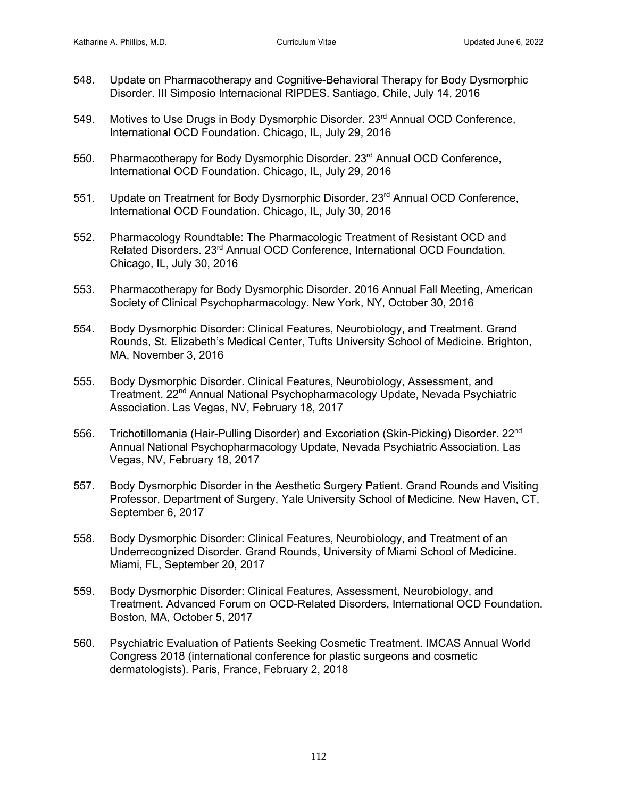- 548. Update on Pharmacotherapy and Cognitive-Behavioral Therapy for Body Dysmorphic Disorder. III Simposio Internacional RIPDES. Santiago, Chile, July 14, 2016
- 549. Motives to Use Drugs in Body Dysmorphic Disorder. 23<sup>rd</sup> Annual OCD Conference, International OCD Foundation. Chicago, IL, July 29, 2016
- 550. Pharmacotherapy for Body Dysmorphic Disorder. 23<sup>rd</sup> Annual OCD Conference, International OCD Foundation. Chicago, IL, July 29, 2016
- 551. Update on Treatment for Body Dysmorphic Disorder. 23<sup>rd</sup> Annual OCD Conference, International OCD Foundation. Chicago, IL, July 30, 2016
- 552. Pharmacology Roundtable: The Pharmacologic Treatment of Resistant OCD and Related Disorders. 23<sup>rd</sup> Annual OCD Conference, International OCD Foundation. Chicago, IL, July 30, 2016
- 553. Pharmacotherapy for Body Dysmorphic Disorder. 2016 Annual Fall Meeting, American Society of Clinical Psychopharmacology. New York, NY, October 30, 2016
- 554. Body Dysmorphic Disorder: Clinical Features, Neurobiology, and Treatment. Grand Rounds, St. Elizabeth's Medical Center, Tufts University School of Medicine. Brighton, MA, November 3, 2016
- 555. Body Dysmorphic Disorder. Clinical Features, Neurobiology, Assessment, and Treatment. 22<sup>nd</sup> Annual National Psychopharmacology Update, Nevada Psychiatric Association. Las Vegas, NV, February 18, 2017
- 556. Trichotillomania (Hair-Pulling Disorder) and Excoriation (Skin-Picking) Disorder. 22<sup>nd</sup> Annual National Psychopharmacology Update, Nevada Psychiatric Association. Las Vegas, NV, February 18, 2017
- 557. Body Dysmorphic Disorder in the Aesthetic Surgery Patient. Grand Rounds and Visiting Professor, Department of Surgery, Yale University School of Medicine. New Haven, CT, September 6, 2017
- 558. Body Dysmorphic Disorder: Clinical Features, Neurobiology, and Treatment of an Underrecognized Disorder. Grand Rounds, University of Miami School of Medicine. Miami, FL, September 20, 2017
- 559. Body Dysmorphic Disorder: Clinical Features, Assessment, Neurobiology, and Treatment. Advanced Forum on OCD-Related Disorders, International OCD Foundation. Boston, MA, October 5, 2017
- 560. Psychiatric Evaluation of Patients Seeking Cosmetic Treatment. IMCAS Annual World Congress 2018 (international conference for plastic surgeons and cosmetic dermatologists). Paris, France, February 2, 2018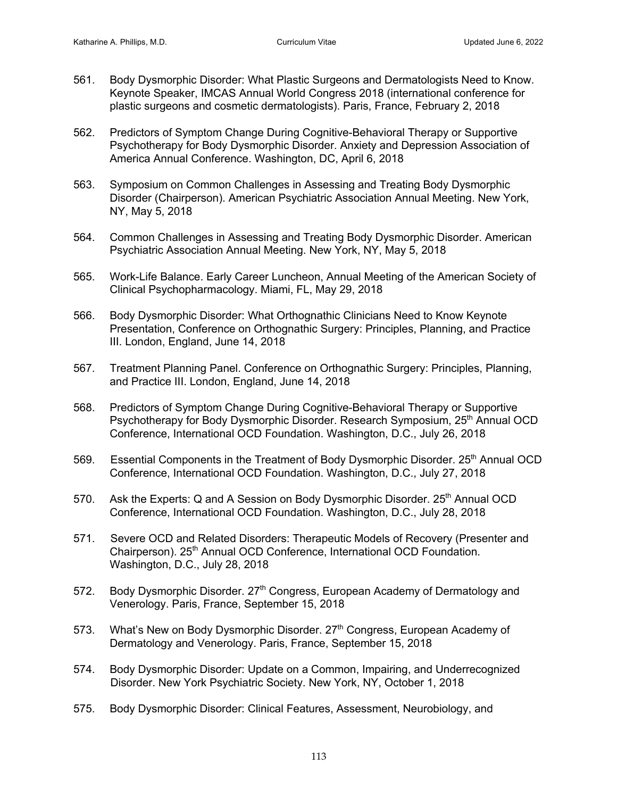- 561. Body Dysmorphic Disorder: What Plastic Surgeons and Dermatologists Need to Know. Keynote Speaker, IMCAS Annual World Congress 2018 (international conference for plastic surgeons and cosmetic dermatologists). Paris, France, February 2, 2018
- 562. Predictors of Symptom Change During Cognitive-Behavioral Therapy or Supportive Psychotherapy for Body Dysmorphic Disorder. Anxiety and Depression Association of America Annual Conference. Washington, DC, April 6, 2018
- 563. Symposium on Common Challenges in Assessing and Treating Body Dysmorphic Disorder (Chairperson). American Psychiatric Association Annual Meeting. New York, NY, May 5, 2018
- 564. Common Challenges in Assessing and Treating Body Dysmorphic Disorder. American Psychiatric Association Annual Meeting. New York, NY, May 5, 2018
- 565. Work-Life Balance. Early Career Luncheon, Annual Meeting of the American Society of Clinical Psychopharmacology. Miami, FL, May 29, 2018
- 566. Body Dysmorphic Disorder: What Orthognathic Clinicians Need to Know Keynote Presentation, Conference on Orthognathic Surgery: Principles, Planning, and Practice III. London, England, June 14, 2018
- 567. Treatment Planning Panel. Conference on Orthognathic Surgery: Principles, Planning, and Practice III. London, England, June 14, 2018
- 568. Predictors of Symptom Change During Cognitive-Behavioral Therapy or Supportive Psychotherapy for Body Dysmorphic Disorder. Research Symposium, 25<sup>th</sup> Annual OCD Conference, International OCD Foundation. Washington, D.C., July 26, 2018
- 569. Essential Components in the Treatment of Body Dysmorphic Disorder. 25<sup>th</sup> Annual OCD Conference, International OCD Foundation. Washington, D.C., July 27, 2018
- 570. Ask the Experts: Q and A Session on Body Dysmorphic Disorder. 25<sup>th</sup> Annual OCD Conference, International OCD Foundation. Washington, D.C., July 28, 2018
- 571. Severe OCD and Related Disorders: Therapeutic Models of Recovery (Presenter and Chairperson). 25<sup>th</sup> Annual OCD Conference, International OCD Foundation. Washington, D.C., July 28, 2018
- 572. Body Dysmorphic Disorder. 27<sup>th</sup> Congress, European Academy of Dermatology and Venerology. Paris, France, September 15, 2018
- 573. What's New on Body Dysmorphic Disorder.  $27<sup>th</sup>$  Congress, European Academy of Dermatology and Venerology. Paris, France, September 15, 2018
- 574. Body Dysmorphic Disorder: Update on a Common, Impairing, and Underrecognized Disorder. New York Psychiatric Society. New York, NY, October 1, 2018
- 575. Body Dysmorphic Disorder: Clinical Features, Assessment, Neurobiology, and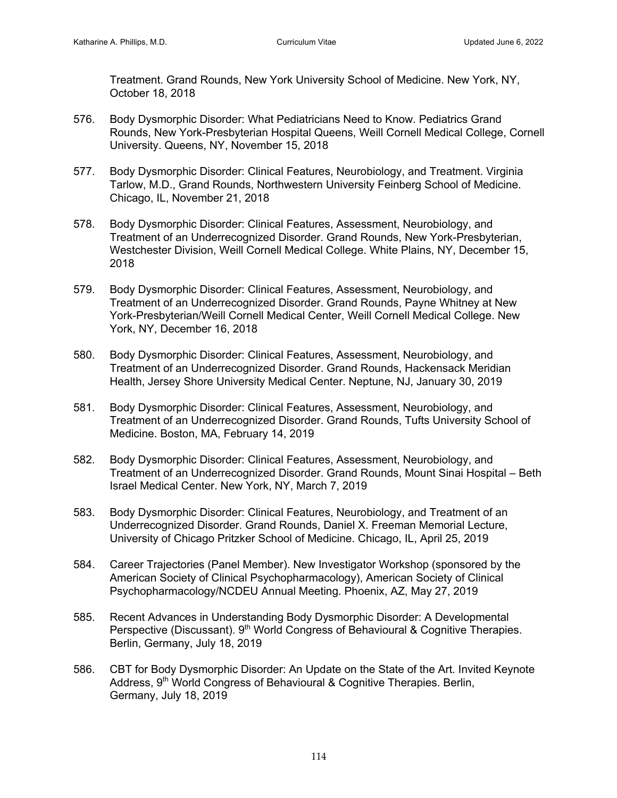Treatment. Grand Rounds, New York University School of Medicine. New York, NY, October 18, 2018

- 576. Body Dysmorphic Disorder: What Pediatricians Need to Know. Pediatrics Grand Rounds, New York-Presbyterian Hospital Queens, Weill Cornell Medical College, Cornell University. Queens, NY, November 15, 2018
- 577. Body Dysmorphic Disorder: Clinical Features, Neurobiology, and Treatment. Virginia Tarlow, M.D., Grand Rounds, Northwestern University Feinberg School of Medicine. Chicago, IL, November 21, 2018
- 578. Body Dysmorphic Disorder: Clinical Features, Assessment, Neurobiology, and Treatment of an Underrecognized Disorder. Grand Rounds, New York-Presbyterian, Westchester Division, Weill Cornell Medical College. White Plains, NY, December 15, 2018
- 579. Body Dysmorphic Disorder: Clinical Features, Assessment, Neurobiology, and Treatment of an Underrecognized Disorder. Grand Rounds, Payne Whitney at New York-Presbyterian/Weill Cornell Medical Center, Weill Cornell Medical College. New York, NY, December 16, 2018
- 580. Body Dysmorphic Disorder: Clinical Features, Assessment, Neurobiology, and Treatment of an Underrecognized Disorder. Grand Rounds, Hackensack Meridian Health, Jersey Shore University Medical Center. Neptune, NJ, January 30, 2019
- 581. Body Dysmorphic Disorder: Clinical Features, Assessment, Neurobiology, and Treatment of an Underrecognized Disorder. Grand Rounds, Tufts University School of Medicine. Boston, MA, February 14, 2019
- 582. Body Dysmorphic Disorder: Clinical Features, Assessment, Neurobiology, and Treatment of an Underrecognized Disorder. Grand Rounds, Mount Sinai Hospital – Beth Israel Medical Center. New York, NY, March 7, 2019
- 583. Body Dysmorphic Disorder: Clinical Features, Neurobiology, and Treatment of an Underrecognized Disorder. Grand Rounds, Daniel X. Freeman Memorial Lecture, University of Chicago Pritzker School of Medicine. Chicago, IL, April 25, 2019
- 584. Career Trajectories (Panel Member). New Investigator Workshop (sponsored by the American Society of Clinical Psychopharmacology), American Society of Clinical Psychopharmacology/NCDEU Annual Meeting. Phoenix, AZ, May 27, 2019
- 585. Recent Advances in Understanding Body Dysmorphic Disorder: A Developmental Perspective (Discussant). 9<sup>th</sup> World Congress of Behavioural & Cognitive Therapies. Berlin, Germany, July 18, 2019
- 586. CBT for Body Dysmorphic Disorder: An Update on the State of the Art. Invited Keynote Address, 9<sup>th</sup> World Congress of Behavioural & Cognitive Therapies. Berlin, Germany, July 18, 2019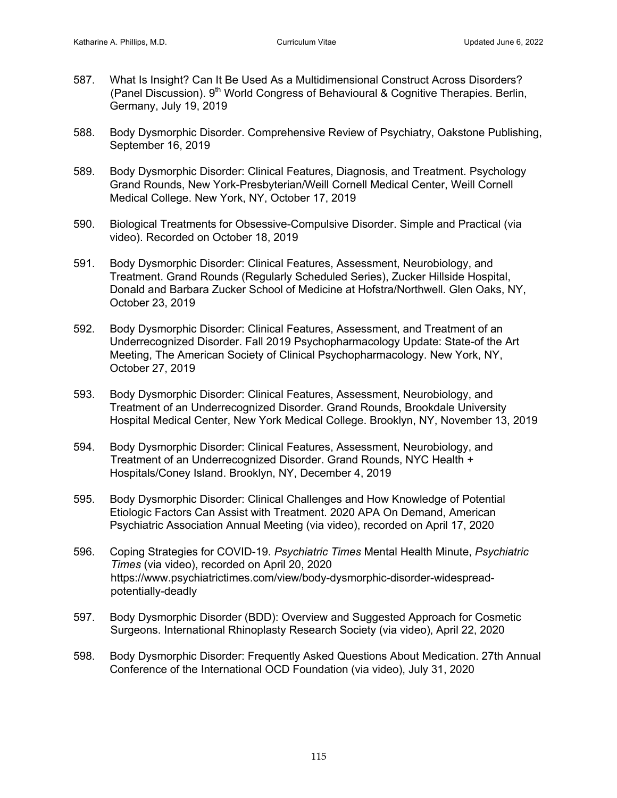- 587. What Is Insight? Can It Be Used As a Multidimensional Construct Across Disorders? (Panel Discussion). 9<sup>th</sup> World Congress of Behavioural & Cognitive Therapies. Berlin, Germany, July 19, 2019
- 588. Body Dysmorphic Disorder. Comprehensive Review of Psychiatry, Oakstone Publishing, September 16, 2019
- 589. Body Dysmorphic Disorder: Clinical Features, Diagnosis, and Treatment. Psychology Grand Rounds, New York-Presbyterian/Weill Cornell Medical Center, Weill Cornell Medical College. New York, NY, October 17, 2019
- 590. Biological Treatments for Obsessive-Compulsive Disorder. Simple and Practical (via video). Recorded on October 18, 2019
- 591. Body Dysmorphic Disorder: Clinical Features, Assessment, Neurobiology, and Treatment. Grand Rounds (Regularly Scheduled Series), Zucker Hillside Hospital, Donald and Barbara Zucker School of Medicine at Hofstra/Northwell. Glen Oaks, NY, October 23, 2019
- 592. Body Dysmorphic Disorder: Clinical Features, Assessment, and Treatment of an Underrecognized Disorder. Fall 2019 Psychopharmacology Update: State-of the Art Meeting, The American Society of Clinical Psychopharmacology. New York, NY, October 27, 2019
- 593. Body Dysmorphic Disorder: Clinical Features, Assessment, Neurobiology, and Treatment of an Underrecognized Disorder. Grand Rounds, Brookdale University Hospital Medical Center, New York Medical College. Brooklyn, NY, November 13, 2019
- 594. Body Dysmorphic Disorder: Clinical Features, Assessment, Neurobiology, and Treatment of an Underrecognized Disorder. Grand Rounds, NYC Health + Hospitals/Coney Island. Brooklyn, NY, December 4, 2019
- 595. Body Dysmorphic Disorder: Clinical Challenges and How Knowledge of Potential Etiologic Factors Can Assist with Treatment. 2020 APA On Demand, American Psychiatric Association Annual Meeting (via video), recorded on April 17, 2020
- 596. Coping Strategies for COVID-19. *Psychiatric Times* Mental Health Minute, *Psychiatric Times* (via video), recorded on April 20, 2020 https://www.psychiatrictimes.com/view/body-dysmorphic-disorder-widespreadpotentially-deadly
- 597. Body Dysmorphic Disorder (BDD): Overview and Suggested Approach for Cosmetic Surgeons. International Rhinoplasty Research Society (via video), April 22, 2020
- 598. Body Dysmorphic Disorder: Frequently Asked Questions About Medication. 27th Annual Conference of the International OCD Foundation (via video), July 31, 2020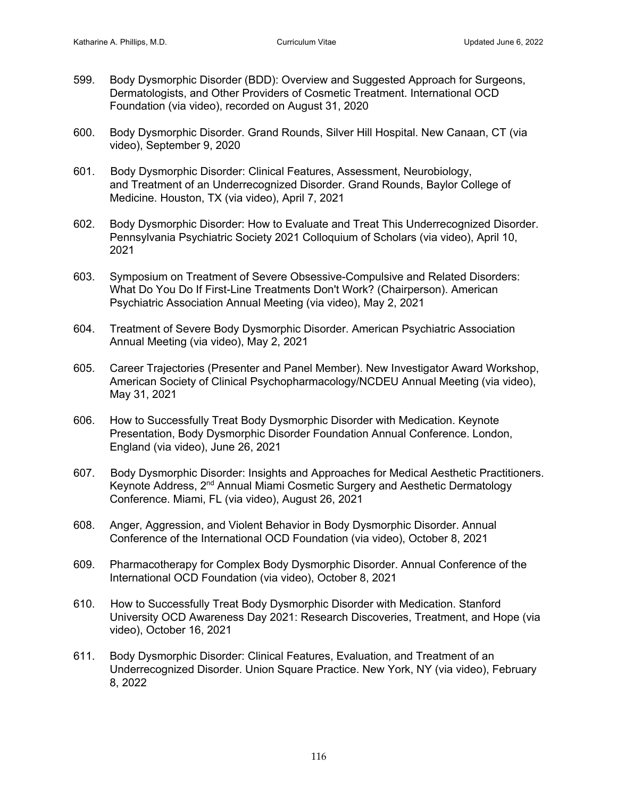- 599. Body Dysmorphic Disorder (BDD): Overview and Suggested Approach for Surgeons, Dermatologists, and Other Providers of Cosmetic Treatment. International OCD Foundation (via video), recorded on August 31, 2020
- 600. Body Dysmorphic Disorder. Grand Rounds, Silver Hill Hospital. New Canaan, CT (via video), September 9, 2020
- 601. Body Dysmorphic Disorder: Clinical Features, Assessment, Neurobiology, and Treatment of an Underrecognized Disorder. Grand Rounds, Baylor College of Medicine. Houston, TX (via video), April 7, 2021
- 602. Body Dysmorphic Disorder: How to Evaluate and Treat This Underrecognized Disorder. Pennsylvania Psychiatric Society 2021 Colloquium of Scholars (via video), April 10, 2021
- 603. Symposium on Treatment of Severe Obsessive-Compulsive and Related Disorders: What Do You Do If First-Line Treatments Don't Work? (Chairperson). American Psychiatric Association Annual Meeting (via video), May 2, 2021
- 604. Treatment of Severe Body Dysmorphic Disorder. American Psychiatric Association Annual Meeting (via video), May 2, 2021
- 605. Career Trajectories (Presenter and Panel Member). New Investigator Award Workshop, American Society of Clinical Psychopharmacology/NCDEU Annual Meeting (via video), May 31, 2021
- 606. How to Successfully Treat Body Dysmorphic Disorder with Medication. Keynote Presentation, Body Dysmorphic Disorder Foundation Annual Conference. London, England (via video), June 26, 2021
- 607. Body Dysmorphic Disorder: Insights and Approaches for Medical Aesthetic Practitioners. Keynote Address, 2<sup>nd</sup> Annual Miami Cosmetic Surgery and Aesthetic Dermatology Conference. Miami, FL (via video), August 26, 2021
- 608. Anger, Aggression, and Violent Behavior in Body Dysmorphic Disorder. Annual Conference of the International OCD Foundation (via video), October 8, 2021
- 609. Pharmacotherapy for Complex Body Dysmorphic Disorder. Annual Conference of the International OCD Foundation (via video), October 8, 2021
- 610. How to Successfully Treat Body Dysmorphic Disorder with Medication. Stanford University OCD Awareness Day 2021: Research Discoveries, Treatment, and Hope (via video), October 16, 2021
- 611. Body Dysmorphic Disorder: Clinical Features, Evaluation, and Treatment of an Underrecognized Disorder. Union Square Practice. New York, NY (via video), February 8, 2022